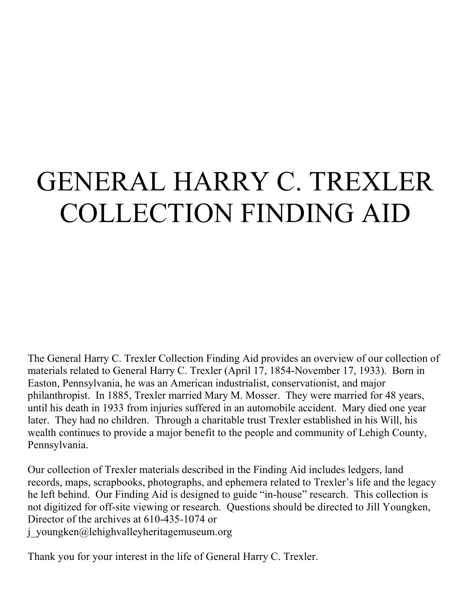# GENERAL HARRY C. TREXLER COLLECTION FINDING AID

The General Harry C. Trexler Collection Finding Aid provides an overview of our collection of materials related to General Harry C. Trexler (April 17, 1854-November 17, 1933). Born in Easton, Pennsylvania, he was an American industrialist, conservationist, and major philanthropist. In 1885, Trexler married Mary M. Mosser. They were married for 48 years, until his death in 1933 from injuries suffered in an automobile accident. Mary died one year later. They had no children. Through a charitable trust Trexler established in his Will, his wealth continues to provide a major benefit to the people and community of Lehigh County, Pennsylvania.

Our collection of Trexler materials described in the Finding Aid includes ledgers, land records, maps, scrapbooks, photographs, and ephemera related to Trexler's life and the legacy he left behind. Our Finding Aid is designed to guide "in-house" research. This collection is not digitized for off-site viewing or research. Questions should be directed to Jill Youngken, Director of the archives at 610-435-1074 or j\_youngken@lehighvalleyheritagemuseum.org

Thank you for your interest in the life of General Harry C. Trexler.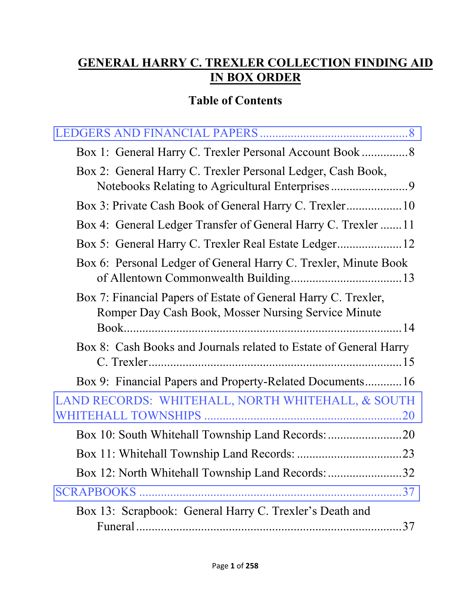## **GENERAL HARRY C. TREXLER COLLECTION FINDING AID IN BOX ORDER**

# **Table of Contents**

| Box 2: General Harry C. Trexler Personal Ledger, Cash Book,                                                           |
|-----------------------------------------------------------------------------------------------------------------------|
|                                                                                                                       |
| Box 4: General Ledger Transfer of General Harry C. Trexler 11                                                         |
| Box 5: General Harry C. Trexler Real Estate Ledger 12                                                                 |
| Box 6: Personal Ledger of General Harry C. Trexler, Minute Book                                                       |
| Box 7: Financial Papers of Estate of General Harry C. Trexler,<br>Romper Day Cash Book, Mosser Nursing Service Minute |
| Box 8: Cash Books and Journals related to Estate of General Harry                                                     |
| Box 9: Financial Papers and Property-Related Documents16                                                              |
| LAND RECORDS: WHITEHALL, NORTH WHITEHALL, & SOUTH                                                                     |
|                                                                                                                       |
|                                                                                                                       |
| Box 12: North Whitehall Township Land Records: 32                                                                     |
|                                                                                                                       |
| Box 13: Scrapbook: General Harry C. Trexler's Death and                                                               |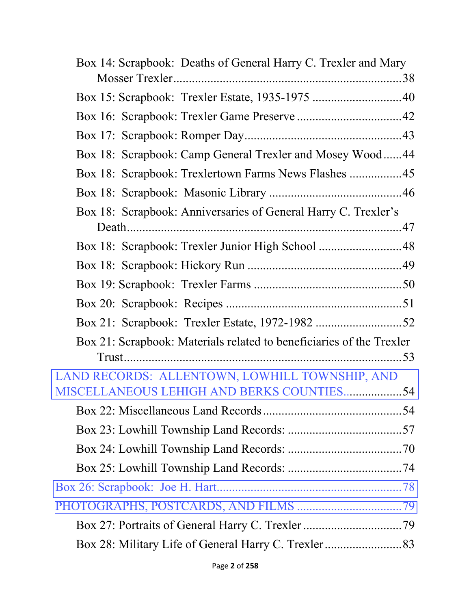| Box 14: Scrapbook: Deaths of General Harry C. Trexler and Mary       |
|----------------------------------------------------------------------|
|                                                                      |
|                                                                      |
|                                                                      |
|                                                                      |
| Box 18: Scrapbook: Camp General Trexler and Mosey Wood44             |
| Box 18: Scrapbook: Trexlertown Farms News Flashes 45                 |
|                                                                      |
| Box 18: Scrapbook: Anniversaries of General Harry C. Trexler's       |
|                                                                      |
| Box 18: Scrapbook: Trexler Junior High School 48                     |
|                                                                      |
|                                                                      |
|                                                                      |
|                                                                      |
| Box 21: Scrapbook: Materials related to beneficiaries of the Trexler |
|                                                                      |
| LAND RECORDS: ALLENTOWN, LOWHILL TOWNSHIP, AND                       |
| MISCELLANEOUS LEHIGH AND BERKS COUNTIES54                            |
|                                                                      |
|                                                                      |
|                                                                      |
|                                                                      |
|                                                                      |
|                                                                      |
|                                                                      |
|                                                                      |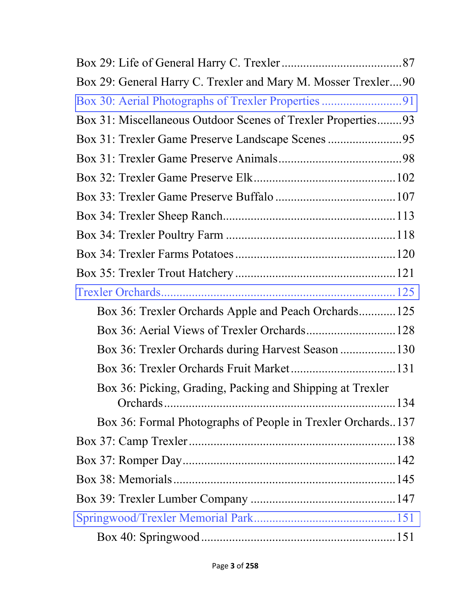| Box 29: General Harry C. Trexler and Mary M. Mosser Trexler90 |
|---------------------------------------------------------------|
|                                                               |
| Box 31: Miscellaneous Outdoor Scenes of Trexler Properties93  |
|                                                               |
|                                                               |
|                                                               |
|                                                               |
|                                                               |
|                                                               |
|                                                               |
|                                                               |
|                                                               |
| Box 36: Trexler Orchards Apple and Peach Orchards125          |
|                                                               |
| Box 36: Trexler Orchards during Harvest Season 130            |
|                                                               |
| Box 36: Picking, Grading, Packing and Shipping at Trexler     |
|                                                               |
| Box 36: Formal Photographs of People in Trexler Orchards137   |
|                                                               |
|                                                               |
|                                                               |
|                                                               |
|                                                               |
|                                                               |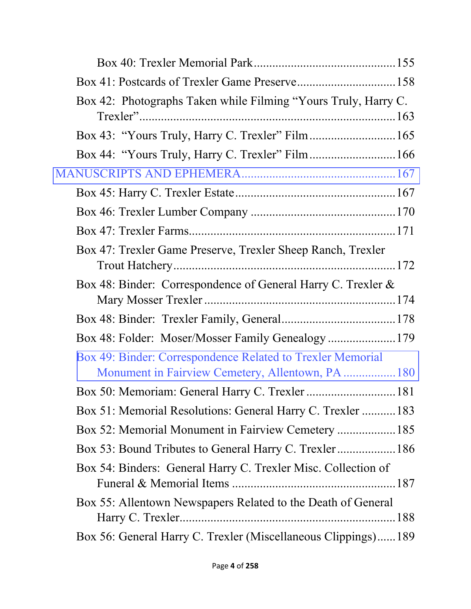| Box 42: Photographs Taken while Filming "Yours Truly, Harry C. |
|----------------------------------------------------------------|
|                                                                |
|                                                                |
|                                                                |
|                                                                |
|                                                                |
|                                                                |
| Box 47: Trexler Game Preserve, Trexler Sheep Ranch, Trexler    |
| Box 48: Binder: Correspondence of General Harry C. Trexler &   |
|                                                                |
| Box 48: Folder: Moser/Mosser Family Genealogy  179             |
| Box 49: Binder: Correspondence Related to Trexler Memorial     |
| Box 50: Memoriam: General Harry C. Trexler  181                |
| Box 51: Memorial Resolutions: General Harry C. Trexler 183     |
| Box 52: Memorial Monument in Fairview Cemetery 185             |
| Box 53: Bound Tributes to General Harry C. Trexler 186         |
| Box 54: Binders: General Harry C. Trexler Misc. Collection of  |
| Box 55: Allentown Newspapers Related to the Death of General   |
| Box 56: General Harry C. Trexler (Miscellaneous Clippings)189  |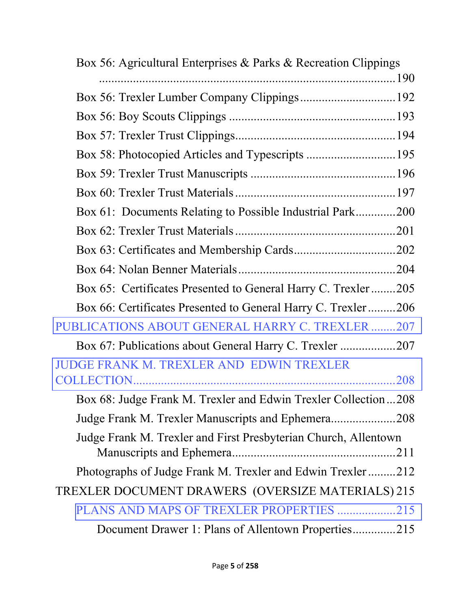| Box 56: Agricultural Enterprises & Parks & Recreation Clippings |
|-----------------------------------------------------------------|
|                                                                 |
|                                                                 |
|                                                                 |
|                                                                 |
|                                                                 |
|                                                                 |
|                                                                 |
| Box 61: Documents Relating to Possible Industrial Park200       |
|                                                                 |
|                                                                 |
|                                                                 |
| Box 65: Certificates Presented to General Harry C. Trexler205   |
| Box 66: Certificates Presented to General Harry C. Trexler206   |
| PUBLICATIONS ABOUT GENERAL HARRY C. TREXLER 207                 |
| Box 67: Publications about General Harry C. Trexler 207         |
| <b>JUDGE FRANK M. TREXLER AND EDWIN TREXLER</b>                 |
| .208                                                            |
| Box 68: Judge Frank M. Trexler and Edwin Trexler Collection208  |
| Judge Frank M. Trexler Manuscripts and Ephemera208              |
| Judge Frank M. Trexler and First Presbyterian Church, Allentown |
| Photographs of Judge Frank M. Trexler and Edwin Trexler212      |
| TREXLER DOCUMENT DRAWERS (OVERSIZE MATERIALS) 215               |
| PLANS AND MAPS OF TREXLER PROPERTIES 215                        |
| Document Drawer 1: Plans of Allentown Properties215             |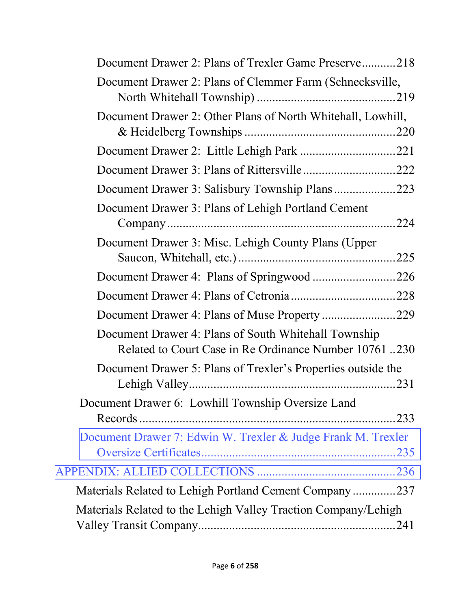| Document Drawer 2: Plans of Trexler Game Preserve218                                                           |
|----------------------------------------------------------------------------------------------------------------|
| Document Drawer 2: Plans of Clemmer Farm (Schnecksville,                                                       |
| Document Drawer 2: Other Plans of North Whitehall, Lowhill,                                                    |
|                                                                                                                |
|                                                                                                                |
|                                                                                                                |
| Document Drawer 3: Plans of Lehigh Portland Cement<br>.224                                                     |
| Document Drawer 3: Misc. Lehigh County Plans (Upper                                                            |
|                                                                                                                |
|                                                                                                                |
|                                                                                                                |
| Document Drawer 4: Plans of South Whitehall Township<br>Related to Court Case in Re Ordinance Number 10761 230 |
| Document Drawer 5: Plans of Trexler's Properties outside the<br>.231                                           |
| Document Drawer 6: Lowhill Township Oversize Land<br>.233                                                      |
| Document Drawer 7: Edwin W. Trexler & Judge Frank M. Trexler                                                   |
|                                                                                                                |
| Materials Related to Lehigh Portland Cement Company237                                                         |
| Materials Related to the Lehigh Valley Traction Company/Lehigh                                                 |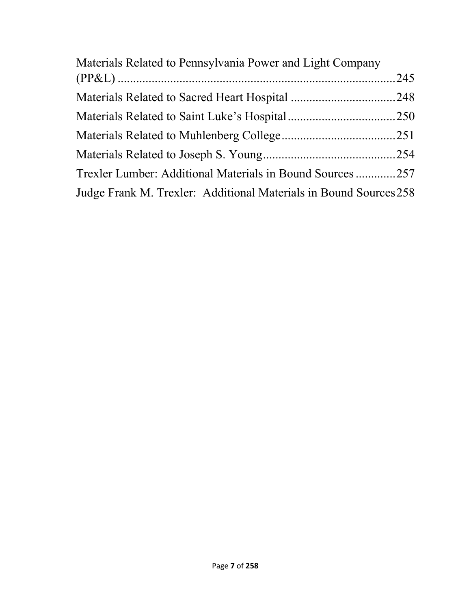| Materials Related to Pennsylvania Power and Light Company         |  |
|-------------------------------------------------------------------|--|
|                                                                   |  |
|                                                                   |  |
|                                                                   |  |
|                                                                   |  |
|                                                                   |  |
| Trexler Lumber: Additional Materials in Bound Sources257          |  |
| Judge Frank M. Trexler: Additional Materials in Bound Sources 258 |  |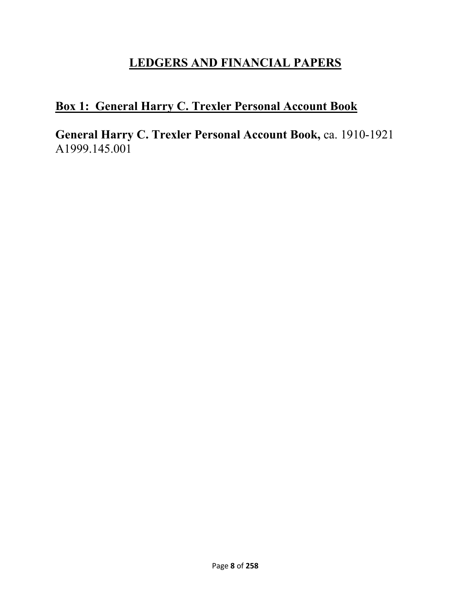## **LEDGERS AND FINANCIAL PAPERS**

# <span id="page-8-0"></span>**Box 1: General Harry C. Trexler Personal Account Book**

**General Harry C. Trexler Personal Account Book, ca. 1910-1921** A1999.145.001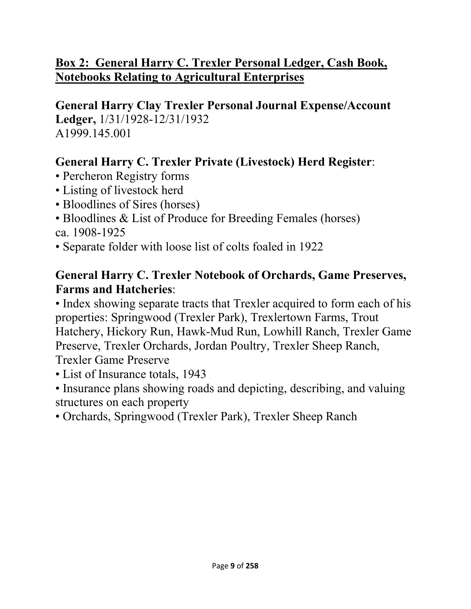## **Box 2: General Harry C. Trexler Personal Ledger, Cash Book, Notebooks Relating to Agricultural Enterprises**

**General Harry Clay Trexler Personal Journal Expense/Account Ledger,** 1/31/1928-12/31/1932 A1999.145.001

### **General Harry C. Trexler Private (Livestock) Herd Register**:

- Percheron Registry forms
- Listing of livestock herd
- Bloodlines of Sires (horses)
- Bloodlines & List of Produce for Breeding Females (horses) ca. 1908-1925
- Separate folder with loose list of colts foaled in 1922

#### **General Harry C. Trexler Notebook of Orchards, Game Preserves, Farms and Hatcheries**:

• Index showing separate tracts that Trexler acquired to form each of his properties: Springwood (Trexler Park), Trexlertown Farms, Trout Hatchery, Hickory Run, Hawk-Mud Run, Lowhill Ranch, Trexler Game Preserve, Trexler Orchards, Jordan Poultry, Trexler Sheep Ranch,

Trexler Game Preserve

- List of Insurance totals, 1943
- Insurance plans showing roads and depicting, describing, and valuing structures on each property
- Orchards, Springwood (Trexler Park), Trexler Sheep Ranch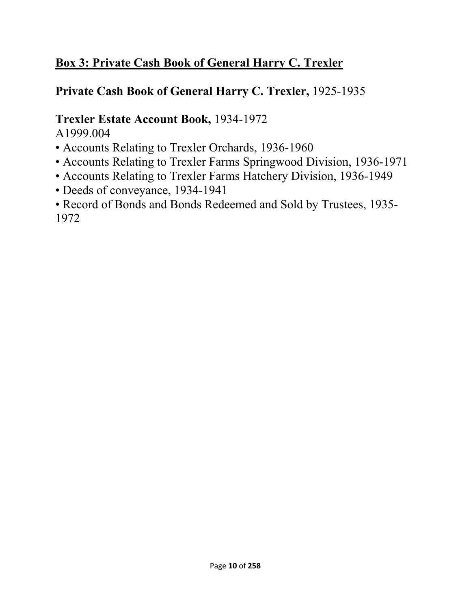## **Box 3: Private Cash Book of General Harry C. Trexler**

## **Private Cash Book of General Harry C. Trexler,** 1925-1935

# **Trexler Estate Account Book,** 1934-1972

A1999.004

- Accounts Relating to Trexler Orchards, 1936-1960
- Accounts Relating to Trexler Farms Springwood Division, 1936-1971
- Accounts Relating to Trexler Farms Hatchery Division, 1936-1949
- Deeds of conveyance, 1934-1941
- Record of Bonds and Bonds Redeemed and Sold by Trustees, 1935- 1972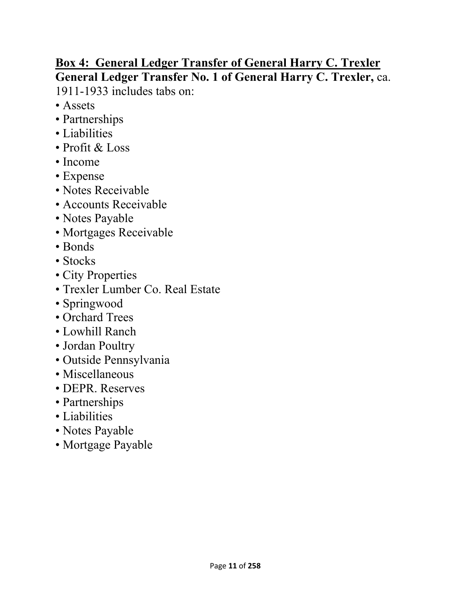# **Box 4: General Ledger Transfer of General Harry C. Trexler General Ledger Transfer No. 1 of General Harry C. Trexler,** ca.

1911-1933 includes tabs on:

- Assets
- Partnerships
- Liabilities
- Profit & Loss
- Income
- Expense
- Notes Receivable
- Accounts Receivable
- Notes Payable
- Mortgages Receivable
- Bonds
- Stocks
- City Properties
- Trexler Lumber Co. Real Estate
- Springwood
- Orchard Trees
- Lowhill Ranch
- Jordan Poultry
- Outside Pennsylvania
- Miscellaneous
- DEPR. Reserves
- Partnerships
- Liabilities
- Notes Payable
- Mortgage Payable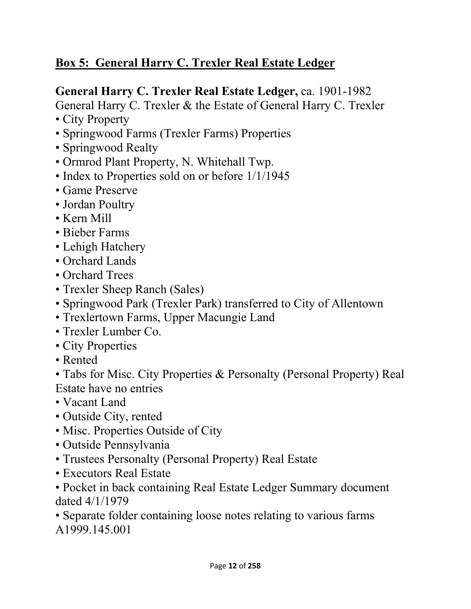# **Box 5: General Harry C. Trexler Real Estate Ledger**

### **General Harry C. Trexler Real Estate Ledger,** ca. 1901-1982

General Harry C. Trexler & the Estate of General Harry C. Trexler

- City Property
- Springwood Farms (Trexler Farms) Properties
- Springwood Realty
- Ormrod Plant Property, N. Whitehall Twp.
- Index to Properties sold on or before 1/1/1945
- Game Preserve
- Jordan Poultry
- Kern Mill
- Bieber Farms
- Lehigh Hatchery
- Orchard Lands
- Orchard Trees
- Trexler Sheep Ranch (Sales)
- Springwood Park (Trexler Park) transferred to City of Allentown
- Trexlertown Farms, Upper Macungie Land
- Trexler Lumber Co.
- City Properties
- Rented

• Tabs for Misc. City Properties & Personalty (Personal Property) Real Estate have no entries

- Vacant Land
- Outside City, rented
- Misc. Properties Outside of City
- Outside Pennsylvania
- Trustees Personalty (Personal Property) Real Estate
- Executors Real Estate
- Pocket in back containing Real Estate Ledger Summary document dated 4/1/1979
- Separate folder containing loose notes relating to various farms A1999.145.001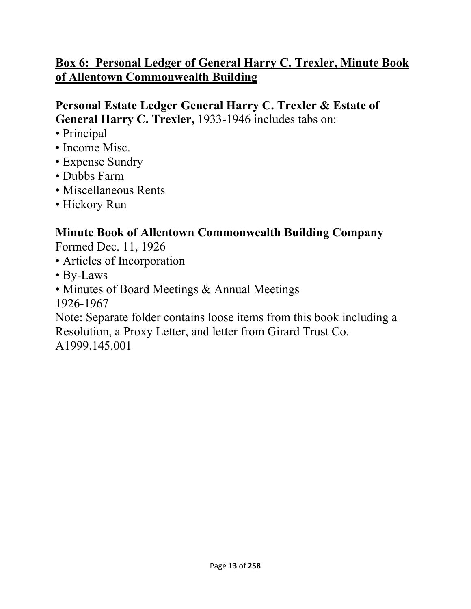## **Box 6: Personal Ledger of General Harry C. Trexler, Minute Book of Allentown Commonwealth Building**

#### **Personal Estate Ledger General Harry C. Trexler & Estate of General Harry C. Trexler,** 1933-1946 includes tabs on:

- Principal
- Income Misc.
- Expense Sundry
- Dubbs Farm
- Miscellaneous Rents
- Hickory Run

### **Minute Book of Allentown Commonwealth Building Company**

Formed Dec. 11, 1926

- Articles of Incorporation
- By-Laws
- Minutes of Board Meetings & Annual Meetings

1926-1967

Note: Separate folder contains loose items from this book including a Resolution, a Proxy Letter, and letter from Girard Trust Co. A1999.145.001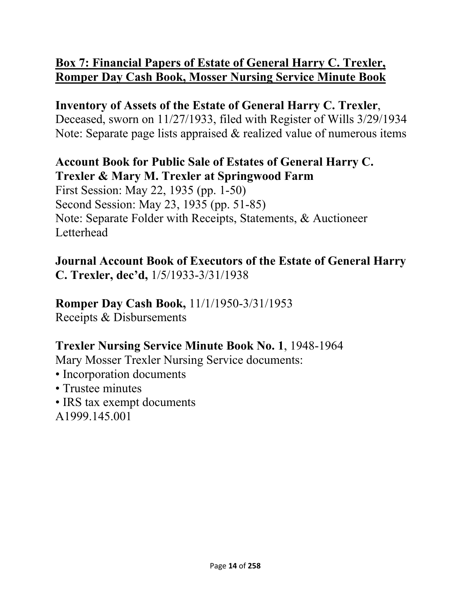### **Box 7: Financial Papers of Estate of General Harry C. Trexler, Romper Day Cash Book, Mosser Nursing Service Minute Book**

## **Inventory of Assets of the Estate of General Harry C. Trexler**,

Deceased, sworn on 11/27/1933, filed with Register of Wills 3/29/1934 Note: Separate page lists appraised & realized value of numerous items

#### **Account Book for Public Sale of Estates of General Harry C. Trexler & Mary M. Trexler at Springwood Farm**

First Session: May 22, 1935 (pp. 1-50) Second Session: May 23, 1935 (pp. 51-85) Note: Separate Folder with Receipts, Statements, & Auctioneer **Letterhead** 

**Journal Account Book of Executors of the Estate of General Harry C. Trexler, dec'd,** 1/5/1933-3/31/1938

#### **Romper Day Cash Book,** 11/1/1950-3/31/1953 Receipts & Disbursements

#### **Trexler Nursing Service Minute Book No. 1**, 1948-1964

Mary Mosser Trexler Nursing Service documents:

- Incorporation documents
- Trustee minutes
- IRS tax exempt documents A1999.145.001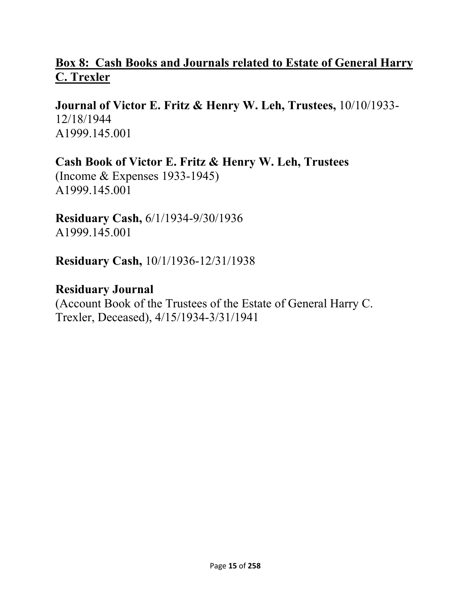#### **Box 8: Cash Books and Journals related to Estate of General Harry C. Trexler**

**Journal of Victor E. Fritz & Henry W. Leh, Trustees,** 10/10/1933- 12/18/1944 A1999.145.001

**Cash Book of Victor E. Fritz & Henry W. Leh, Trustees**  (Income & Expenses 1933-1945) A1999.145.001

**Residuary Cash,** 6/1/1934-9/30/1936 A1999.145.001

**Residuary Cash,** 10/1/1936-12/31/1938

**Residuary Journal**  (Account Book of the Trustees of the Estate of General Harry C. Trexler, Deceased), 4/15/1934-3/31/1941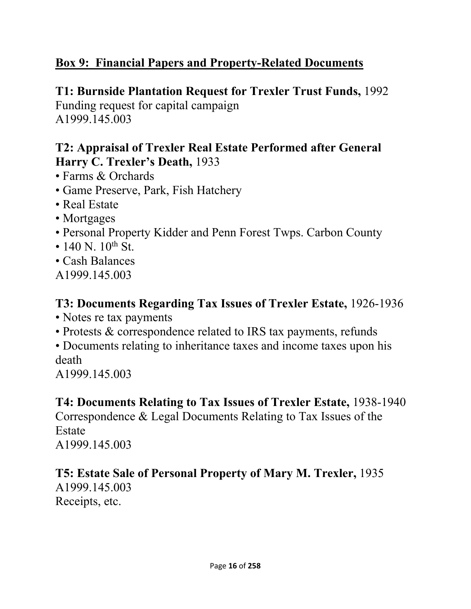## **Box 9: Financial Papers and Property-Related Documents**

### **T1: Burnside Plantation Request for Trexler Trust Funds,** 1992

Funding request for capital campaign A1999.145.003

#### **T2: Appraisal of Trexler Real Estate Performed after General Harry C. Trexler's Death,** 1933

- Farms & Orchards
- Game Preserve, Park, Fish Hatchery
- Real Estate
- Mortgages
- Personal Property Kidder and Penn Forest Twps. Carbon County
- 140 N.  $10^{th}$  St.
- Cash Balances
- A1999.145.003

#### **T3: Documents Regarding Tax Issues of Trexler Estate,** 1926-1936

- Notes re tax payments
- Protests & correspondence related to IRS tax payments, refunds

• Documents relating to inheritance taxes and income taxes upon his death

A1999.145.003

#### **T4: Documents Relating to Tax Issues of Trexler Estate,** 1938-1940

Correspondence & Legal Documents Relating to Tax Issues of the Estate

A1999.145.003

## **T5: Estate Sale of Personal Property of Mary M. Trexler,** 1935

A1999.145.003 Receipts, etc.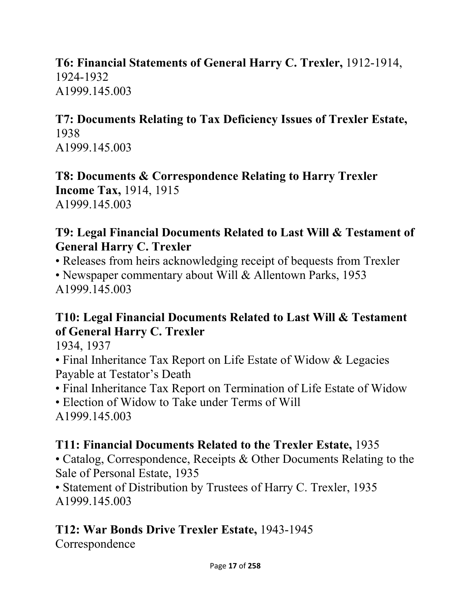### **T6: Financial Statements of General Harry C. Trexler,** 1912-1914, 1924-1932 A1999.145.003

#### **T7: Documents Relating to Tax Deficiency Issues of Trexler Estate,**  1938 A1999.145.003

**T8: Documents & Correspondence Relating to Harry Trexler Income Tax,** 1914, 1915 A1999.145.003

#### **T9: Legal Financial Documents Related to Last Will & Testament of General Harry C. Trexler**

• Releases from heirs acknowledging receipt of bequests from Trexler • Newspaper commentary about Will & Allentown Parks, 1953 A1999.145.003

### **T10: Legal Financial Documents Related to Last Will & Testament of General Harry C. Trexler**

1934, 1937

• Final Inheritance Tax Report on Life Estate of Widow & Legacies Payable at Testator's Death

- Final Inheritance Tax Report on Termination of Life Estate of Widow
- Election of Widow to Take under Terms of Will A1999.145.003

## **T11: Financial Documents Related to the Trexler Estate,** 1935

• Catalog, Correspondence, Receipts & Other Documents Relating to the Sale of Personal Estate, 1935

• Statement of Distribution by Trustees of Harry C. Trexler, 1935 A1999.145.003

# **T12: War Bonds Drive Trexler Estate,** 1943-1945

Correspondence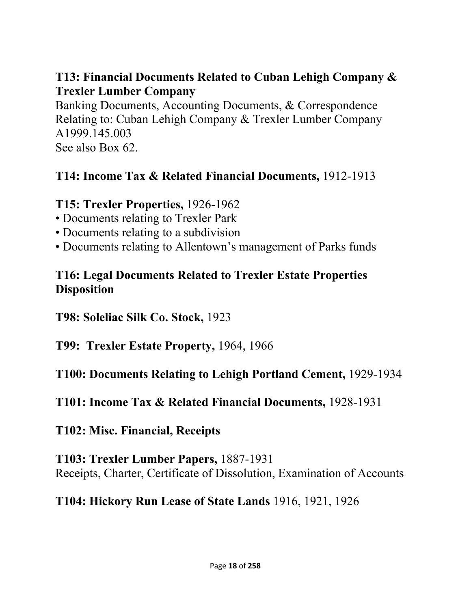#### **T13: Financial Documents Related to Cuban Lehigh Company & Trexler Lumber Company**

Banking Documents, Accounting Documents, & Correspondence Relating to: Cuban Lehigh Company & Trexler Lumber Company A1999.145.003 See also Box 62.

#### **T14: Income Tax & Related Financial Documents,** 1912-1913

#### **T15: Trexler Properties,** 1926-1962

- Documents relating to Trexler Park
- Documents relating to a subdivision
- Documents relating to Allentown's management of Parks funds

#### **T16: Legal Documents Related to Trexler Estate Properties Disposition**

**T98: Soleliac Silk Co. Stock,** 1923

**T99: Trexler Estate Property,** 1964, 1966

**T100: Documents Relating to Lehigh Portland Cement,** 1929-1934

**T101: Income Tax & Related Financial Documents,** 1928-1931

**T102: Misc. Financial, Receipts** 

**T103: Trexler Lumber Papers,** 1887-1931 Receipts, Charter, Certificate of Dissolution, Examination of Accounts

**T104: Hickory Run Lease of State Lands** 1916, 1921, 1926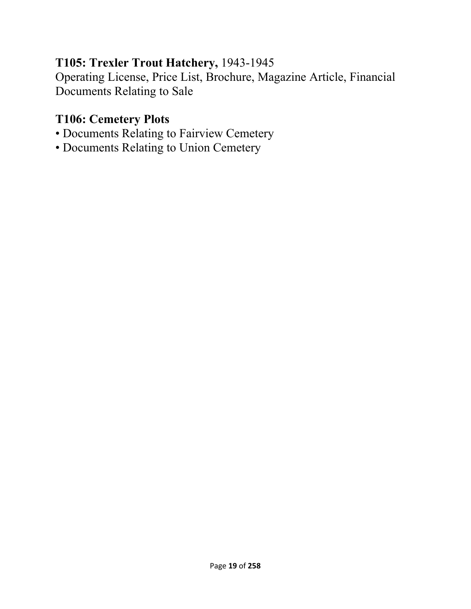#### **T105: Trexler Trout Hatchery,** 1943-1945

Operating License, Price List, Brochure, Magazine Article, Financial Documents Relating to Sale

## **T106: Cemetery Plots**

- Documents Relating to Fairview Cemetery
- Documents Relating to Union Cemetery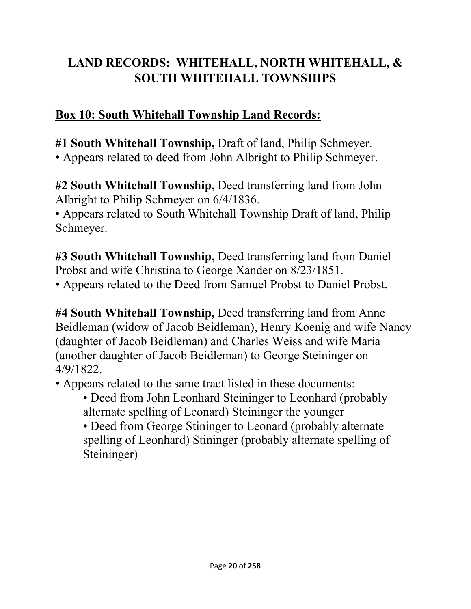# <span id="page-20-0"></span>**LAND RECORDS: WHITEHALL, NORTH WHITEHALL, & SOUTH WHITEHALL TOWNSHIPS**

### **Box 10: South Whitehall Township Land Records:**

**#1 South Whitehall Township,** Draft of land, Philip Schmeyer.

• Appears related to deed from John Albright to Philip Schmeyer.

**#2 South Whitehall Township,** Deed transferring land from John Albright to Philip Schmeyer on 6/4/1836.

• Appears related to South Whitehall Township Draft of land, Philip Schmeyer.

**#3 South Whitehall Township,** Deed transferring land from Daniel Probst and wife Christina to George Xander on 8/23/1851.

• Appears related to the Deed from Samuel Probst to Daniel Probst.

**#4 South Whitehall Township,** Deed transferring land from Anne Beidleman (widow of Jacob Beidleman), Henry Koenig and wife Nancy (daughter of Jacob Beidleman) and Charles Weiss and wife Maria (another daughter of Jacob Beidleman) to George Steininger on 4/9/1822.

- Appears related to the same tract listed in these documents:
	- Deed from John Leonhard Steininger to Leonhard (probably alternate spelling of Leonard) Steininger the younger

• Deed from George Stininger to Leonard (probably alternate spelling of Leonhard) Stininger (probably alternate spelling of Steininger)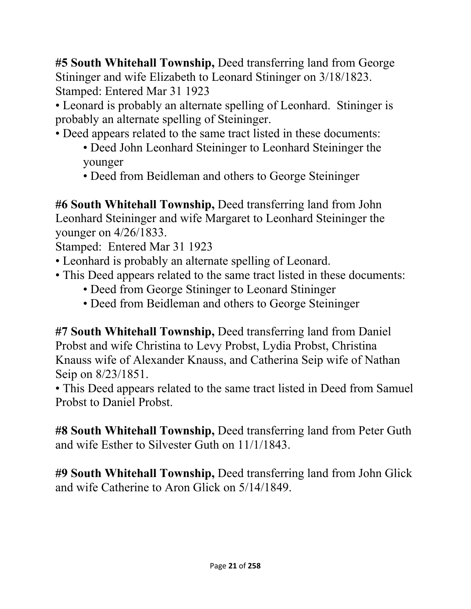**#5 South Whitehall Township,** Deed transferring land from George Stininger and wife Elizabeth to Leonard Stininger on 3/18/1823. Stamped: Entered Mar 31 1923

• Leonard is probably an alternate spelling of Leonhard. Stininger is probably an alternate spelling of Steininger.

- Deed appears related to the same tract listed in these documents:
	- Deed John Leonhard Steininger to Leonhard Steininger the younger
	- Deed from Beidleman and others to George Steininger

**#6 South Whitehall Township,** Deed transferring land from John Leonhard Steininger and wife Margaret to Leonhard Steininger the younger on 4/26/1833.

Stamped: Entered Mar 31 1923

- Leonhard is probably an alternate spelling of Leonard.
- This Deed appears related to the same tract listed in these documents:
	- Deed from George Stininger to Leonard Stininger
	- Deed from Beidleman and others to George Steininger

**#7 South Whitehall Township,** Deed transferring land from Daniel Probst and wife Christina to Levy Probst, Lydia Probst, Christina Knauss wife of Alexander Knauss, and Catherina Seip wife of Nathan Seip on 8/23/1851.

• This Deed appears related to the same tract listed in Deed from Samuel Probst to Daniel Probst.

**#8 South Whitehall Township,** Deed transferring land from Peter Guth and wife Esther to Silvester Guth on 11/1/1843.

**#9 South Whitehall Township,** Deed transferring land from John Glick and wife Catherine to Aron Glick on 5/14/1849.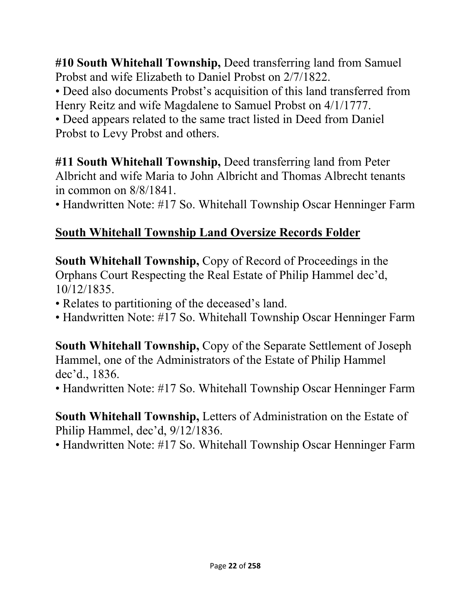**#10 South Whitehall Township,** Deed transferring land from Samuel Probst and wife Elizabeth to Daniel Probst on 2/7/1822.

• Deed also documents Probst's acquisition of this land transferred from Henry Reitz and wife Magdalene to Samuel Probst on 4/1/1777.

• Deed appears related to the same tract listed in Deed from Daniel Probst to Levy Probst and others.

**#11 South Whitehall Township,** Deed transferring land from Peter Albricht and wife Maria to John Albricht and Thomas Albrecht tenants in common on 8/8/1841.

• Handwritten Note: #17 So. Whitehall Township Oscar Henninger Farm

## **South Whitehall Township Land Oversize Records Folder**

**South Whitehall Township,** Copy of Record of Proceedings in the Orphans Court Respecting the Real Estate of Philip Hammel dec'd, 10/12/1835.

- Relates to partitioning of the deceased's land.
- Handwritten Note: #17 So. Whitehall Township Oscar Henninger Farm

**South Whitehall Township,** Copy of the Separate Settlement of Joseph Hammel, one of the Administrators of the Estate of Philip Hammel dec'd., 1836.

• Handwritten Note: #17 So. Whitehall Township Oscar Henninger Farm

#### **South Whitehall Township,** Letters of Administration on the Estate of Philip Hammel, dec'd, 9/12/1836.

• Handwritten Note: #17 So. Whitehall Township Oscar Henninger Farm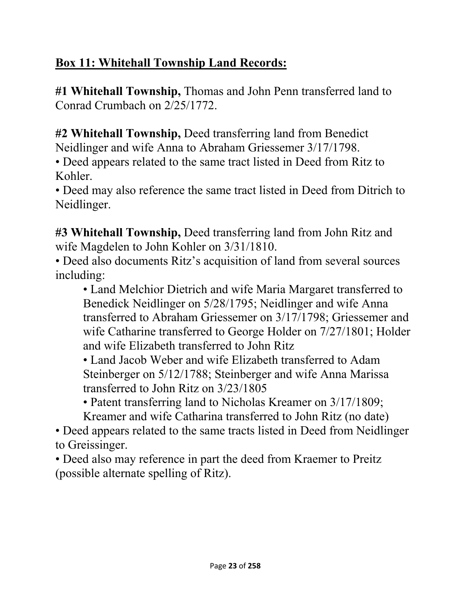# **Box 11: Whitehall Township Land Records:**

**#1 Whitehall Township,** Thomas and John Penn transferred land to Conrad Crumbach on 2/25/1772.

**#2 Whitehall Township,** Deed transferring land from Benedict Neidlinger and wife Anna to Abraham Griessemer 3/17/1798.

• Deed appears related to the same tract listed in Deed from Ritz to Kohler.

• Deed may also reference the same tract listed in Deed from Ditrich to Neidlinger.

**#3 Whitehall Township,** Deed transferring land from John Ritz and wife Magdelen to John Kohler on 3/31/1810.

• Deed also documents Ritz's acquisition of land from several sources including:

• Land Melchior Dietrich and wife Maria Margaret transferred to Benedick Neidlinger on 5/28/1795; Neidlinger and wife Anna transferred to Abraham Griessemer on 3/17/1798; Griessemer and wife Catharine transferred to George Holder on 7/27/1801; Holder and wife Elizabeth transferred to John Ritz

• Land Jacob Weber and wife Elizabeth transferred to Adam Steinberger on 5/12/1788; Steinberger and wife Anna Marissa transferred to John Ritz on 3/23/1805

• Patent transferring land to Nicholas Kreamer on 3/17/1809; Kreamer and wife Catharina transferred to John Ritz (no date)

• Deed appears related to the same tracts listed in Deed from Neidlinger to Greissinger.

• Deed also may reference in part the deed from Kraemer to Preitz (possible alternate spelling of Ritz).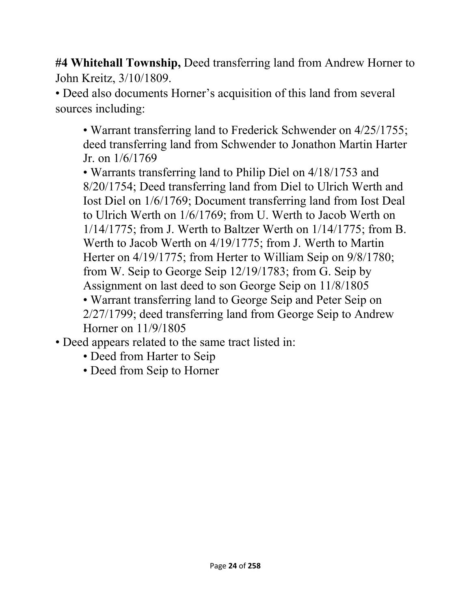**#4 Whitehall Township,** Deed transferring land from Andrew Horner to John Kreitz, 3/10/1809.

• Deed also documents Horner's acquisition of this land from several sources including:

• Warrant transferring land to Frederick Schwender on 4/25/1755; deed transferring land from Schwender to Jonathon Martin Harter Jr. on 1/6/1769

• Warrants transferring land to Philip Diel on 4/18/1753 and 8/20/1754; Deed transferring land from Diel to Ulrich Werth and Iost Diel on 1/6/1769; Document transferring land from Iost Deal to Ulrich Werth on 1/6/1769; from U. Werth to Jacob Werth on 1/14/1775; from J. Werth to Baltzer Werth on 1/14/1775; from B. Werth to Jacob Werth on 4/19/1775; from J. Werth to Martin Herter on 4/19/1775; from Herter to William Seip on 9/8/1780; from W. Seip to George Seip 12/19/1783; from G. Seip by Assignment on last deed to son George Seip on 11/8/1805 • Warrant transferring land to George Seip and Peter Seip on 2/27/1799; deed transferring land from George Seip to Andrew Horner on 11/9/1805

• Deed appears related to the same tract listed in:

- Deed from Harter to Seip
- Deed from Seip to Horner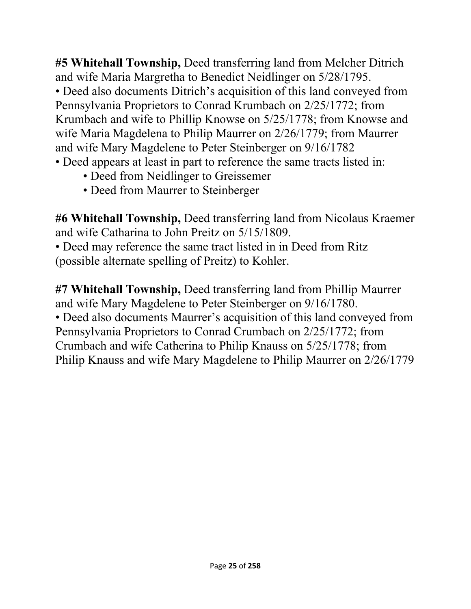**#5 Whitehall Township,** Deed transferring land from Melcher Ditrich and wife Maria Margretha to Benedict Neidlinger on 5/28/1795. • Deed also documents Ditrich's acquisition of this land conveyed from Pennsylvania Proprietors to Conrad Krumbach on 2/25/1772; from Krumbach and wife to Phillip Knowse on 5/25/1778; from Knowse and wife Maria Magdelena to Philip Maurrer on 2/26/1779; from Maurrer and wife Mary Magdelene to Peter Steinberger on 9/16/1782

- Deed appears at least in part to reference the same tracts listed in:
	- Deed from Neidlinger to Greissemer
	- Deed from Maurrer to Steinberger

**#6 Whitehall Township,** Deed transferring land from Nicolaus Kraemer and wife Catharina to John Preitz on 5/15/1809.

• Deed may reference the same tract listed in in Deed from Ritz (possible alternate spelling of Preitz) to Kohler.

**#7 Whitehall Township,** Deed transferring land from Phillip Maurrer and wife Mary Magdelene to Peter Steinberger on 9/16/1780. • Deed also documents Maurrer's acquisition of this land conveyed from Pennsylvania Proprietors to Conrad Crumbach on 2/25/1772; from Crumbach and wife Catherina to Philip Knauss on 5/25/1778; from Philip Knauss and wife Mary Magdelene to Philip Maurrer on 2/26/1779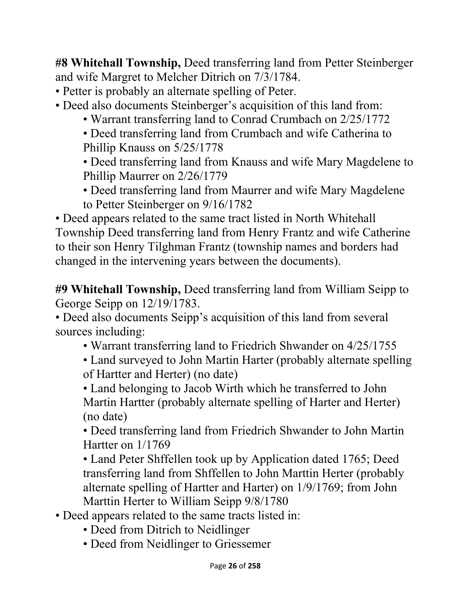**#8 Whitehall Township,** Deed transferring land from Petter Steinberger and wife Margret to Melcher Ditrich on 7/3/1784.

• Petter is probably an alternate spelling of Peter.

- Deed also documents Steinberger's acquisition of this land from:
	- Warrant transferring land to Conrad Crumbach on 2/25/1772

• Deed transferring land from Crumbach and wife Catherina to Phillip Knauss on 5/25/1778

• Deed transferring land from Knauss and wife Mary Magdelene to Phillip Maurrer on 2/26/1779

• Deed transferring land from Maurrer and wife Mary Magdelene to Petter Steinberger on 9/16/1782

• Deed appears related to the same tract listed in North Whitehall Township Deed transferring land from Henry Frantz and wife Catherine to their son Henry Tilghman Frantz (township names and borders had changed in the intervening years between the documents).

**#9 Whitehall Township,** Deed transferring land from William Seipp to George Seipp on 12/19/1783.

• Deed also documents Seipp's acquisition of this land from several sources including:

• Warrant transferring land to Friedrich Shwander on 4/25/1755

• Land surveyed to John Martin Harter (probably alternate spelling of Hartter and Herter) (no date)

• Land belonging to Jacob Wirth which he transferred to John Martin Hartter (probably alternate spelling of Harter and Herter) (no date)

• Deed transferring land from Friedrich Shwander to John Martin Hartter on 1/1769

• Land Peter Shffellen took up by Application dated 1765; Deed transferring land from Shffellen to John Marttin Herter (probably alternate spelling of Hartter and Harter) on 1/9/1769; from John Marttin Herter to William Seipp 9/8/1780

• Deed appears related to the same tracts listed in:

- Deed from Ditrich to Neidlinger
- Deed from Neidlinger to Griessemer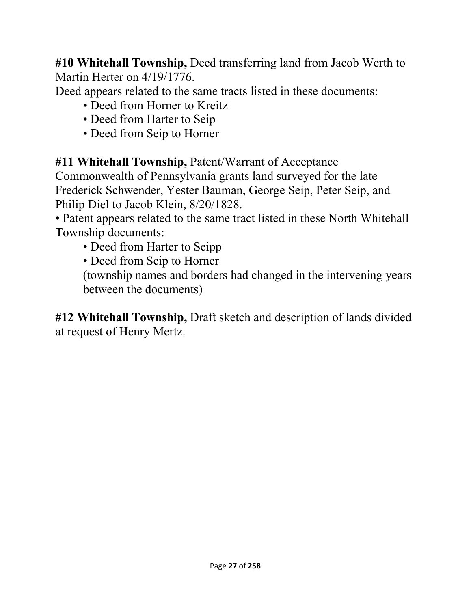**#10 Whitehall Township,** Deed transferring land from Jacob Werth to Martin Herter on 4/19/1776.

Deed appears related to the same tracts listed in these documents:

- Deed from Horner to Kreitz
- Deed from Harter to Seip
- Deed from Seip to Horner

**#11 Whitehall Township,** Patent/Warrant of Acceptance

Commonwealth of Pennsylvania grants land surveyed for the late Frederick Schwender, Yester Bauman, George Seip, Peter Seip, and Philip Diel to Jacob Klein, 8/20/1828.

• Patent appears related to the same tract listed in these North Whitehall Township documents:

• Deed from Harter to Seipp

• Deed from Seip to Horner

(township names and borders had changed in the intervening years between the documents)

**#12 Whitehall Township,** Draft sketch and description of lands divided at request of Henry Mertz.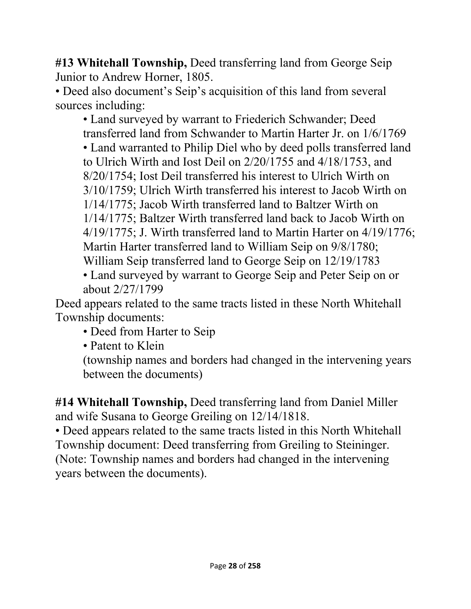**#13 Whitehall Township,** Deed transferring land from George Seip Junior to Andrew Horner, 1805.

• Deed also document's Seip's acquisition of this land from several sources including:

• Land surveyed by warrant to Friederich Schwander; Deed transferred land from Schwander to Martin Harter Jr. on 1/6/1769 • Land warranted to Philip Diel who by deed polls transferred land to Ulrich Wirth and Iost Deil on 2/20/1755 and 4/18/1753, and 8/20/1754; Iost Deil transferred his interest to Ulrich Wirth on 3/10/1759; Ulrich Wirth transferred his interest to Jacob Wirth on 1/14/1775; Jacob Wirth transferred land to Baltzer Wirth on 1/14/1775; Baltzer Wirth transferred land back to Jacob Wirth on 4/19/1775; J. Wirth transferred land to Martin Harter on 4/19/1776; Martin Harter transferred land to William Seip on 9/8/1780; William Seip transferred land to George Seip on 12/19/1783

• Land surveyed by warrant to George Seip and Peter Seip on or about 2/27/1799

Deed appears related to the same tracts listed in these North Whitehall Township documents:

• Deed from Harter to Seip

• Patent to Klein

(township names and borders had changed in the intervening years between the documents)

**#14 Whitehall Township,** Deed transferring land from Daniel Miller and wife Susana to George Greiling on 12/14/1818.

• Deed appears related to the same tracts listed in this North Whitehall Township document: Deed transferring from Greiling to Steininger. (Note: Township names and borders had changed in the intervening years between the documents).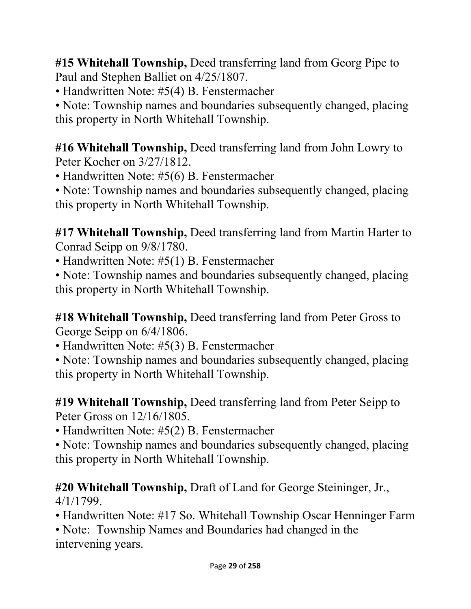**#15 Whitehall Township,** Deed transferring land from Georg Pipe to Paul and Stephen Balliet on 4/25/1807.

• Handwritten Note: #5(4) B. Fenstermacher

• Note: Township names and boundaries subsequently changed, placing this property in North Whitehall Township.

**#16 Whitehall Township,** Deed transferring land from John Lowry to Peter Kocher on 3/27/1812.

• Handwritten Note: #5(6) B. Fenstermacher

• Note: Township names and boundaries subsequently changed, placing this property in North Whitehall Township.

**#17 Whitehall Township,** Deed transferring land from Martin Harter to Conrad Seipp on 9/8/1780.

• Handwritten Note: #5(1) B. Fenstermacher

• Note: Township names and boundaries subsequently changed, placing this property in North Whitehall Township.

**#18 Whitehall Township,** Deed transferring land from Peter Gross to George Seipp on 6/4/1806.

• Handwritten Note: #5(3) B. Fenstermacher

• Note: Township names and boundaries subsequently changed, placing this property in North Whitehall Township.

**#19 Whitehall Township,** Deed transferring land from Peter Seipp to Peter Gross on 12/16/1805.

• Handwritten Note: #5(2) B. Fenstermacher

• Note: Township names and boundaries subsequently changed, placing this property in North Whitehall Township.

### **#20 Whitehall Township,** Draft of Land for George Steininger, Jr., 4/1/1799.

• Handwritten Note: #17 So. Whitehall Township Oscar Henninger Farm

• Note: Township Names and Boundaries had changed in the intervening years.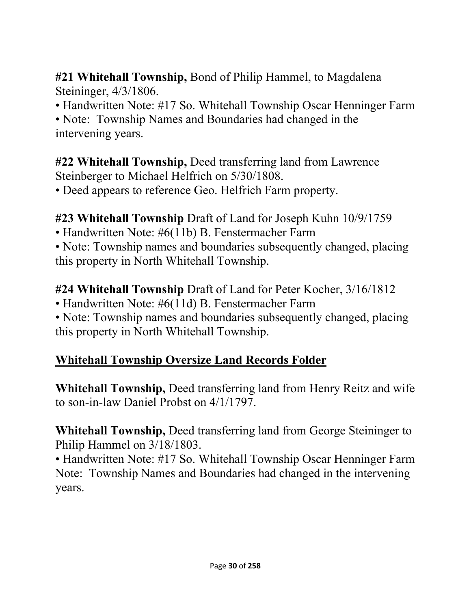**#21 Whitehall Township,** Bond of Philip Hammel, to Magdalena Steininger, 4/3/1806.

• Handwritten Note: #17 So. Whitehall Township Oscar Henninger Farm

• Note: Township Names and Boundaries had changed in the intervening years.

**#22 Whitehall Township,** Deed transferring land from Lawrence Steinberger to Michael Helfrich on 5/30/1808.

• Deed appears to reference Geo. Helfrich Farm property.

#### **#23 Whitehall Township** Draft of Land for Joseph Kuhn 10/9/1759

• Handwritten Note: #6(11b) B. Fenstermacher Farm

• Note: Township names and boundaries subsequently changed, placing this property in North Whitehall Township.

#### **#24 Whitehall Township** Draft of Land for Peter Kocher, 3/16/1812

• Handwritten Note: #6(11d) B. Fenstermacher Farm

• Note: Township names and boundaries subsequently changed, placing this property in North Whitehall Township.

## **Whitehall Township Oversize Land Records Folder**

**Whitehall Township,** Deed transferring land from Henry Reitz and wife to son-in-law Daniel Probst on 4/1/1797.

**Whitehall Township,** Deed transferring land from George Steininger to Philip Hammel on 3/18/1803.

• Handwritten Note: #17 So. Whitehall Township Oscar Henninger Farm Note: Township Names and Boundaries had changed in the intervening years.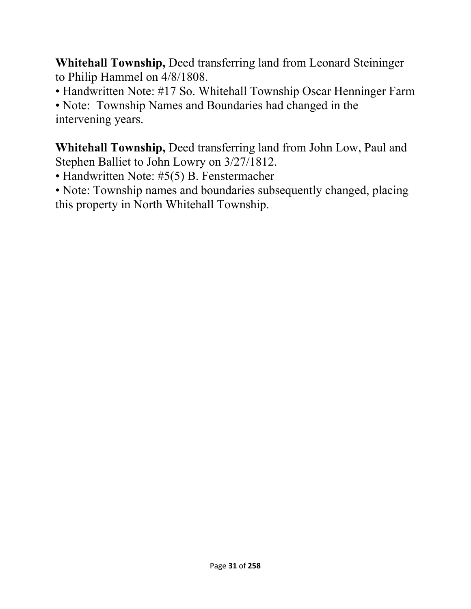**Whitehall Township,** Deed transferring land from Leonard Steininger to Philip Hammel on 4/8/1808.

• Handwritten Note: #17 So. Whitehall Township Oscar Henninger Farm

• Note: Township Names and Boundaries had changed in the intervening years.

**Whitehall Township,** Deed transferring land from John Low, Paul and Stephen Balliet to John Lowry on 3/27/1812.

• Handwritten Note: #5(5) B. Fenstermacher

• Note: Township names and boundaries subsequently changed, placing this property in North Whitehall Township.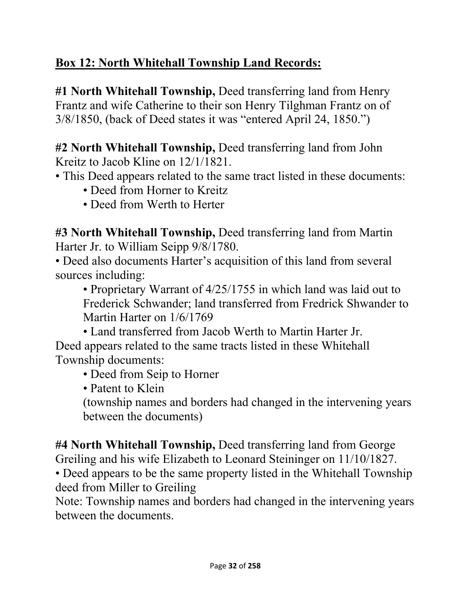# **Box 12: North Whitehall Township Land Records:**

**#1 North Whitehall Township,** Deed transferring land from Henry Frantz and wife Catherine to their son Henry Tilghman Frantz on of 3/8/1850, (back of Deed states it was "entered April 24, 1850.")

**#2 North Whitehall Township,** Deed transferring land from John Kreitz to Jacob Kline on 12/1/1821.

- This Deed appears related to the same tract listed in these documents:
	- Deed from Horner to Kreitz
	- Deed from Werth to Herter

**#3 North Whitehall Township,** Deed transferring land from Martin Harter Jr. to William Seipp 9/8/1780.

• Deed also documents Harter's acquisition of this land from several sources including:

• Proprietary Warrant of 4/25/1755 in which land was laid out to Frederick Schwander; land transferred from Fredrick Shwander to Martin Harter on 1/6/1769

• Land transferred from Jacob Werth to Martin Harter Jr. Deed appears related to the same tracts listed in these Whitehall Township documents:

• Deed from Seip to Horner

• Patent to Klein

(township names and borders had changed in the intervening years between the documents)

**#4 North Whitehall Township,** Deed transferring land from George Greiling and his wife Elizabeth to Leonard Steininger on 11/10/1827.

• Deed appears to be the same property listed in the Whitehall Township deed from Miller to Greiling

Note: Township names and borders had changed in the intervening years between the documents.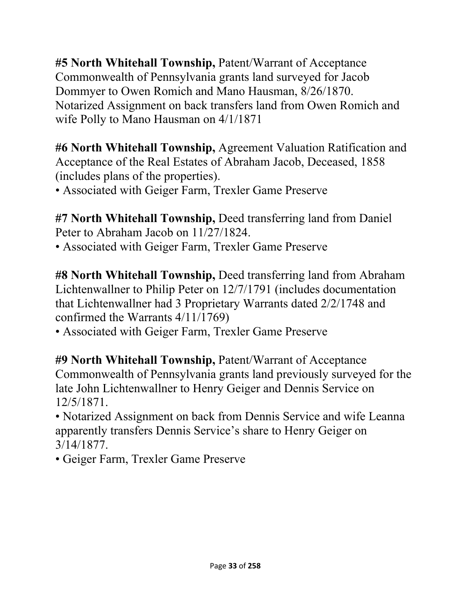**#5 North Whitehall Township,** Patent/Warrant of Acceptance Commonwealth of Pennsylvania grants land surveyed for Jacob Dommyer to Owen Romich and Mano Hausman, 8/26/1870. Notarized Assignment on back transfers land from Owen Romich and wife Polly to Mano Hausman on 4/1/1871

**#6 North Whitehall Township,** Agreement Valuation Ratification and Acceptance of the Real Estates of Abraham Jacob, Deceased, 1858 (includes plans of the properties).

• Associated with Geiger Farm, Trexler Game Preserve

**#7 North Whitehall Township,** Deed transferring land from Daniel Peter to Abraham Jacob on 11/27/1824.

• Associated with Geiger Farm, Trexler Game Preserve

**#8 North Whitehall Township,** Deed transferring land from Abraham Lichtenwallner to Philip Peter on 12/7/1791 (includes documentation that Lichtenwallner had 3 Proprietary Warrants dated 2/2/1748 and confirmed the Warrants 4/11/1769)

• Associated with Geiger Farm, Trexler Game Preserve

**#9 North Whitehall Township,** Patent/Warrant of Acceptance Commonwealth of Pennsylvania grants land previously surveyed for the late John Lichtenwallner to Henry Geiger and Dennis Service on 12/5/1871.

• Notarized Assignment on back from Dennis Service and wife Leanna apparently transfers Dennis Service's share to Henry Geiger on 3/14/1877.

• Geiger Farm, Trexler Game Preserve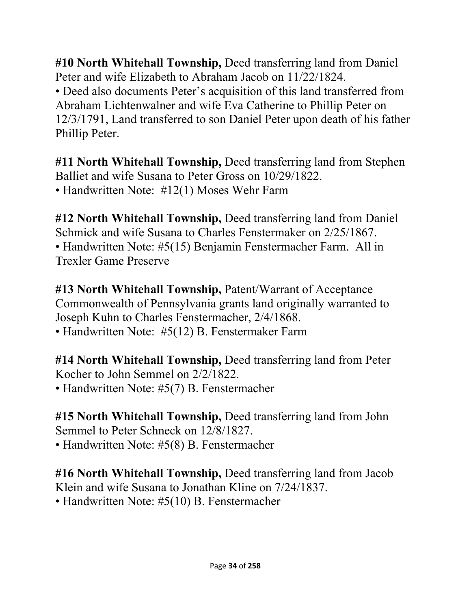**#10 North Whitehall Township,** Deed transferring land from Daniel Peter and wife Elizabeth to Abraham Jacob on 11/22/1824.

• Deed also documents Peter's acquisition of this land transferred from Abraham Lichtenwalner and wife Eva Catherine to Phillip Peter on 12/3/1791, Land transferred to son Daniel Peter upon death of his father Phillip Peter.

**#11 North Whitehall Township,** Deed transferring land from Stephen Balliet and wife Susana to Peter Gross on 10/29/1822. • Handwritten Note: #12(1) Moses Wehr Farm

**#12 North Whitehall Township,** Deed transferring land from Daniel Schmick and wife Susana to Charles Fenstermaker on 2/25/1867. • Handwritten Note: #5(15) Benjamin Fenstermacher Farm. All in Trexler Game Preserve

**#13 North Whitehall Township,** Patent/Warrant of Acceptance Commonwealth of Pennsylvania grants land originally warranted to Joseph Kuhn to Charles Fenstermacher, 2/4/1868.

• Handwritten Note: #5(12) B. Fenstermaker Farm

**#14 North Whitehall Township,** Deed transferring land from Peter Kocher to John Semmel on 2/2/1822. • Handwritten Note: #5(7) B. Fenstermacher

**#15 North Whitehall Township,** Deed transferring land from John Semmel to Peter Schneck on 12/8/1827.

• Handwritten Note: #5(8) B. Fenstermacher

**#16 North Whitehall Township,** Deed transferring land from Jacob Klein and wife Susana to Jonathan Kline on 7/24/1837.

• Handwritten Note: #5(10) B. Fenstermacher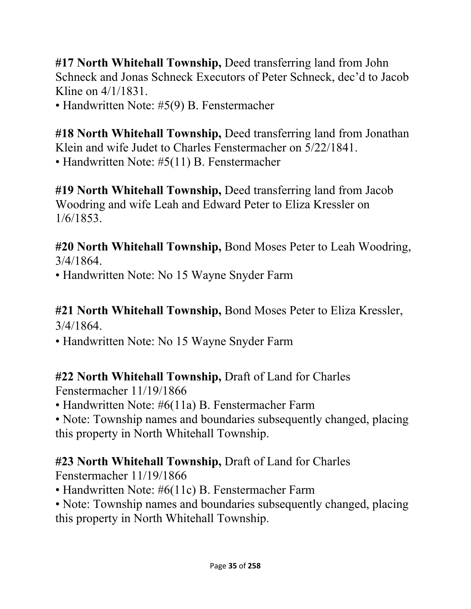**#17 North Whitehall Township,** Deed transferring land from John Schneck and Jonas Schneck Executors of Peter Schneck, dec'd to Jacob Kline on 4/1/1831.

• Handwritten Note: #5(9) B. Fenstermacher

**#18 North Whitehall Township,** Deed transferring land from Jonathan Klein and wife Judet to Charles Fenstermacher on 5/22/1841. • Handwritten Note: #5(11) B. Fenstermacher

**#19 North Whitehall Township,** Deed transferring land from Jacob Woodring and wife Leah and Edward Peter to Eliza Kressler on 1/6/1853.

**#20 North Whitehall Township,** Bond Moses Peter to Leah Woodring, 3/4/1864.

• Handwritten Note: No 15 Wayne Snyder Farm

#### **#21 North Whitehall Township,** Bond Moses Peter to Eliza Kressler, 3/4/1864.

• Handwritten Note: No 15 Wayne Snyder Farm

# **#22 North Whitehall Township,** Draft of Land for Charles

Fenstermacher 11/19/1866

• Handwritten Note: #6(11a) B. Fenstermacher Farm

• Note: Township names and boundaries subsequently changed, placing this property in North Whitehall Township.

# **#23 North Whitehall Township,** Draft of Land for Charles

Fenstermacher 11/19/1866

- Handwritten Note: #6(11c) B. Fenstermacher Farm
- Note: Township names and boundaries subsequently changed, placing this property in North Whitehall Township.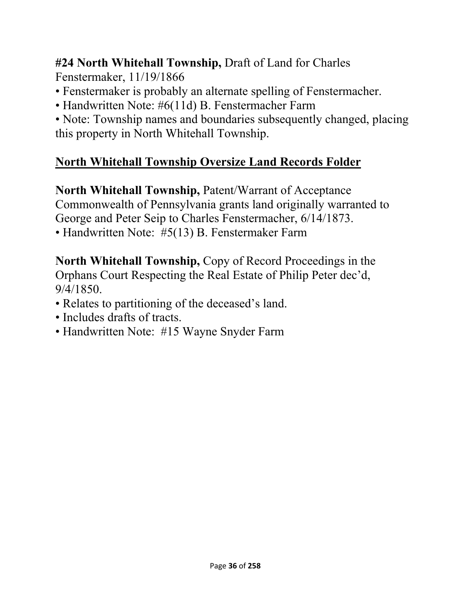**#24 North Whitehall Township,** Draft of Land for Charles Fenstermaker, 11/19/1866

- Fenstermaker is probably an alternate spelling of Fenstermacher.
- Handwritten Note: #6(11d) B. Fenstermacher Farm

• Note: Township names and boundaries subsequently changed, placing this property in North Whitehall Township.

# **North Whitehall Township Oversize Land Records Folder**

**North Whitehall Township,** Patent/Warrant of Acceptance Commonwealth of Pennsylvania grants land originally warranted to George and Peter Seip to Charles Fenstermacher, 6/14/1873. • Handwritten Note: #5(13) B. Fenstermaker Farm

**North Whitehall Township,** Copy of Record Proceedings in the Orphans Court Respecting the Real Estate of Philip Peter dec'd, 9/4/1850.

- Relates to partitioning of the deceased's land.
- Includes drafts of tracts.
- Handwritten Note: #15 Wayne Snyder Farm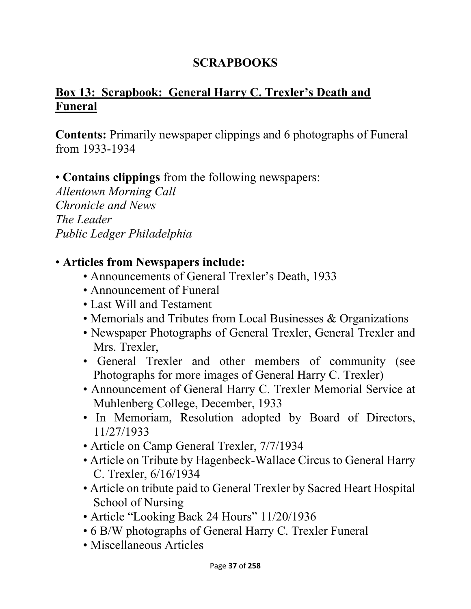#### **SCRAPBOOKS**

# **Box 13: Scrapbook: General Harry C. Trexler's Death and Funeral**

**Contents:** Primarily newspaper clippings and 6 photographs of Funeral from 1933-1934

• **Contains clippings** from the following newspapers:

*Allentown Morning Call Chronicle and News The Leader Public Ledger Philadelphia* 

#### • **Articles from Newspapers include:**

- Announcements of General Trexler's Death, 1933
- Announcement of Funeral
- Last Will and Testament
- Memorials and Tributes from Local Businesses & Organizations
- Newspaper Photographs of General Trexler, General Trexler and Mrs. Trexler,
- General Trexler and other members of community (see Photographs for more images of General Harry C. Trexler)
- Announcement of General Harry C. Trexler Memorial Service at Muhlenberg College, December, 1933
- In Memoriam, Resolution adopted by Board of Directors, 11/27/1933
- Article on Camp General Trexler, 7/7/1934
- Article on Tribute by Hagenbeck-Wallace Circus to General Harry C. Trexler, 6/16/1934
- Article on tribute paid to General Trexler by Sacred Heart Hospital School of Nursing
- Article "Looking Back 24 Hours" 11/20/1936
- 6 B/W photographs of General Harry C. Trexler Funeral
- Miscellaneous Articles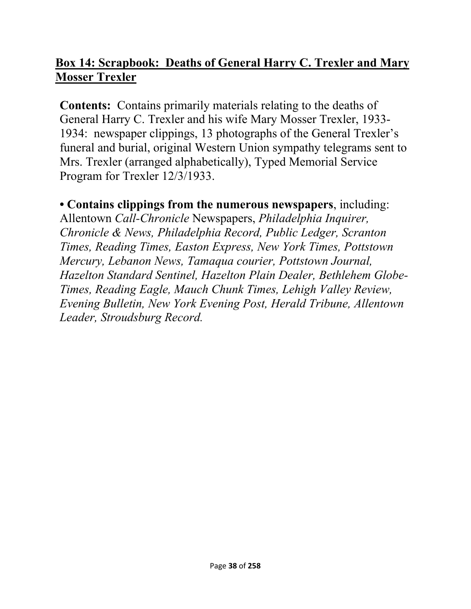#### **Box 14: Scrapbook: Deaths of General Harry C. Trexler and Mary Mosser Trexler**

**Contents:** Contains primarily materials relating to the deaths of General Harry C. Trexler and his wife Mary Mosser Trexler, 1933- 1934: newspaper clippings, 13 photographs of the General Trexler's funeral and burial, original Western Union sympathy telegrams sent to Mrs. Trexler (arranged alphabetically), Typed Memorial Service Program for Trexler 12/3/1933.

#### **• Contains clippings from the numerous newspapers**, including:

Allentown *Call-Chronicle* Newspapers, *Philadelphia Inquirer, Chronicle & News, Philadelphia Record, Public Ledger, Scranton Times, Reading Times, Easton Express, New York Times, Pottstown Mercury, Lebanon News, Tamaqua courier, Pottstown Journal, Hazelton Standard Sentinel, Hazelton Plain Dealer, Bethlehem Globe-Times, Reading Eagle, Mauch Chunk Times, Lehigh Valley Review, Evening Bulletin, New York Evening Post, Herald Tribune, Allentown Leader, Stroudsburg Record.*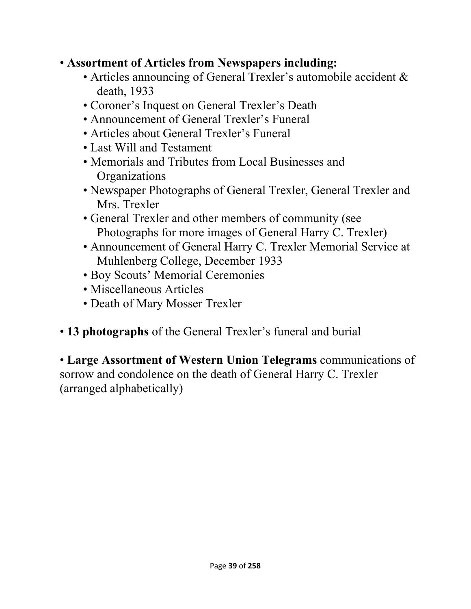- **Assortment of Articles from Newspapers including:** 
	- Articles announcing of General Trexler's automobile accident & death, 1933
	- Coroner's Inquest on General Trexler's Death
	- Announcement of General Trexler's Funeral
	- Articles about General Trexler's Funeral
	- Last Will and Testament
	- Memorials and Tributes from Local Businesses and **Organizations**
	- Newspaper Photographs of General Trexler, General Trexler and Mrs. Trexler
	- General Trexler and other members of community (see Photographs for more images of General Harry C. Trexler)
	- Announcement of General Harry C. Trexler Memorial Service at Muhlenberg College, December 1933
	- Boy Scouts' Memorial Ceremonies
	- Miscellaneous Articles
	- Death of Mary Mosser Trexler
- **13 photographs** of the General Trexler's funeral and burial

• **Large Assortment of Western Union Telegrams** communications of sorrow and condolence on the death of General Harry C. Trexler (arranged alphabetically)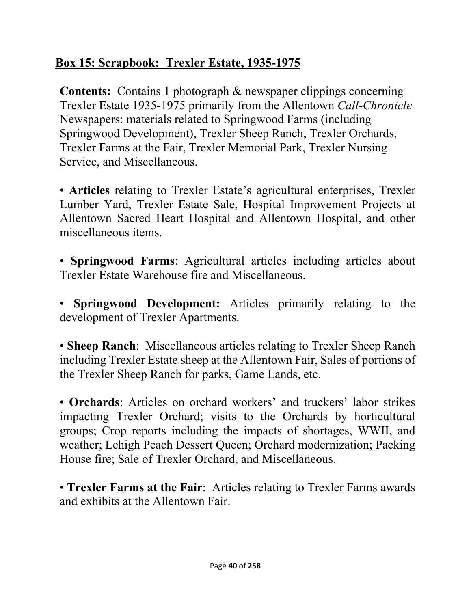# **Box 15: Scrapbook: Trexler Estate, 1935-1975**

**Contents:** Contains 1 photograph & newspaper clippings concerning Trexler Estate 1935-1975 primarily from the Allentown *Call-Chronicle* Newspapers: materials related to Springwood Farms (including Springwood Development), Trexler Sheep Ranch, Trexler Orchards, Trexler Farms at the Fair, Trexler Memorial Park, Trexler Nursing Service, and Miscellaneous.

• **Articles** relating to Trexler Estate's agricultural enterprises, Trexler Lumber Yard, Trexler Estate Sale, Hospital Improvement Projects at Allentown Sacred Heart Hospital and Allentown Hospital, and other miscellaneous items.

• **Springwood Farms**: Agricultural articles including articles about Trexler Estate Warehouse fire and Miscellaneous.

• **Springwood Development:** Articles primarily relating to the development of Trexler Apartments.

• **Sheep Ranch**: Miscellaneous articles relating to Trexler Sheep Ranch including Trexler Estate sheep at the Allentown Fair, Sales of portions of the Trexler Sheep Ranch for parks, Game Lands, etc.

• **Orchards**: Articles on orchard workers' and truckers' labor strikes impacting Trexler Orchard; visits to the Orchards by horticultural groups; Crop reports including the impacts of shortages, WWII, and weather; Lehigh Peach Dessert Queen; Orchard modernization; Packing House fire; Sale of Trexler Orchard, and Miscellaneous.

• **Trexler Farms at the Fair**: Articles relating to Trexler Farms awards and exhibits at the Allentown Fair.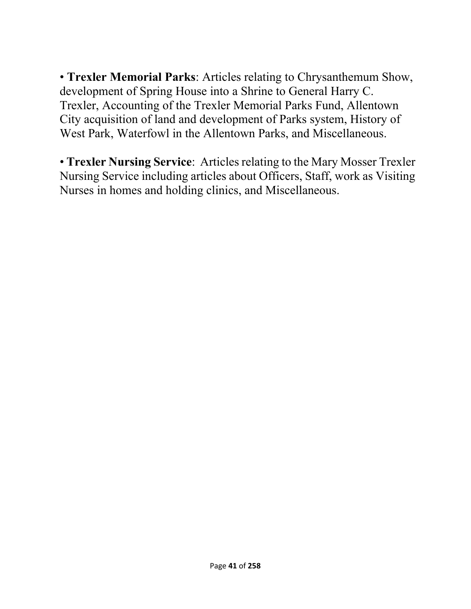• **Trexler Memorial Parks**: Articles relating to Chrysanthemum Show, development of Spring House into a Shrine to General Harry C. Trexler, Accounting of the Trexler Memorial Parks Fund, Allentown City acquisition of land and development of Parks system, History of West Park, Waterfowl in the Allentown Parks, and Miscellaneous.

• **Trexler Nursing Service**: Articles relating to the Mary Mosser Trexler Nursing Service including articles about Officers, Staff, work as Visiting Nurses in homes and holding clinics, and Miscellaneous.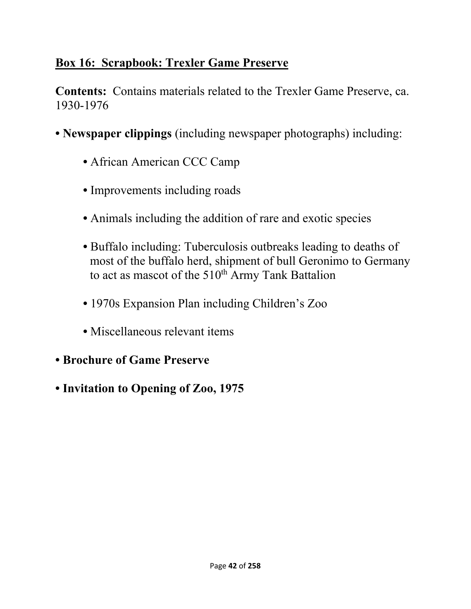# **Box 16: Scrapbook: Trexler Game Preserve**

**Contents:** Contains materials related to the Trexler Game Preserve, ca. 1930-1976

- **Newspaper clippings** (including newspaper photographs) including:
	- African American CCC Camp
	- Improvements including roads
	- Animals including the addition of rare and exotic species
	- Buffalo including: Tuberculosis outbreaks leading to deaths of most of the buffalo herd, shipment of bull Geronimo to Germany to act as mascot of the 510<sup>th</sup> Army Tank Battalion
	- 1970s Expansion Plan including Children's Zoo
	- Miscellaneous relevant items
- **Brochure of Game Preserve**
- **Invitation to Opening of Zoo, 1975**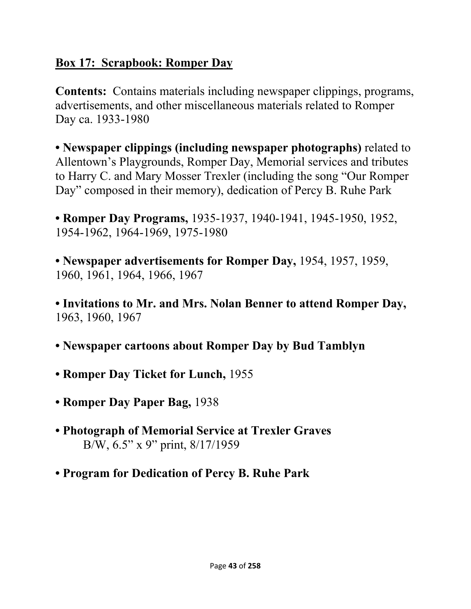# **Box 17: Scrapbook: Romper Day**

**Contents:** Contains materials including newspaper clippings, programs, advertisements, and other miscellaneous materials related to Romper Day ca. 1933-1980

**• Newspaper clippings (including newspaper photographs)** related to Allentown's Playgrounds, Romper Day, Memorial services and tributes to Harry C. and Mary Mosser Trexler (including the song "Our Romper Day" composed in their memory), dedication of Percy B. Ruhe Park

**• Romper Day Programs,** 1935-1937, 1940-1941, 1945-1950, 1952, 1954-1962, 1964-1969, 1975-1980

**• Newspaper advertisements for Romper Day,** 1954, 1957, 1959, 1960, 1961, 1964, 1966, 1967

**• Invitations to Mr. and Mrs. Nolan Benner to attend Romper Day,**  1963, 1960, 1967

- **Newspaper cartoons about Romper Day by Bud Tamblyn**
- **Romper Day Ticket for Lunch,** 1955
- **Romper Day Paper Bag,** 1938
- **Photograph of Memorial Service at Trexler Graves**  B/W, 6.5" x 9" print, 8/17/1959
- **Program for Dedication of Percy B. Ruhe Park**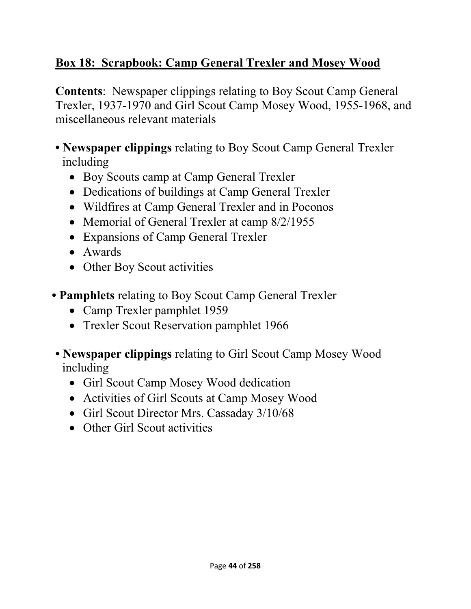# **Box 18: Scrapbook: Camp General Trexler and Mosey Wood**

**Contents**: Newspaper clippings relating to Boy Scout Camp General Trexler, 1937-1970 and Girl Scout Camp Mosey Wood, 1955-1968, and miscellaneous relevant materials

- **Newspaper clippings** relating to Boy Scout Camp General Trexler including
	- Boy Scouts camp at Camp General Trexler
	- Dedications of buildings at Camp General Trexler
	- Wildfires at Camp General Trexler and in Poconos
	- Memorial of General Trexler at camp 8/2/1955
	- Expansions of Camp General Trexler
	- Awards
	- Other Boy Scout activities
- **Pamphlets** relating to Boy Scout Camp General Trexler
	- Camp Trexler pamphlet 1959
	- Trexler Scout Reservation pamphlet 1966
- **Newspaper clippings** relating to Girl Scout Camp Mosey Wood including
	- Girl Scout Camp Mosey Wood dedication
	- Activities of Girl Scouts at Camp Mosey Wood
	- Girl Scout Director Mrs. Cassaday 3/10/68
	- Other Girl Scout activities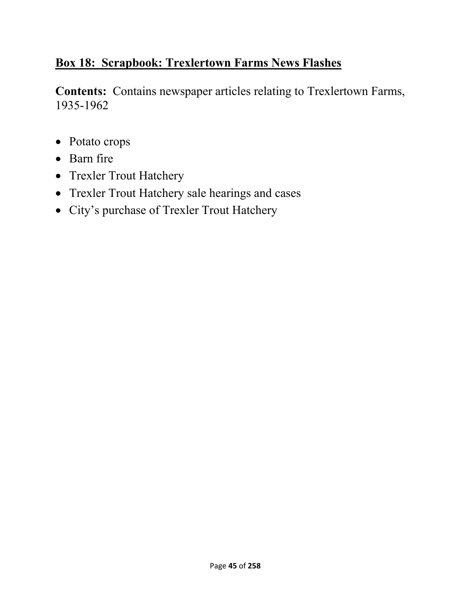# **Box 18: Scrapbook: Trexlertown Farms News Flashes**

**Contents:** Contains newspaper articles relating to Trexlertown Farms, 1935-1962

- Potato crops
- Barn fire
- Trexler Trout Hatchery
- Trexler Trout Hatchery sale hearings and cases
- City's purchase of Trexler Trout Hatchery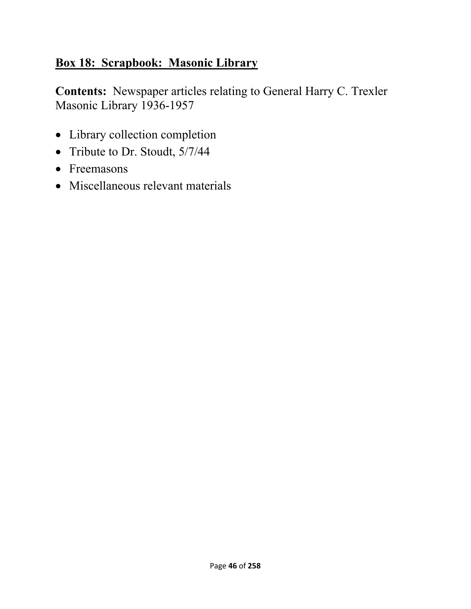# **Box 18: Scrapbook: Masonic Library**

**Contents:** Newspaper articles relating to General Harry C. Trexler Masonic Library 1936-1957

- Library collection completion
- Tribute to Dr. Stoudt,  $5/7/44$
- Freemasons
- Miscellaneous relevant materials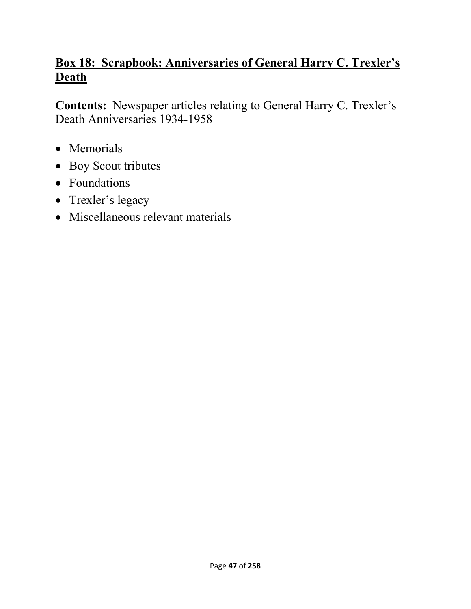# **Box 18: Scrapbook: Anniversaries of General Harry C. Trexler's Death**

**Contents:** Newspaper articles relating to General Harry C. Trexler's Death Anniversaries 1934-1958

- Memorials
- Boy Scout tributes
- Foundations
- Trexler's legacy
- Miscellaneous relevant materials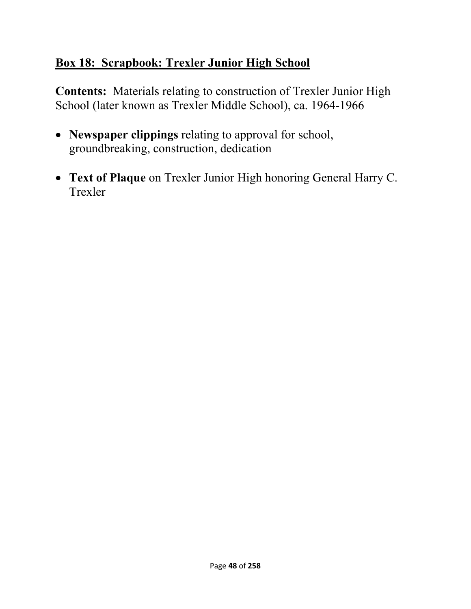# **Box 18: Scrapbook: Trexler Junior High School**

**Contents:** Materials relating to construction of Trexler Junior High School (later known as Trexler Middle School), ca. 1964-1966

- **Newspaper clippings** relating to approval for school, groundbreaking, construction, dedication
- **Text of Plaque** on Trexler Junior High honoring General Harry C. Trexler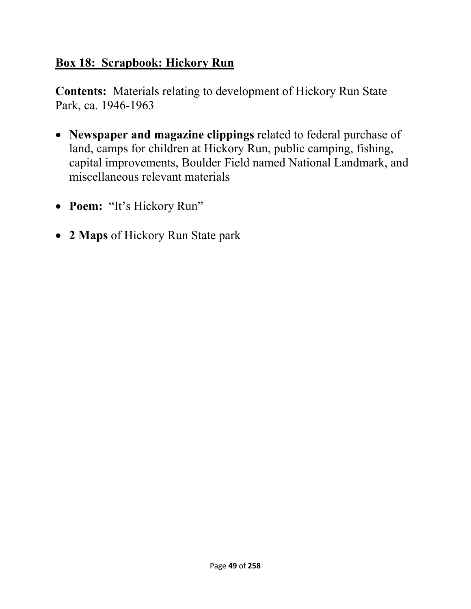#### **Box 18: Scrapbook: Hickory Run**

**Contents:** Materials relating to development of Hickory Run State Park, ca. 1946-1963

- **Newspaper and magazine clippings** related to federal purchase of land, camps for children at Hickory Run, public camping, fishing, capital improvements, Boulder Field named National Landmark, and miscellaneous relevant materials
- **Poem:** "It's Hickory Run"
- **2 Maps** of Hickory Run State park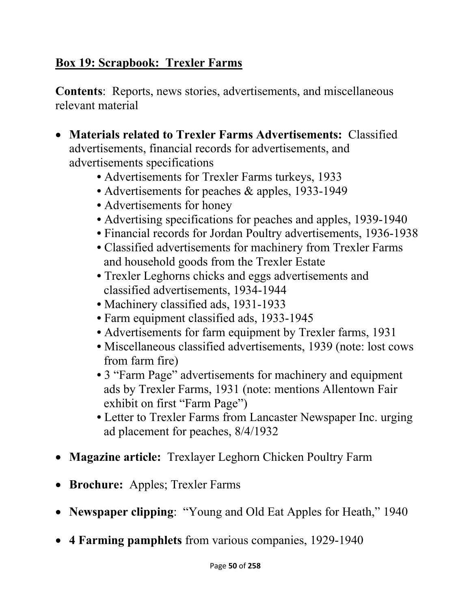# **Box 19: Scrapbook: Trexler Farms**

**Contents**: Reports, news stories, advertisements, and miscellaneous relevant material

- **Materials related to Trexler Farms Advertisements:** Classified advertisements, financial records for advertisements, and advertisements specifications
	- Advertisements for Trexler Farms turkeys, 1933
	- Advertisements for peaches & apples, 1933-1949
	- Advertisements for honey
	- Advertising specifications for peaches and apples, 1939-1940
	- Financial records for Jordan Poultry advertisements, 1936-1938
	- Classified advertisements for machinery from Trexler Farms and household goods from the Trexler Estate
	- Trexler Leghorns chicks and eggs advertisements and classified advertisements, 1934-1944
	- Machinery classified ads, 1931-1933
	- Farm equipment classified ads, 1933-1945
	- **•** Advertisements for farm equipment by Trexler farms, 1931
	- Miscellaneous classified advertisements, 1939 (note: lost cows from farm fire)
	- 3 "Farm Page" advertisements for machinery and equipment ads by Trexler Farms, 1931 (note: mentions Allentown Fair exhibit on first "Farm Page")
	- Letter to Trexler Farms from Lancaster Newspaper Inc. urging ad placement for peaches, 8/4/1932
- **Magazine article:** Trexlayer Leghorn Chicken Poultry Farm
- **Brochure:** Apples; Trexler Farms
- **Newspaper clipping**: "Young and Old Eat Apples for Heath," 1940
- **4 Farming pamphlets** from various companies, 1929-1940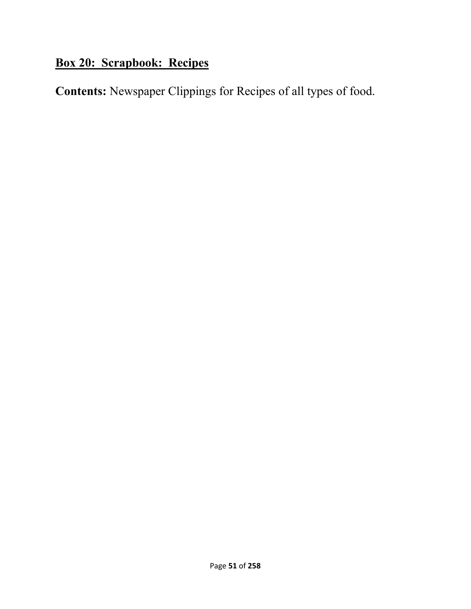# **Box 20: Scrapbook: Recipes**

**Contents:** Newspaper Clippings for Recipes of all types of food.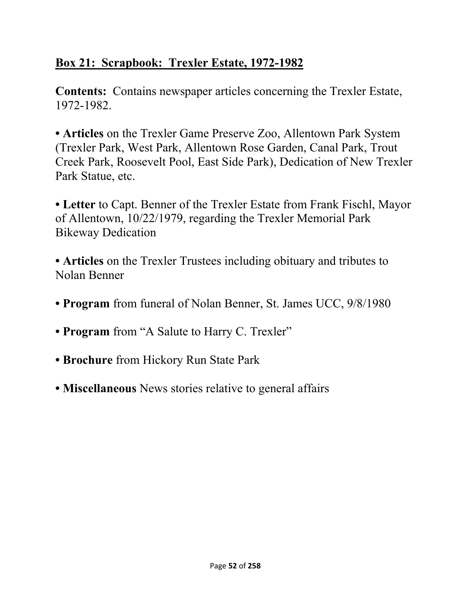# **Box 21: Scrapbook: Trexler Estate, 1972-1982**

**Contents:** Contains newspaper articles concerning the Trexler Estate, 1972-1982.

**• Articles** on the Trexler Game Preserve Zoo, Allentown Park System (Trexler Park, West Park, Allentown Rose Garden, Canal Park, Trout Creek Park, Roosevelt Pool, East Side Park), Dedication of New Trexler Park Statue, etc.

**• Letter** to Capt. Benner of the Trexler Estate from Frank Fischl, Mayor of Allentown, 10/22/1979, regarding the Trexler Memorial Park Bikeway Dedication

**• Articles** on the Trexler Trustees including obituary and tributes to Nolan Benner

- **Program** from funeral of Nolan Benner, St. James UCC, 9/8/1980
- **Program** from "A Salute to Harry C. Trexler"
- **Brochure** from Hickory Run State Park
- **Miscellaneous** News stories relative to general affairs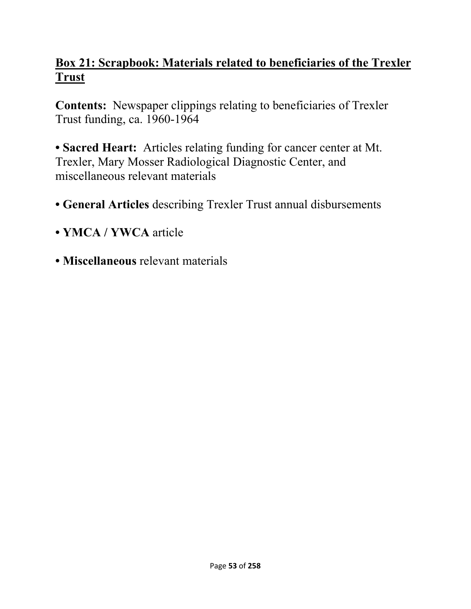## **Box 21: Scrapbook: Materials related to beneficiaries of the Trexler Trust**

**Contents:** Newspaper clippings relating to beneficiaries of Trexler Trust funding, ca. 1960-1964

**• Sacred Heart:** Articles relating funding for cancer center at Mt. Trexler, Mary Mosser Radiological Diagnostic Center, and miscellaneous relevant materials

- **General Articles** describing Trexler Trust annual disbursements
- **YMCA / YWCA** article
- **Miscellaneous** relevant materials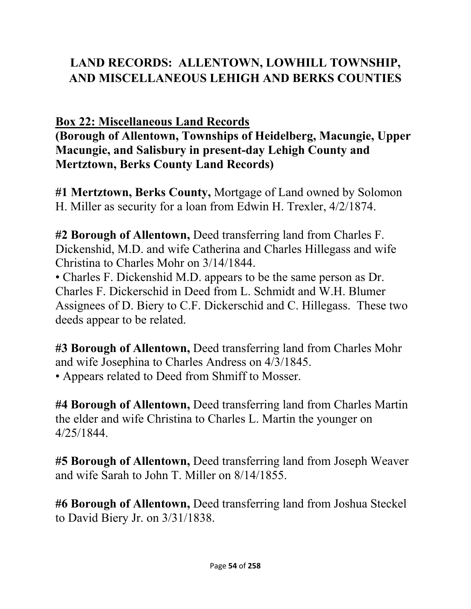# **LAND RECORDS: ALLENTOWN, LOWHILL TOWNSHIP, AND MISCELLANEOUS LEHIGH AND BERKS COUNTIES**

# **Box 22: Miscellaneous Land Records**

**(Borough of Allentown, Townships of Heidelberg, Macungie, Upper Macungie, and Salisbury in present-day Lehigh County and Mertztown, Berks County Land Records)** 

**#1 Mertztown, Berks County,** Mortgage of Land owned by Solomon H. Miller as security for a loan from Edwin H. Trexler, 4/2/1874.

**#2 Borough of Allentown,** Deed transferring land from Charles F. Dickenshid, M.D. and wife Catherina and Charles Hillegass and wife Christina to Charles Mohr on 3/14/1844.

• Charles F. Dickenshid M.D. appears to be the same person as Dr. Charles F. Dickerschid in Deed from L. Schmidt and W.H. Blumer Assignees of D. Biery to C.F. Dickerschid and C. Hillegass. These two deeds appear to be related.

**#3 Borough of Allentown,** Deed transferring land from Charles Mohr and wife Josephina to Charles Andress on 4/3/1845. • Appears related to Deed from Shmiff to Mosser.

**#4 Borough of Allentown,** Deed transferring land from Charles Martin the elder and wife Christina to Charles L. Martin the younger on 4/25/1844.

**#5 Borough of Allentown,** Deed transferring land from Joseph Weaver and wife Sarah to John T. Miller on 8/14/1855.

**#6 Borough of Allentown,** Deed transferring land from Joshua Steckel to David Biery Jr. on 3/31/1838.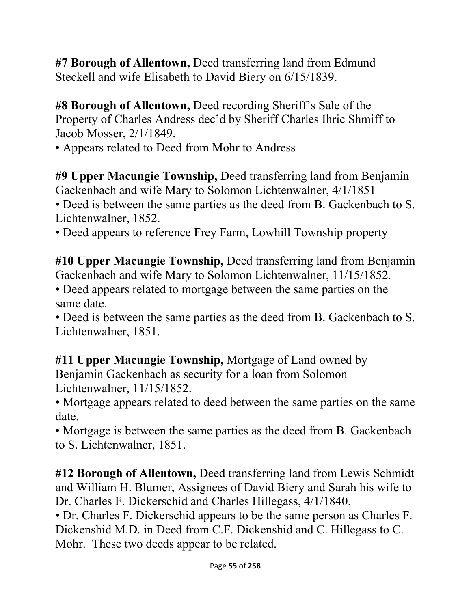**#7 Borough of Allentown,** Deed transferring land from Edmund Steckell and wife Elisabeth to David Biery on 6/15/1839.

**#8 Borough of Allentown,** Deed recording Sheriff's Sale of the Property of Charles Andress dec'd by Sheriff Charles Ihric Shmiff to Jacob Mosser, 2/1/1849.

• Appears related to Deed from Mohr to Andress

**#9 Upper Macungie Township,** Deed transferring land from Benjamin Gackenbach and wife Mary to Solomon Lichtenwalner, 4/1/1851

• Deed is between the same parties as the deed from B. Gackenbach to S. Lichtenwalner, 1852.

• Deed appears to reference Frey Farm, Lowhill Township property

**#10 Upper Macungie Township,** Deed transferring land from Benjamin Gackenbach and wife Mary to Solomon Lichtenwalner, 11/15/1852.

• Deed appears related to mortgage between the same parties on the same date.

• Deed is between the same parties as the deed from B. Gackenbach to S. Lichtenwalner, 1851.

**#11 Upper Macungie Township,** Mortgage of Land owned by Benjamin Gackenbach as security for a loan from Solomon Lichtenwalner, 11/15/1852.

• Mortgage appears related to deed between the same parties on the same date.

• Mortgage is between the same parties as the deed from B. Gackenbach to S. Lichtenwalner, 1851.

**#12 Borough of Allentown,** Deed transferring land from Lewis Schmidt and William H. Blumer, Assignees of David Biery and Sarah his wife to Dr. Charles F. Dickerschid and Charles Hillegass, 4/1/1840.

• Dr. Charles F. Dickerschid appears to be the same person as Charles F. Dickenshid M.D. in Deed from C.F. Dickenshid and C. Hillegass to C. Mohr. These two deeds appear to be related.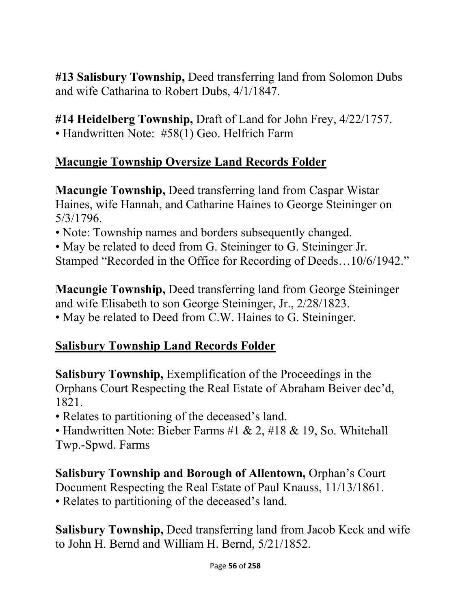**#13 Salisbury Township,** Deed transferring land from Solomon Dubs and wife Catharina to Robert Dubs, 4/1/1847.

**#14 Heidelberg Township,** Draft of Land for John Frey, 4/22/1757. • Handwritten Note: #58(1) Geo. Helfrich Farm

#### **Macungie Township Oversize Land Records Folder**

**Macungie Township,** Deed transferring land from Caspar Wistar Haines, wife Hannah, and Catharine Haines to George Steininger on 5/3/1796.

• Note: Township names and borders subsequently changed.

• May be related to deed from G. Steininger to G. Steininger Jr. Stamped "Recorded in the Office for Recording of Deeds…10/6/1942."

**Macungie Township,** Deed transferring land from George Steininger and wife Elisabeth to son George Steininger, Jr., 2/28/1823. • May be related to Deed from C.W. Haines to G. Steininger.

# **Salisbury Township Land Records Folder**

**Salisbury Township,** Exemplification of the Proceedings in the Orphans Court Respecting the Real Estate of Abraham Beiver dec'd, 1821.

• Relates to partitioning of the deceased's land.

• Handwritten Note: Bieber Farms #1 & 2, #18 & 19, So. Whitehall Twp.-Spwd. Farms

**Salisbury Township and Borough of Allentown,** Orphan's Court Document Respecting the Real Estate of Paul Knauss, 11/13/1861. • Relates to partitioning of the deceased's land.

**Salisbury Township,** Deed transferring land from Jacob Keck and wife to John H. Bernd and William H. Bernd, 5/21/1852.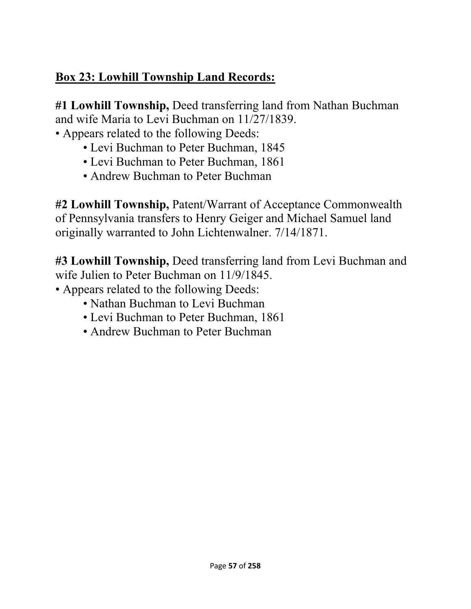# **Box 23: Lowhill Township Land Records:**

**#1 Lowhill Township,** Deed transferring land from Nathan Buchman and wife Maria to Levi Buchman on 11/27/1839.

• Appears related to the following Deeds:

- Levi Buchman to Peter Buchman, 1845
- Levi Buchman to Peter Buchman, 1861
- Andrew Buchman to Peter Buchman

**#2 Lowhill Township,** Patent/Warrant of Acceptance Commonwealth of Pennsylvania transfers to Henry Geiger and Michael Samuel land originally warranted to John Lichtenwalner. 7/14/1871.

**#3 Lowhill Township,** Deed transferring land from Levi Buchman and wife Julien to Peter Buchman on 11/9/1845.

- Appears related to the following Deeds:
	- Nathan Buchman to Levi Buchman
	- Levi Buchman to Peter Buchman, 1861
	- Andrew Buchman to Peter Buchman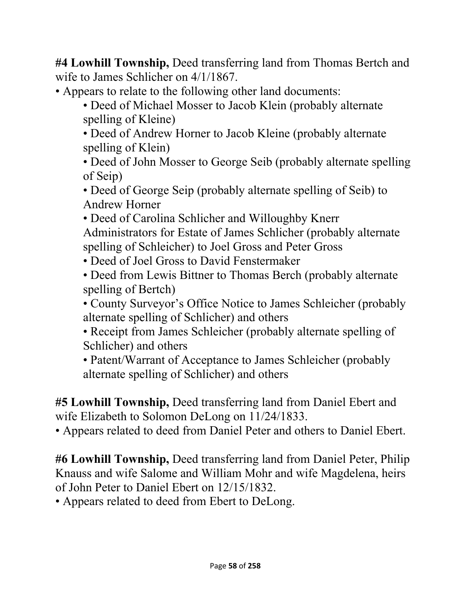**#4 Lowhill Township,** Deed transferring land from Thomas Bertch and wife to James Schlicher on 4/1/1867.

- Appears to relate to the following other land documents:
	- Deed of Michael Mosser to Jacob Klein (probably alternate spelling of Kleine)

• Deed of Andrew Horner to Jacob Kleine (probably alternate spelling of Klein)

• Deed of John Mosser to George Seib (probably alternate spelling of Seip)

• Deed of George Seip (probably alternate spelling of Seib) to Andrew Horner

• Deed of Carolina Schlicher and Willoughby Knerr Administrators for Estate of James Schlicher (probably alternate spelling of Schleicher) to Joel Gross and Peter Gross

• Deed of Joel Gross to David Fenstermaker

• Deed from Lewis Bittner to Thomas Berch (probably alternate spelling of Bertch)

• County Surveyor's Office Notice to James Schleicher (probably alternate spelling of Schlicher) and others

• Receipt from James Schleicher (probably alternate spelling of Schlicher) and others

• Patent/Warrant of Acceptance to James Schleicher (probably alternate spelling of Schlicher) and others

**#5 Lowhill Township,** Deed transferring land from Daniel Ebert and wife Elizabeth to Solomon DeLong on 11/24/1833.

• Appears related to deed from Daniel Peter and others to Daniel Ebert.

**#6 Lowhill Township,** Deed transferring land from Daniel Peter, Philip Knauss and wife Salome and William Mohr and wife Magdelena, heirs of John Peter to Daniel Ebert on 12/15/1832.

• Appears related to deed from Ebert to DeLong.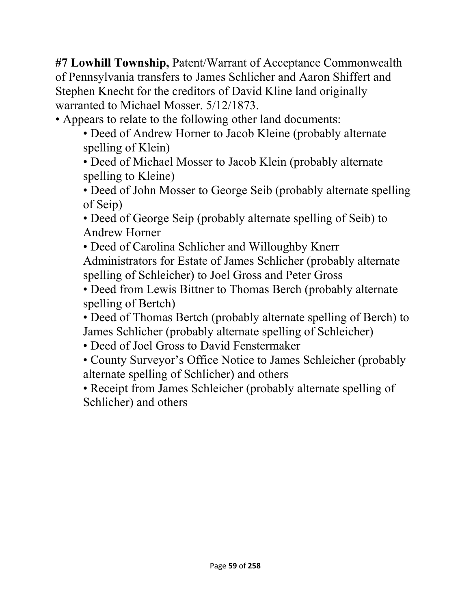**#7 Lowhill Township,** Patent/Warrant of Acceptance Commonwealth of Pennsylvania transfers to James Schlicher and Aaron Shiffert and Stephen Knecht for the creditors of David Kline land originally warranted to Michael Mosser. 5/12/1873.

• Appears to relate to the following other land documents:

• Deed of Andrew Horner to Jacob Kleine (probably alternate spelling of Klein)

• Deed of Michael Mosser to Jacob Klein (probably alternate spelling to Kleine)

• Deed of John Mosser to George Seib (probably alternate spelling of Seip)

• Deed of George Seip (probably alternate spelling of Seib) to Andrew Horner

• Deed of Carolina Schlicher and Willoughby Knerr Administrators for Estate of James Schlicher (probably alternate spelling of Schleicher) to Joel Gross and Peter Gross

• Deed from Lewis Bittner to Thomas Berch (probably alternate spelling of Bertch)

• Deed of Thomas Bertch (probably alternate spelling of Berch) to James Schlicher (probably alternate spelling of Schleicher)

- Deed of Joel Gross to David Fenstermaker
- County Surveyor's Office Notice to James Schleicher (probably alternate spelling of Schlicher) and others

• Receipt from James Schleicher (probably alternate spelling of Schlicher) and others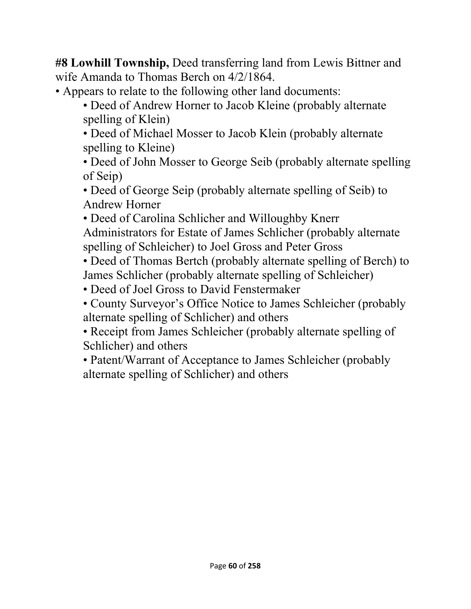**#8 Lowhill Township,** Deed transferring land from Lewis Bittner and wife Amanda to Thomas Berch on 4/2/1864.

- Appears to relate to the following other land documents:
	- Deed of Andrew Horner to Jacob Kleine (probably alternate spelling of Klein)

• Deed of Michael Mosser to Jacob Klein (probably alternate spelling to Kleine)

• Deed of John Mosser to George Seib (probably alternate spelling of Seip)

• Deed of George Seip (probably alternate spelling of Seib) to Andrew Horner

• Deed of Carolina Schlicher and Willoughby Knerr

Administrators for Estate of James Schlicher (probably alternate spelling of Schleicher) to Joel Gross and Peter Gross

• Deed of Thomas Bertch (probably alternate spelling of Berch) to James Schlicher (probably alternate spelling of Schleicher)

- Deed of Joel Gross to David Fenstermaker
- County Surveyor's Office Notice to James Schleicher (probably alternate spelling of Schlicher) and others
- Receipt from James Schleicher (probably alternate spelling of Schlicher) and others
- Patent/Warrant of Acceptance to James Schleicher (probably alternate spelling of Schlicher) and others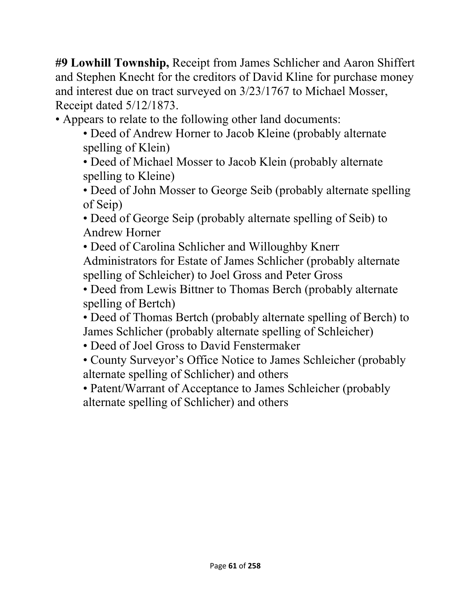**#9 Lowhill Township,** Receipt from James Schlicher and Aaron Shiffert and Stephen Knecht for the creditors of David Kline for purchase money and interest due on tract surveyed on 3/23/1767 to Michael Mosser, Receipt dated 5/12/1873.

• Appears to relate to the following other land documents:

- Deed of Andrew Horner to Jacob Kleine (probably alternate spelling of Klein)
- Deed of Michael Mosser to Jacob Klein (probably alternate spelling to Kleine)

• Deed of John Mosser to George Seib (probably alternate spelling of Seip)

• Deed of George Seip (probably alternate spelling of Seib) to Andrew Horner

• Deed of Carolina Schlicher and Willoughby Knerr Administrators for Estate of James Schlicher (probably alternate spelling of Schleicher) to Joel Gross and Peter Gross

• Deed from Lewis Bittner to Thomas Berch (probably alternate spelling of Bertch)

• Deed of Thomas Bertch (probably alternate spelling of Berch) to James Schlicher (probably alternate spelling of Schleicher)

- Deed of Joel Gross to David Fenstermaker
- County Surveyor's Office Notice to James Schleicher (probably alternate spelling of Schlicher) and others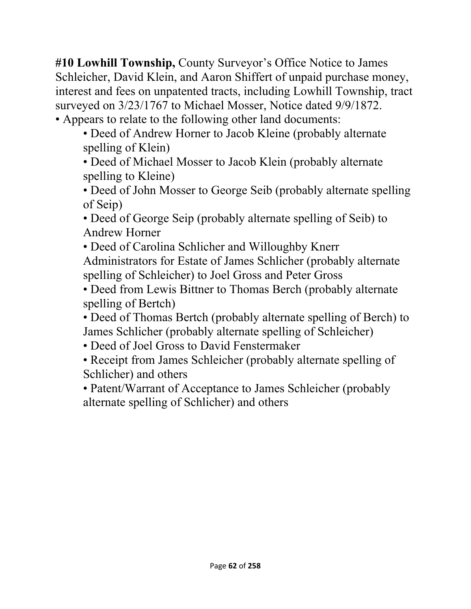**#10 Lowhill Township,** County Surveyor's Office Notice to James Schleicher, David Klein, and Aaron Shiffert of unpaid purchase money, interest and fees on unpatented tracts, including Lowhill Township, tract surveyed on 3/23/1767 to Michael Mosser, Notice dated 9/9/1872. • Appears to relate to the following other land documents:

• Deed of Andrew Horner to Jacob Kleine (probably alternate spelling of Klein)

• Deed of Michael Mosser to Jacob Klein (probably alternate spelling to Kleine)

• Deed of John Mosser to George Seib (probably alternate spelling of Seip)

• Deed of George Seip (probably alternate spelling of Seib) to Andrew Horner

• Deed of Carolina Schlicher and Willoughby Knerr Administrators for Estate of James Schlicher (probably alternate spelling of Schleicher) to Joel Gross and Peter Gross

• Deed from Lewis Bittner to Thomas Berch (probably alternate spelling of Bertch)

• Deed of Thomas Bertch (probably alternate spelling of Berch) to James Schlicher (probably alternate spelling of Schleicher)

• Deed of Joel Gross to David Fenstermaker

• Receipt from James Schleicher (probably alternate spelling of Schlicher) and others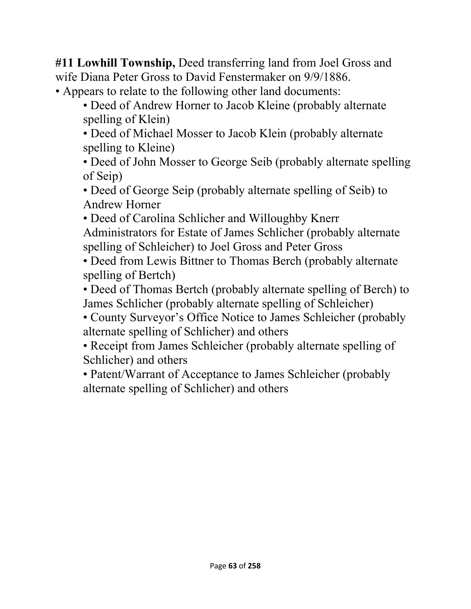**#11 Lowhill Township,** Deed transferring land from Joel Gross and wife Diana Peter Gross to David Fenstermaker on 9/9/1886.

- Appears to relate to the following other land documents:
	- Deed of Andrew Horner to Jacob Kleine (probably alternate spelling of Klein)

• Deed of Michael Mosser to Jacob Klein (probably alternate spelling to Kleine)

• Deed of John Mosser to George Seib (probably alternate spelling of Seip)

• Deed of George Seip (probably alternate spelling of Seib) to Andrew Horner

• Deed of Carolina Schlicher and Willoughby Knerr Administrators for Estate of James Schlicher (probably alternate spelling of Schleicher) to Joel Gross and Peter Gross

• Deed from Lewis Bittner to Thomas Berch (probably alternate spelling of Bertch)

• Deed of Thomas Bertch (probably alternate spelling of Berch) to James Schlicher (probably alternate spelling of Schleicher)

• County Surveyor's Office Notice to James Schleicher (probably alternate spelling of Schlicher) and others

• Receipt from James Schleicher (probably alternate spelling of Schlicher) and others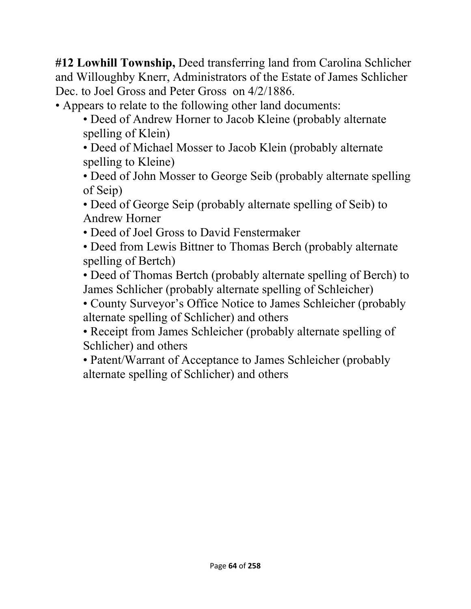**#12 Lowhill Township,** Deed transferring land from Carolina Schlicher and Willoughby Knerr, Administrators of the Estate of James Schlicher Dec. to Joel Gross and Peter Gross on 4/2/1886.

• Appears to relate to the following other land documents:

• Deed of Andrew Horner to Jacob Kleine (probably alternate spelling of Klein)

• Deed of Michael Mosser to Jacob Klein (probably alternate spelling to Kleine)

• Deed of John Mosser to George Seib (probably alternate spelling of Seip)

• Deed of George Seip (probably alternate spelling of Seib) to Andrew Horner

• Deed of Joel Gross to David Fenstermaker

• Deed from Lewis Bittner to Thomas Berch (probably alternate spelling of Bertch)

• Deed of Thomas Bertch (probably alternate spelling of Berch) to James Schlicher (probably alternate spelling of Schleicher)

• County Surveyor's Office Notice to James Schleicher (probably alternate spelling of Schlicher) and others

• Receipt from James Schleicher (probably alternate spelling of Schlicher) and others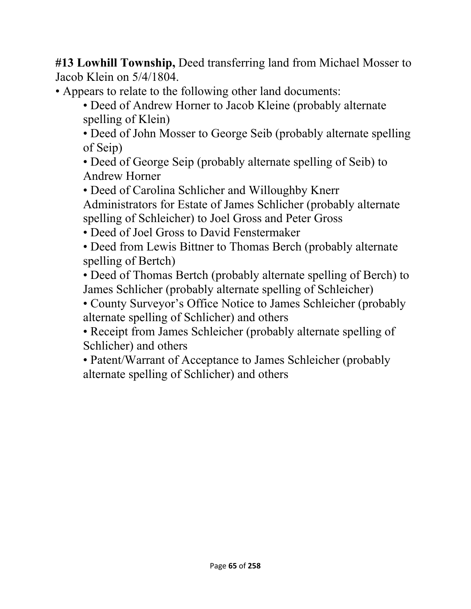**#13 Lowhill Township,** Deed transferring land from Michael Mosser to Jacob Klein on 5/4/1804.

• Appears to relate to the following other land documents:

• Deed of Andrew Horner to Jacob Kleine (probably alternate spelling of Klein)

• Deed of John Mosser to George Seib (probably alternate spelling of Seip)

• Deed of George Seip (probably alternate spelling of Seib) to Andrew Horner

• Deed of Carolina Schlicher and Willoughby Knerr

Administrators for Estate of James Schlicher (probably alternate spelling of Schleicher) to Joel Gross and Peter Gross

• Deed of Joel Gross to David Fenstermaker

• Deed from Lewis Bittner to Thomas Berch (probably alternate spelling of Bertch)

• Deed of Thomas Bertch (probably alternate spelling of Berch) to James Schlicher (probably alternate spelling of Schleicher)

• County Surveyor's Office Notice to James Schleicher (probably alternate spelling of Schlicher) and others

• Receipt from James Schleicher (probably alternate spelling of Schlicher) and others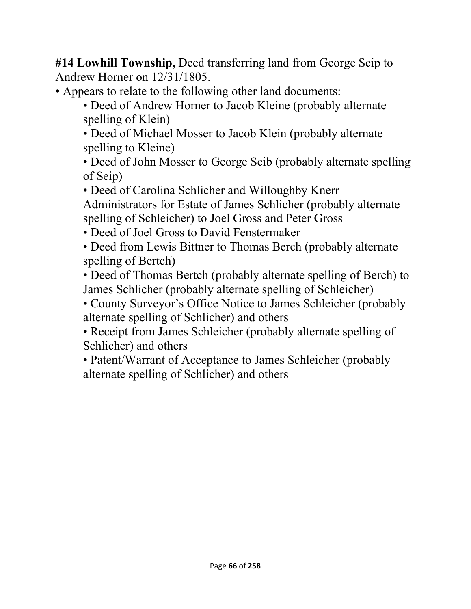**#14 Lowhill Township,** Deed transferring land from George Seip to Andrew Horner on 12/31/1805.

• Appears to relate to the following other land documents:

• Deed of Andrew Horner to Jacob Kleine (probably alternate spelling of Klein)

• Deed of Michael Mosser to Jacob Klein (probably alternate spelling to Kleine)

• Deed of John Mosser to George Seib (probably alternate spelling of Seip)

• Deed of Carolina Schlicher and Willoughby Knerr

Administrators for Estate of James Schlicher (probably alternate spelling of Schleicher) to Joel Gross and Peter Gross

• Deed of Joel Gross to David Fenstermaker

• Deed from Lewis Bittner to Thomas Berch (probably alternate spelling of Bertch)

• Deed of Thomas Bertch (probably alternate spelling of Berch) to James Schlicher (probably alternate spelling of Schleicher)

• County Surveyor's Office Notice to James Schleicher (probably alternate spelling of Schlicher) and others

• Receipt from James Schleicher (probably alternate spelling of Schlicher) and others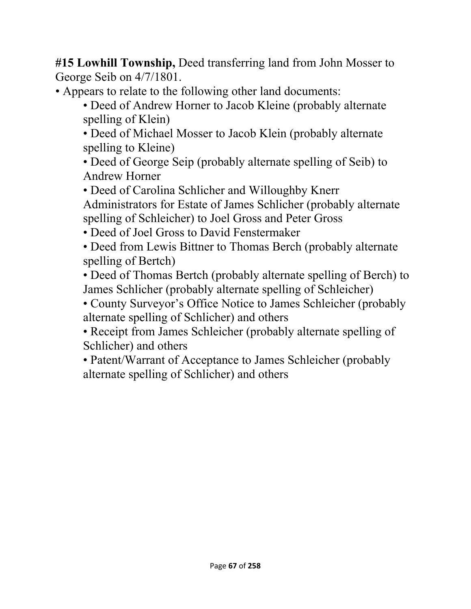**#15 Lowhill Township,** Deed transferring land from John Mosser to George Seib on 4/7/1801.

- Appears to relate to the following other land documents:
	- Deed of Andrew Horner to Jacob Kleine (probably alternate spelling of Klein)

• Deed of Michael Mosser to Jacob Klein (probably alternate spelling to Kleine)

• Deed of George Seip (probably alternate spelling of Seib) to Andrew Horner

• Deed of Carolina Schlicher and Willoughby Knerr

Administrators for Estate of James Schlicher (probably alternate spelling of Schleicher) to Joel Gross and Peter Gross

• Deed of Joel Gross to David Fenstermaker

• Deed from Lewis Bittner to Thomas Berch (probably alternate spelling of Bertch)

• Deed of Thomas Bertch (probably alternate spelling of Berch) to James Schlicher (probably alternate spelling of Schleicher)

• County Surveyor's Office Notice to James Schleicher (probably alternate spelling of Schlicher) and others

• Receipt from James Schleicher (probably alternate spelling of Schlicher) and others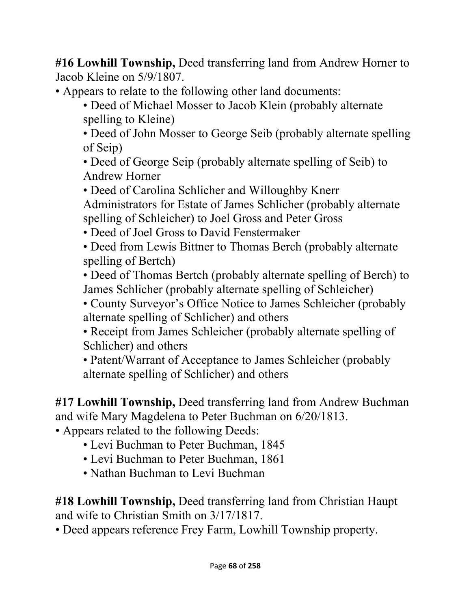**#16 Lowhill Township,** Deed transferring land from Andrew Horner to Jacob Kleine on 5/9/1807.

• Appears to relate to the following other land documents:

• Deed of Michael Mosser to Jacob Klein (probably alternate spelling to Kleine)

• Deed of John Mosser to George Seib (probably alternate spelling of Seip)

• Deed of George Seip (probably alternate spelling of Seib) to Andrew Horner

• Deed of Carolina Schlicher and Willoughby Knerr Administrators for Estate of James Schlicher (probably alternate spelling of Schleicher) to Joel Gross and Peter Gross

• Deed of Joel Gross to David Fenstermaker

• Deed from Lewis Bittner to Thomas Berch (probably alternate spelling of Bertch)

• Deed of Thomas Bertch (probably alternate spelling of Berch) to James Schlicher (probably alternate spelling of Schleicher)

• County Surveyor's Office Notice to James Schleicher (probably alternate spelling of Schlicher) and others

• Receipt from James Schleicher (probably alternate spelling of Schlicher) and others

• Patent/Warrant of Acceptance to James Schleicher (probably alternate spelling of Schlicher) and others

**#17 Lowhill Township,** Deed transferring land from Andrew Buchman and wife Mary Magdelena to Peter Buchman on 6/20/1813.

• Appears related to the following Deeds:

- Levi Buchman to Peter Buchman, 1845
- Levi Buchman to Peter Buchman, 1861
- Nathan Buchman to Levi Buchman

**#18 Lowhill Township,** Deed transferring land from Christian Haupt and wife to Christian Smith on 3/17/1817.

• Deed appears reference Frey Farm, Lowhill Township property.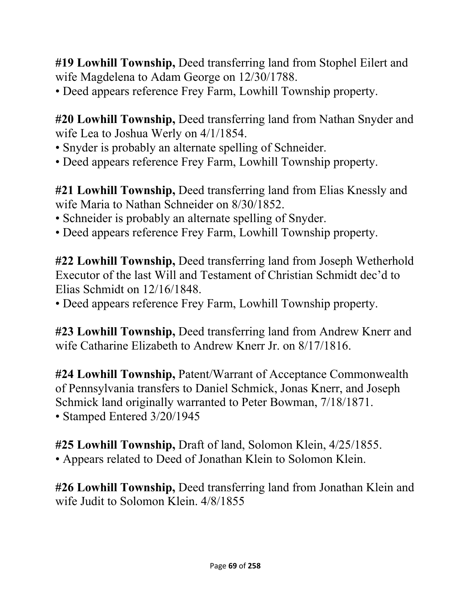**#19 Lowhill Township,** Deed transferring land from Stophel Eilert and wife Magdelena to Adam George on 12/30/1788.

• Deed appears reference Frey Farm, Lowhill Township property.

**#20 Lowhill Township,** Deed transferring land from Nathan Snyder and wife Lea to Joshua Werly on 4/1/1854.

- Snyder is probably an alternate spelling of Schneider.
- Deed appears reference Frey Farm, Lowhill Township property.

**#21 Lowhill Township,** Deed transferring land from Elias Knessly and wife Maria to Nathan Schneider on 8/30/1852.

- Schneider is probably an alternate spelling of Snyder.
- Deed appears reference Frey Farm, Lowhill Township property.

**#22 Lowhill Township,** Deed transferring land from Joseph Wetherhold Executor of the last Will and Testament of Christian Schmidt dec'd to Elias Schmidt on 12/16/1848.

• Deed appears reference Frey Farm, Lowhill Township property.

**#23 Lowhill Township,** Deed transferring land from Andrew Knerr and wife Catharine Elizabeth to Andrew Knerr Jr. on 8/17/1816.

**#24 Lowhill Township,** Patent/Warrant of Acceptance Commonwealth of Pennsylvania transfers to Daniel Schmick, Jonas Knerr, and Joseph Schmick land originally warranted to Peter Bowman, 7/18/1871. • Stamped Entered 3/20/1945

**#25 Lowhill Township,** Draft of land, Solomon Klein, 4/25/1855. • Appears related to Deed of Jonathan Klein to Solomon Klein.

**#26 Lowhill Township,** Deed transferring land from Jonathan Klein and wife Judit to Solomon Klein. 4/8/1855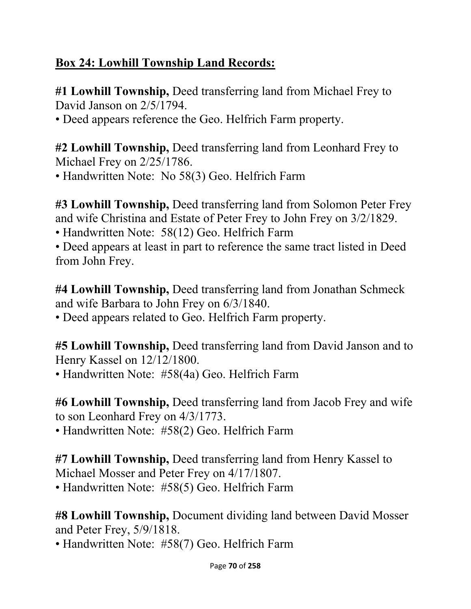# **Box 24: Lowhill Township Land Records:**

**#1 Lowhill Township,** Deed transferring land from Michael Frey to David Janson on 2/5/1794.

• Deed appears reference the Geo. Helfrich Farm property.

**#2 Lowhill Township,** Deed transferring land from Leonhard Frey to Michael Frey on 2/25/1786.

• Handwritten Note: No 58(3) Geo. Helfrich Farm

**#3 Lowhill Township,** Deed transferring land from Solomon Peter Frey and wife Christina and Estate of Peter Frey to John Frey on 3/2/1829.

• Handwritten Note: 58(12) Geo. Helfrich Farm

• Deed appears at least in part to reference the same tract listed in Deed from John Frey.

**#4 Lowhill Township,** Deed transferring land from Jonathan Schmeck and wife Barbara to John Frey on 6/3/1840.

• Deed appears related to Geo. Helfrich Farm property.

**#5 Lowhill Township,** Deed transferring land from David Janson and to Henry Kassel on 12/12/1800.

• Handwritten Note: #58(4a) Geo. Helfrich Farm

**#6 Lowhill Township,** Deed transferring land from Jacob Frey and wife to son Leonhard Frey on 4/3/1773.

• Handwritten Note: #58(2) Geo. Helfrich Farm

**#7 Lowhill Township,** Deed transferring land from Henry Kassel to Michael Mosser and Peter Frey on 4/17/1807.

• Handwritten Note: #58(5) Geo. Helfrich Farm

**#8 Lowhill Township,** Document dividing land between David Mosser and Peter Frey, 5/9/1818.

• Handwritten Note: #58(7) Geo. Helfrich Farm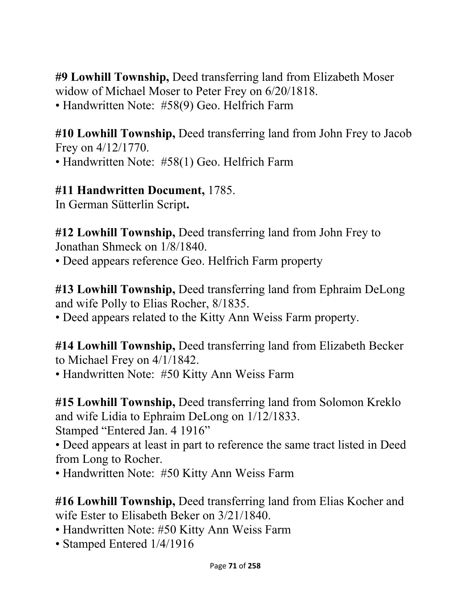**#9 Lowhill Township,** Deed transferring land from Elizabeth Moser widow of Michael Moser to Peter Frey on 6/20/1818. • Handwritten Note: #58(9) Geo. Helfrich Farm

**#10 Lowhill Township,** Deed transferring land from John Frey to Jacob Frey on 4/12/1770. • Handwritten Note: #58(1) Geo. Helfrich Farm

**#11 Handwritten Document,** 1785.

In German Sütterlin Script**.**

**#12 Lowhill Township,** Deed transferring land from John Frey to Jonathan Shmeck on 1/8/1840.

• Deed appears reference Geo. Helfrich Farm property

**#13 Lowhill Township,** Deed transferring land from Ephraim DeLong and wife Polly to Elias Rocher, 8/1835.

• Deed appears related to the Kitty Ann Weiss Farm property.

**#14 Lowhill Township,** Deed transferring land from Elizabeth Becker to Michael Frey on 4/1/1842.

• Handwritten Note: #50 Kitty Ann Weiss Farm

**#15 Lowhill Township,** Deed transferring land from Solomon Kreklo and wife Lidia to Ephraim DeLong on 1/12/1833. Stamped "Entered Jan. 4 1916"

• Deed appears at least in part to reference the same tract listed in Deed from Long to Rocher.

• Handwritten Note: #50 Kitty Ann Weiss Farm

**#16 Lowhill Township,** Deed transferring land from Elias Kocher and wife Ester to Elisabeth Beker on 3/21/1840.

- Handwritten Note: #50 Kitty Ann Weiss Farm
- Stamped Entered 1/4/1916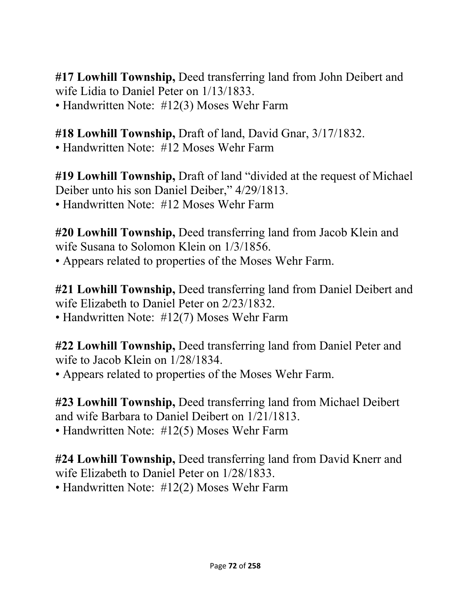**#17 Lowhill Township,** Deed transferring land from John Deibert and wife Lidia to Daniel Peter on 1/13/1833. • Handwritten Note: #12(3) Moses Wehr Farm

**#18 Lowhill Township,** Draft of land, David Gnar, 3/17/1832. • Handwritten Note: #12 Moses Wehr Farm

**#19 Lowhill Township,** Draft of land "divided at the request of Michael Deiber unto his son Daniel Deiber," 4/29/1813. • Handwritten Note: #12 Moses Wehr Farm

**#20 Lowhill Township,** Deed transferring land from Jacob Klein and wife Susana to Solomon Klein on 1/3/1856. • Appears related to properties of the Moses Wehr Farm.

**#21 Lowhill Township,** Deed transferring land from Daniel Deibert and wife Elizabeth to Daniel Peter on 2/23/1832. • Handwritten Note: #12(7) Moses Wehr Farm

**#22 Lowhill Township,** Deed transferring land from Daniel Peter and wife to Jacob Klein on 1/28/1834.

• Appears related to properties of the Moses Wehr Farm.

**#23 Lowhill Township,** Deed transferring land from Michael Deibert and wife Barbara to Daniel Deibert on 1/21/1813. • Handwritten Note: #12(5) Moses Wehr Farm

**#24 Lowhill Township,** Deed transferring land from David Knerr and wife Elizabeth to Daniel Peter on 1/28/1833.

• Handwritten Note: #12(2) Moses Wehr Farm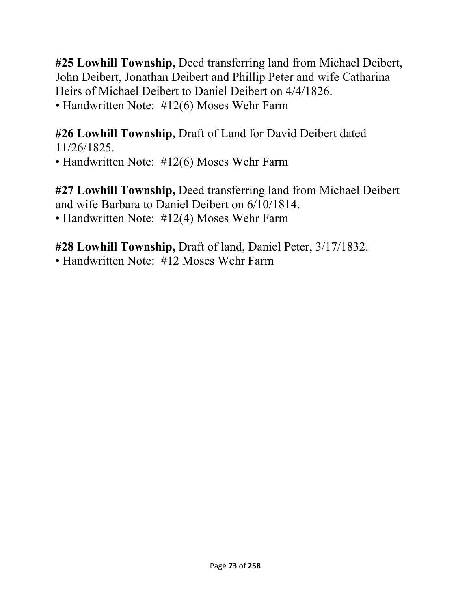**#25 Lowhill Township,** Deed transferring land from Michael Deibert, John Deibert, Jonathan Deibert and Phillip Peter and wife Catharina Heirs of Michael Deibert to Daniel Deibert on 4/4/1826. • Handwritten Note: #12(6) Moses Wehr Farm

#### **#26 Lowhill Township,** Draft of Land for David Deibert dated 11/26/1825.

• Handwritten Note: #12(6) Moses Wehr Farm

**#27 Lowhill Township,** Deed transferring land from Michael Deibert and wife Barbara to Daniel Deibert on 6/10/1814. • Handwritten Note: #12(4) Moses Wehr Farm

**#28 Lowhill Township,** Draft of land, Daniel Peter, 3/17/1832.

• Handwritten Note: #12 Moses Wehr Farm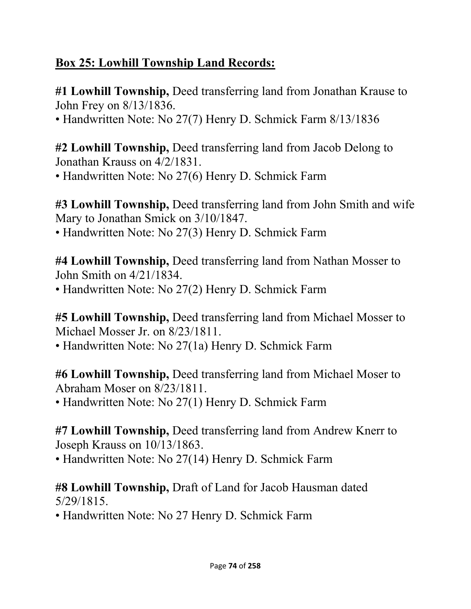### **Box 25: Lowhill Township Land Records:**

**#1 Lowhill Township,** Deed transferring land from Jonathan Krause to John Frey on 8/13/1836.

• Handwritten Note: No 27(7) Henry D. Schmick Farm 8/13/1836

**#2 Lowhill Township,** Deed transferring land from Jacob Delong to Jonathan Krauss on 4/2/1831.

• Handwritten Note: No 27(6) Henry D. Schmick Farm

**#3 Lowhill Township,** Deed transferring land from John Smith and wife Mary to Jonathan Smick on 3/10/1847.

• Handwritten Note: No 27(3) Henry D. Schmick Farm

**#4 Lowhill Township,** Deed transferring land from Nathan Mosser to John Smith on 4/21/1834.

• Handwritten Note: No 27(2) Henry D. Schmick Farm

**#5 Lowhill Township,** Deed transferring land from Michael Mosser to Michael Mosser Jr. on 8/23/1811.

• Handwritten Note: No 27(1a) Henry D. Schmick Farm

**#6 Lowhill Township,** Deed transferring land from Michael Moser to Abraham Moser on 8/23/1811.

• Handwritten Note: No 27(1) Henry D. Schmick Farm

**#7 Lowhill Township,** Deed transferring land from Andrew Knerr to Joseph Krauss on 10/13/1863.

• Handwritten Note: No 27(14) Henry D. Schmick Farm

**#8 Lowhill Township,** Draft of Land for Jacob Hausman dated 5/29/1815.

• Handwritten Note: No 27 Henry D. Schmick Farm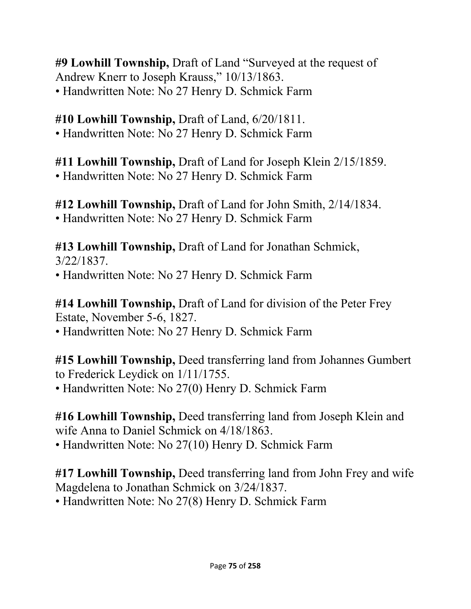**#9 Lowhill Township,** Draft of Land "Surveyed at the request of Andrew Knerr to Joseph Krauss," 10/13/1863. • Handwritten Note: No 27 Henry D. Schmick Farm

### **#10 Lowhill Township,** Draft of Land, 6/20/1811.

• Handwritten Note: No 27 Henry D. Schmick Farm

**#11 Lowhill Township,** Draft of Land for Joseph Klein 2/15/1859. • Handwritten Note: No 27 Henry D. Schmick Farm

**#12 Lowhill Township,** Draft of Land for John Smith, 2/14/1834. • Handwritten Note: No 27 Henry D. Schmick Farm

**#13 Lowhill Township,** Draft of Land for Jonathan Schmick,

3/22/1837. • Handwritten Note: No 27 Henry D. Schmick Farm

**#14 Lowhill Township,** Draft of Land for division of the Peter Frey Estate, November 5-6, 1827.

• Handwritten Note: No 27 Henry D. Schmick Farm

**#15 Lowhill Township,** Deed transferring land from Johannes Gumbert to Frederick Leydick on 1/11/1755.

• Handwritten Note: No 27(0) Henry D. Schmick Farm

**#16 Lowhill Township,** Deed transferring land from Joseph Klein and wife Anna to Daniel Schmick on 4/18/1863.

• Handwritten Note: No 27(10) Henry D. Schmick Farm

**#17 Lowhill Township,** Deed transferring land from John Frey and wife Magdelena to Jonathan Schmick on 3/24/1837.

• Handwritten Note: No 27(8) Henry D. Schmick Farm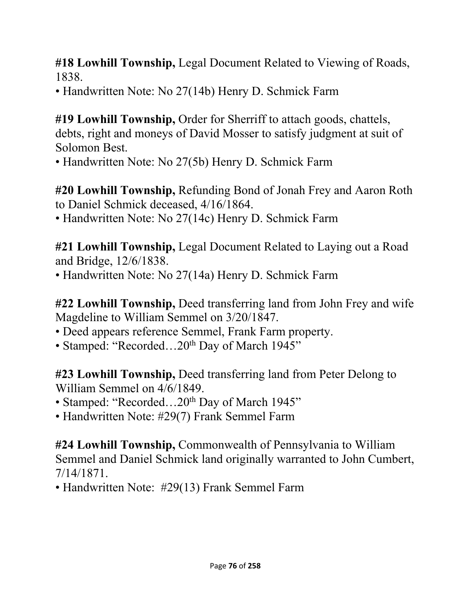**#18 Lowhill Township,** Legal Document Related to Viewing of Roads, 1838.

• Handwritten Note: No 27(14b) Henry D. Schmick Farm

**#19 Lowhill Township,** Order for Sherriff to attach goods, chattels, debts, right and moneys of David Mosser to satisfy judgment at suit of Solomon Best.

• Handwritten Note: No 27(5b) Henry D. Schmick Farm

**#20 Lowhill Township,** Refunding Bond of Jonah Frey and Aaron Roth to Daniel Schmick deceased, 4/16/1864.

• Handwritten Note: No 27(14c) Henry D. Schmick Farm

**#21 Lowhill Township,** Legal Document Related to Laying out a Road and Bridge, 12/6/1838.

• Handwritten Note: No 27(14a) Henry D. Schmick Farm

**#22 Lowhill Township,** Deed transferring land from John Frey and wife Magdeline to William Semmel on 3/20/1847.

• Deed appears reference Semmel, Frank Farm property.

• Stamped: "Recorded...20<sup>th</sup> Day of March 1945"

**#23 Lowhill Township,** Deed transferring land from Peter Delong to William Semmel on 4/6/1849.

• Stamped: "Recorded...20<sup>th</sup> Day of March 1945"

• Handwritten Note: #29(7) Frank Semmel Farm

**#24 Lowhill Township,** Commonwealth of Pennsylvania to William Semmel and Daniel Schmick land originally warranted to John Cumbert, 7/14/1871.

• Handwritten Note: #29(13) Frank Semmel Farm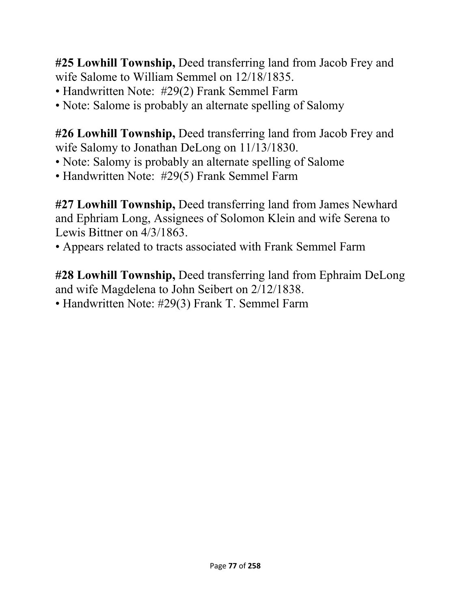**#25 Lowhill Township,** Deed transferring land from Jacob Frey and wife Salome to William Semmel on 12/18/1835.

- Handwritten Note: #29(2) Frank Semmel Farm
- Note: Salome is probably an alternate spelling of Salomy

**#26 Lowhill Township,** Deed transferring land from Jacob Frey and wife Salomy to Jonathan DeLong on 11/13/1830.

- Note: Salomy is probably an alternate spelling of Salome
- Handwritten Note: #29(5) Frank Semmel Farm

**#27 Lowhill Township,** Deed transferring land from James Newhard and Ephriam Long, Assignees of Solomon Klein and wife Serena to Lewis Bittner on 4/3/1863.

• Appears related to tracts associated with Frank Semmel Farm

**#28 Lowhill Township,** Deed transferring land from Ephraim DeLong and wife Magdelena to John Seibert on 2/12/1838.

• Handwritten Note: #29(3) Frank T. Semmel Farm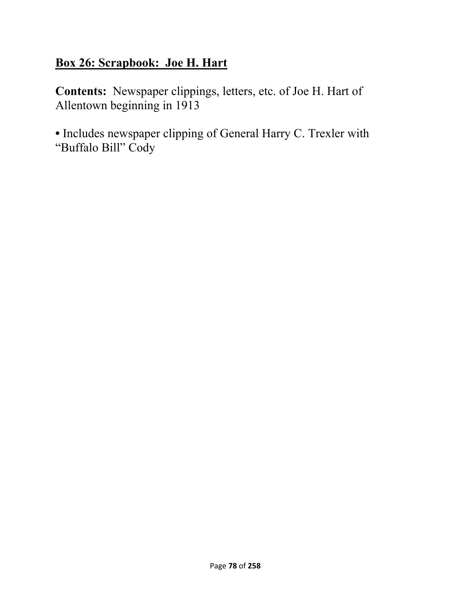### **Box 26: Scrapbook: Joe H. Hart**

**Contents:** Newspaper clippings, letters, etc. of Joe H. Hart of Allentown beginning in 1913

**•** Includes newspaper clipping of General Harry C. Trexler with "Buffalo Bill" Cody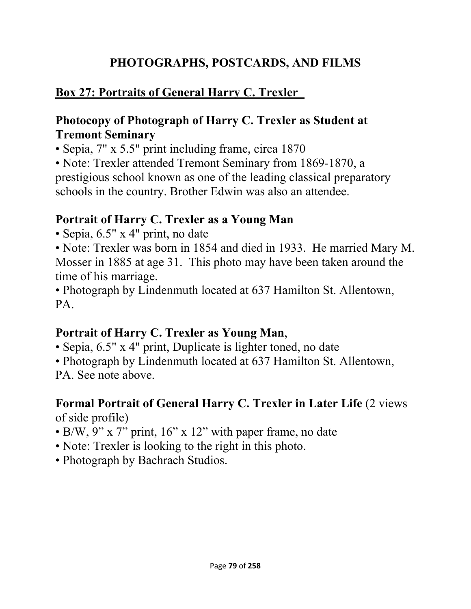### **PHOTOGRAPHS, POSTCARDS, AND FILMS**

## **Box 27: Portraits of General Harry C. Trexler**

#### **Photocopy of Photograph of Harry C. Trexler as Student at Tremont Seminary**

• Sepia, 7" x 5.5" print including frame, circa 1870

• Note: Trexler attended Tremont Seminary from 1869-1870, a prestigious school known as one of the leading classical preparatory schools in the country. Brother Edwin was also an attendee.

### **Portrait of Harry C. Trexler as a Young Man**

• Sepia, 6.5" x 4" print, no date

• Note: Trexler was born in 1854 and died in 1933. He married Mary M. Mosser in 1885 at age 31. This photo may have been taken around the time of his marriage.

• Photograph by Lindenmuth located at 637 Hamilton St. Allentown, PA.

### **Portrait of Harry C. Trexler as Young Man**,

• Sepia, 6.5" x 4" print, Duplicate is lighter toned, no date

• Photograph by Lindenmuth located at 637 Hamilton St. Allentown,

PA. See note above.

#### **Formal Portrait of General Harry C. Trexler in Later Life (2 views)** of side profile)

- B/W, 9" x 7" print, 16" x 12" with paper frame, no date
- Note: Trexler is looking to the right in this photo.
- Photograph by Bachrach Studios.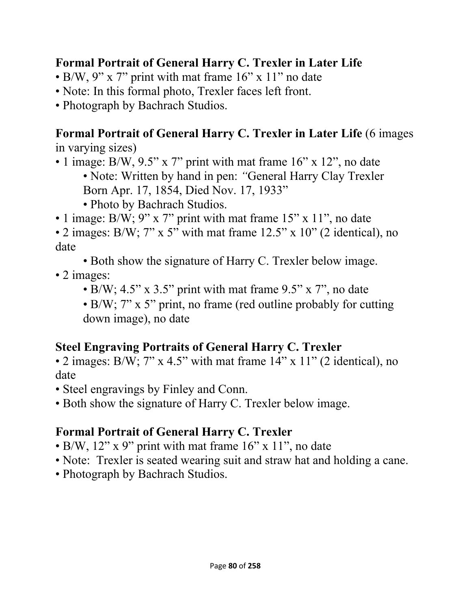### **Formal Portrait of General Harry C. Trexler in Later Life**

- B/W, 9" x 7" print with mat frame 16" x 11" no date
- Note: In this formal photo, Trexler faces left front.
- Photograph by Bachrach Studios.

#### **Formal Portrait of General Harry C. Trexler in Later Life** (6 images in varying sizes)

- 1 image: B/W, 9.5" x 7" print with mat frame 16" x 12", no date • Note: Written by hand in pen: *"*General Harry Clay Trexler Born Apr. 17, 1854, Died Nov. 17, 1933"
	- Photo by Bachrach Studios.
- 1 image: B/W; 9" x 7" print with mat frame 15" x 11", no date
- 2 images: B/W;  $7''$  x 5" with mat frame 12.5" x 10" (2 identical), no date
	- Both show the signature of Harry C. Trexler below image.
- 2 images:
	- B/W;  $4.5$ " x  $3.5$ " print with mat frame  $9.5$ " x 7", no date
	- B/W; 7" x 5" print, no frame (red outline probably for cutting down image), no date

### **Steel Engraving Portraits of General Harry C. Trexler**

- 2 images: B/W;  $7''$  x 4.5" with mat frame  $14''$  x  $11''$  (2 identical), no date
- Steel engravings by Finley and Conn.
- Both show the signature of Harry C. Trexler below image.

## **Formal Portrait of General Harry C. Trexler**

- B/W,  $12$ " x 9" print with mat frame  $16$ " x  $11$ ", no date
- Note: Trexler is seated wearing suit and straw hat and holding a cane.
- Photograph by Bachrach Studios.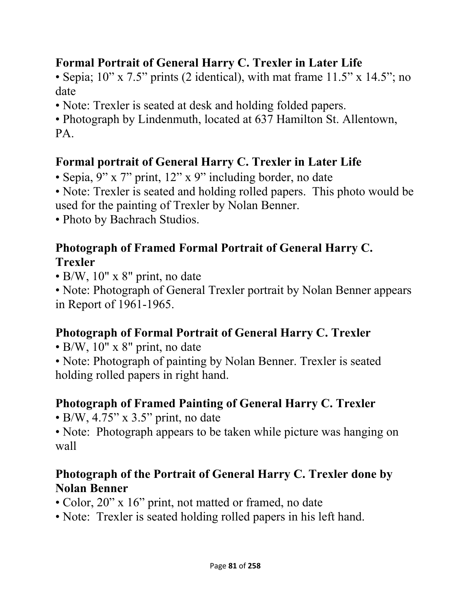### **Formal Portrait of General Harry C. Trexler in Later Life**

• Sepia;  $10''$  x  $7.5''$  prints (2 identical), with mat frame  $11.5''$  x  $14.5''$ ; no date

• Note: Trexler is seated at desk and holding folded papers.

• Photograph by Lindenmuth, located at 637 Hamilton St. Allentown, PA.

## **Formal portrait of General Harry C. Trexler in Later Life**

• Sepia, 9" x 7" print, 12" x 9" including border, no date

• Note: Trexler is seated and holding rolled papers. This photo would be used for the painting of Trexler by Nolan Benner.

• Photo by Bachrach Studios.

### **Photograph of Framed Formal Portrait of General Harry C. Trexler**

• B/W, 10" x 8" print, no date

• Note: Photograph of General Trexler portrait by Nolan Benner appears in Report of 1961-1965.

# **Photograph of Formal Portrait of General Harry C. Trexler**

• B/W, 10" x 8" print, no date

• Note: Photograph of painting by Nolan Benner. Trexler is seated holding rolled papers in right hand.

# **Photograph of Framed Painting of General Harry C. Trexler**

 $\bullet$  B/W, 4.75" x 3.5" print, no date

• Note: Photograph appears to be taken while picture was hanging on wall

### **Photograph of the Portrait of General Harry C. Trexler done by Nolan Benner**

- Color, 20" x 16" print, not matted or framed, no date
- Note: Trexler is seated holding rolled papers in his left hand.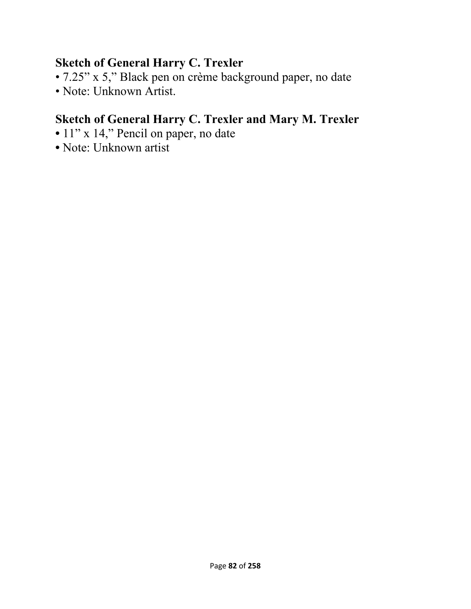#### **Sketch of General Harry C. Trexler**

- 7.25" x 5," Black pen on crème background paper, no date
- Note: Unknown Artist.

## **Sketch of General Harry C. Trexler and Mary M. Trexler**

- 11" x 14," Pencil on paper, no date
- Note: Unknown artist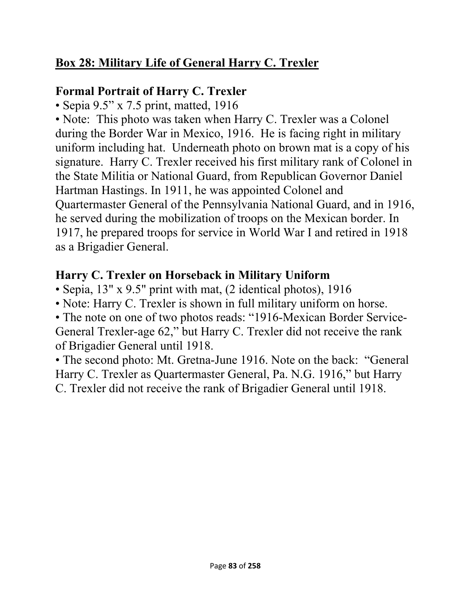## **Box 28: Military Life of General Harry C. Trexler**

### **Formal Portrait of Harry C. Trexler**

• Sepia 9.5" x 7.5 print, matted, 1916

• Note: This photo was taken when Harry C. Trexler was a Colonel during the Border War in Mexico, 1916. He is facing right in military uniform including hat. Underneath photo on brown mat is a copy of his signature. Harry C. Trexler received his first military rank of Colonel in the State Militia or National Guard, from Republican Governor Daniel Hartman Hastings. In 1911, he was appointed Colonel and Quartermaster General of the Pennsylvania National Guard, and in 1916, he served during the mobilization of troops on the Mexican border. In 1917, he prepared troops for service in World War I and retired in 1918 as a Brigadier General.

### **Harry C. Trexler on Horseback in Military Uniform**

- Sepia, 13" x 9.5" print with mat, (2 identical photos), 1916
- Note: Harry C. Trexler is shown in full military uniform on horse.

• The note on one of two photos reads: "1916-Mexican Border Service-General Trexler-age 62," but Harry C. Trexler did not receive the rank of Brigadier General until 1918.

• The second photo: Mt. Gretna-June 1916. Note on the back: "General Harry C. Trexler as Quartermaster General, Pa. N.G. 1916," but Harry C. Trexler did not receive the rank of Brigadier General until 1918.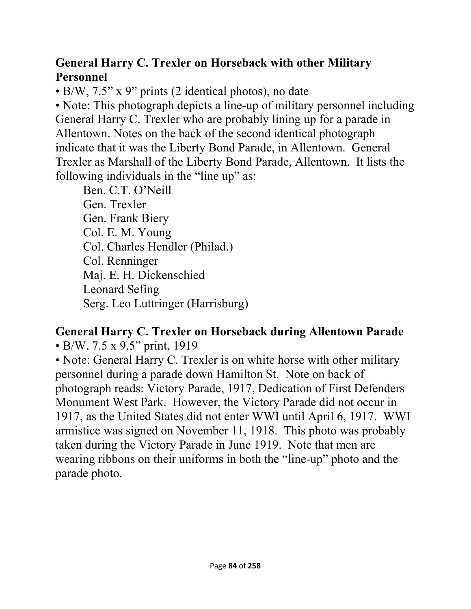#### **General Harry C. Trexler on Horseback with other Military Personnel**

• B/W, 7.5" x 9" prints (2 identical photos), no date

• Note: This photograph depicts a line-up of military personnel including General Harry C. Trexler who are probably lining up for a parade in Allentown. Notes on the back of the second identical photograph indicate that it was the Liberty Bond Parade, in Allentown. General Trexler as Marshall of the Liberty Bond Parade, Allentown. It lists the following individuals in the "line up" as:

Ben. C.T. O'Neill Gen. Trexler Gen. Frank Biery Col. E. M. Young Col. Charles Hendler (Philad.) Col. Renninger Maj. E. H. Dickenschied Leonard Sefing Serg. Leo Luttringer (Harrisburg)

## **General Harry C. Trexler on Horseback during Allentown Parade**

• B/W, 7.5 x 9.5" print, 1919

• Note: General Harry C. Trexler is on white horse with other military personnel during a parade down Hamilton St. Note on back of photograph reads: Victory Parade, 1917, Dedication of First Defenders Monument West Park. However, the Victory Parade did not occur in 1917, as the United States did not enter WWI until April 6, 1917. WWI armistice was signed on November 11, 1918. This photo was probably taken during the Victory Parade in June 1919. Note that men are wearing ribbons on their uniforms in both the "line-up" photo and the parade photo.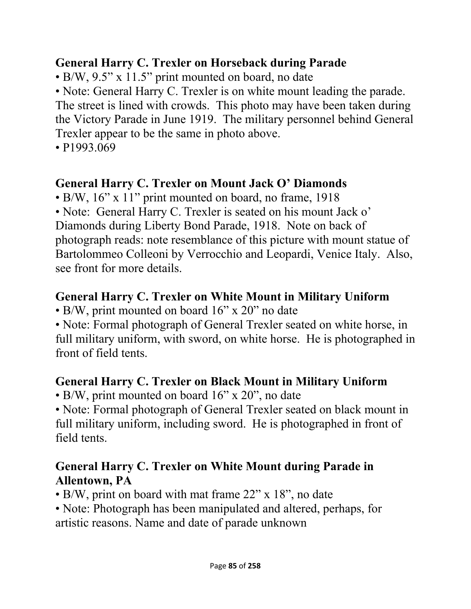#### **General Harry C. Trexler on Horseback during Parade**

• B/W, 9.5" x 11.5" print mounted on board, no date

• Note: General Harry C. Trexler is on white mount leading the parade. The street is lined with crowds. This photo may have been taken during the Victory Parade in June 1919. The military personnel behind General Trexler appear to be the same in photo above.

• P1993.069

## **General Harry C. Trexler on Mount Jack O' Diamonds**

• B/W, 16" x 11" print mounted on board, no frame, 1918

• Note: General Harry C. Trexler is seated on his mount Jack o'

Diamonds during Liberty Bond Parade, 1918. Note on back of photograph reads: note resemblance of this picture with mount statue of Bartolommeo Colleoni by Verrocchio and Leopardi, Venice Italy. Also, see front for more details.

## **General Harry C. Trexler on White Mount in Military Uniform**

• B/W, print mounted on board 16" x 20" no date

• Note: Formal photograph of General Trexler seated on white horse, in full military uniform, with sword, on white horse. He is photographed in front of field tents.

### **General Harry C. Trexler on Black Mount in Military Uniform**

• B/W, print mounted on board 16" x 20", no date

• Note: Formal photograph of General Trexler seated on black mount in full military uniform, including sword. He is photographed in front of field tents.

### **General Harry C. Trexler on White Mount during Parade in Allentown, PA**

• B/W, print on board with mat frame 22" x 18", no date

• Note: Photograph has been manipulated and altered, perhaps, for artistic reasons. Name and date of parade unknown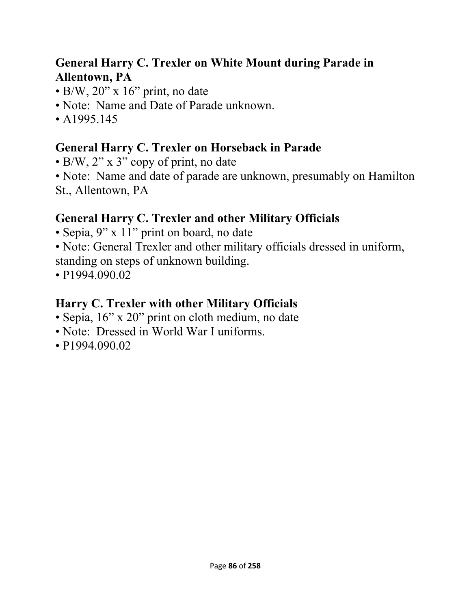#### **General Harry C. Trexler on White Mount during Parade in Allentown, PA**

- $\cdot$  B/W, 20" x 16" print, no date
- Note:Name and Date of Parade unknown.
- A 1995.145

### **General Harry C. Trexler on Horseback in Parade**

- B/W, 2" x 3" copy of print, no date
- Note:Name and date of parade are unknown, presumably on Hamilton St., Allentown, PA

## **General Harry C. Trexler and other Military Officials**

- Sepia, 9" x 11" print on board, no date
- Note: General Trexler and other military officials dressed in uniform, standing on steps of unknown building.
- P1994.090.02

## **Harry C. Trexler with other Military Officials**

- Sepia, 16" x 20" print on cloth medium, no date
- Note:Dressed in World War I uniforms.
- P1994.090.02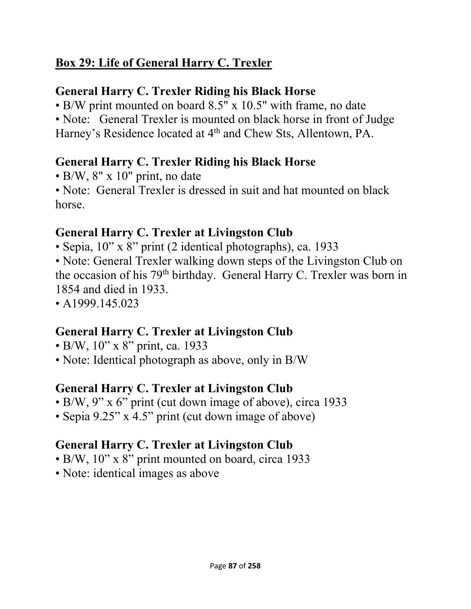## **Box 29: Life of General Harry C. Trexler**

### **General Harry C. Trexler Riding his Black Horse**

• B/W print mounted on board 8.5" x 10.5" with frame, no date

• Note: General Trexler is mounted on black horse in front of Judge Harney's Residence located at 4<sup>th</sup> and Chew Sts, Allentown, PA.

### **General Harry C. Trexler Riding his Black Horse**

• B/W, 8" x 10" print, no date

• Note: General Trexler is dressed in suit and hat mounted on black horse.

### **General Harry C. Trexler at Livingston Club**

• Sepia, 10" x 8" print (2 identical photographs), ca. 1933

• Note: General Trexler walking down steps of the Livingston Club on the occasion of his 79th birthday. General Harry C. Trexler was born in 1854 and died in 1933.

• A1999.145.023

## **General Harry C. Trexler at Livingston Club**

- B/W,  $10''$  x 8" print, ca. 1933
- Note: Identical photograph as above, only in B/W

## **General Harry C. Trexler at Livingston Club**

- B/W, 9" x 6" print (cut down image of above), circa 1933
- Sepia 9.25" x 4.5" print (cut down image of above)

## **General Harry C. Trexler at Livingston Club**

- B/W, 10" x 8" print mounted on board, circa 1933
- Note: identical images as above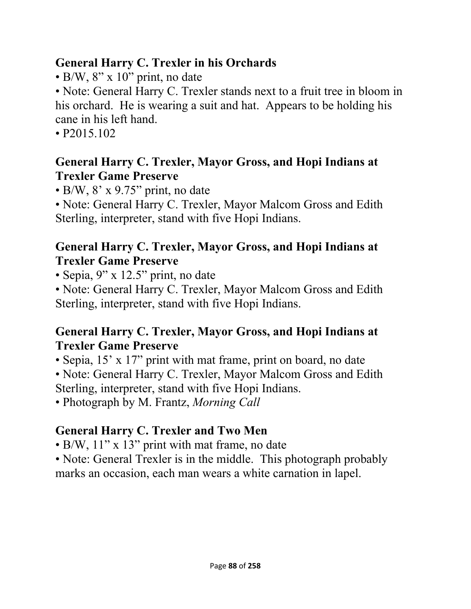#### **General Harry C. Trexler in his Orchards**

• B/W, 8" x 10" print, no date

• Note: General Harry C. Trexler stands next to a fruit tree in bloom in his orchard. He is wearing a suit and hat. Appears to be holding his cane in his left hand.

• P2015.102

### **General Harry C. Trexler, Mayor Gross, and Hopi Indians at Trexler Game Preserve**

• B/W, 8' x 9.75" print, no date

• Note: General Harry C. Trexler, Mayor Malcom Gross and Edith Sterling, interpreter, stand with five Hopi Indians.

### **General Harry C. Trexler, Mayor Gross, and Hopi Indians at Trexler Game Preserve**

• Sepia, 9" x 12.5" print, no date

• Note: General Harry C. Trexler, Mayor Malcom Gross and Edith Sterling, interpreter, stand with five Hopi Indians.

### **General Harry C. Trexler, Mayor Gross, and Hopi Indians at Trexler Game Preserve**

• Sepia, 15' x 17" print with mat frame, print on board, no date

• Note: General Harry C. Trexler, Mayor Malcom Gross and Edith Sterling, interpreter, stand with five Hopi Indians.

• Photograph by M. Frantz, *Morning Call* 

# **General Harry C. Trexler and Two Men**

• B/W, 11" x 13" print with mat frame, no date

• Note: General Trexler is in the middle. This photograph probably marks an occasion, each man wears a white carnation in lapel.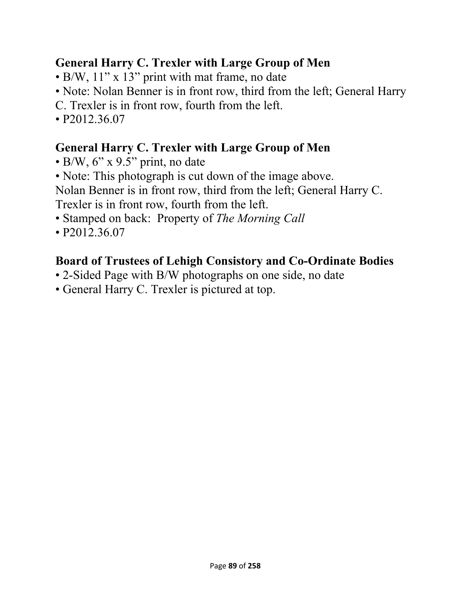### **General Harry C. Trexler with Large Group of Men**

- B/W, 11" x 13" print with mat frame, no date
- Note: Nolan Benner is in front row, third from the left; General Harry
- C. Trexler is in front row, fourth from the left.
- P2012.36.07

## **General Harry C. Trexler with Large Group of Men**

- $\bullet$  B/W, 6" x 9.5" print, no date
- Note: This photograph is cut down of the image above.

Nolan Benner is in front row, third from the left; General Harry C. Trexler is in front row, fourth from the left.

- Stamped on back: Property of *The Morning Call*
- P2012.36.07

# **Board of Trustees of Lehigh Consistory and Co-Ordinate Bodies**

- 2-Sided Page with B/W photographs on one side, no date
- General Harry C. Trexler is pictured at top.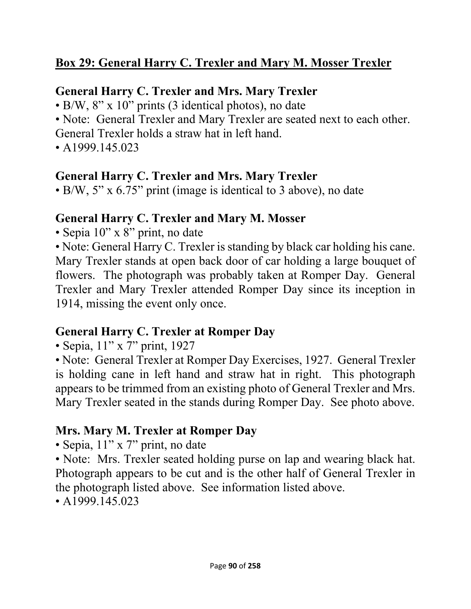## **Box 29: General Harry C. Trexler and Mary M. Mosser Trexler**

#### **General Harry C. Trexler and Mrs. Mary Trexler**

• B/W, 8" x 10" prints (3 identical photos), no date

• Note: General Trexler and Mary Trexler are seated next to each other.

General Trexler holds a straw hat in left hand.

 $\cdot$  A1999.145.023

#### **General Harry C. Trexler and Mrs. Mary Trexler**

• B/W, 5" x 6.75" print (image is identical to 3 above), no date

#### **General Harry C. Trexler and Mary M. Mosser**

• Sepia 10" x 8" print, no date

• Note: General Harry C. Trexler is standing by black car holding his cane. Mary Trexler stands at open back door of car holding a large bouquet of flowers. The photograph was probably taken at Romper Day. General Trexler and Mary Trexler attended Romper Day since its inception in 1914, missing the event only once.

#### **General Harry C. Trexler at Romper Day**

• Sepia, 11" x 7" print, 1927

• Note: General Trexler at Romper Day Exercises, 1927. General Trexler is holding cane in left hand and straw hat in right. This photograph appears to be trimmed from an existing photo of General Trexler and Mrs. Mary Trexler seated in the stands during Romper Day. See photo above.

### **Mrs. Mary M. Trexler at Romper Day**

• Sepia, 11" x 7" print, no date

• Note: Mrs. Trexler seated holding purse on lap and wearing black hat. Photograph appears to be cut and is the other half of General Trexler in the photograph listed above. See information listed above.

• A 1999.145.023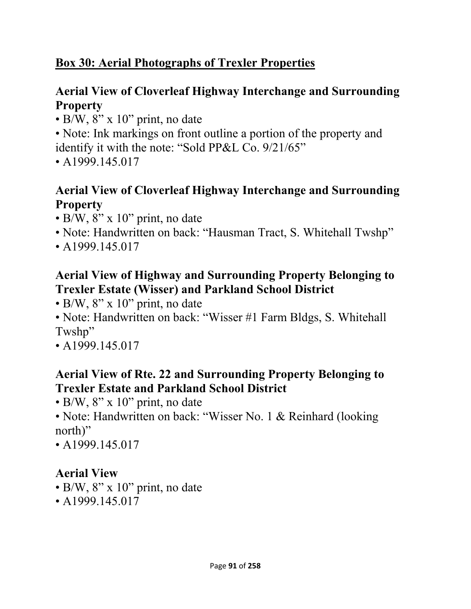### **Box 30: Aerial Photographs of Trexler Properties**

### **Aerial View of Cloverleaf Highway Interchange and Surrounding Property**

• B/W, 8" x 10" print, no date

• Note: Ink markings on front outline a portion of the property and identify it with the note: "Sold PP&L Co. 9/21/65"

• A1999.145.017

### **Aerial View of Cloverleaf Highway Interchange and Surrounding Property**

- $\cdot$  B/W, 8" x 10" print, no date
- Note: Handwritten on back: "Hausman Tract, S. Whitehall Twshp"
- A1999.145.017

#### **Aerial View of Highway and Surrounding Property Belonging to Trexler Estate (Wisser) and Parkland School District**

- $\cdot$  B/W, 8" x 10" print, no date
- Note: Handwritten on back: "Wisser #1 Farm Bldgs, S. Whitehall Twshp"
- A1999.145.017

#### **Aerial View of Rte. 22 and Surrounding Property Belonging to Trexler Estate and Parkland School District**

- B/W,  $8'' \times 10''$  print, no date
- Note: Handwritten on back: "Wisser No. 1 & Reinhard (looking) north)"
- A1999.145.017

### **Aerial View**

- B/W,  $8'' \times 10''$  print, no date
- A 1999, 145, 017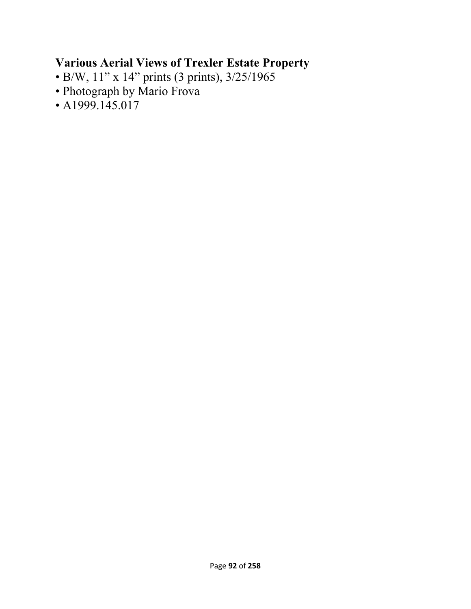### **Various Aerial Views of Trexler Estate Property**

- B/W, 11" x 14" prints (3 prints), 3/25/1965
- Photograph by Mario Frova
- $\cdot$  A1999.145.017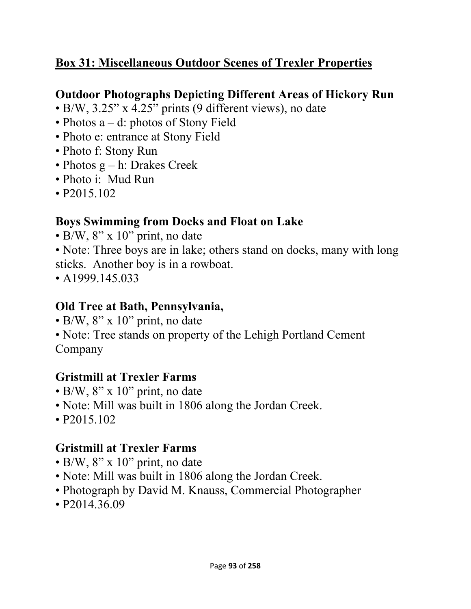### **Box 31: Miscellaneous Outdoor Scenes of Trexler Properties**

### **Outdoor Photographs Depicting Different Areas of Hickory Run**

- B/W, 3.25" x 4.25" prints (9 different views), no date
- Photos a d: photos of Stony Field
- Photo e: entrance at Stony Field
- Photo f: Stony Run
- Photos  $g h$ : Drakes Creek
- Photo i: Mud Run
- P2015.102

#### **Boys Swimming from Docks and Float on Lake**

 $\cdot$  B/W, 8" x 10" print, no date

• Note: Three boys are in lake; others stand on docks, many with long sticks. Another boy is in a rowboat.

• A 1999.145.033

#### **Old Tree at Bath, Pennsylvania,**

- B/W,  $8'' \times 10''$  print, no date
- Note: Tree stands on property of the Lehigh Portland Cement Company

### **Gristmill at Trexler Farms**

- $\cdot$  B/W, 8" x 10" print, no date
- Note: Mill was built in 1806 along the Jordan Creek.
- P2015.102

#### **Gristmill at Trexler Farms**

- B/W,  $8'' \times 10''$  print, no date
- Note: Mill was built in 1806 along the Jordan Creek.
- Photograph by David M. Knauss, Commercial Photographer
- P2014.36.09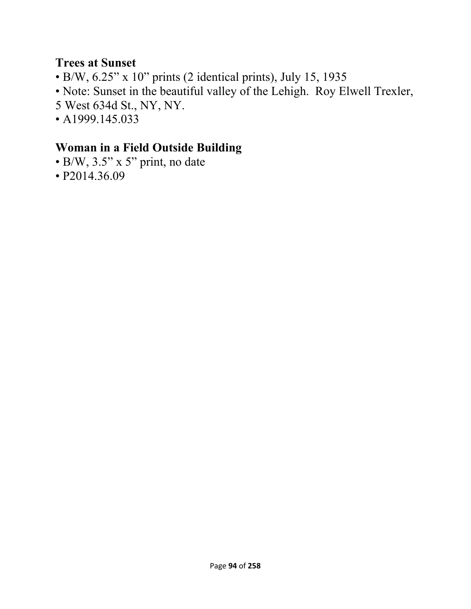#### **Trees at Sunset**

- B/W, 6.25" x 10" prints (2 identical prints), July 15, 1935
- Note: Sunset in the beautiful valley of the Lehigh. Roy Elwell Trexler,
- 5 West 634d St., NY, NY.
- A1999.145.033

#### **Woman in a Field Outside Building**

- B/W, 3.5" x 5" print, no date
- P2014.36.09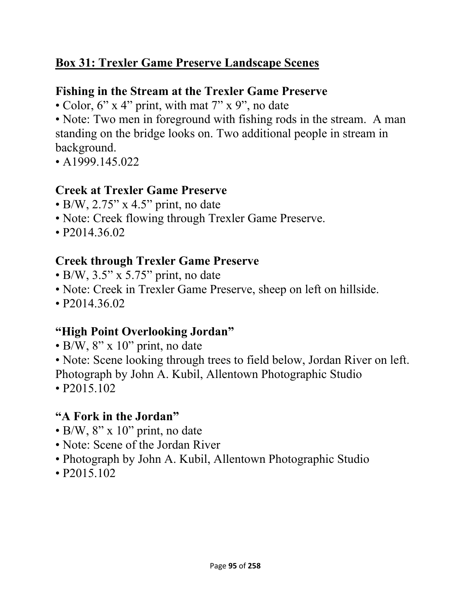### **Box 31: Trexler Game Preserve Landscape Scenes**

#### **Fishing in the Stream at the Trexler Game Preserve**

• Color, 6" x 4" print, with mat 7" x 9", no date

• Note: Two men in foreground with fishing rods in the stream. A man standing on the bridge looks on. Two additional people in stream in background.

• A1999.145.022

#### **Creek at Trexler Game Preserve**

- $\bullet$  B/W, 2.75" x 4.5" print, no date
- Note: Creek flowing through Trexler Game Preserve.
- P2014.36.02

### **Creek through Trexler Game Preserve**

- $\bullet$  B/W, 3.5" x 5.75" print, no date
- Note: Creek in Trexler Game Preserve, sheep on left on hillside.
- P2014.36.02

### **"High Point Overlooking Jordan"**

- $\bullet$  B/W, 8" x 10" print, no date
- Note: Scene looking through trees to field below, Jordan River on left.
- Photograph by John A. Kubil, Allentown Photographic Studio
- P2015.102

## **"A Fork in the Jordan"**

- B/W,  $8'' \times 10''$  print, no date
- Note: Scene of the Jordan River
- Photograph by John A. Kubil, Allentown Photographic Studio
- P2015.102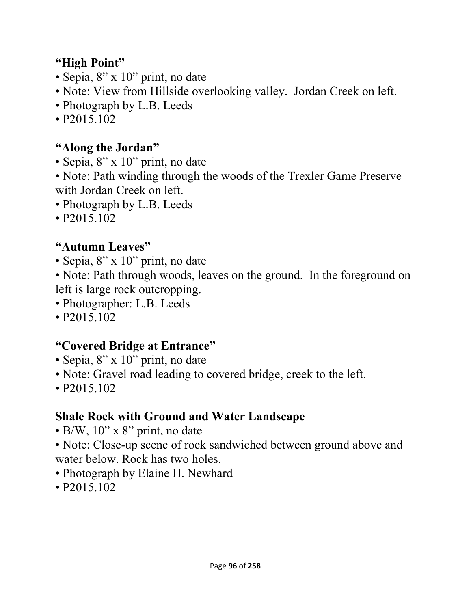#### **"High Point"**

- Sepia, 8" x 10" print, no date
- Note: View from Hillside overlooking valley. Jordan Creek on left.
- Photograph by L.B. Leeds
- P2015.102

### **"Along the Jordan"**

- Sepia, 8" x 10" print, no date
- Note: Path winding through the woods of the Trexler Game Preserve with Jordan Creek on left.
- Photograph by L.B. Leeds
- P2015.102

### **"Autumn Leaves"**

- Sepia, 8" x 10" print, no date
- Note: Path through woods, leaves on the ground. In the foreground on left is large rock outcropping.
- Photographer: L.B. Leeds
- P2015.102

### **"Covered Bridge at Entrance"**

- Sepia, 8" x 10" print, no date
- Note: Gravel road leading to covered bridge, creek to the left.
- P2015.102

## **Shale Rock with Ground and Water Landscape**

- B/W,  $10$ " x 8" print, no date
- Note: Close-up scene of rock sandwiched between ground above and water below. Rock has two holes.
- Photograph by Elaine H. Newhard
- P2015.102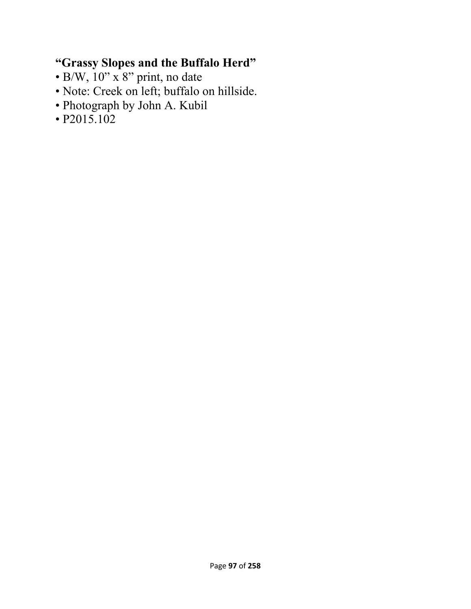## **"Grassy Slopes and the Buffalo Herd"**

- B/W, 10" x 8" print, no date
- Note: Creek on left; buffalo on hillside.
- Photograph by John A. Kubil
- P2015.102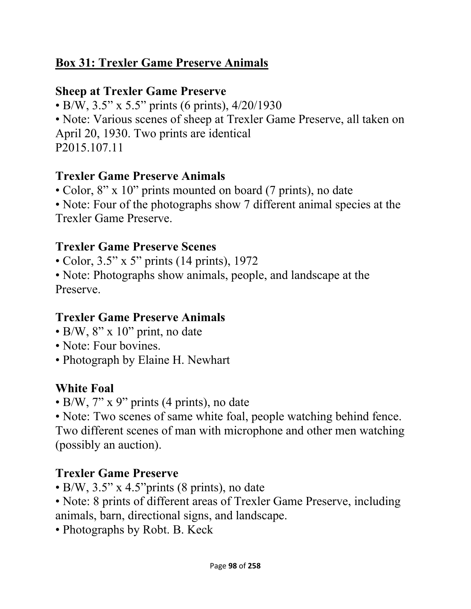### **Box 31: Trexler Game Preserve Animals**

#### **Sheep at Trexler Game Preserve**

• B/W, 3.5" x 5.5" prints (6 prints), 4/20/1930

• Note: Various scenes of sheep at Trexler Game Preserve, all taken on April 20, 1930. Two prints are identical P2015.107.11

#### **Trexler Game Preserve Animals**

• Color, 8" x 10" prints mounted on board (7 prints), no date

• Note: Four of the photographs show 7 different animal species at the Trexler Game Preserve.

### **Trexler Game Preserve Scenes**

• Color, 3.5" x 5" prints (14 prints), 1972

• Note: Photographs show animals, people, and landscape at the Preserve.

### **Trexler Game Preserve Animals**

- $\cdot$  B/W, 8" x 10" print, no date
- Note: Four bovines.
- Photograph by Elaine H. Newhart

## **White Foal**

• B/W, 7" x 9" prints (4 prints), no date

• Note: Two scenes of same white foal, people watching behind fence. Two different scenes of man with microphone and other men watching (possibly an auction).

## **Trexler Game Preserve**

- B/W, 3.5" x 4.5"prints (8 prints), no date
- Note: 8 prints of different areas of Trexler Game Preserve, including animals, barn, directional signs, and landscape.
- Photographs by Robt. B. Keck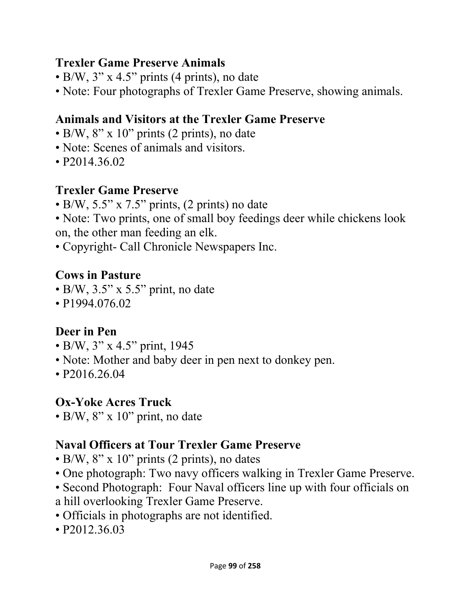#### **Trexler Game Preserve Animals**

- B/W,  $3''$  x 4.5" prints (4 prints), no date
- Note: Four photographs of Trexler Game Preserve, showing animals.

### **Animals and Visitors at the Trexler Game Preserve**

- B/W, 8" x 10" prints (2 prints), no date
- Note: Scenes of animals and visitors.
- P<sub>2014.36.02</sub>

#### **Trexler Game Preserve**

- B/W, 5.5" x 7.5" prints, (2 prints) no date
- Note: Two prints, one of small boy feedings deer while chickens look on, the other man feeding an elk.
- Copyright- Call Chronicle Newspapers Inc.

#### **Cows in Pasture**

- $\bullet$  B/W, 3.5" x 5.5" print, no date
- P1994.076.02

#### **Deer in Pen**

- B/W, 3" x 4.5" print, 1945
- Note: Mother and baby deer in pen next to donkey pen.
- P2016.26.04

#### **Ox-Yoke Acres Truck**

 $\bullet$  B/W, 8" x 10" print, no date

#### **Naval Officers at Tour Trexler Game Preserve**

- B/W, 8" x 10" prints (2 prints), no dates
- One photograph: Two navy officers walking in Trexler Game Preserve.
- Second Photograph: Four Naval officers line up with four officials on
- a hill overlooking Trexler Game Preserve.
- Officials in photographs are not identified.
- P2012.36.03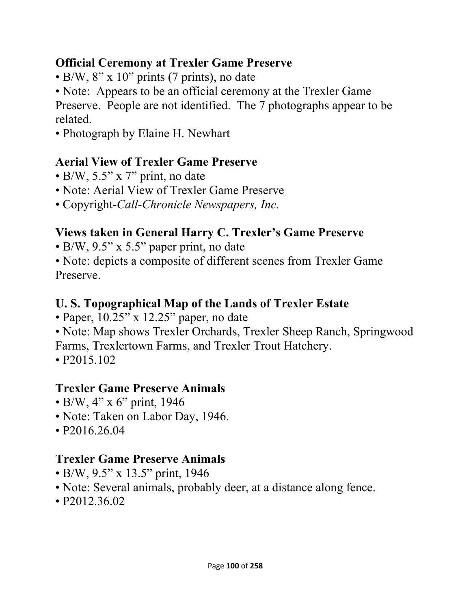#### **Official Ceremony at Trexler Game Preserve**

- B/W,  $8''$  x 10" prints (7 prints), no date
- Note: Appears to be an official ceremony at the Trexler Game

Preserve. People are not identified. The 7 photographs appear to be related.

• Photograph by Elaine H. Newhart

## **Aerial View of Trexler Game Preserve**

- B/W, 5.5" x 7" print, no date
- Note: Aerial View of Trexler Game Preserve
- Copyright-*Call-Chronicle Newspapers, Inc.*

### **Views taken in General Harry C. Trexler's Game Preserve**

- B/W, 9.5" x 5.5" paper print, no date
- Note: depicts a composite of different scenes from Trexler Game Preserve.

### **U. S. Topographical Map of the Lands of Trexler Estate**

- Paper, 10.25" x 12.25" paper, no date
- Note: Map shows Trexler Orchards, Trexler Sheep Ranch, Springwood
- Farms, Trexlertown Farms, and Trexler Trout Hatchery.
- P2015.102

### **Trexler Game Preserve Animals**

- B/W, 4" x 6" print, 1946
- Note: Taken on Labor Day, 1946.
- P2016.26.04

## **Trexler Game Preserve Animals**

- B/W, 9.5" x 13.5" print, 1946
- Note: Several animals, probably deer, at a distance along fence.
- P2012.36.02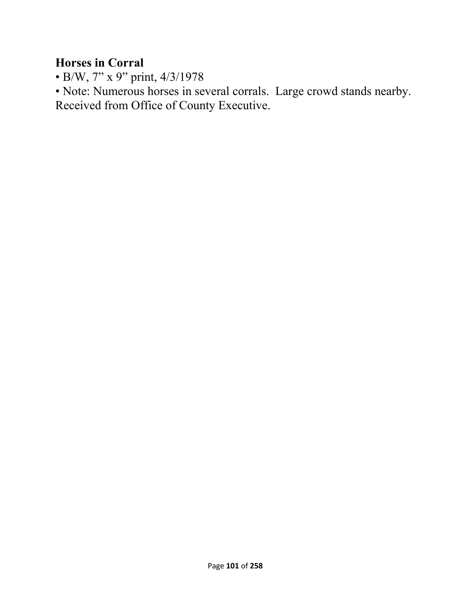#### **Horses in Corral**

• B/W, 7" x 9" print, 4/3/1978

• Note: Numerous horses in several corrals. Large crowd stands nearby. Received from Office of County Executive.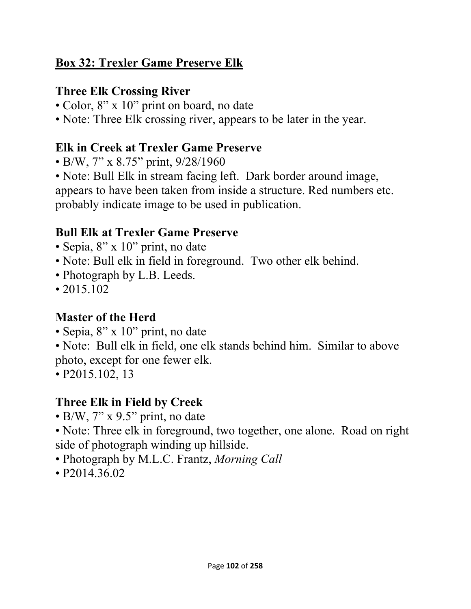### **Box 32: Trexler Game Preserve Elk**

### **Three Elk Crossing River**

- Color, 8" x 10" print on board, no date
- Note: Three Elk crossing river, appears to be later in the year.

## **Elk in Creek at Trexler Game Preserve**

- B/W, 7" x 8.75" print, 9/28/1960
- Note: Bull Elk in stream facing left. Dark border around image,

appears to have been taken from inside a structure. Red numbers etc. probably indicate image to be used in publication.

## **Bull Elk at Trexler Game Preserve**

- Sepia, 8" x 10" print, no date
- Note: Bull elk in field in foreground. Two other elk behind.
- Photograph by L.B. Leeds.
- 2015.102

## **Master of the Herd**

- Sepia, 8" x 10" print, no date
- Note: Bull elk in field, one elk stands behind him. Similar to above photo, except for one fewer elk.
- P2015.102, 13

## **Three Elk in Field by Creek**

- B/W, 7" x 9.5" print, no date
- Note: Three elk in foreground, two together, one alone. Road on right side of photograph winding up hillside.
- Photograph by M.L.C. Frantz, *Morning Call*
- P2014.36.02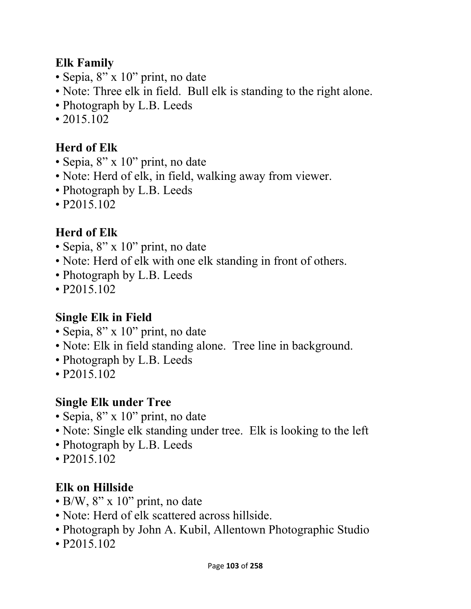### **Elk Family**

- Sepia, 8" x 10" print, no date
- Note: Three elk in field. Bull elk is standing to the right alone.
- Photograph by L.B. Leeds
- 2015.102

## **Herd of Elk**

- Sepia, 8" x 10" print, no date
- Note: Herd of elk, in field, walking away from viewer.
- Photograph by L.B. Leeds
- P2015.102

# **Herd of Elk**

- Sepia, 8" x 10" print, no date
- Note: Herd of elk with one elk standing in front of others.
- Photograph by L.B. Leeds
- P2015.102

## **Single Elk in Field**

- Sepia, 8" x 10" print, no date
- Note: Elk in field standing alone. Tree line in background.
- Photograph by L.B. Leeds
- P2015.102

## **Single Elk under Tree**

- Sepia, 8" x 10" print, no date
- Note: Single elk standing under tree. Elk is looking to the left
- Photograph by L.B. Leeds
- P2015.102

# **Elk on Hillside**

- $\bullet$  B/W, 8" x 10" print, no date
- Note: Herd of elk scattered across hillside.
- Photograph by John A. Kubil, Allentown Photographic Studio
- P2015.102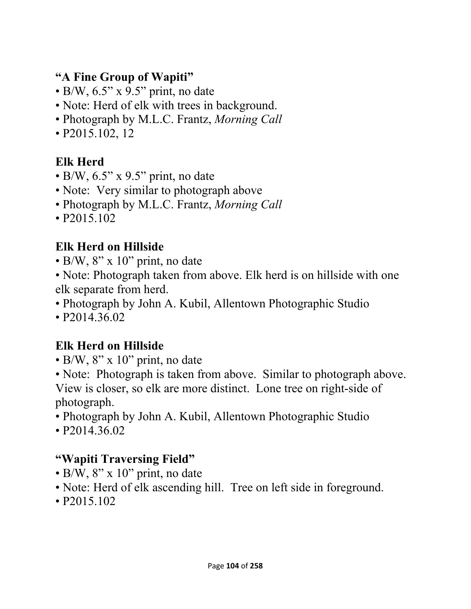### **"A Fine Group of Wapiti"**

- $\cdot$  B/W, 6.5" x 9.5" print, no date
- Note: Herd of elk with trees in background.
- Photograph by M.L.C. Frantz, *Morning Call*
- P2015.102, 12

# **Elk Herd**

- $\cdot$  B/W, 6.5" x 9.5" print, no date
- Note: Very similar to photograph above
- Photograph by M.L.C. Frantz, *Morning Call*
- P2015.102

## **Elk Herd on Hillside**

- B/W, 8" x 10" print, no date
- Note: Photograph taken from above. Elk herd is on hillside with one elk separate from herd.
- Photograph by John A. Kubil, Allentown Photographic Studio
- P2014.36.02

## **Elk Herd on Hillside**

- B/W, 8" x 10" print, no date
- Note: Photograph is taken from above. Similar to photograph above. View is closer, so elk are more distinct. Lone tree on right-side of photograph.
- Photograph by John A. Kubil, Allentown Photographic Studio
- P2014.36.02

## **"Wapiti Traversing Field"**

- B/W,  $8'' \times 10''$  print, no date
- Note: Herd of elk ascending hill. Tree on left side in foreground.
- P2015.102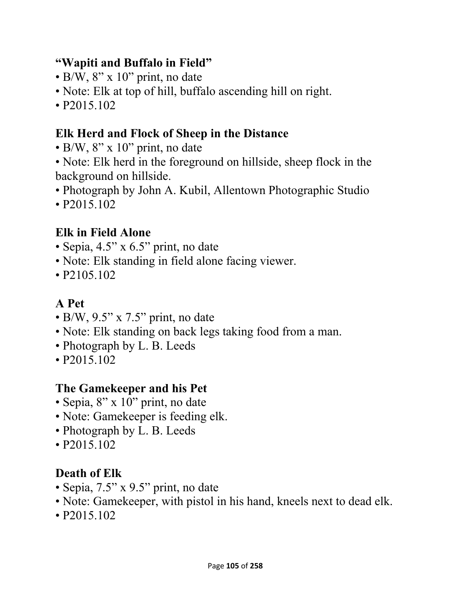### **"Wapiti and Buffalo in Field"**

- $\bullet$  B/W, 8" x 10" print, no date
- Note: Elk at top of hill, buffalo ascending hill on right.
- P2015.102

# **Elk Herd and Flock of Sheep in the Distance**

- B/W,  $8'' \times 10''$  print, no date
- Note: Elk herd in the foreground on hillside, sheep flock in the background on hillside.
- Photograph by John A. Kubil, Allentown Photographic Studio
- P2015.102

# **Elk in Field Alone**

- Sepia, 4.5" x 6.5" print, no date
- Note: Elk standing in field alone facing viewer.
- P<sub>2</sub>105.102

# **A Pet**

- $\cdot$  B/W, 9.5" x 7.5" print, no date
- Note: Elk standing on back legs taking food from a man.
- Photograph by L. B. Leeds
- P2015.102

## **The Gamekeeper and his Pet**

- Sepia, 8" x 10" print, no date
- Note: Gamekeeper is feeding elk.
- Photograph by L. B. Leeds
- P2015.102

# **Death of Elk**

- Sepia, 7.5" x 9.5" print, no date
- Note: Gamekeeper, with pistol in his hand, kneels next to dead elk.
- P2015.102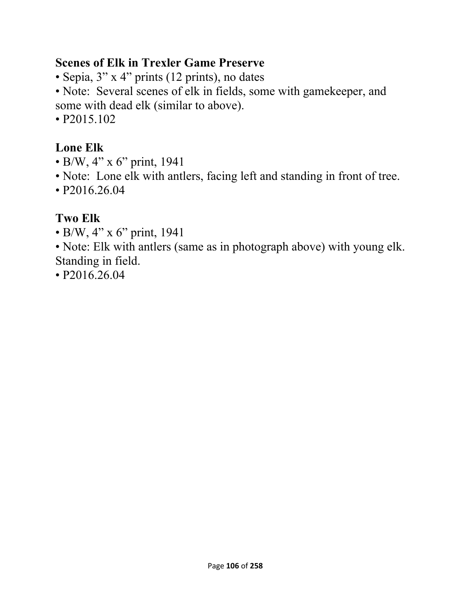#### **Scenes of Elk in Trexler Game Preserve**

- Sepia, 3" x 4" prints (12 prints), no dates
- Note: Several scenes of elk in fields, some with gamekeeper, and some with dead elk (similar to above).
- P2015.102

## **Lone Elk**

- B/W, 4" x 6" print, 1941
- Note: Lone elk with antlers, facing left and standing in front of tree.
- P2016.26.04

## **Two Elk**

• B/W, 4" x 6" print, 1941

• Note: Elk with antlers (same as in photograph above) with young elk. Standing in field.

• P2016.26.04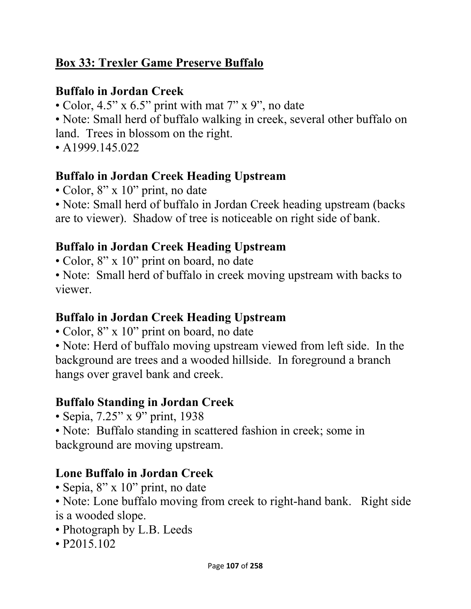### **Box 33: Trexler Game Preserve Buffalo**

### **Buffalo in Jordan Creek**

- Color, 4.5" x 6.5" print with mat 7" x 9", no date
- Note: Small herd of buffalo walking in creek, several other buffalo on
- land. Trees in blossom on the right.
- A  $1999.145.022$

### **Buffalo in Jordan Creek Heading Upstream**

- Color, 8" x 10" print, no date
- Note: Small herd of buffalo in Jordan Creek heading upstream (backs are to viewer). Shadow of tree is noticeable on right side of bank.

## **Buffalo in Jordan Creek Heading Upstream**

- Color, 8" x 10" print on board, no date
- Note: Small herd of buffalo in creek moving upstream with backs to viewer.

### **Buffalo in Jordan Creek Heading Upstream**

- Color, 8" x 10" print on board, no date
- Note: Herd of buffalo moving upstream viewed from left side. In the background are trees and a wooded hillside. In foreground a branch hangs over gravel bank and creek.

## **Buffalo Standing in Jordan Creek**

- Sepia, 7.25" x 9" print, 1938
- Note: Buffalo standing in scattered fashion in creek; some in background are moving upstream.

## **Lone Buffalo in Jordan Creek**

- Sepia, 8" x 10" print, no date
- Note: Lone buffalo moving from creek to right-hand bank. Right side is a wooded slope.
- Photograph by L.B. Leeds
- P2015.102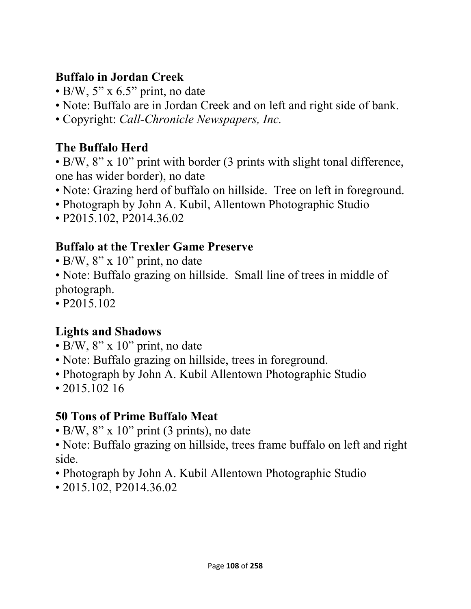## **Buffalo in Jordan Creek**

- $\bullet$  B/W, 5" x 6.5" print, no date
- Note: Buffalo are in Jordan Creek and on left and right side of bank.
- Copyright: *Call-Chronicle Newspapers, Inc.*

# **The Buffalo Herd**

- B/W, 8" x 10" print with border (3 prints with slight tonal difference, one has wider border), no date
- Note: Grazing herd of buffalo on hillside. Tree on left in foreground.
- Photograph by John A. Kubil, Allentown Photographic Studio
- P2015.102, P2014.36.02

# **Buffalo at the Trexler Game Preserve**

- B/W, 8" x 10" print, no date
- Note: Buffalo grazing on hillside. Small line of trees in middle of photograph.
- P2015.102

# **Lights and Shadows**

- B/W,  $8'' \times 10''$  print, no date
- Note: Buffalo grazing on hillside, trees in foreground.
- Photograph by John A. Kubil Allentown Photographic Studio
- 2015.102 16

# **50 Tons of Prime Buffalo Meat**

- B/W,  $8''$  x 10" print (3 prints), no date
- Note: Buffalo grazing on hillside, trees frame buffalo on left and right side.
- Photograph by John A. Kubil Allentown Photographic Studio
- 2015.102, P2014.36.02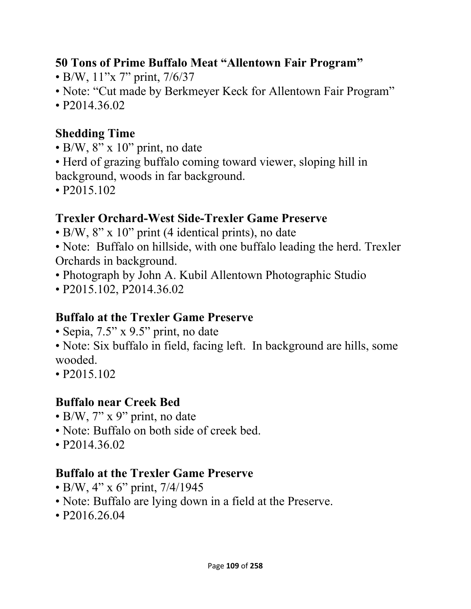## **50 Tons of Prime Buffalo Meat "Allentown Fair Program"**

- B/W, 11"x 7" print, 7/6/37
- Note: "Cut made by Berkmeyer Keck for Allentown Fair Program"
- P2014.36.02

# **Shedding Time**

- B/W,  $8'' \times 10''$  print, no date
- Herd of grazing buffalo coming toward viewer, sloping hill in background, woods in far background.
- P2015.102

## **Trexler Orchard-West Side-Trexler Game Preserve**

- B/W, 8" x 10" print (4 identical prints), no date
- Note: Buffalo on hillside, with one buffalo leading the herd. Trexler Orchards in background.
- Photograph by John A. Kubil Allentown Photographic Studio
- P2015.102, P2014.36.02

#### **Buffalo at the Trexler Game Preserve**

- Sepia, 7.5" x 9.5" print, no date
- Note: Six buffalo in field, facing left. In background are hills, some wooded.
- P2015.102

## **Buffalo near Creek Bed**

- B/W, 7" x 9" print, no date
- Note: Buffalo on both side of creek bed.
- P2014.36.02

## **Buffalo at the Trexler Game Preserve**

- B/W, 4" x 6" print, 7/4/1945
- Note: Buffalo are lying down in a field at the Preserve.
- P2016.26.04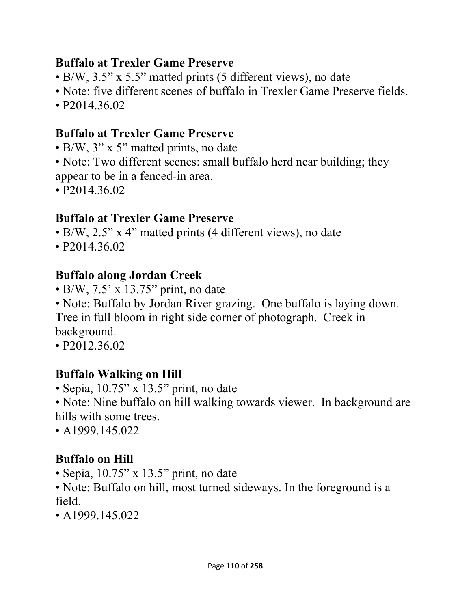#### **Buffalo at Trexler Game Preserve**

- B/W, 3.5" x 5.5" matted prints (5 different views), no date
- Note: five different scenes of buffalo in Trexler Game Preserve fields.
- P2014.36.02

#### **Buffalo at Trexler Game Preserve**

- B/W, 3" x 5" matted prints, no date
- Note: Two different scenes: small buffalo herd near building; they appear to be in a fenced-in area.
- P2014.36.02

#### **Buffalo at Trexler Game Preserve**

- B/W, 2.5" x 4" matted prints (4 different views), no date
- P2014.36.02

#### **Buffalo along Jordan Creek**

- $\bullet$  B/W, 7.5' x 13.75" print, no date
- Note: Buffalo by Jordan River grazing. One buffalo is laying down. Tree in full bloom in right side corner of photograph. Creek in

background.

• P2012.36.02

#### **Buffalo Walking on Hill**

- Sepia, 10.75" x 13.5" print, no date
- Note: Nine buffalo on hill walking towards viewer. In background are hills with some trees.
- A1999.145.022

#### **Buffalo on Hill**

- Sepia, 10.75" x 13.5" print, no date
- Note: Buffalo on hill, most turned sideways. In the foreground is a field.
- $\cdot$  A1999.145.022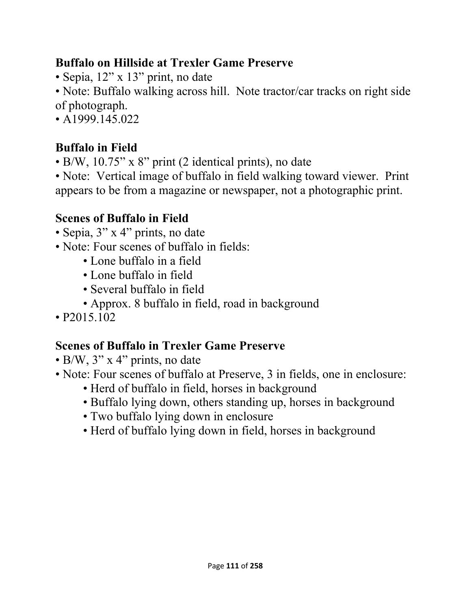#### **Buffalo on Hillside at Trexler Game Preserve**

• Sepia, 12" x 13" print, no date

• Note: Buffalo walking across hill. Note tractor/car tracks on right side of photograph.

• A 1999.145.022

# **Buffalo in Field**

• B/W, 10.75" x 8" print (2 identical prints), no date

• Note: Vertical image of buffalo in field walking toward viewer. Print appears to be from a magazine or newspaper, not a photographic print.

# **Scenes of Buffalo in Field**

- Sepia, 3" x 4" prints, no date
- Note: Four scenes of buffalo in fields:
	- Lone buffalo in a field
	- Lone buffalo in field
	- Several buffalo in field
	- Approx. 8 buffalo in field, road in background
- P2015.102

## **Scenes of Buffalo in Trexler Game Preserve**

- B/W, 3" x 4" prints, no date
- Note: Four scenes of buffalo at Preserve, 3 in fields, one in enclosure:
	- Herd of buffalo in field, horses in background
	- Buffalo lying down, others standing up, horses in background
	- Two buffalo lying down in enclosure
	- Herd of buffalo lying down in field, horses in background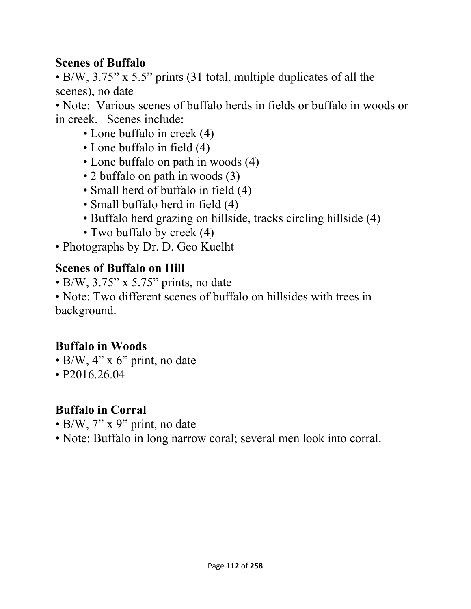#### **Scenes of Buffalo**

• B/W, 3.75" x 5.5" prints (31 total, multiple duplicates of all the scenes), no date

• Note: Various scenes of buffalo herds in fields or buffalo in woods or in creek. Scenes include:

- Lone buffalo in creek (4)
- Lone buffalo in field (4)
- Lone buffalo on path in woods (4)
- 2 buffalo on path in woods (3)
- Small herd of buffalo in field (4)
- Small buffalo herd in field (4)
- Buffalo herd grazing on hillside, tracks circling hillside (4)
- Two buffalo by creek (4)
- Photographs by Dr. D. Geo Kuelht

#### **Scenes of Buffalo on Hill**

• B/W, 3.75" x 5.75" prints, no date

• Note: Two different scenes of buffalo on hillsides with trees in background.

## **Buffalo in Woods**

- $\bullet$  B/W, 4" x 6" print, no date
- P2016.26.04

#### **Buffalo in Corral**

- B/W,  $7''$  x 9" print, no date
- Note: Buffalo in long narrow coral; several men look into corral.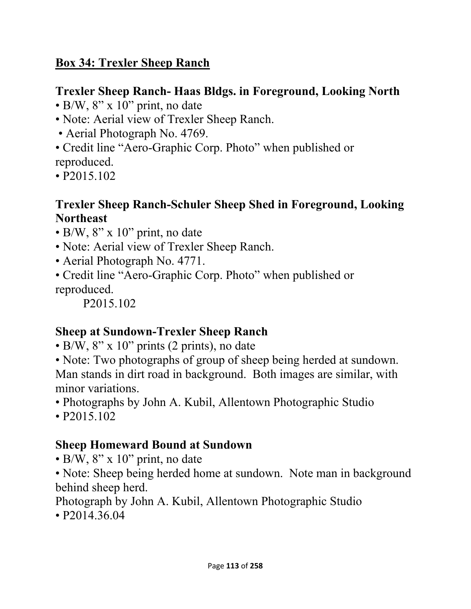## **Box 34: Trexler Sheep Ranch**

## **Trexler Sheep Ranch- Haas Bldgs. in Foreground, Looking North**

- $\cdot$  B/W, 8" x 10" print, no date
- Note: Aerial view of Trexler Sheep Ranch.
- Aerial Photograph No. 4769.
- Credit line "Aero-Graphic Corp. Photo" when published or
- reproduced.
- P2015.102

## **Trexler Sheep Ranch-Schuler Sheep Shed in Foreground, Looking Northeast**

- B/W, 8" x 10" print, no date
- Note: Aerial view of Trexler Sheep Ranch.
- Aerial Photograph No. 4771.
- Credit line "Aero-Graphic Corp. Photo" when published or reproduced.

P2015.102

## **Sheep at Sundown-Trexler Sheep Ranch**

- B/W, 8" x 10" prints (2 prints), no date
- Note: Two photographs of group of sheep being herded at sundown. Man stands in dirt road in background. Both images are similar, with minor variations.
- Photographs by John A. Kubil, Allentown Photographic Studio

• P2015.102

## **Sheep Homeward Bound at Sundown**

- $\cdot$  B/W, 8" x 10" print, no date
- Note: Sheep being herded home at sundown. Note man in background behind sheep herd.

Photograph by John A. Kubil, Allentown Photographic Studio

• P<sub>2014</sub>.36.04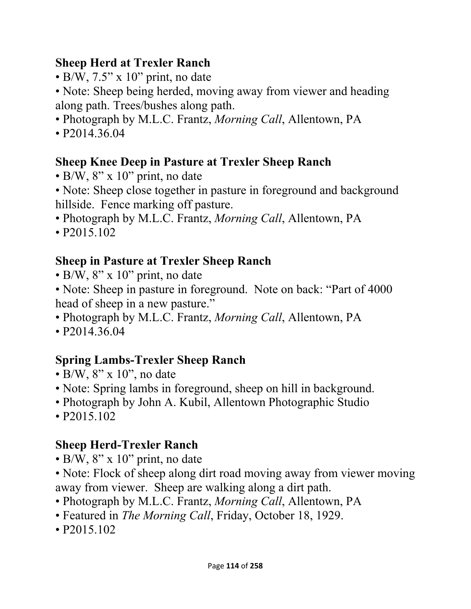## **Sheep Herd at Trexler Ranch**

- $\bullet$  B/W, 7.5" x 10" print, no date
- Note: Sheep being herded, moving away from viewer and heading along path. Trees/bushes along path.
- Photograph by M.L.C. Frantz, *Morning Call*, Allentown, PA
- P2014.36.04

# **Sheep Knee Deep in Pasture at Trexler Sheep Ranch**

- B/W,  $8'' \times 10''$  print, no date
- Note: Sheep close together in pasture in foreground and background hillside. Fence marking off pasture.
- Photograph by M.L.C. Frantz, *Morning Call*, Allentown, PA
- P2015.102

# **Sheep in Pasture at Trexler Sheep Ranch**

- B/W,  $8'' \times 10''$  print, no date
- Note: Sheep in pasture in foreground. Note on back: "Part of 4000" head of sheep in a new pasture."
- Photograph by M.L.C. Frantz, *Morning Call*, Allentown, PA
- P2014.36.04

# **Spring Lambs-Trexler Sheep Ranch**

- B/W,  $8$ " x 10", no date
- Note: Spring lambs in foreground, sheep on hill in background.
- Photograph by John A. Kubil, Allentown Photographic Studio
- P2015.102

# **Sheep Herd-Trexler Ranch**

- B/W,  $8'' \times 10''$  print, no date
- Note: Flock of sheep along dirt road moving away from viewer moving away from viewer. Sheep are walking along a dirt path.
- Photograph by M.L.C. Frantz, *Morning Call*, Allentown, PA
- Featured in *The Morning Call*, Friday, October 18, 1929.
- P2015.102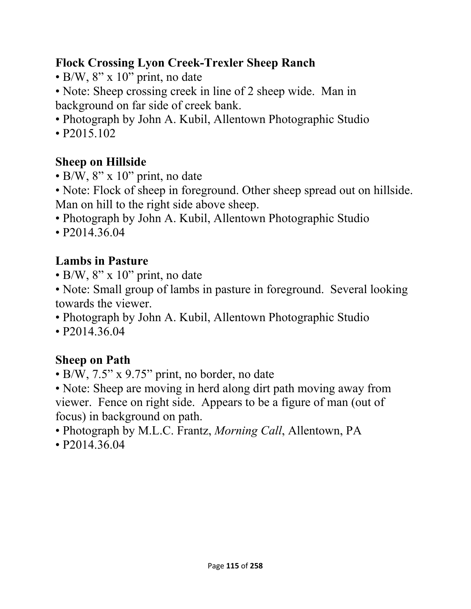## **Flock Crossing Lyon Creek-Trexler Sheep Ranch**

- B/W, 8" x 10" print, no date
- Note: Sheep crossing creek in line of 2 sheep wide. Man in background on far side of creek bank.
- Photograph by John A. Kubil, Allentown Photographic Studio
- P2015.102

# **Sheep on Hillside**

- B/W, 8" x 10" print, no date
- Note: Flock of sheep in foreground. Other sheep spread out on hillside. Man on hill to the right side above sheep.
- Photograph by John A. Kubil, Allentown Photographic Studio
- P2014.36.04

# **Lambs in Pasture**

- $\cdot$  B/W, 8" x 10" print, no date
- Note: Small group of lambs in pasture in foreground. Several looking towards the viewer.
- Photograph by John A. Kubil, Allentown Photographic Studio
- P2014.36.04

# **Sheep on Path**

- B/W, 7.5" x 9.75" print, no border, no date
- Note: Sheep are moving in herd along dirt path moving away from viewer. Fence on right side. Appears to be a figure of man (out of focus) in background on path.
- Photograph by M.L.C. Frantz, *Morning Call*, Allentown, PA
- P2014.36.04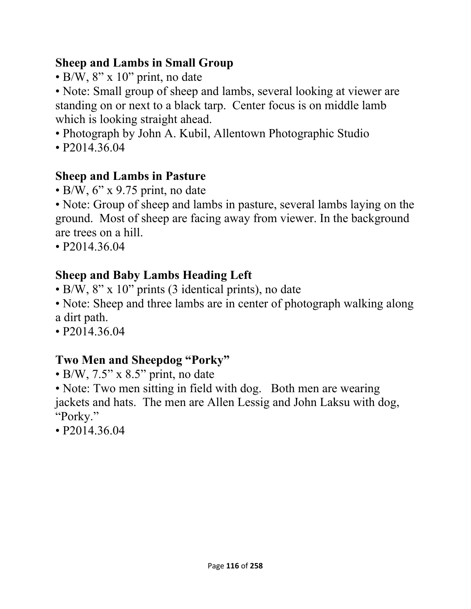## **Sheep and Lambs in Small Group**

• B/W, 8" x 10" print, no date

• Note: Small group of sheep and lambs, several looking at viewer are standing on or next to a black tarp. Center focus is on middle lamb which is looking straight ahead.

- Photograph by John A. Kubil, Allentown Photographic Studio
- P2014.36.04

# **Sheep and Lambs in Pasture**

 $\cdot$  B/W, 6" x 9.75 print, no date

• Note: Group of sheep and lambs in pasture, several lambs laying on the ground. Most of sheep are facing away from viewer. In the background are trees on a hill.

• P2014.36.04

# **Sheep and Baby Lambs Heading Left**

- B/W, 8" x 10" prints (3 identical prints), no date
- Note: Sheep and three lambs are in center of photograph walking along a dirt path.
- P2014.36.04

# **Two Men and Sheepdog "Porky"**

- $\cdot$  B/W, 7.5" x 8.5" print, no date
- Note: Two men sitting in field with dog. Both men are wearing jackets and hats. The men are Allen Lessig and John Laksu with dog, "Porky."
- P2014.36.04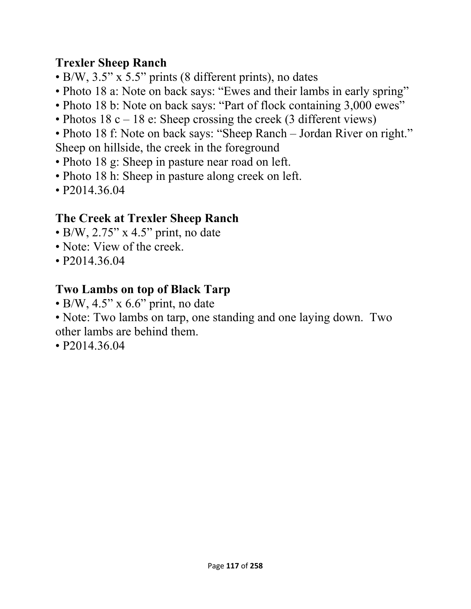## **Trexler Sheep Ranch**

- B/W, 3.5" x 5.5" prints (8 different prints), no dates
- Photo 18 a: Note on back says: "Ewes and their lambs in early spring"
- Photo 18 b: Note on back says: "Part of flock containing 3,000 ewes"
- Photos 18 c 18 e: Sheep crossing the creek (3 different views)
- Photo 18 f: Note on back says: "Sheep Ranch Jordan River on right." Sheep on hillside, the creek in the foreground
- Photo 18 g: Sheep in pasture near road on left.
- Photo 18 h: Sheep in pasture along creek on left.
- P2014.36.04

## **The Creek at Trexler Sheep Ranch**

- $\bullet$  B/W, 2.75" x 4.5" print, no date
- Note: View of the creek.
- P2014.36.04

## **Two Lambs on top of Black Tarp**

- $\cdot$  B/W, 4.5" x 6.6" print, no date
- Note: Two lambs on tarp, one standing and one laying down. Two other lambs are behind them.
- P2014.36.04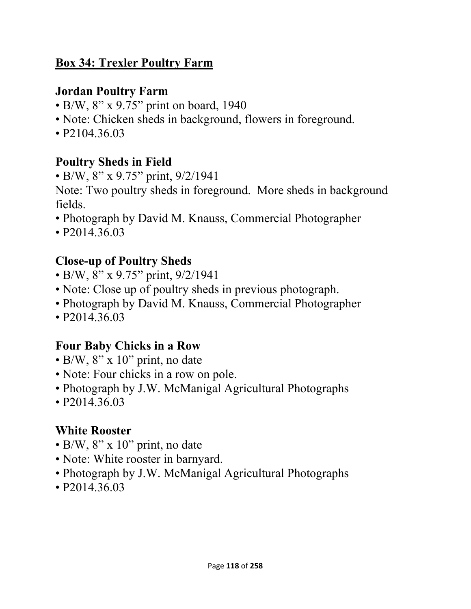#### **Box 34: Trexler Poultry Farm**

#### **Jordan Poultry Farm**

- B/W, 8" x 9.75" print on board, 1940
- Note: Chicken sheds in background, flowers in foreground.
- P<sub>2</sub>104.36.03

# **Poultry Sheds in Field**

• B/W, 8" x 9.75" print, 9/2/1941

Note: Two poultry sheds in foreground. More sheds in background fields.

- Photograph by David M. Knauss, Commercial Photographer
- P2014.36.03

# **Close-up of Poultry Sheds**

- B/W, 8" x 9.75" print, 9/2/1941
- Note: Close up of poultry sheds in previous photograph.
- Photograph by David M. Knauss, Commercial Photographer
- P2014.36.03

# **Four Baby Chicks in a Row**

- $\cdot$  B/W, 8" x 10" print, no date
- Note: Four chicks in a row on pole.
- Photograph by J.W. McManigal Agricultural Photographs
- P2014.36.03

# **White Rooster**

- $\cdot$  B/W, 8" x 10" print, no date
- Note: White rooster in barnyard.
- Photograph by J.W. McManigal Agricultural Photographs
- P2014.36.03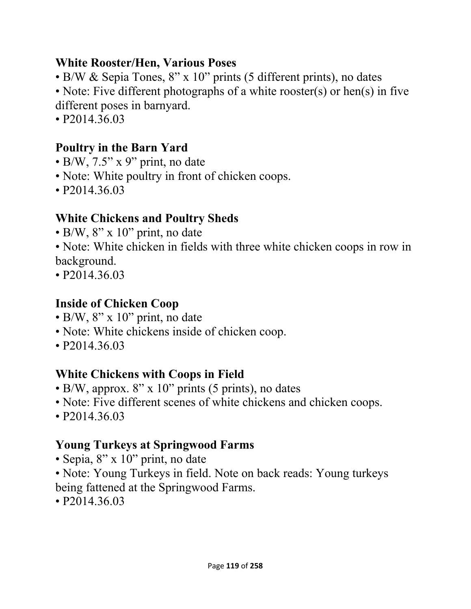#### **White Rooster/Hen, Various Poses**

- B/W & Sepia Tones, 8" x 10" prints (5 different prints), no dates
- Note: Five different photographs of a white rooster(s) or hen(s) in five different poses in barnyard.
- P2014.36.03

## **Poultry in the Barn Yard**

- $\cdot$  B/W, 7.5" x 9" print, no date
- Note: White poultry in front of chicken coops.
- P2014.36.03

#### **White Chickens and Poultry Sheds**

- $\cdot$  B/W, 8" x 10" print, no date
- Note: White chicken in fields with three white chicken coops in row in background.
- P2014.36.03

#### **Inside of Chicken Coop**

- B/W,  $8'' \times 10''$  print, no date
- Note: White chickens inside of chicken coop.
- P2014.36.03

## **White Chickens with Coops in Field**

- B/W, approx. 8" x 10" prints (5 prints), no dates
- Note: Five different scenes of white chickens and chicken coops.
- P2014.36.03

## **Young Turkeys at Springwood Farms**

- Sepia, 8" x 10" print, no date
- Note: Young Turkeys in field. Note on back reads: Young turkeys being fattened at the Springwood Farms.
- P2014.36.03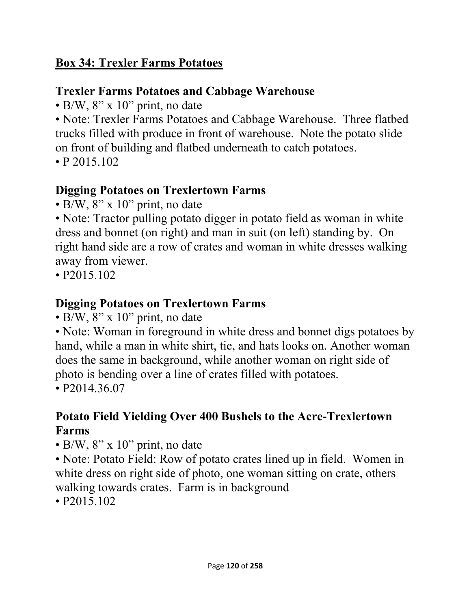#### **Box 34: Trexler Farms Potatoes**

#### **Trexler Farms Potatoes and Cabbage Warehouse**

• B/W,  $8'' \times 10''$  print, no date

• Note: Trexler Farms Potatoes and Cabbage Warehouse. Three flatbed trucks filled with produce in front of warehouse. Note the potato slide on front of building and flatbed underneath to catch potatoes.

• P 2015.102

## **Digging Potatoes on Trexlertown Farms**

 $\cdot$  B/W, 8" x 10" print, no date

• Note: Tractor pulling potato digger in potato field as woman in white dress and bonnet (on right) and man in suit (on left) standing by. On right hand side are a row of crates and woman in white dresses walking away from viewer.

• P2015.102

# **Digging Potatoes on Trexlertown Farms**

• B/W,  $8'' \times 10''$  print, no date

• Note: Woman in foreground in white dress and bonnet digs potatoes by hand, while a man in white shirt, tie, and hats looks on. Another woman does the same in background, while another woman on right side of photo is bending over a line of crates filled with potatoes.

• P2014.36.07

# **Potato Field Yielding Over 400 Bushels to the Acre-Trexlertown Farms**

 $\cdot$  B/W, 8" x 10" print, no date

• Note: Potato Field: Row of potato crates lined up in field. Women in white dress on right side of photo, one woman sitting on crate, others walking towards crates. Farm is in background

• P2015.102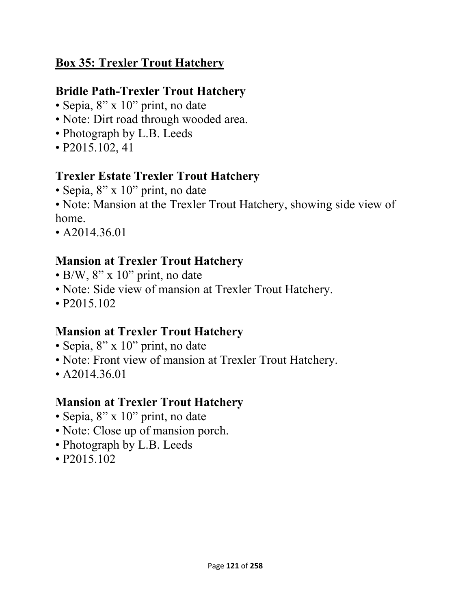## **Box 35: Trexler Trout Hatchery**

## **Bridle Path-Trexler Trout Hatchery**

- Sepia, 8" x 10" print, no date
- Note: Dirt road through wooded area.
- Photograph by L.B. Leeds
- P2015.102, 41

#### **Trexler Estate Trexler Trout Hatchery**

- Sepia, 8" x 10" print, no date
- Note: Mansion at the Trexler Trout Hatchery, showing side view of home.
- A2014.36.01

# **Mansion at Trexler Trout Hatchery**

- $\cdot$  B/W, 8" x 10" print, no date
- Note: Side view of mansion at Trexler Trout Hatchery.
- P2015.102

## **Mansion at Trexler Trout Hatchery**

- Sepia, 8" x 10" print, no date
- Note: Front view of mansion at Trexler Trout Hatchery.
- A2014.36.01

# **Mansion at Trexler Trout Hatchery**

- Sepia, 8" x 10" print, no date
- Note: Close up of mansion porch.
- Photograph by L.B. Leeds
- P2015.102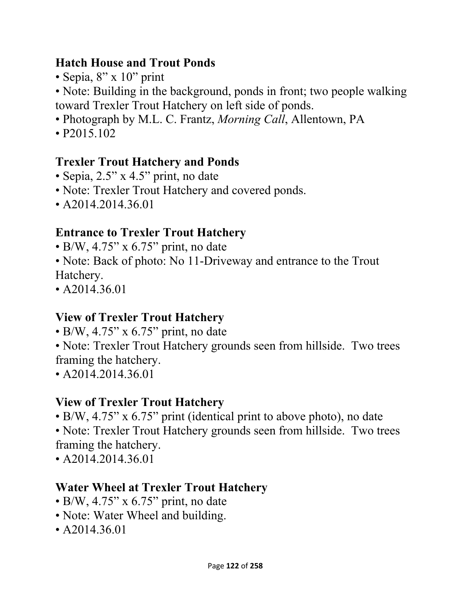#### **Hatch House and Trout Ponds**

• Sepia, 8" x 10" print

• Note: Building in the background, ponds in front; two people walking toward Trexler Trout Hatchery on left side of ponds.

- Photograph by M.L. C. Frantz, *Morning Call*, Allentown, PA
- P2015.102

# **Trexler Trout Hatchery and Ponds**

- Sepia, 2.5" x 4.5" print, no date
- Note: Trexler Trout Hatchery and covered ponds.
- A2014.2014.36.01

# **Entrance to Trexler Trout Hatchery**

- B/W, 4.75" x  $6.75$ " print, no date
- Note: Back of photo: No 11-Driveway and entrance to the Trout Hatchery.
- A2014.36.01

# **View of Trexler Trout Hatchery**

- $\bullet$  B/W, 4.75" x 6.75" print, no date
- Note: Trexler Trout Hatchery grounds seen from hillside. Two trees framing the hatchery.
- A2014.2014.36.01

# **View of Trexler Trout Hatchery**

• B/W, 4.75" x 6.75" print (identical print to above photo), no date

• Note: Trexler Trout Hatchery grounds seen from hillside. Two trees framing the hatchery.

• A2014.2014.36.01

# **Water Wheel at Trexler Trout Hatchery**

- $\bullet$  B/W, 4.75" x 6.75" print, no date
- Note: Water Wheel and building.
- A2014.36.01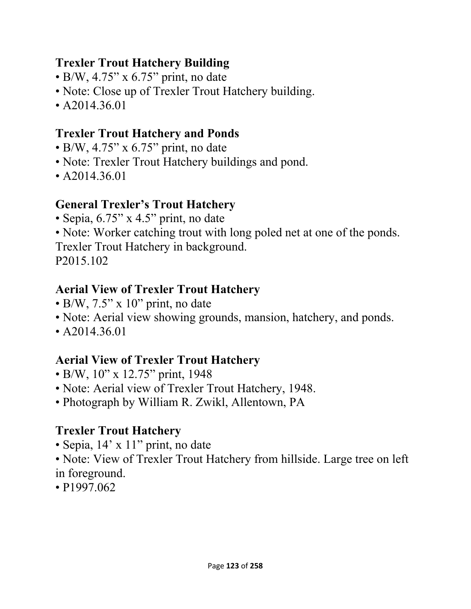## **Trexler Trout Hatchery Building**

- $\bullet$  B/W, 4.75" x 6.75" print, no date
- Note: Close up of Trexler Trout Hatchery building.
- A2014.36.01

## **Trexler Trout Hatchery and Ponds**

- $\bullet$  B/W, 4.75" x 6.75" print, no date
- Note: Trexler Trout Hatchery buildings and pond.
- A2014.36.01

## **General Trexler's Trout Hatchery**

- Sepia, 6.75" x 4.5" print, no date
- Note: Worker catching trout with long poled net at one of the ponds.

Trexler Trout Hatchery in background.

P2015.102

#### **Aerial View of Trexler Trout Hatchery**

- $\bullet$  B/W, 7.5" x 10" print, no date
- Note: Aerial view showing grounds, mansion, hatchery, and ponds.
- A2014.36.01

# **Aerial View of Trexler Trout Hatchery**

- B/W, 10" x 12.75" print, 1948
- Note: Aerial view of Trexler Trout Hatchery, 1948.
- Photograph by William R. Zwikl, Allentown, PA

# **Trexler Trout Hatchery**

- Sepia, 14' x 11" print, no date
- Note: View of Trexler Trout Hatchery from hillside. Large tree on left in foreground.
- P1997.062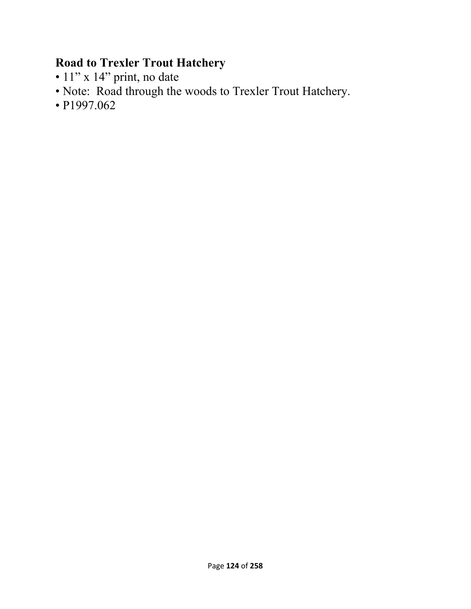## **Road to Trexler Trout Hatchery**

- 11" x 14" print, no date
- Note: Road through the woods to Trexler Trout Hatchery.
- P1997.062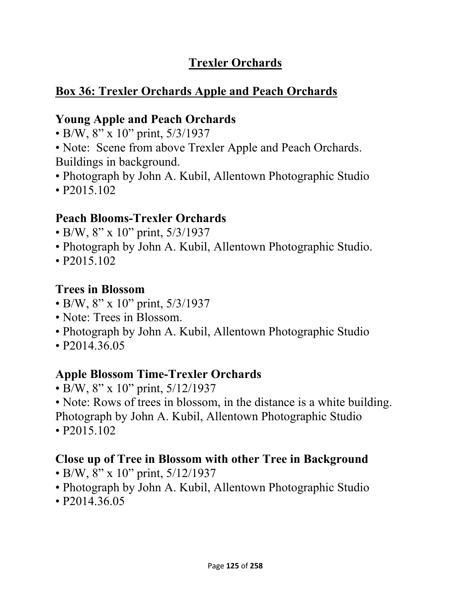# **Trexler Orchards**

# **Box 36: Trexler Orchards Apple and Peach Orchards**

## **Young Apple and Peach Orchards**

- B/W, 8" x 10" print, 5/3/1937
- Note: Scene from above Trexler Apple and Peach Orchards. Buildings in background.
- Photograph by John A. Kubil, Allentown Photographic Studio
- P2015.102

## **Peach Blooms-Trexler Orchards**

- B/W, 8" x 10" print, 5/3/1937
- Photograph by John A. Kubil, Allentown Photographic Studio.
- P2015.102

# **Trees in Blossom**

- B/W, 8" x 10" print, 5/3/1937
- Note: Trees in Blossom.
- Photograph by John A. Kubil, Allentown Photographic Studio
- P<sub>2014</sub>.36.05

## **Apple Blossom Time-Trexler Orchards**

- B/W, 8" x 10" print, 5/12/1937
- Note: Rows of trees in blossom, in the distance is a white building.
- Photograph by John A. Kubil, Allentown Photographic Studio • P2015.102

# **Close up of Tree in Blossom with other Tree in Background**

- B/W, 8" x 10" print, 5/12/1937
- Photograph by John A. Kubil, Allentown Photographic Studio
- P<sub>2014</sub>.36.05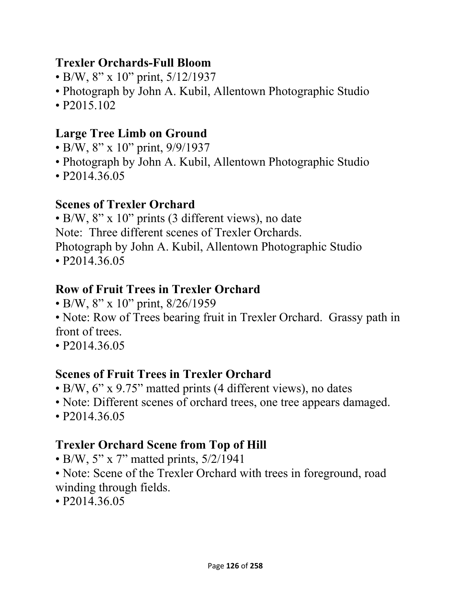#### **Trexler Orchards-Full Bloom**

- B/W, 8" x 10" print, 5/12/1937
- Photograph by John A. Kubil, Allentown Photographic Studio
- P2015.102

#### **Large Tree Limb on Ground**

- B/W, 8" x 10" print, 9/9/1937
- Photograph by John A. Kubil, Allentown Photographic Studio
- P2014.36.05

#### **Scenes of Trexler Orchard**

• B/W, 8" x 10" prints (3 different views), no date Note: Three different scenes of Trexler Orchards. Photograph by John A. Kubil, Allentown Photographic Studio • P<sub>2014</sub>.36.05

#### **Row of Fruit Trees in Trexler Orchard**

- B/W, 8" x 10" print, 8/26/1959
- Note: Row of Trees bearing fruit in Trexler Orchard. Grassy path in front of trees.
- P2014.36.05

#### **Scenes of Fruit Trees in Trexler Orchard**

- B/W, 6" x 9.75" matted prints (4 different views), no dates
- Note: Different scenes of orchard trees, one tree appears damaged.
- P2014.36.05

## **Trexler Orchard Scene from Top of Hill**

- B/W, 5" x 7" matted prints, 5/2/1941
- Note: Scene of the Trexler Orchard with trees in foreground, road winding through fields.
- P2014.36.05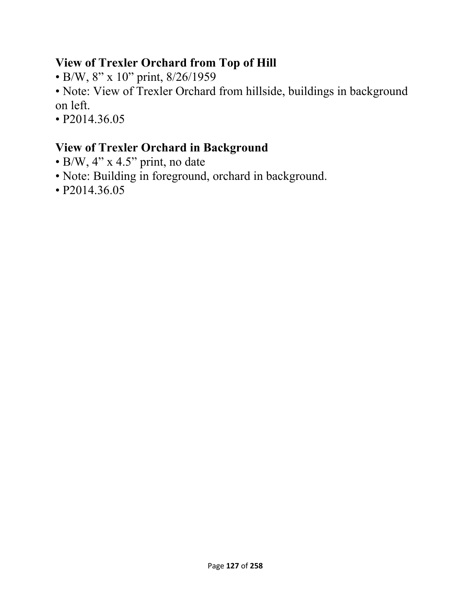#### **View of Trexler Orchard from Top of Hill**

- B/W, 8" x 10" print, 8/26/1959
- Note: View of Trexler Orchard from hillside, buildings in background on left.
- P2014.36.05

# **View of Trexler Orchard in Background**

- B/W, 4" x 4.5" print, no date
- Note: Building in foreground, orchard in background.
- P2014.36.05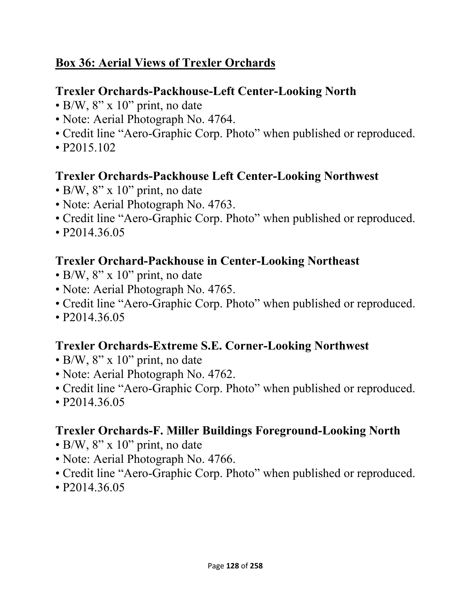## **Box 36: Aerial Views of Trexler Orchards**

## **Trexler Orchards-Packhouse-Left Center-Looking North**

- B/W, 8" x 10" print, no date
- Note: Aerial Photograph No. 4764.
- Credit line "Aero-Graphic Corp. Photo" when published or reproduced.
- P2015.102

## **Trexler Orchards-Packhouse Left Center-Looking Northwest**

- B/W,  $8$ " x 10" print, no date
- Note: Aerial Photograph No. 4763.
- Credit line "Aero-Graphic Corp. Photo" when published or reproduced.
- P2014.36.05

#### **Trexler Orchard-Packhouse in Center-Looking Northeast**

- B/W,  $8'' \times 10''$  print, no date
- Note: Aerial Photograph No. 4765.
- Credit line "Aero-Graphic Corp. Photo" when published or reproduced.
- P<sub>2014.36.05</sub>

#### **Trexler Orchards-Extreme S.E. Corner-Looking Northwest**

- B/W,  $8'' \times 10''$  print, no date
- Note: Aerial Photograph No. 4762.
- Credit line "Aero-Graphic Corp. Photo" when published or reproduced.
- P<sub>2014.36.05</sub>

## **Trexler Orchards-F. Miller Buildings Foreground-Looking North**

- $\cdot$  B/W, 8" x 10" print, no date
- Note: Aerial Photograph No. 4766.
- Credit line "Aero-Graphic Corp. Photo" when published or reproduced.
- P2014.36.05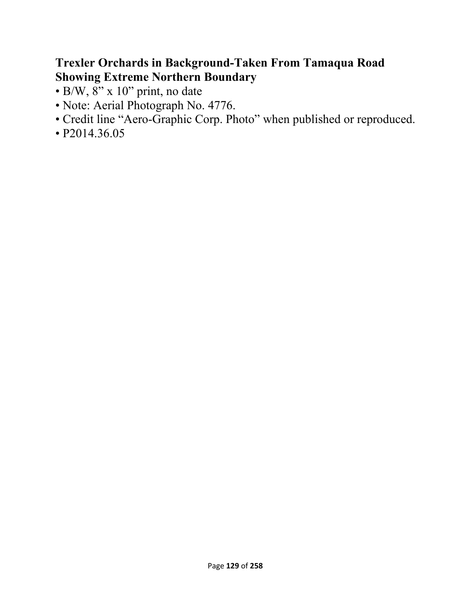#### **Trexler Orchards in Background-Taken From Tamaqua Road Showing Extreme Northern Boundary**

- $\cdot$  B/W,  $8$ " x 10" print, no date
- Note: Aerial Photograph No. 4776.
- Credit line "Aero-Graphic Corp. Photo" when published or reproduced.
- P2014.36.05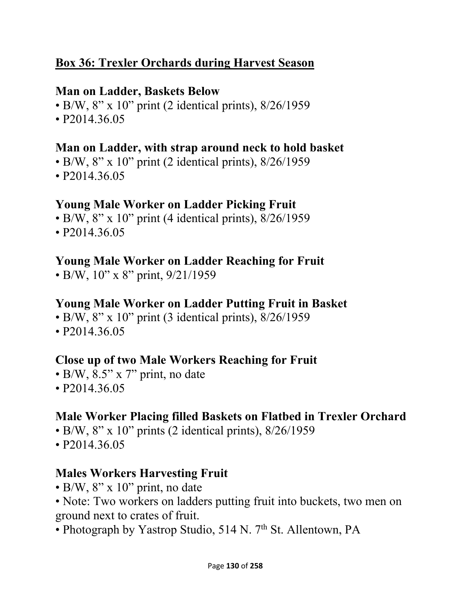## **Box 36: Trexler Orchards during Harvest Season**

#### **Man on Ladder, Baskets Below**

- B/W,  $8''$  x 10" print (2 identical prints),  $8/26/1959$
- P2014.36.05

#### **Man on Ladder, with strap around neck to hold basket**

- $\bullet$  B/W, 8" x 10" print (2 identical prints), 8/26/1959
- P2014.36.05

#### **Young Male Worker on Ladder Picking Fruit**

- B/W, 8" x 10" print (4 identical prints), 8/26/1959
- P2014.36.05

#### **Young Male Worker on Ladder Reaching for Fruit**

• B/W,  $10''$  x 8" print,  $9/21/1959$ 

#### **Young Male Worker on Ladder Putting Fruit in Basket**

- B/W,  $8''$  x 10" print (3 identical prints),  $8/26/1959$
- P2014.36.05

#### **Close up of two Male Workers Reaching for Fruit**

- B/W, 8.5" x 7" print, no date
- P2014.36.05

## **Male Worker Placing filled Baskets on Flatbed in Trexler Orchard**

- B/W,  $8''$  x 10" prints (2 identical prints),  $8/26/1959$
- P2014.36.05

## **Males Workers Harvesting Fruit**

- $\cdot$  B/W, 8" x 10" print, no date
- Note: Two workers on ladders putting fruit into buckets, two men on ground next to crates of fruit.
- Photograph by Yastrop Studio, 514 N.  $7<sup>th</sup>$  St. Allentown, PA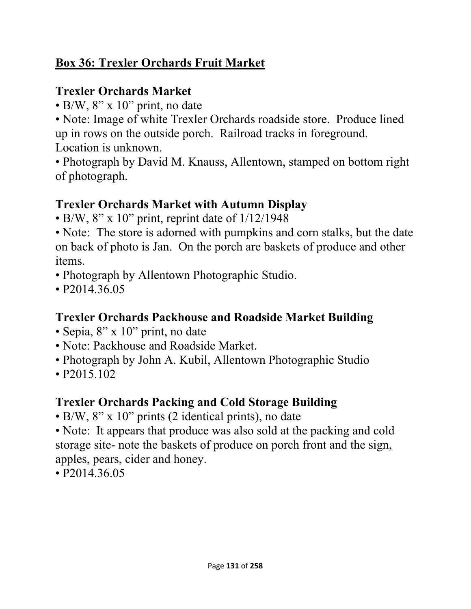## **Box 36: Trexler Orchards Fruit Market**

# **Trexler Orchards Market**

• B/W,  $8'' \times 10''$  print, no date

• Note: Image of white Trexler Orchards roadside store. Produce lined up in rows on the outside porch. Railroad tracks in foreground. Location is unknown.

• Photograph by David M. Knauss, Allentown, stamped on bottom right of photograph.

# **Trexler Orchards Market with Autumn Display**

• B/W,  $8$ " x 10" print, reprint date of  $1/12/1948$ 

• Note: The store is adorned with pumpkins and corn stalks, but the date on back of photo is Jan. On the porch are baskets of produce and other items.

- Photograph by Allentown Photographic Studio.
- P<sub>2014</sub>.36.05

# **Trexler Orchards Packhouse and Roadside Market Building**

- Sepia, 8" x 10" print, no date
- Note: Packhouse and Roadside Market.
- Photograph by John A. Kubil, Allentown Photographic Studio
- P2015.102

# **Trexler Orchards Packing and Cold Storage Building**

- B/W, 8" x 10" prints (2 identical prints), no date
- Note: It appears that produce was also sold at the packing and cold storage site- note the baskets of produce on porch front and the sign, apples, pears, cider and honey.
- P<sub>2014.36.05</sub>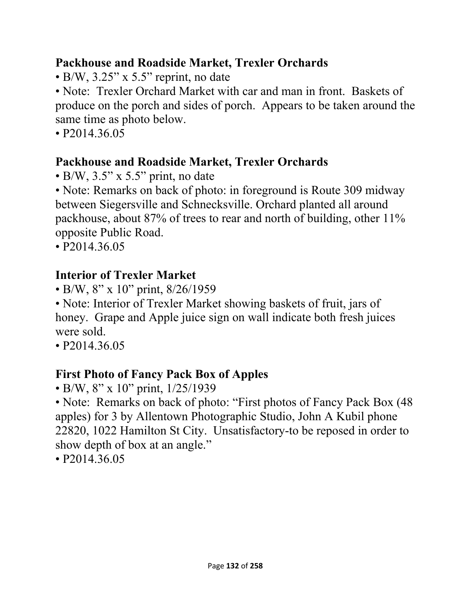#### **Packhouse and Roadside Market, Trexler Orchards**

• B/W, 3.25" x 5.5" reprint, no date

• Note: Trexler Orchard Market with car and man in front. Baskets of produce on the porch and sides of porch. Appears to be taken around the same time as photo below.

• P<sub>2014.36.05</sub>

# **Packhouse and Roadside Market, Trexler Orchards**

 $\cdot$  B/W, 3.5" x 5.5" print, no date

• Note: Remarks on back of photo: in foreground is Route 309 midway between Siegersville and Schnecksville. Orchard planted all around packhouse, about 87% of trees to rear and north of building, other 11% opposite Public Road.

• P2014.36.05

# **Interior of Trexler Market**

• B/W, 8" x 10" print, 8/26/1959

• Note: Interior of Trexler Market showing baskets of fruit, jars of honey. Grape and Apple juice sign on wall indicate both fresh juices were sold.

• P<sub>2014</sub>.36.05

# **First Photo of Fancy Pack Box of Apples**

• B/W, 8" x 10" print, 1/25/1939

• Note: Remarks on back of photo: "First photos of Fancy Pack Box (48) apples) for 3 by Allentown Photographic Studio, John A Kubil phone 22820, 1022 Hamilton St City. Unsatisfactory-to be reposed in order to show depth of box at an angle."

• P2014.36.05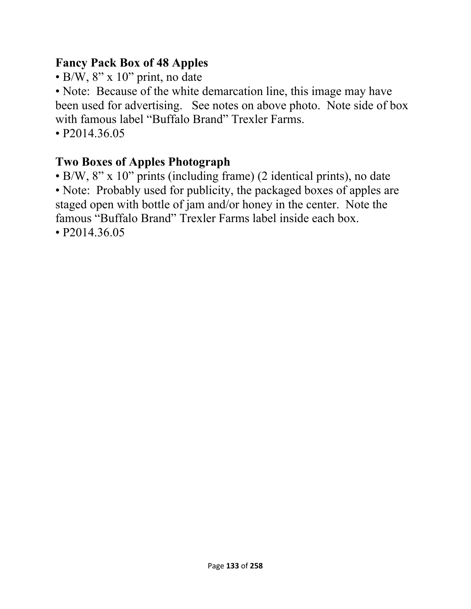## **Fancy Pack Box of 48 Apples**

 $\cdot$  B/W, 8" x 10" print, no date

• Note: Because of the white demarcation line, this image may have been used for advertising. See notes on above photo. Note side of box with famous label "Buffalo Brand" Trexler Farms.

• P<sub>2014.36.05</sub>

# **Two Boxes of Apples Photograph**

• B/W, 8" x 10" prints (including frame) (2 identical prints), no date • Note: Probably used for publicity, the packaged boxes of apples are staged open with bottle of jam and/or honey in the center. Note the famous "Buffalo Brand" Trexler Farms label inside each box. • P2014.36.05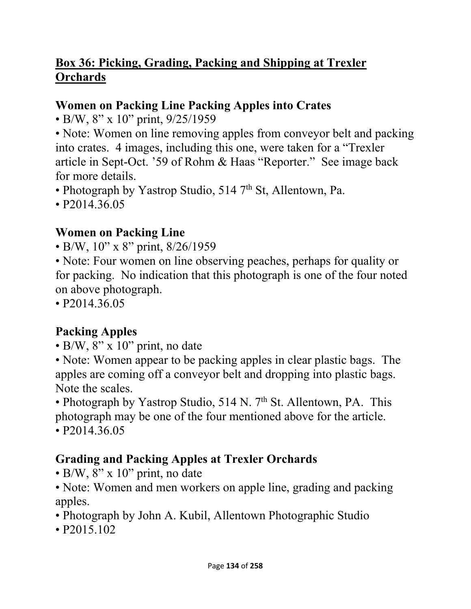## **Box 36: Picking, Grading, Packing and Shipping at Trexler Orchards**

#### **Women on Packing Line Packing Apples into Crates**

• B/W, 8" x 10" print, 9/25/1959

• Note: Women on line removing apples from conveyor belt and packing into crates. 4 images, including this one, were taken for a "Trexler article in Sept-Oct. '59 of Rohm & Haas "Reporter." See image back for more details.

• Photograph by Yastrop Studio,  $514$  7<sup>th</sup> St, Allentown, Pa.

• P2014.36.05

# **Women on Packing Line**

• B/W, 10" x 8" print, 8/26/1959

• Note: Four women on line observing peaches, perhaps for quality or for packing. No indication that this photograph is one of the four noted on above photograph.

• P2014.36.05

# **Packing Apples**

• B/W, 8" x 10" print, no date

• Note: Women appear to be packing apples in clear plastic bags. The apples are coming off a conveyor belt and dropping into plastic bags. Note the scales.

• Photograph by Yastrop Studio,  $514$  N.  $7<sup>th</sup>$  St. Allentown, PA. This photograph may be one of the four mentioned above for the article. • P<sub>2014.36.05</sub>

# **Grading and Packing Apples at Trexler Orchards**

• B/W,  $8'' \times 10''$  print, no date

• Note: Women and men workers on apple line, grading and packing apples.

- Photograph by John A. Kubil, Allentown Photographic Studio
- P2015.102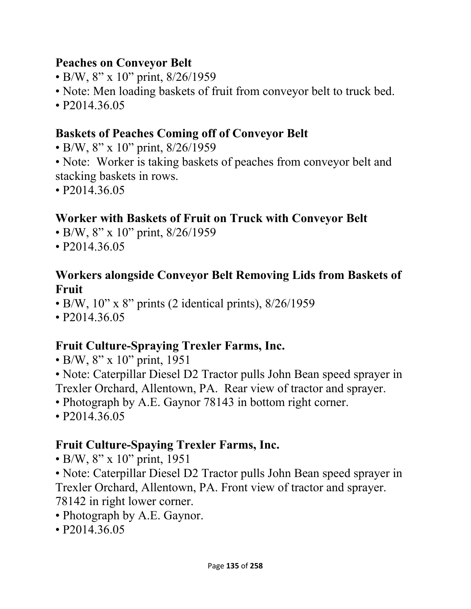#### **Peaches on Conveyor Belt**

- B/W, 8" x 10" print, 8/26/1959
- Note: Men loading baskets of fruit from conveyor belt to truck bed.
- P2014.36.05

#### **Baskets of Peaches Coming off of Conveyor Belt**

- B/W, 8" x 10" print, 8/26/1959
- Note: Worker is taking baskets of peaches from conveyor belt and stacking baskets in rows.
- P2014.36.05

#### **Worker with Baskets of Fruit on Truck with Conveyor Belt**

- B/W, 8" x 10" print, 8/26/1959
- P2014.36.05

#### **Workers alongside Conveyor Belt Removing Lids from Baskets of Fruit**

- B/W,  $10$ " x 8" prints (2 identical prints),  $8/26/1959$
- P<sub>2014.36.05</sub>

#### **Fruit Culture-Spraying Trexler Farms, Inc.**

• B/W, 8" x 10" print, 1951

• Note: Caterpillar Diesel D2 Tractor pulls John Bean speed sprayer in Trexler Orchard, Allentown, PA. Rear view of tractor and sprayer.

- Photograph by A.E. Gaynor 78143 in bottom right corner.
- P2014.36.05

#### **Fruit Culture-Spaying Trexler Farms, Inc.**

- B/W, 8" x 10" print, 1951
- Note: Caterpillar Diesel D2 Tractor pulls John Bean speed sprayer in Trexler Orchard, Allentown, PA. Front view of tractor and sprayer. 78142 in right lower corner.
- Photograph by A.E. Gaynor.
- P2014.36.05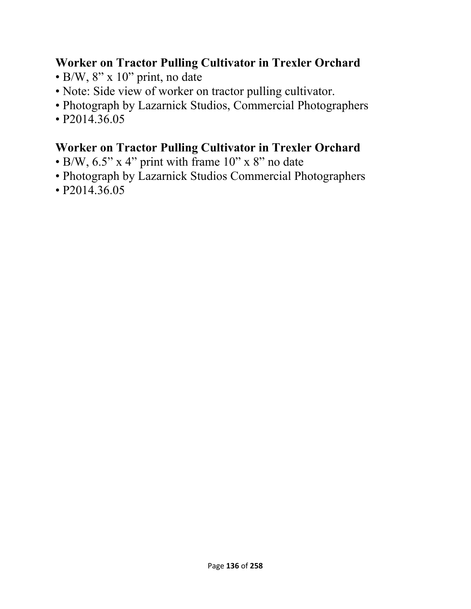#### **Worker on Tractor Pulling Cultivator in Trexler Orchard**

- B/W, 8" x 10" print, no date
- Note: Side view of worker on tractor pulling cultivator.
- Photograph by Lazarnick Studios, Commercial Photographers
- P2014.36.05

## **Worker on Tractor Pulling Cultivator in Trexler Orchard**

- B/W,  $6.5$ " x 4" print with frame  $10$ " x 8" no date
- Photograph by Lazarnick Studios Commercial Photographers
- P2014.36.05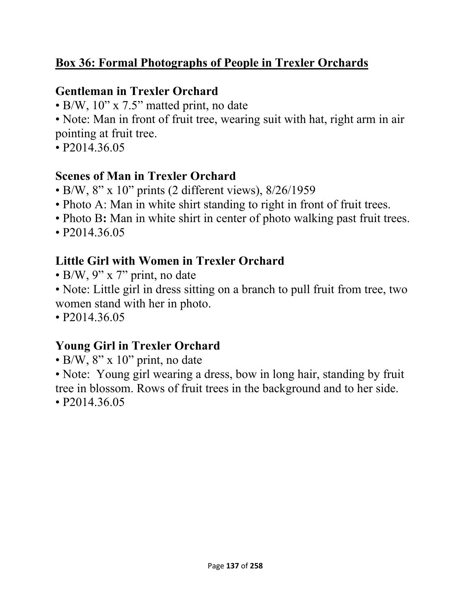## **Box 36: Formal Photographs of People in Trexler Orchards**

#### **Gentleman in Trexler Orchard**

• B/W, 10" x 7.5" matted print, no date

• Note: Man in front of fruit tree, wearing suit with hat, right arm in air pointing at fruit tree.

• P2014.36.05

#### **Scenes of Man in Trexler Orchard**

- $\bullet$  B/W, 8" x 10" prints (2 different views), 8/26/1959
- Photo A: Man in white shirt standing to right in front of fruit trees.
- Photo B: Man in white shirt in center of photo walking past fruit trees.
- P2014.36.05

# **Little Girl with Women in Trexler Orchard**

- B/W, 9" x 7" print, no date
- Note: Little girl in dress sitting on a branch to pull fruit from tree, two women stand with her in photo.
- P2014.36.05

# **Young Girl in Trexler Orchard**

 $\cdot$  B/W, 8" x 10" print, no date

• Note: Young girl wearing a dress, bow in long hair, standing by fruit tree in blossom. Rows of fruit trees in the background and to her side.

• P<sub>2014.36.05</sub>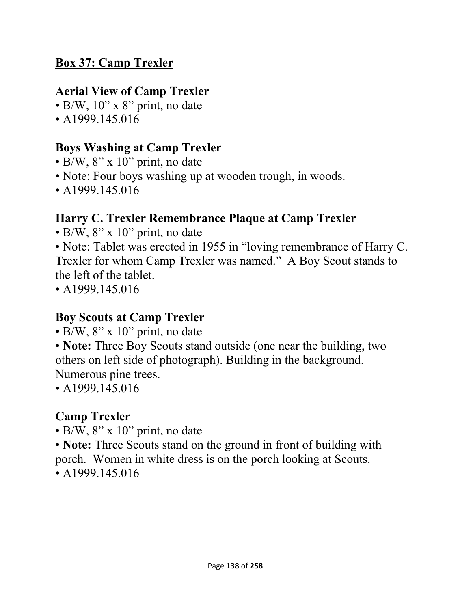#### **Box 37: Camp Trexler**

#### **Aerial View of Camp Trexler**

- B/W, 10" x 8" print, no date
- A 1999.145.016

## **Boys Washing at Camp Trexler**

- B/W, 8" x 10" print, no date
- Note: Four boys washing up at wooden trough, in woods.
- A1999.145.016

# **Harry C. Trexler Remembrance Plaque at Camp Trexler**

• B/W, 8" x 10" print, no date

• Note: Tablet was erected in 1955 in "loving remembrance of Harry C. Trexler for whom Camp Trexler was named." A Boy Scout stands to the left of the tablet.

• A1999.145.016

#### **Boy Scouts at Camp Trexler**

 $\cdot$  B/W, 8" x 10" print, no date

• **Note:** Three Boy Scouts stand outside (one near the building, two others on left side of photograph). Building in the background. Numerous pine trees.

• A1999.145.016

## **Camp Trexler**

- B/W,  $8$ " x 10" print, no date
- **Note:** Three Scouts stand on the ground in front of building with porch. Women in white dress is on the porch looking at Scouts.
- A  $1999.145.016$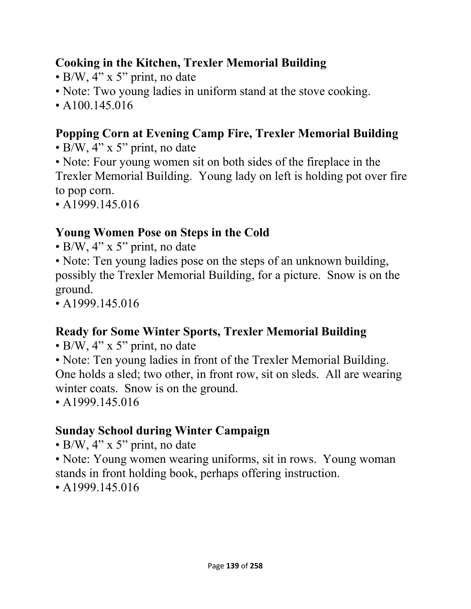## **Cooking in the Kitchen, Trexler Memorial Building**

- B/W, 4" x 5" print, no date
- Note: Two young ladies in uniform stand at the stove cooking.
- A100.145.016

# **Popping Corn at Evening Camp Fire, Trexler Memorial Building**

- B/W, 4" x 5" print, no date
- Note: Four young women sit on both sides of the fireplace in the Trexler Memorial Building. Young lady on left is holding pot over fire to pop corn.
- A1999.145.016

# **Young Women Pose on Steps in the Cold**

- $\bullet$  B/W, 4" x 5" print, no date
- Note: Ten young ladies pose on the steps of an unknown building, possibly the Trexler Memorial Building, for a picture. Snow is on the ground.
- $\cdot$  A1999.145.016

# **Ready for Some Winter Sports, Trexler Memorial Building**

- B/W, 4" x 5" print, no date
- Note: Ten young ladies in front of the Trexler Memorial Building. One holds a sled; two other, in front row, sit on sleds. All are wearing winter coats. Snow is on the ground.

• A1999.145.016

# **Sunday School during Winter Campaign**

- B/W, 4" x 5" print, no date
- Note: Young women wearing uniforms, sit in rows. Young woman stands in front holding book, perhaps offering instruction.

• A1999.145.016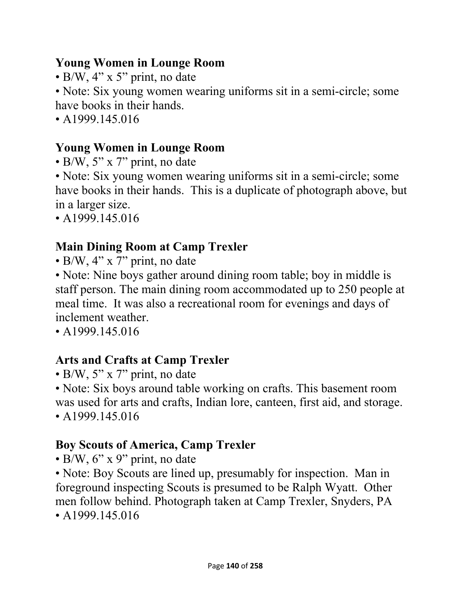#### **Young Women in Lounge Room**

• B/W, 4" x 5" print, no date

• Note: Six young women wearing uniforms sit in a semi-circle; some have books in their hands.

• A 1999.145.016

# **Young Women in Lounge Room**

• B/W, 5" x 7" print, no date

• Note: Six young women wearing uniforms sit in a semi-circle; some have books in their hands. This is a duplicate of photograph above, but in a larger size.

• A1999.145.016

# **Main Dining Room at Camp Trexler**

• B/W, 4" x 7" print, no date

• Note: Nine boys gather around dining room table; boy in middle is staff person. The main dining room accommodated up to 250 people at meal time. It was also a recreational room for evenings and days of inclement weather.

• A1999.145.016

# **Arts and Crafts at Camp Trexler**

• B/W, 5" x 7" print, no date

• Note: Six boys around table working on crafts. This basement room was used for arts and crafts, Indian lore, canteen, first aid, and storage.

• A1999.145.016

# **Boy Scouts of America, Camp Trexler**

• B/W,  $6$ " x 9" print, no date

• Note: Boy Scouts are lined up, presumably for inspection. Man in foreground inspecting Scouts is presumed to be Ralph Wyatt. Other men follow behind. Photograph taken at Camp Trexler, Snyders, PA

 $\cdot$  A1999.145.016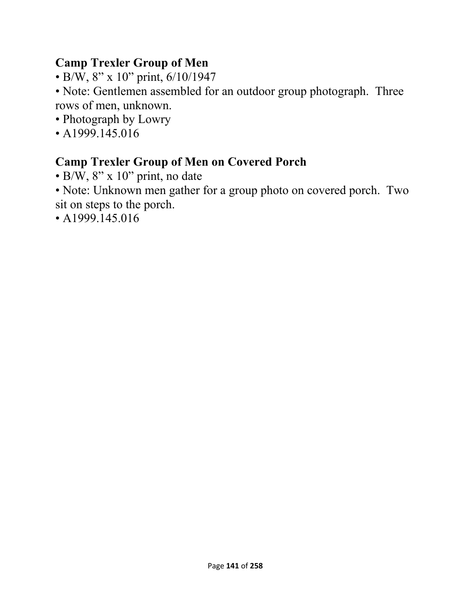# **Camp Trexler Group of Men**

• B/W, 8" x 10" print, 6/10/1947

• Note: Gentlemen assembled for an outdoor group photograph. Three rows of men, unknown.

- Photograph by Lowry
- A1999.145.016

# **Camp Trexler Group of Men on Covered Porch**

• B/W, 8" x 10" print, no date

• Note: Unknown men gather for a group photo on covered porch. Two sit on steps to the porch.

• A1999.145.016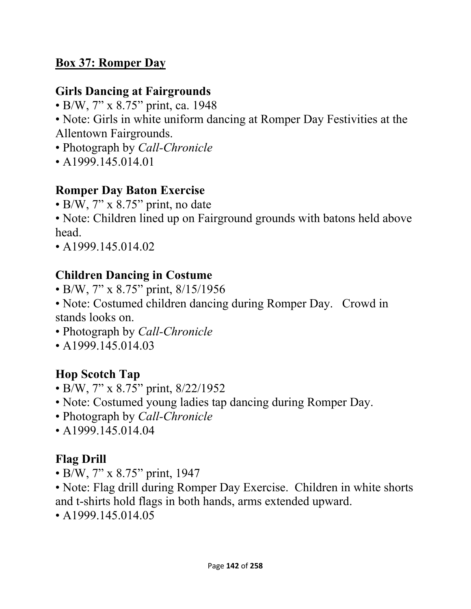## **Box 37: Romper Day**

#### **Girls Dancing at Fairgrounds**

- B/W, 7" x 8.75" print, ca. 1948
- Note: Girls in white uniform dancing at Romper Day Festivities at the Allentown Fairgrounds.
- Photograph by *Call-Chronicle*
- A1999.145.014.01

#### **Romper Day Baton Exercise**

• B/W, 7" x 8.75" print, no date

• Note: Children lined up on Fairground grounds with batons held above head.

• A  $1999.145.014.02$ 

## **Children Dancing in Costume**

- B/W, 7" x 8.75" print, 8/15/1956
- Note: Costumed children dancing during Romper Day. Crowd in stands looks on.
- Photograph by *Call-Chronicle*
- A1999.145.014.03

## **Hop Scotch Tap**

- B/W, 7" x 8.75" print, 8/22/1952
- Note: Costumed young ladies tap dancing during Romper Day.
- Photograph by *Call-Chronicle*
- A1999.145.014.04

## **Flag Drill**

- B/W, 7" x 8.75" print, 1947
- Note: Flag drill during Romper Day Exercise. Children in white shorts and t-shirts hold flags in both hands, arms extended upward.
- $\cdot$  A1999.145.014.05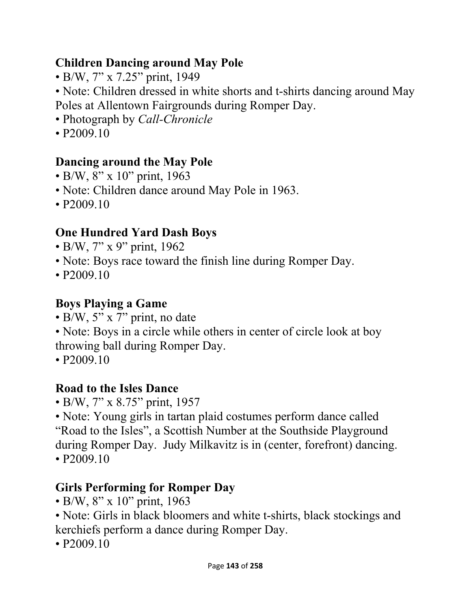## **Children Dancing around May Pole**

• B/W, 7" x 7.25" print, 1949

• Note: Children dressed in white shorts and t-shirts dancing around May Poles at Allentown Fairgrounds during Romper Day.

- Photograph by *Call-Chronicle*
- P<sub>2009.10</sub>

# **Dancing around the May Pole**

- B/W, 8" x 10" print, 1963
- Note: Children dance around May Pole in 1963.
- P<sub>2009.10</sub>

# **One Hundred Yard Dash Boys**

- B/W, 7" x 9" print, 1962
- Note: Boys race toward the finish line during Romper Day.
- $P2009.10$

## **Boys Playing a Game**

- B/W, 5" x 7" print, no date
- Note: Boys in a circle while others in center of circle look at boy throwing ball during Romper Day.
- P<sub>2009.10</sub>

# **Road to the Isles Dance**

• B/W, 7" x 8.75" print, 1957

• Note: Young girls in tartan plaid costumes perform dance called "Road to the Isles", a Scottish Number at the Southside Playground during Romper Day. Judy Milkavitz is in (center, forefront) dancing.

• P<sub>2009.10</sub>

# **Girls Performing for Romper Day**

- B/W, 8" x 10" print, 1963
- Note: Girls in black bloomers and white t-shirts, black stockings and kerchiefs perform a dance during Romper Day.
- P<sub>2009.10</sub>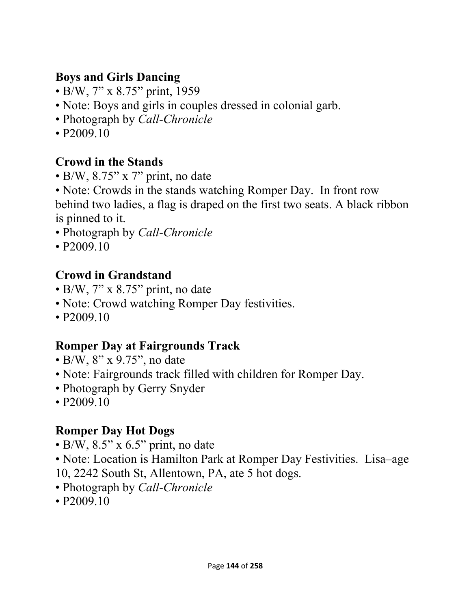### **Boys and Girls Dancing**

- B/W, 7" x 8.75" print, 1959
- Note: Boys and girls in couples dressed in colonial garb.
- Photograph by *Call-Chronicle*
- $P2009.10$

## **Crowd in the Stands**

- B/W, 8.75" x 7" print, no date
- Note: Crowds in the stands watching Romper Day. In front row behind two ladies, a flag is draped on the first two seats. A black ribbon is pinned to it.
- Photograph by *Call-Chronicle*
- P<sub>2009.10</sub>

## **Crowd in Grandstand**

- B/W, 7" x 8.75" print, no date
- Note: Crowd watching Romper Day festivities.
- P<sub>2009.10</sub>

## **Romper Day at Fairgrounds Track**

- B/W, 8" x 9.75", no date
- Note: Fairgrounds track filled with children for Romper Day.
- Photograph by Gerry Snyder
- P<sub>2009.10</sub>

## **Romper Day Hot Dogs**

- $\cdot$  B/W, 8.5" x 6.5" print, no date
- Note: Location is Hamilton Park at Romper Day Festivities. Lisa–age
- 10, 2242 South St, Allentown, PA, ate 5 hot dogs.
- Photograph by *Call-Chronicle*
- P<sub>2009.10</sub>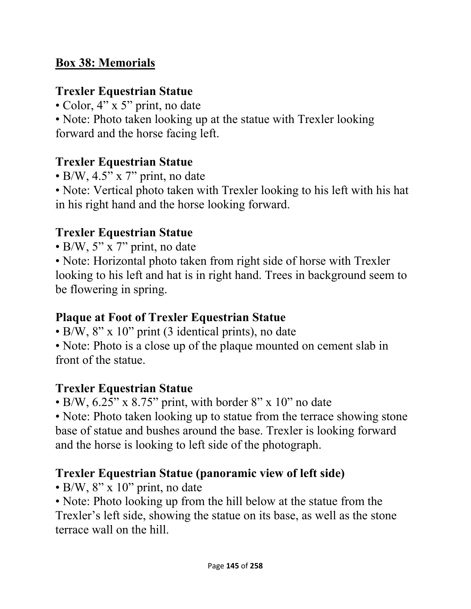### **Box 38: Memorials**

### **Trexler Equestrian Statue**

• Color, 4" x 5" print, no date

• Note: Photo taken looking up at the statue with Trexler looking forward and the horse facing left.

## **Trexler Equestrian Statue**

 $\bullet$  B/W, 4.5" x 7" print, no date

• Note: Vertical photo taken with Trexler looking to his left with his hat in his right hand and the horse looking forward.

### **Trexler Equestrian Statue**

• B/W, 5" x 7" print, no date

• Note: Horizontal photo taken from right side of horse with Trexler looking to his left and hat is in right hand. Trees in background seem to be flowering in spring.

#### **Plaque at Foot of Trexler Equestrian Statue**

• B/W, 8" x 10" print (3 identical prints), no date

• Note: Photo is a close up of the plaque mounted on cement slab in front of the statue.

#### **Trexler Equestrian Statue**

• B/W, 6.25" x 8.75" print, with border 8" x 10" no date

• Note: Photo taken looking up to statue from the terrace showing stone base of statue and bushes around the base. Trexler is looking forward and the horse is looking to left side of the photograph.

## **Trexler Equestrian Statue (panoramic view of left side)**

 $\cdot$  B/W, 8" x 10" print, no date

• Note: Photo looking up from the hill below at the statue from the Trexler's left side, showing the statue on its base, as well as the stone terrace wall on the hill.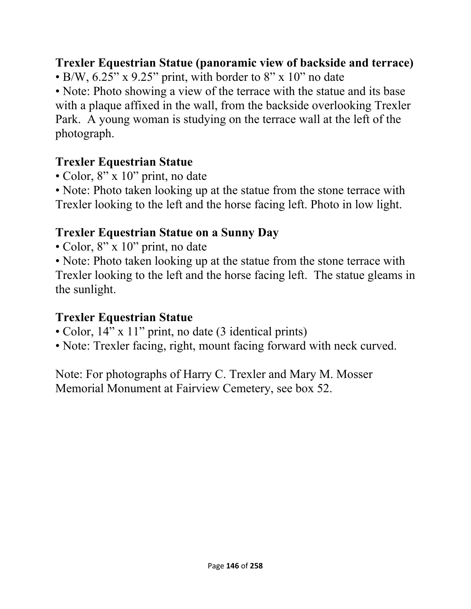### **Trexler Equestrian Statue (panoramic view of backside and terrace)**

• B/W,  $6.25$ " x  $9.25$ " print, with border to  $8$ " x  $10$ " no date

• Note: Photo showing a view of the terrace with the statue and its base with a plaque affixed in the wall, from the backside overlooking Trexler Park. A young woman is studying on the terrace wall at the left of the photograph.

### **Trexler Equestrian Statue**

• Color, 8" x 10" print, no date

• Note: Photo taken looking up at the statue from the stone terrace with Trexler looking to the left and the horse facing left. Photo in low light.

## **Trexler Equestrian Statue on a Sunny Day**

- Color, 8" x 10" print, no date
- Note: Photo taken looking up at the statue from the stone terrace with Trexler looking to the left and the horse facing left. The statue gleams in the sunlight.

#### **Trexler Equestrian Statue**

- Color, 14" x 11" print, no date (3 identical prints)
- Note: Trexler facing, right, mount facing forward with neck curved.

Note: For photographs of Harry C. Trexler and Mary M. Mosser Memorial Monument at Fairview Cemetery, see box 52.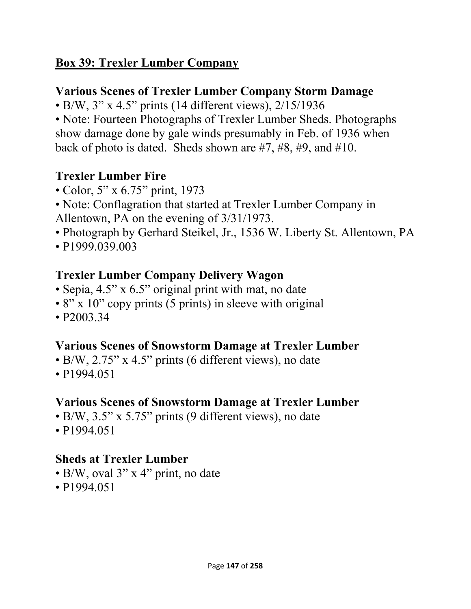## **Box 39: Trexler Lumber Company**

## **Various Scenes of Trexler Lumber Company Storm Damage**

• B/W, 3" x 4.5" prints (14 different views), 2/15/1936

• Note: Fourteen Photographs of Trexler Lumber Sheds. Photographs show damage done by gale winds presumably in Feb. of 1936 when back of photo is dated. Sheds shown are #7, #8, #9, and #10.

## **Trexler Lumber Fire**

- Color, 5" x 6.75" print, 1973
- Note: Conflagration that started at Trexler Lumber Company in Allentown, PA on the evening of 3/31/1973.
- Photograph by Gerhard Steikel, Jr., 1536 W. Liberty St. Allentown, PA
- P1999.039.003

## **Trexler Lumber Company Delivery Wagon**

- Sepia, 4.5" x 6.5" original print with mat, no date
- 8" x 10" copy prints (5 prints) in sleeve with original
- P2003.34

## **Various Scenes of Snowstorm Damage at Trexler Lumber**

- B/W, 2.75" x 4.5" prints (6 different views), no date
- P<sub>1994.051</sub>

## **Various Scenes of Snowstorm Damage at Trexler Lumber**

- B/W, 3.5" x 5.75" prints (9 different views), no date
- P<sub>1994.051</sub>

## **Sheds at Trexler Lumber**

- B/W, oval 3" x 4" print, no date
- P<sub>1994.051</sub>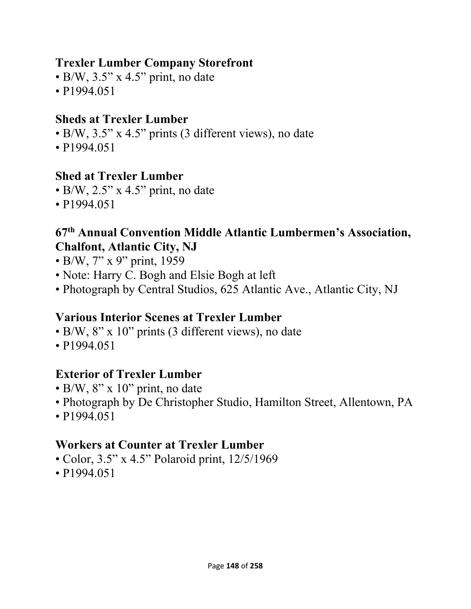#### **Trexler Lumber Company Storefront**

- $\bullet$  B/W, 3.5" x 4.5" print, no date
- P1994.051

#### **Sheds at Trexler Lumber**

- B/W, 3.5" x 4.5" prints (3 different views), no date
- P<sub>1994.051</sub>

#### **Shed at Trexler Lumber**

- $\bullet$  B/W, 2.5" x 4.5" print, no date
- P1994.051

#### **67th Annual Convention Middle Atlantic Lumbermen's Association, Chalfont, Atlantic City, NJ**

- B/W, 7" x 9" print, 1959
- Note: Harry C. Bogh and Elsie Bogh at left
- Photograph by Central Studios, 625 Atlantic Ave., Atlantic City, NJ

#### **Various Interior Scenes at Trexler Lumber**

- B/W, 8" x 10" prints (3 different views), no date
- P1994.051

#### **Exterior of Trexler Lumber**

- $\bullet$  B/W, 8" x 10" print, no date
- Photograph by De Christopher Studio, Hamilton Street, Allentown, PA
- P1994.051

#### **Workers at Counter at Trexler Lumber**

- Color, 3.5" x 4.5" Polaroid print, 12/5/1969
- P1994.051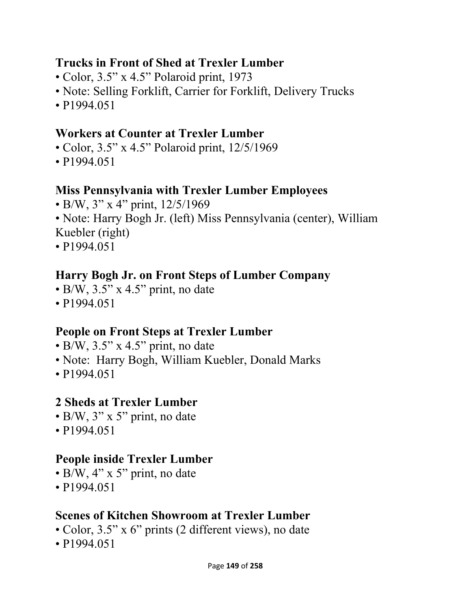#### **Trucks in Front of Shed at Trexler Lumber**

- Color, 3.5" x 4.5" Polaroid print, 1973
- Note: Selling Forklift, Carrier for Forklift, Delivery Trucks
- P<sub>1994.051</sub>

### **Workers at Counter at Trexler Lumber**

- Color, 3.5" x 4.5" Polaroid print, 12/5/1969
- P1994.051

#### **Miss Pennsylvania with Trexler Lumber Employees**

- B/W, 3" x 4" print, 12/5/1969
- Note: Harry Bogh Jr. (left) Miss Pennsylvania (center), William Kuebler (right)
- P1994.051

## **Harry Bogh Jr. on Front Steps of Lumber Company**

- B/W, 3.5" x 4.5" print, no date
- P1994.051

## **People on Front Steps at Trexler Lumber**

- $\bullet$  B/W, 3.5" x 4.5" print, no date
- Note: Harry Bogh, William Kuebler, Donald Marks
- P<sub>1994.051</sub>

## **2 Sheds at Trexler Lumber**

- B/W, 3" x 5" print, no date
- P1994.051

#### **People inside Trexler Lumber**

- B/W,  $4$ " x 5" print, no date
- P1994.051

## **Scenes of Kitchen Showroom at Trexler Lumber**

- Color, 3.5" x 6" prints (2 different views), no date
- P1994.051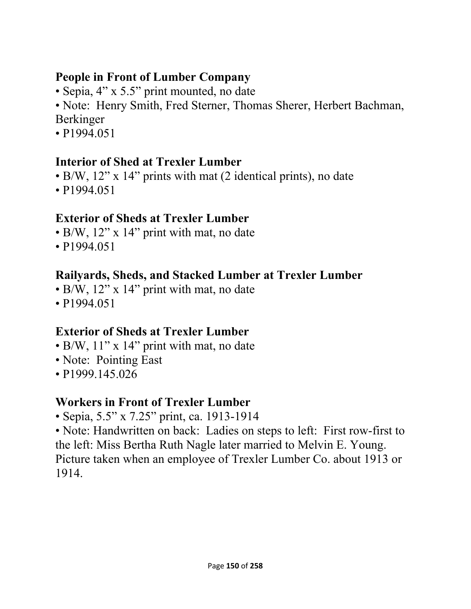### **People in Front of Lumber Company**

- Sepia, 4" x 5.5" print mounted, no date
- Note: Henry Smith, Fred Sterner, Thomas Sherer, Herbert Bachman, Berkinger
- P<sub>1994.051</sub>

## **Interior of Shed at Trexler Lumber**

- B/W, 12" x 14" prints with mat (2 identical prints), no date
- P<sub>1994.051</sub>

## **Exterior of Sheds at Trexler Lumber**

- B/W, 12" x 14" print with mat, no date
- P1994.051

# **Railyards, Sheds, and Stacked Lumber at Trexler Lumber**

- B/W, 12" x 14" print with mat, no date
- P<sub>1994.051</sub>

## **Exterior of Sheds at Trexler Lumber**

- B/W, 11" x 14" print with mat, no date
- Note: Pointing East
- P1999.145.026

# **Workers in Front of Trexler Lumber**

• Sepia, 5.5" x 7.25" print, ca. 1913-1914

• Note: Handwritten on back: Ladies on steps to left: First row-first to the left: Miss Bertha Ruth Nagle later married to Melvin E. Young. Picture taken when an employee of Trexler Lumber Co. about 1913 or 1914.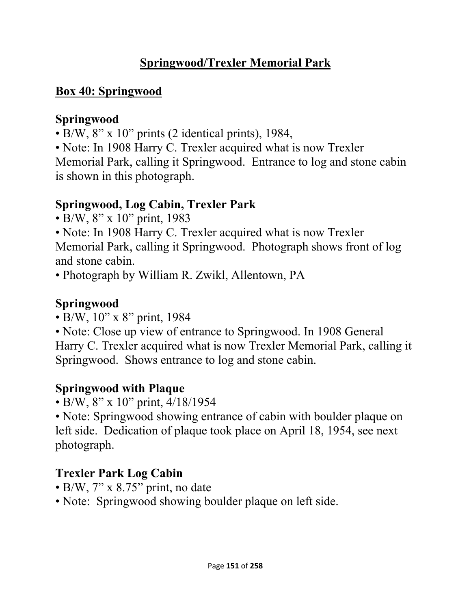## **Springwood/Trexler Memorial Park**

## **Box 40: Springwood**

### **Springwood**

- B/W, 8" x 10" prints (2 identical prints), 1984,
- Note: In 1908 Harry C. Trexler acquired what is now Trexler

Memorial Park, calling it Springwood. Entrance to log and stone cabin is shown in this photograph.

## **Springwood, Log Cabin, Trexler Park**

- B/W, 8" x 10" print, 1983
- Note: In 1908 Harry C. Trexler acquired what is now Trexler

Memorial Park, calling it Springwood. Photograph shows front of log and stone cabin.

• Photograph by William R. Zwikl, Allentown, PA

## **Springwood**

- B/W, 10" x 8" print, 1984
- Note: Close up view of entrance to Springwood. In 1908 General Harry C. Trexler acquired what is now Trexler Memorial Park, calling it Springwood. Shows entrance to log and stone cabin.

## **Springwood with Plaque**

• B/W, 8" x 10" print, 4/18/1954

• Note: Springwood showing entrance of cabin with boulder plaque on left side. Dedication of plaque took place on April 18, 1954, see next photograph.

## **Trexler Park Log Cabin**

- B/W, 7" x 8.75" print, no date
- Note: Springwood showing boulder plaque on left side.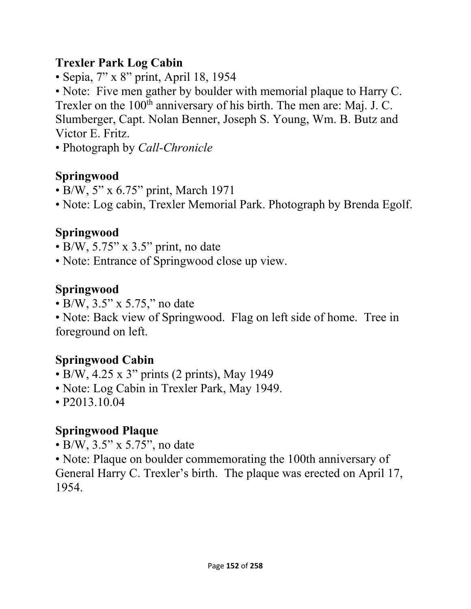### **Trexler Park Log Cabin**

• Sepia, 7" x 8" print, April 18, 1954

• Note: Five men gather by boulder with memorial plaque to Harry C. Trexler on the 100<sup>th</sup> anniversary of his birth. The men are: Maj. J. C. Slumberger, Capt. Nolan Benner, Joseph S. Young, Wm. B. Butz and Victor E. Fritz.

• Photograph by *Call-Chronicle*

## **Springwood**

- B/W, 5" x 6.75" print, March 1971
- Note: Log cabin, Trexler Memorial Park. Photograph by Brenda Egolf.

## **Springwood**

- $\bullet$  B/W, 5.75" x 3.5" print, no date
- Note: Entrance of Springwood close up view.

## **Springwood**

• B/W, 3.5" x 5.75," no date

• Note: Back view of Springwood. Flag on left side of home. Tree in foreground on left.

## **Springwood Cabin**

- B/W, 4.25 x 3" prints (2 prints), May 1949
- Note: Log Cabin in Trexler Park, May 1949.
- P2013.10.04

## **Springwood Plaque**

• B/W, 3.5" x 5.75", no date

• Note: Plaque on boulder commemorating the 100th anniversary of General Harry C. Trexler's birth. The plaque was erected on April 17, 1954.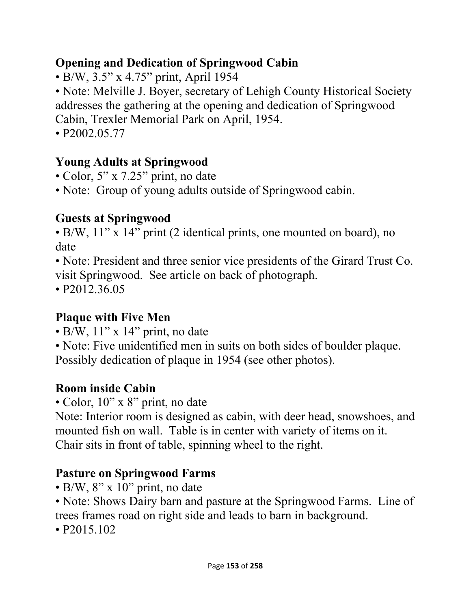## **Opening and Dedication of Springwood Cabin**

• B/W, 3.5" x 4.75" print, April 1954

• Note: Melville J. Boyer, secretary of Lehigh County Historical Society addresses the gathering at the opening and dedication of Springwood Cabin, Trexler Memorial Park on April, 1954.

• P2002.05.77

# **Young Adults at Springwood**

• Color, 5" x 7.25" print, no date

• Note: Group of young adults outside of Springwood cabin.

## **Guests at Springwood**

• B/W, 11" x 14" print (2 identical prints, one mounted on board), no date

• Note: President and three senior vice presidents of the Girard Trust Co. visit Springwood. See article on back of photograph.

• P2012.36.05

# **Plaque with Five Men**

- $\bullet$  B/W,  $11$ " x  $14$ " print, no date
- Note: Five unidentified men in suits on both sides of boulder plaque. Possibly dedication of plaque in 1954 (see other photos).

# **Room inside Cabin**

• Color, 10" x 8" print, no date

Note: Interior room is designed as cabin, with deer head, snowshoes, and mounted fish on wall. Table is in center with variety of items on it. Chair sits in front of table, spinning wheel to the right.

## **Pasture on Springwood Farms**

- $\cdot$  B/W, 8" x 10" print, no date
- Note: Shows Dairy barn and pasture at the Springwood Farms. Line of trees frames road on right side and leads to barn in background.
- P2015.102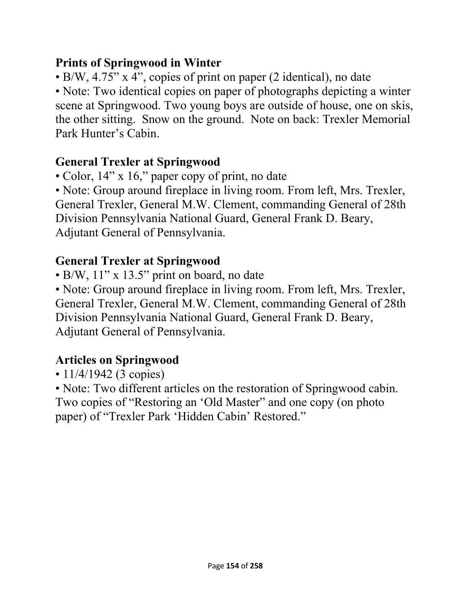### **Prints of Springwood in Winter**

• B/W, 4.75" x 4", copies of print on paper (2 identical), no date

• Note: Two identical copies on paper of photographs depicting a winter scene at Springwood. Two young boys are outside of house, one on skis, the other sitting. Snow on the ground. Note on back: Trexler Memorial Park Hunter's Cabin.

# **General Trexler at Springwood**

• Color, 14" x 16," paper copy of print, no date

• Note: Group around fireplace in living room. From left, Mrs. Trexler, General Trexler, General M.W. Clement, commanding General of 28th Division Pennsylvania National Guard, General Frank D. Beary, Adjutant General of Pennsylvania.

# **General Trexler at Springwood**

• B/W, 11" x 13.5" print on board, no date

• Note: Group around fireplace in living room. From left, Mrs. Trexler, General Trexler, General M.W. Clement, commanding General of 28th Division Pennsylvania National Guard, General Frank D. Beary, Adjutant General of Pennsylvania.

# **Articles on Springwood**

• 11/4/1942 (3 copies)

• Note: Two different articles on the restoration of Springwood cabin. Two copies of "Restoring an 'Old Master" and one copy (on photo paper) of "Trexler Park 'Hidden Cabin' Restored."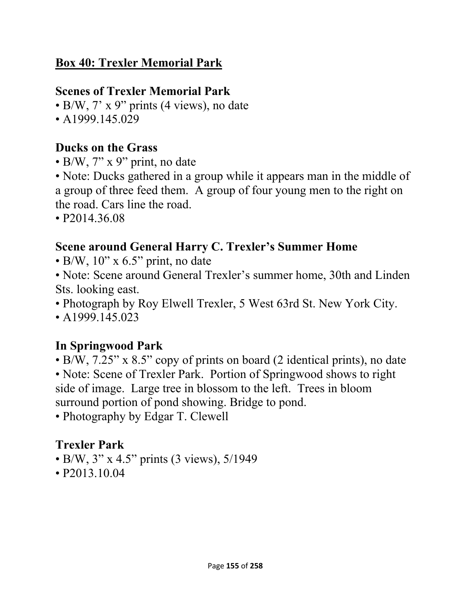## **Box 40: Trexler Memorial Park**

### **Scenes of Trexler Memorial Park**

• B/W, 7' x 9" prints (4 views), no date

• A1999.145.029

### **Ducks on the Grass**

• B/W, 7" x 9" print, no date

• Note: Ducks gathered in a group while it appears man in the middle of a group of three feed them. A group of four young men to the right on the road. Cars line the road.

• P2014.36.08

### **Scene around General Harry C. Trexler's Summer Home**

 $\cdot$  B/W, 10" x 6.5" print, no date

• Note: Scene around General Trexler's summer home, 30th and Linden Sts. looking east.

• Photograph by Roy Elwell Trexler, 5 West 63rd St. New York City.

• A  $1999.145.023$ 

## **In Springwood Park**

• B/W, 7.25" x 8.5" copy of prints on board (2 identical prints), no date

• Note: Scene of Trexler Park. Portion of Springwood shows to right side of image. Large tree in blossom to the left. Trees in bloom surround portion of pond showing. Bridge to pond.

• Photography by Edgar T. Clewell

## **Trexler Park**

- B/W, 3" x 4.5" prints (3 views), 5/1949
- P2013.10.04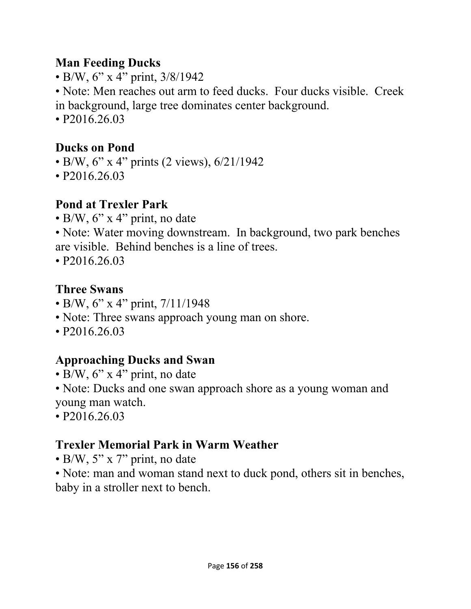#### **Man Feeding Ducks**

• B/W, 6" x 4" print, 3/8/1942

• Note: Men reaches out arm to feed ducks. Four ducks visible. Creek in background, large tree dominates center background.

• P2016.26.03

# **Ducks on Pond**

- B/W, 6" x 4" prints (2 views), 6/21/1942
- P2016.26.03

# **Pond at Trexler Park**

• B/W, 6" x 4" print, no date

• Note: Water moving downstream. In background, two park benches are visible. Behind benches is a line of trees.

• P2016.26.03

# **Three Swans**

- B/W, 6" x 4" print, 7/11/1948
- Note: Three swans approach young man on shore.
- P2016.26.03

# **Approaching Ducks and Swan**

- B/W,  $6$ " x 4" print, no date
- Note: Ducks and one swan approach shore as a young woman and young man watch.
- P2016.26.03

# **Trexler Memorial Park in Warm Weather**

- B/W, 5" x 7" print, no date
- Note: man and woman stand next to duck pond, others sit in benches, baby in a stroller next to bench.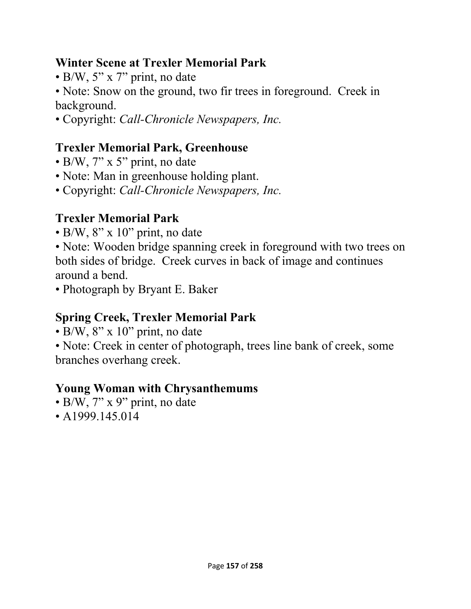### **Winter Scene at Trexler Memorial Park**

• B/W,  $5''$  x  $7''$  print, no date

• Note: Snow on the ground, two fir trees in foreground. Creek in background.

• Copyright: *Call-Chronicle Newspapers, Inc.* 

## **Trexler Memorial Park, Greenhouse**

- B/W, 7" x 5" print, no date
- Note: Man in greenhouse holding plant.
- Copyright: *Call-Chronicle Newspapers, Inc.*

## **Trexler Memorial Park**

• B/W,  $8'' \times 10''$  print, no date

• Note: Wooden bridge spanning creek in foreground with two trees on both sides of bridge. Creek curves in back of image and continues around a bend.

• Photograph by Bryant E. Baker

## **Spring Creek, Trexler Memorial Park**

- $\bullet$  B/W, 8" x 10" print, no date
- Note: Creek in center of photograph, trees line bank of creek, some branches overhang creek.

## **Young Woman with Chrysanthemums**

- B/W, 7" x 9" print, no date
- A1999.145.014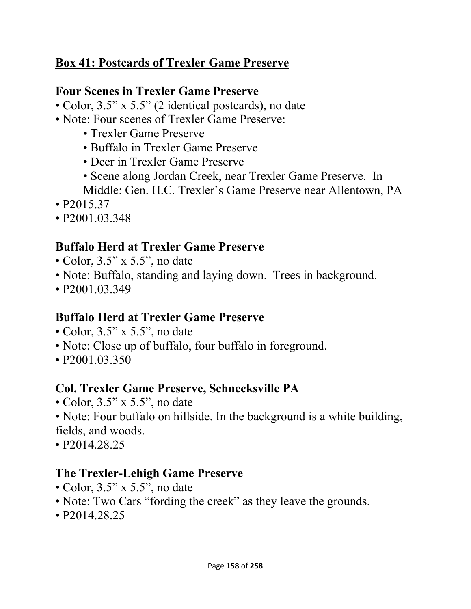### **Box 41: Postcards of Trexler Game Preserve**

#### **Four Scenes in Trexler Game Preserve**

- Color, 3.5" x 5.5" (2 identical postcards), no date
- Note: Four scenes of Trexler Game Preserve:
	- Trexler Game Preserve
	- Buffalo in Trexler Game Preserve
	- Deer in Trexler Game Preserve
	- Scene along Jordan Creek, near Trexler Game Preserve. In
	- Middle: Gen. H.C. Trexler's Game Preserve near Allentown, PA
- P2015.37
- P2001.03.348

## **Buffalo Herd at Trexler Game Preserve**

- Color, 3.5" x 5.5", no date
- Note: Buffalo, standing and laying down. Trees in background.
- P<sub>2001.03.349</sub>

#### **Buffalo Herd at Trexler Game Preserve**

- Color, 3.5" x 5.5", no date
- Note: Close up of buffalo, four buffalo in foreground.
- P<sub>2001.03.350</sub>

## **Col. Trexler Game Preserve, Schnecksville PA**

• Color, 3.5" x 5.5", no date

• Note: Four buffalo on hillside. In the background is a white building, fields, and woods.

• P2014.28.25

#### **The Trexler-Lehigh Game Preserve**

- Color, 3.5" x 5.5", no date
- Note: Two Cars "fording the creek" as they leave the grounds.
- P2014.28.25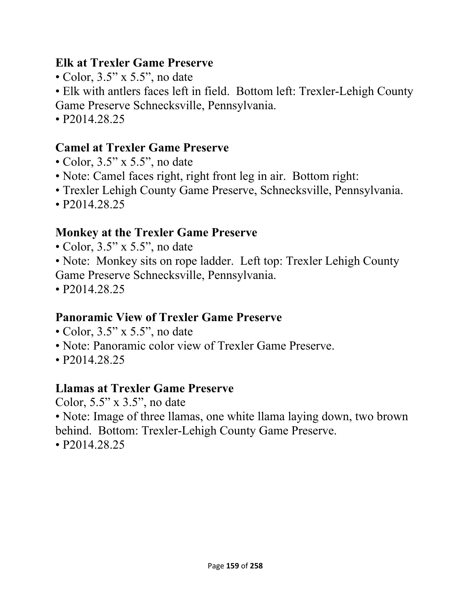#### **Elk at Trexler Game Preserve**

- Color, 3.5" x 5.5", no date
- Elk with antlers faces left in field. Bottom left: Trexler-Lehigh County Game Preserve Schnecksville, Pennsylvania.
- P2014.28.25

### **Camel at Trexler Game Preserve**

- Color, 3.5" x 5.5", no date
- Note: Camel faces right, right front leg in air. Bottom right:
- Trexler Lehigh County Game Preserve, Schnecksville, Pennsylvania.
- P2014.28.25

### **Monkey at the Trexler Game Preserve**

- Color, 3.5" x 5.5", no date
- Note: Monkey sits on rope ladder. Left top: Trexler Lehigh County Game Preserve Schnecksville, Pennsylvania.
- P2014.28.25

#### **Panoramic View of Trexler Game Preserve**

- Color, 3.5" x 5.5", no date
- Note: Panoramic color view of Trexler Game Preserve.
- P2014.28.25

#### **Llamas at Trexler Game Preserve**

Color, 5.5" x 3.5", no date

• Note: Image of three llamas, one white llama laying down, two brown behind. Bottom: Trexler-Lehigh County Game Preserve.

• P2014.28.25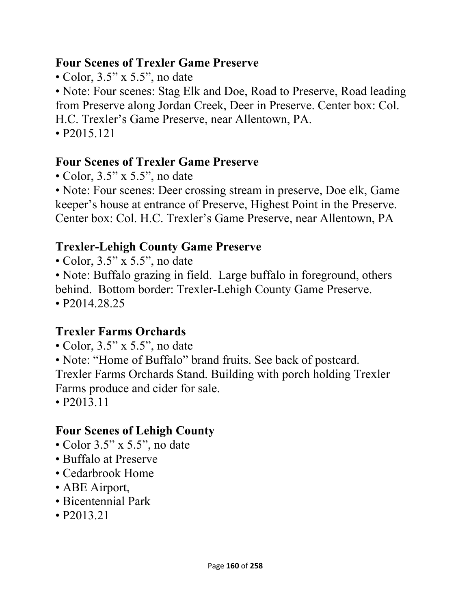#### **Four Scenes of Trexler Game Preserve**

• Color, 3.5" x 5.5", no date

• Note: Four scenes: Stag Elk and Doe, Road to Preserve, Road leading from Preserve along Jordan Creek, Deer in Preserve. Center box: Col. H.C. Trexler's Game Preserve, near Allentown, PA.

• P2015.121

### **Four Scenes of Trexler Game Preserve**

• Color, 3.5" x 5.5", no date

• Note: Four scenes: Deer crossing stream in preserve, Doe elk, Game keeper's house at entrance of Preserve, Highest Point in the Preserve. Center box: Col. H.C. Trexler's Game Preserve, near Allentown, PA

## **Trexler-Lehigh County Game Preserve**

• Color, 3.5" x 5.5", no date

• Note: Buffalo grazing in field. Large buffalo in foreground, others behind. Bottom border: Trexler-Lehigh County Game Preserve. • P2014.28.25

## **Trexler Farms Orchards**

- Color, 3.5" x 5.5", no date
- Note: "Home of Buffalo" brand fruits. See back of postcard.

Trexler Farms Orchards Stand. Building with porch holding Trexler Farms produce and cider for sale.

• P2013.11

## **Four Scenes of Lehigh County**

- Color 3.5" x 5.5", no date
- Buffalo at Preserve
- Cedarbrook Home
- ABE Airport,
- Bicentennial Park
- P2013.21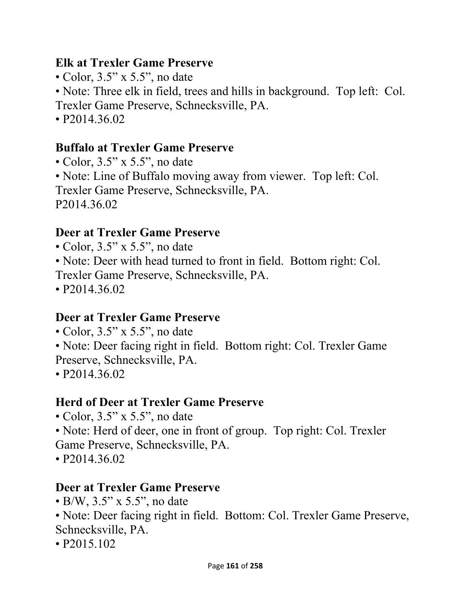#### **Elk at Trexler Game Preserve**

- Color, 3.5" x 5.5", no date
- Note: Three elk in field, trees and hills in background. Top left: Col.
- Trexler Game Preserve, Schnecksville, PA.
- P2014.36.02

## **Buffalo at Trexler Game Preserve**

• Color, 3.5" x 5.5", no date • Note: Line of Buffalo moving away from viewer. Top left: Col. Trexler Game Preserve, Schnecksville, PA. P2014.36.02

## **Deer at Trexler Game Preserve**

- Color, 3.5" x 5.5", no date
- Note: Deer with head turned to front in field. Bottom right: Col.
- Trexler Game Preserve, Schnecksville, PA.
- P2014.36.02

## **Deer at Trexler Game Preserve**

- Color, 3.5" x 5.5", no date
- Note: Deer facing right in field. Bottom right: Col. Trexler Game Preserve, Schnecksville, PA.
- P2014.36.02

# **Herd of Deer at Trexler Game Preserve**

- Color, 3.5" x 5.5", no date
- Note: Herd of deer, one in front of group. Top right: Col. Trexler Game Preserve, Schnecksville, PA.
- P2014.36.02

## **Deer at Trexler Game Preserve**

• B/W, 3.5" x 5.5", no date

• Note: Deer facing right in field. Bottom: Col. Trexler Game Preserve, Schnecksville, PA.

• P2015.102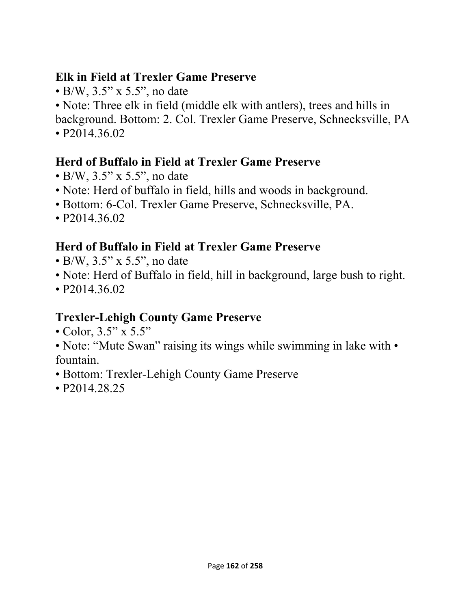### **Elk in Field at Trexler Game Preserve**

• B/W, 3.5" x 5.5", no date

• Note: Three elk in field (middle elk with antlers), trees and hills in background. Bottom: 2. Col. Trexler Game Preserve, Schnecksville, PA

• P2014.36.02

## **Herd of Buffalo in Field at Trexler Game Preserve**

- B/W, 3.5" x 5.5", no date
- Note: Herd of buffalo in field, hills and woods in background.
- Bottom: 6-Col. Trexler Game Preserve, Schnecksville, PA.
- P2014.36.02

## **Herd of Buffalo in Field at Trexler Game Preserve**

- B/W, 3.5" x 5.5", no date
- Note: Herd of Buffalo in field, hill in background, large bush to right.
- P2014.36.02

## **Trexler-Lehigh County Game Preserve**

- Color, 3.5" x 5.5"
- Note: "Mute Swan" raising its wings while swimming in lake with fountain.
- Bottom: Trexler-Lehigh County Game Preserve
- P2014.28.25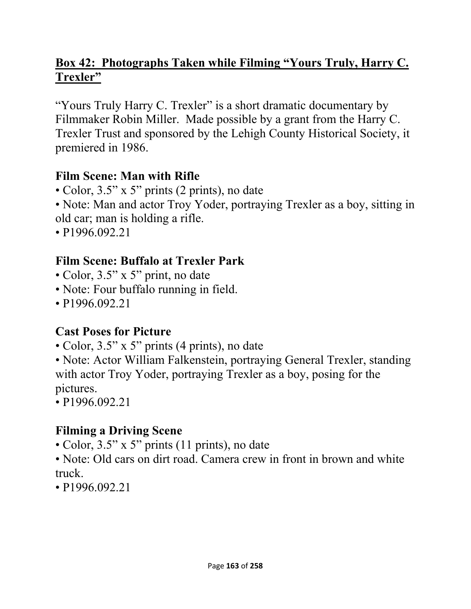## **Box 42: Photographs Taken while Filming "Yours Truly, Harry C. Trexler"**

"Yours Truly Harry C. Trexler" is a short dramatic documentary by Filmmaker Robin Miller. Made possible by a grant from the Harry C. Trexler Trust and sponsored by the Lehigh County Historical Society, it premiered in 1986.

#### **Film Scene: Man with Rifle**

- Color, 3.5" x 5" prints (2 prints), no date
- Note: Man and actor Troy Yoder, portraying Trexler as a boy, sitting in old car; man is holding a rifle.
- P1996.092.21

## **Film Scene: Buffalo at Trexler Park**

- Color, 3.5" x 5" print, no date
- Note: Four buffalo running in field.
- P1996.092.21

## **Cast Poses for Picture**

• Color, 3.5" x 5" prints (4 prints), no date

• Note: Actor William Falkenstein, portraying General Trexler, standing with actor Troy Yoder, portraying Trexler as a boy, posing for the pictures.

• P1996.092.21

## **Filming a Driving Scene**

• Color, 3.5" x 5" prints (11 prints), no date

• Note: Old cars on dirt road. Camera crew in front in brown and white truck.

• P1996.092.21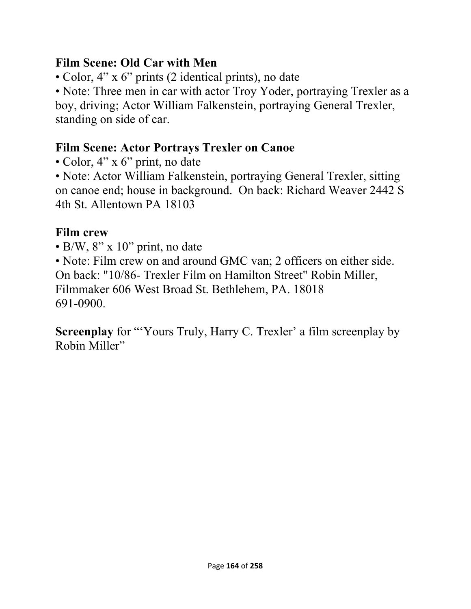#### **Film Scene: Old Car with Men**

• Color, 4" x 6" prints (2 identical prints), no date

• Note: Three men in car with actor Troy Yoder, portraying Trexler as a boy, driving; Actor William Falkenstein, portraying General Trexler, standing on side of car.

## **Film Scene: Actor Portrays Trexler on Canoe**

• Color, 4" x 6" print, no date

• Note: Actor William Falkenstein, portraying General Trexler, sitting on canoe end; house in background. On back: Richard Weaver 2442 S 4th St. Allentown PA 18103

## **Film crew**

• B/W, 8" x 10" print, no date

• Note: Film crew on and around GMC van; 2 officers on either side. On back: "10/86- Trexler Film on Hamilton Street" Robin Miller, Filmmaker 606 West Broad St. Bethlehem, PA. 18018 691-0900.

**Screenplay** for "Yours Truly, Harry C. Trexler' a film screenplay by Robin Miller"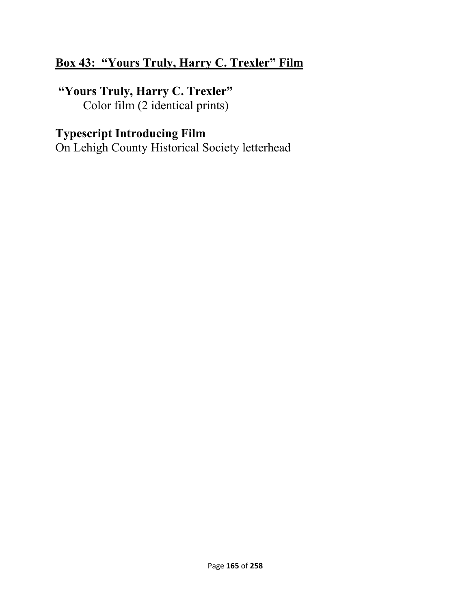### **Box 43: "Yours Truly, Harry C. Trexler" Film**

 **"Yours Truly, Harry C. Trexler"**  Color film (2 identical prints)

## **Typescript Introducing Film**

On Lehigh County Historical Society letterhead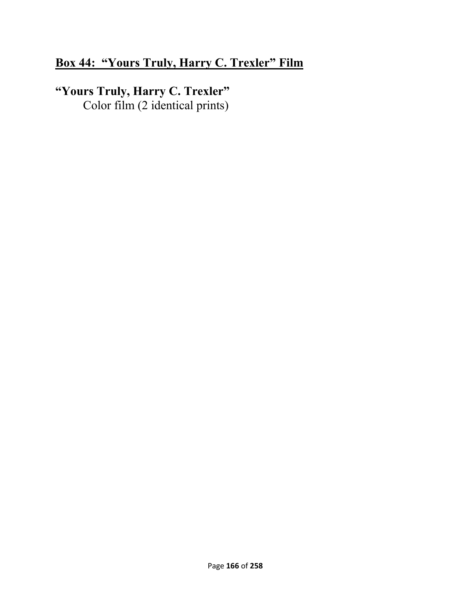## **Box 44: "Yours Truly, Harry C. Trexler" Film**

## **"Yours Truly, Harry C. Trexler"**  Color film (2 identical prints)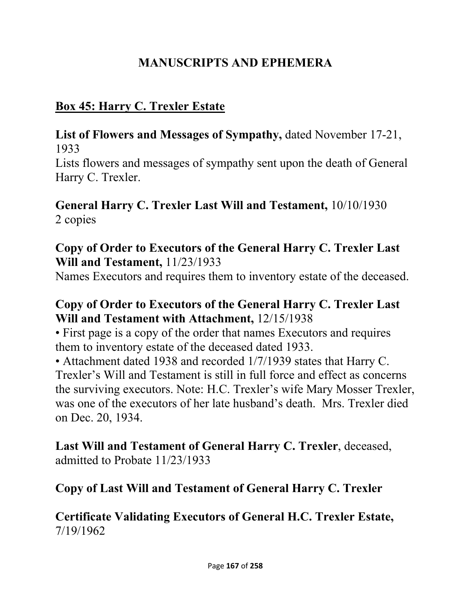## **MANUSCRIPTS AND EPHEMERA**

# **Box 45: Harry C. Trexler Estate**

**List of Flowers and Messages of Sympathy,** dated November 17-21, 1933

Lists flowers and messages of sympathy sent upon the death of General Harry C. Trexler.

### **General Harry C. Trexler Last Will and Testament,** 10/10/1930 2 copies

### **Copy of Order to Executors of the General Harry C. Trexler Last Will and Testament,** 11/23/1933

Names Executors and requires them to inventory estate of the deceased.

#### **Copy of Order to Executors of the General Harry C. Trexler Last Will and Testament with Attachment,** 12/15/1938

• First page is a copy of the order that names Executors and requires them to inventory estate of the deceased dated 1933.

• Attachment dated 1938 and recorded 1/7/1939 states that Harry C. Trexler's Will and Testament is still in full force and effect as concerns the surviving executors. Note: H.C. Trexler's wife Mary Mosser Trexler, was one of the executors of her late husband's death. Mrs. Trexler died on Dec. 20, 1934.

**Last Will and Testament of General Harry C. Trexler**, deceased, admitted to Probate 11/23/1933

## **Copy of Last Will and Testament of General Harry C. Trexler**

#### **Certificate Validating Executors of General H.C. Trexler Estate,**  7/19/1962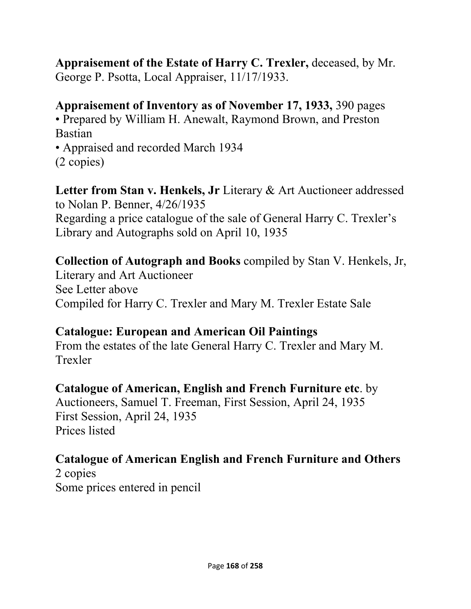#### **Appraisement of the Estate of Harry C. Trexler,** deceased, by Mr. George P. Psotta, Local Appraiser, 11/17/1933.

#### **Appraisement of Inventory as of November 17, 1933,** 390 pages

• Prepared by William H. Anewalt, Raymond Brown, and Preston Bastian

• Appraised and recorded March 1934 (2 copies)

**Letter from Stan v. Henkels, Jr** Literary & Art Auctioneer addressed to Nolan P. Benner, 4/26/1935 Regarding a price catalogue of the sale of General Harry C. Trexler's Library and Autographs sold on April 10, 1935

**Collection of Autograph and Books** compiled by Stan V. Henkels, Jr, Literary and Art Auctioneer See Letter above Compiled for Harry C. Trexler and Mary M. Trexler Estate Sale

#### **Catalogue: European and American Oil Paintings**

From the estates of the late General Harry C. Trexler and Mary M. Trexler

## **Catalogue of American, English and French Furniture etc**. by

Auctioneers, Samuel T. Freeman, First Session, April 24, 1935 First Session, April 24, 1935 Prices listed

# **Catalogue of American English and French Furniture and Others**

2 copies Some prices entered in pencil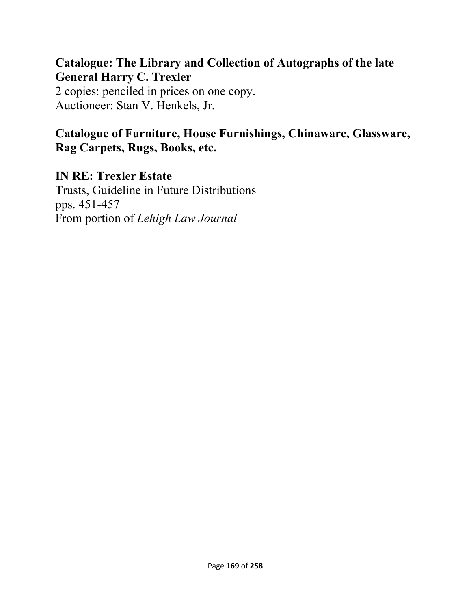# **Catalogue: The Library and Collection of Autographs of the late General Harry C. Trexler**

2 copies: penciled in prices on one copy. Auctioneer: Stan V. Henkels, Jr.

#### **Catalogue of Furniture, House Furnishings, Chinaware, Glassware, Rag Carpets, Rugs, Books, etc.**

**IN RE: Trexler Estate**  Trusts, Guideline in Future Distributions pps. 451-457 From portion of *Lehigh Law Journal*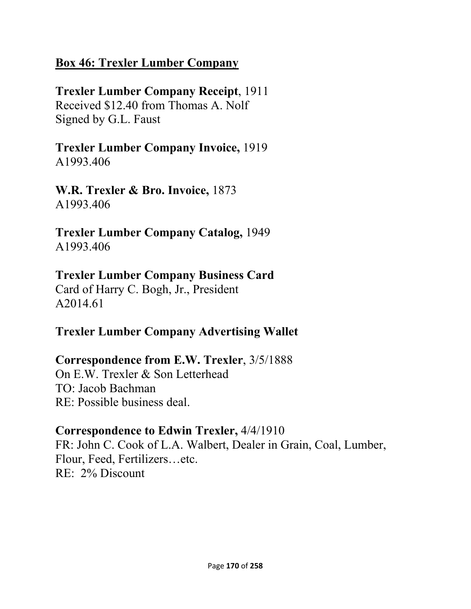#### **Box 46: Trexler Lumber Company**

## **Trexler Lumber Company Receipt**, 1911

Received \$12.40 from Thomas A. Nolf Signed by G.L. Faust

#### **Trexler Lumber Company Invoice,** 1919 A1993.406

**W.R. Trexler & Bro. Invoice,** 1873 A1993.406

**Trexler Lumber Company Catalog,** 1949 A1993.406

## **Trexler Lumber Company Business Card**

Card of Harry C. Bogh, Jr., President A2014.61

## **Trexler Lumber Company Advertising Wallet**

## **Correspondence from E.W. Trexler**, 3/5/1888

On E.W. Trexler & Son Letterhead TO: Jacob Bachman RE: Possible business deal.

#### **Correspondence to Edwin Trexler,** 4/4/1910

FR: John C. Cook of L.A. Walbert, Dealer in Grain, Coal, Lumber, Flour, Feed, Fertilizers…etc. RE: 2% Discount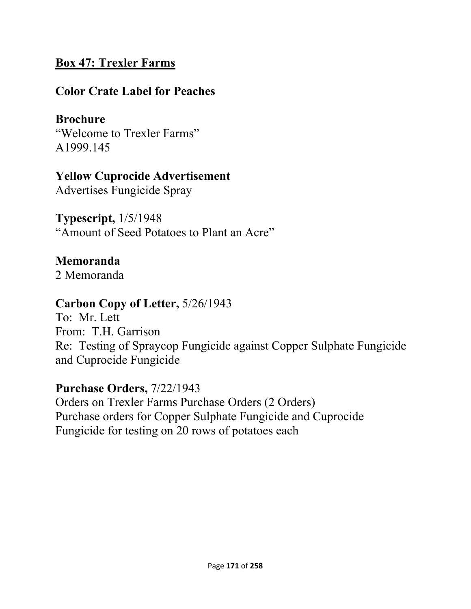#### **Box 47: Trexler Farms**

#### **Color Crate Label for Peaches**

### **Brochure**

"Welcome to Trexler Farms" A1999.145

#### **Yellow Cuprocide Advertisement**

Advertises Fungicide Spray

**Typescript,** 1/5/1948 "Amount of Seed Potatoes to Plant an Acre"

#### **Memoranda**

2 Memoranda

#### **Carbon Copy of Letter,** 5/26/1943

To: Mr. Lett From: T.H. Garrison Re: Testing of Spraycop Fungicide against Copper Sulphate Fungicide and Cuprocide Fungicide

#### **Purchase Orders,** 7/22/1943

Orders on Trexler Farms Purchase Orders (2 Orders) Purchase orders for Copper Sulphate Fungicide and Cuprocide Fungicide for testing on 20 rows of potatoes each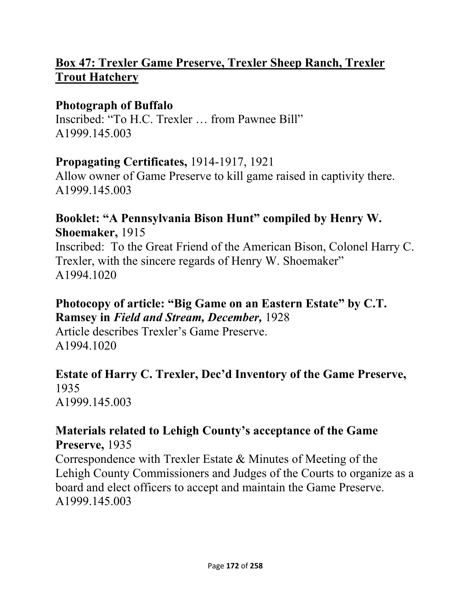### **Box 47: Trexler Game Preserve, Trexler Sheep Ranch, Trexler Trout Hatchery**

#### **Photograph of Buffalo**

Inscribed: "To H.C. Trexler … from Pawnee Bill" A1999.145.003

#### **Propagating Certificates,** 1914-1917, 1921

Allow owner of Game Preserve to kill game raised in captivity there. A1999.145.003

#### **Booklet: "A Pennsylvania Bison Hunt" compiled by Henry W. Shoemaker,** 1915

Inscribed: To the Great Friend of the American Bison, Colonel Harry C. Trexler, with the sincere regards of Henry W. Shoemaker" A1994.1020

#### **Photocopy of article: "Big Game on an Eastern Estate" by C.T. Ramsey in** *Field and Stream, December,* 1928

Article describes Trexler's Game Preserve. A1994.1020

#### **Estate of Harry C. Trexler, Dec'd Inventory of the Game Preserve,**  1935

A1999.145.003

#### **Materials related to Lehigh County's acceptance of the Game Preserve,** 1935

Correspondence with Trexler Estate & Minutes of Meeting of the Lehigh County Commissioners and Judges of the Courts to organize as a board and elect officers to accept and maintain the Game Preserve. A1999.145.003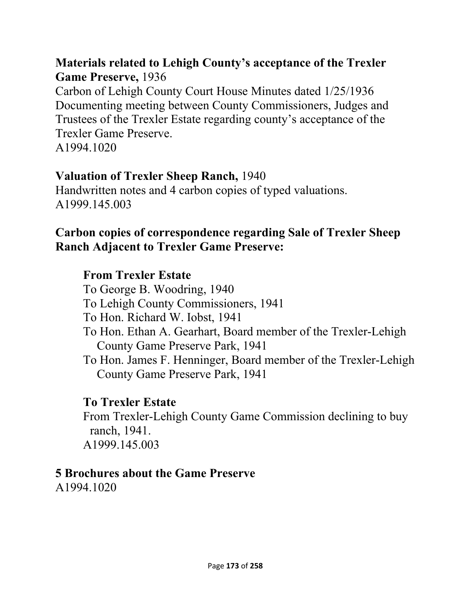#### **Materials related to Lehigh County's acceptance of the Trexler Game Preserve,** 1936

Carbon of Lehigh County Court House Minutes dated 1/25/1936 Documenting meeting between County Commissioners, Judges and Trustees of the Trexler Estate regarding county's acceptance of the Trexler Game Preserve. A1994.1020

#### **Valuation of Trexler Sheep Ranch,** 1940

Handwritten notes and 4 carbon copies of typed valuations. A1999.145.003

#### **Carbon copies of correspondence regarding Sale of Trexler Sheep Ranch Adjacent to Trexler Game Preserve:**

#### **From Trexler Estate**

To George B. Woodring, 1940 To Lehigh County Commissioners, 1941 To Hon. Richard W. Iobst, 1941 To Hon. Ethan A. Gearhart, Board member of the Trexler-Lehigh County Game Preserve Park, 1941 To Hon. James F. Henninger, Board member of the Trexler-Lehigh County Game Preserve Park, 1941

#### **To Trexler Estate**

From Trexler-Lehigh County Game Commission declining to buy ranch, 1941. A1999.145.003

#### **5 Brochures about the Game Preserve**

A1994.1020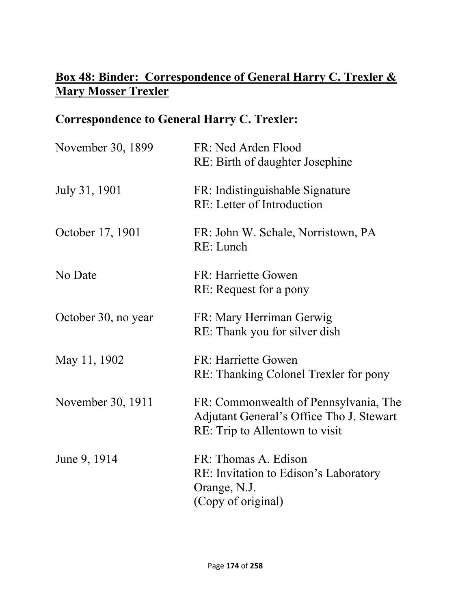## **Box 48: Binder: Correspondence of General Harry C. Trexler & Mary Mosser Trexler**

## **Correspondence to General Harry C. Trexler:**

| November 30, 1899   | FR: Ned Arden Flood<br>RE: Birth of daughter Josephine                                                              |
|---------------------|---------------------------------------------------------------------------------------------------------------------|
| July 31, 1901       | FR: Indistinguishable Signature<br>RE: Letter of Introduction                                                       |
| October 17, 1901    | FR: John W. Schale, Norristown, PA<br>RE: Lunch                                                                     |
| No Date             | FR: Harriette Gowen<br>RE: Request for a pony                                                                       |
| October 30, no year | FR: Mary Herriman Gerwig<br>RE: Thank you for silver dish                                                           |
| May 11, 1902        | FR: Harriette Gowen<br>RE: Thanking Colonel Trexler for pony                                                        |
| November 30, 1911   | FR: Commonwealth of Pennsylvania, The<br>Adjutant General's Office Tho J. Stewart<br>RE: Trip to Allentown to visit |
| June 9, 1914        | FR: Thomas A. Edison<br>RE: Invitation to Edison's Laboratory<br>Orange, N.J.<br>(Copy of original)                 |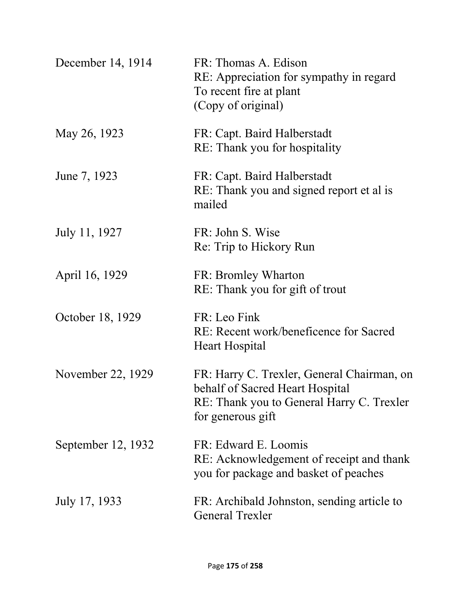| December 14, 1914  | FR: Thomas A. Edison<br>RE: Appreciation for sympathy in regard<br>To recent fire at plant<br>(Copy of original)                                |
|--------------------|-------------------------------------------------------------------------------------------------------------------------------------------------|
| May 26, 1923       | FR: Capt. Baird Halberstadt<br>RE: Thank you for hospitality                                                                                    |
| June 7, 1923       | FR: Capt. Baird Halberstadt<br>RE: Thank you and signed report et al is<br>mailed                                                               |
| July 11, 1927      | FR: John S. Wise<br>Re: Trip to Hickory Run                                                                                                     |
| April 16, 1929     | FR: Bromley Wharton<br>RE: Thank you for gift of trout                                                                                          |
| October 18, 1929   | FR: Leo Fink<br>RE: Recent work/beneficence for Sacred<br>Heart Hospital                                                                        |
| November 22, 1929  | FR: Harry C. Trexler, General Chairman, on<br>behalf of Sacred Heart Hospital<br>RE: Thank you to General Harry C. Trexler<br>for generous gift |
| September 12, 1932 | FR: Edward E. Loomis<br>RE: Acknowledgement of receipt and thank<br>you for package and basket of peaches                                       |
| July 17, 1933      | FR: Archibald Johnston, sending article to<br><b>General Trexler</b>                                                                            |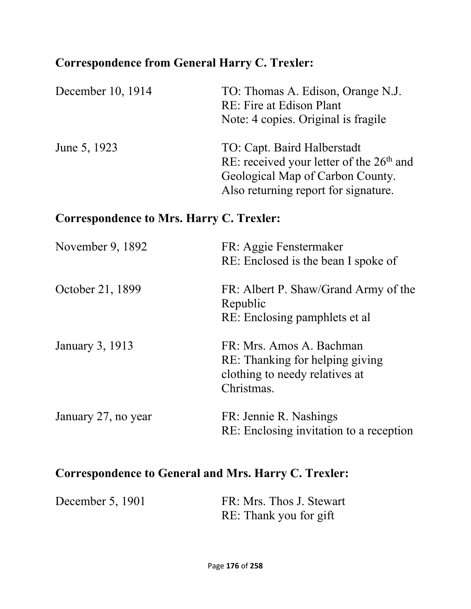## **Correspondence from General Harry C. Trexler:**

| December 10, 1914 | TO: Thomas A. Edison, Orange N.J.<br>RE: Fire at Edison Plant<br>Note: 4 copies. Original is fragile                                                  |
|-------------------|-------------------------------------------------------------------------------------------------------------------------------------------------------|
| June 5, 1923      | TO: Capt. Baird Halberstadt<br>RE: received your letter of the $26th$ and<br>Geological Map of Carbon County.<br>Also returning report for signature. |

## **Correspondence to Mrs. Harry C. Trexler:**

| November 9, 1892    | FR: Aggie Fenstermaker<br>RE: Enclosed is the bean I spoke of                                               |
|---------------------|-------------------------------------------------------------------------------------------------------------|
| October 21, 1899    | FR: Albert P. Shaw/Grand Army of the<br>Republic<br>RE: Enclosing pamphlets et al.                          |
| January 3, 1913     | FR: Mrs. Amos A. Bachman<br>RE: Thanking for helping giving<br>clothing to needy relatives at<br>Christmas. |
| January 27, no year | FR: Jennie R. Nashings<br>RE: Enclosing invitation to a reception                                           |

## **Correspondence to General and Mrs. Harry C. Trexler:**

| December 5, 1901 | FR: Mrs. Thos J. Stewart |
|------------------|--------------------------|
|                  | RE: Thank you for gift   |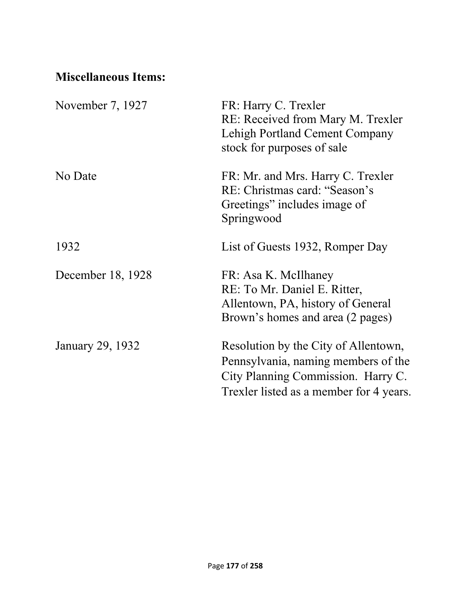## **Miscellaneous Items:**

| November 7, 1927  | FR: Harry C. Trexler<br>RE: Received from Mary M. Trexler<br>Lehigh Portland Cement Company<br>stock for purposes of sale                                    |
|-------------------|--------------------------------------------------------------------------------------------------------------------------------------------------------------|
| No Date           | FR: Mr. and Mrs. Harry C. Trexler<br>RE: Christmas card: "Season's<br>Greetings" includes image of<br>Springwood                                             |
| 1932              | List of Guests 1932, Romper Day                                                                                                                              |
| December 18, 1928 | FR: Asa K. McIlhaney<br>RE: To Mr. Daniel E. Ritter,<br>Allentown, PA, history of General<br>Brown's homes and area (2 pages)                                |
| January 29, 1932  | Resolution by the City of Allentown,<br>Pennsylvania, naming members of the<br>City Planning Commission. Harry C.<br>Trexler listed as a member for 4 years. |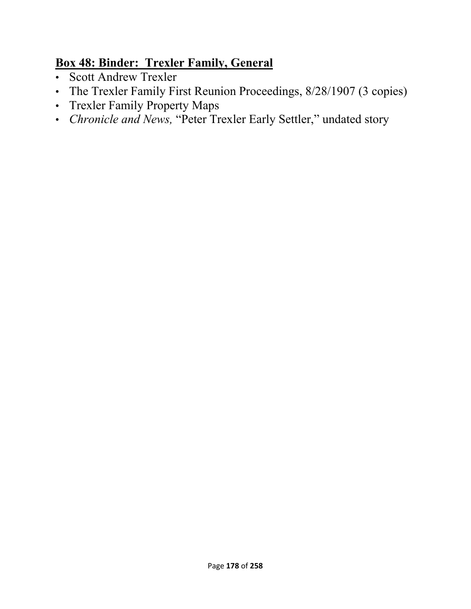## **Box 48: Binder: Trexler Family, General**

- Scott Andrew Trexler
- The Trexler Family First Reunion Proceedings, 8/28/1907 (3 copies)
- Trexler Family Property Maps
- *Chronicle and News,* "Peter Trexler Early Settler," undated story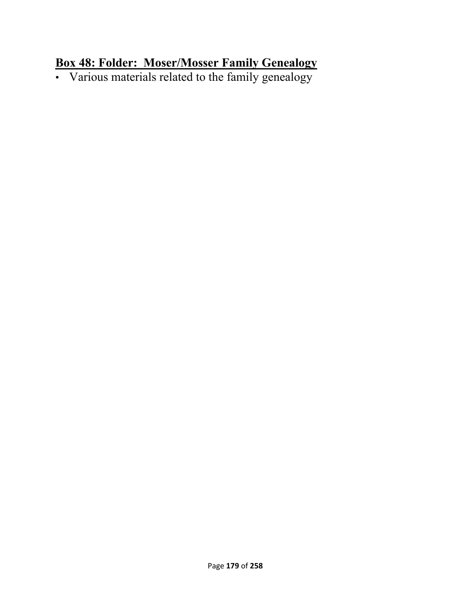#### **Box 48: Folder: Moser/Mosser Family Genealogy**

• Various materials related to the family genealogy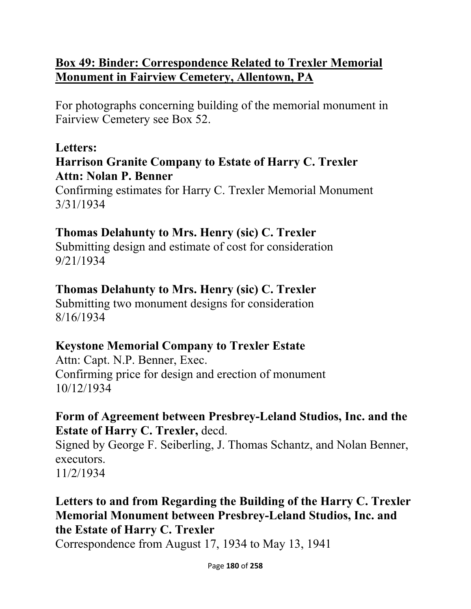### **Box 49: Binder: Correspondence Related to Trexler Memorial Monument in Fairview Cemetery, Allentown, PA**

For photographs concerning building of the memorial monument in Fairview Cemetery see Box 52.

### **Letters:**

### **Harrison Granite Company to Estate of Harry C. Trexler Attn: Nolan P. Benner**

Confirming estimates for Harry C. Trexler Memorial Monument 3/31/1934

### **Thomas Delahunty to Mrs. Henry (sic) C. Trexler**

Submitting design and estimate of cost for consideration 9/21/1934

### **Thomas Delahunty to Mrs. Henry (sic) C. Trexler**

Submitting two monument designs for consideration 8/16/1934

# **Keystone Memorial Company to Trexler Estate**

Attn: Capt. N.P. Benner, Exec. Confirming price for design and erection of monument 10/12/1934

### **Form of Agreement between Presbrey-Leland Studios, Inc. and the Estate of Harry C. Trexler,** decd.

Signed by George F. Seiberling, J. Thomas Schantz, and Nolan Benner, executors. 11/2/1934

### **Letters to and from Regarding the Building of the Harry C. Trexler Memorial Monument between Presbrey-Leland Studios, Inc. and the Estate of Harry C. Trexler**

Correspondence from August 17, 1934 to May 13, 1941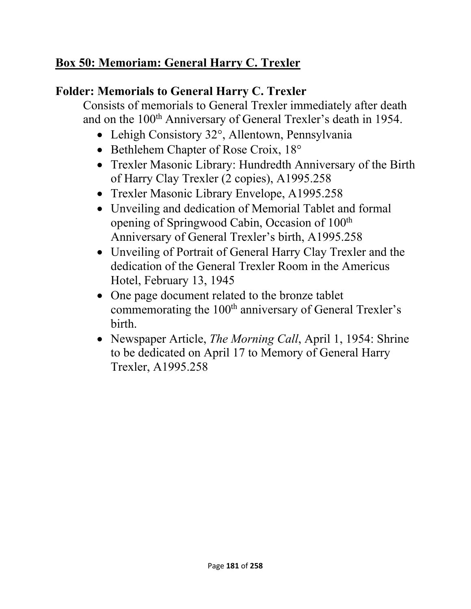# **Box 50: Memoriam: General Harry C. Trexler**

### **Folder: Memorials to General Harry C. Trexler**

Consists of memorials to General Trexler immediately after death and on the 100<sup>th</sup> Anniversary of General Trexler's death in 1954.

- Lehigh Consistory 32°, Allentown, Pennsylvania
- Bethlehem Chapter of Rose Croix, 18°
- Trexler Masonic Library: Hundredth Anniversary of the Birth of Harry Clay Trexler (2 copies), A1995.258
- Trexler Masonic Library Envelope, A1995.258
- Unveiling and dedication of Memorial Tablet and formal opening of Springwood Cabin, Occasion of 100th Anniversary of General Trexler's birth, A1995.258
- Unveiling of Portrait of General Harry Clay Trexler and the dedication of the General Trexler Room in the Americus Hotel, February 13, 1945
- One page document related to the bronze tablet commemorating the 100<sup>th</sup> anniversary of General Trexler's birth.
- Newspaper Article, *The Morning Call*, April 1, 1954: Shrine to be dedicated on April 17 to Memory of General Harry Trexler, A1995.258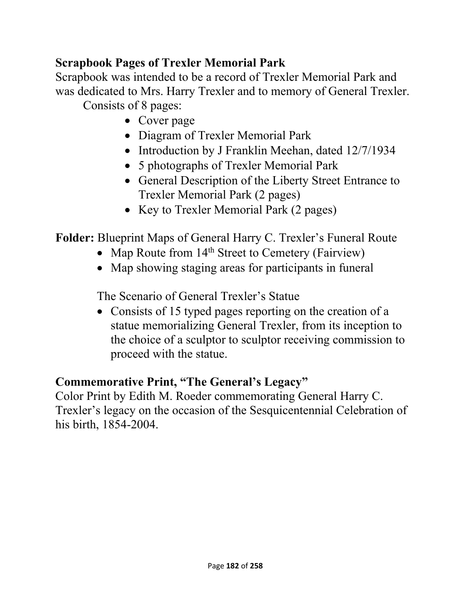### **Scrapbook Pages of Trexler Memorial Park**

Scrapbook was intended to be a record of Trexler Memorial Park and was dedicated to Mrs. Harry Trexler and to memory of General Trexler. Consists of 8 pages:

- Cover page
- Diagram of Trexler Memorial Park
- Introduction by J Franklin Meehan, dated 12/7/1934
- 5 photographs of Trexler Memorial Park
- General Description of the Liberty Street Entrance to Trexler Memorial Park (2 pages)
- Key to Trexler Memorial Park (2 pages)

**Folder:** Blueprint Maps of General Harry C. Trexler's Funeral Route

- Map Route from  $14<sup>th</sup>$  Street to Cemetery (Fairview)
- Map showing staging areas for participants in funeral

The Scenario of General Trexler's Statue

• Consists of 15 typed pages reporting on the creation of a statue memorializing General Trexler, from its inception to the choice of a sculptor to sculptor receiving commission to proceed with the statue.

# **Commemorative Print, "The General's Legacy"**

Color Print by Edith M. Roeder commemorating General Harry C. Trexler's legacy on the occasion of the Sesquicentennial Celebration of his birth, 1854-2004.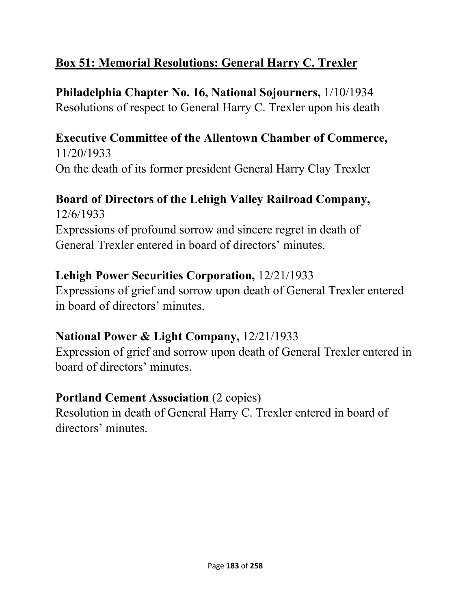# **Box 51: Memorial Resolutions: General Harry C. Trexler**

**Philadelphia Chapter No. 16, National Sojourners,** 1/10/1934 Resolutions of respect to General Harry C. Trexler upon his death

**Executive Committee of the Allentown Chamber of Commerce,**  11/20/1933 On the death of its former president General Harry Clay Trexler

# **Board of Directors of the Lehigh Valley Railroad Company,**

12/6/1933 Expressions of profound sorrow and sincere regret in death of General Trexler entered in board of directors' minutes.

### **Lehigh Power Securities Corporation,** 12/21/1933

Expressions of grief and sorrow upon death of General Trexler entered in board of directors' minutes.

# **National Power & Light Company,** 12/21/1933

Expression of grief and sorrow upon death of General Trexler entered in board of directors' minutes.

### **Portland Cement Association (2 copies)**

Resolution in death of General Harry C. Trexler entered in board of directors' minutes.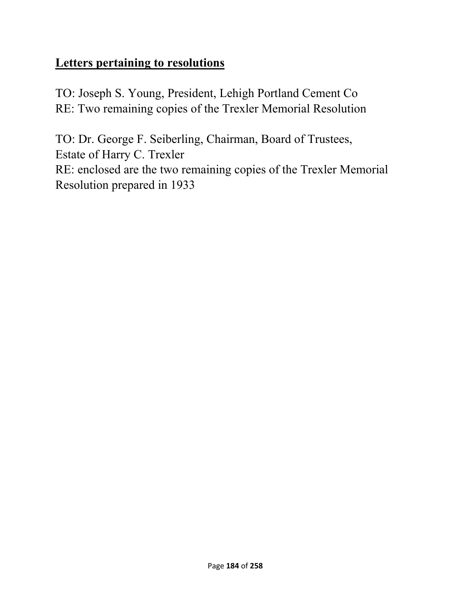### **Letters pertaining to resolutions**

TO: Joseph S. Young, President, Lehigh Portland Cement Co RE: Two remaining copies of the Trexler Memorial Resolution

TO: Dr. George F. Seiberling, Chairman, Board of Trustees, Estate of Harry C. Trexler RE: enclosed are the two remaining copies of the Trexler Memorial Resolution prepared in 1933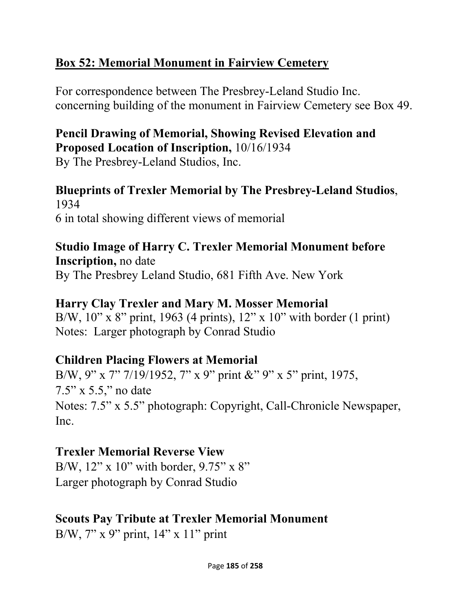# **Box 52: Memorial Monument in Fairview Cemetery**

For correspondence between The Presbrey-Leland Studio Inc. concerning building of the monument in Fairview Cemetery see Box 49.

# **Pencil Drawing of Memorial, Showing Revised Elevation and Proposed Location of Inscription,** 10/16/1934

By The Presbrey-Leland Studios, Inc.

### **Blueprints of Trexler Memorial by The Presbrey-Leland Studios**, 1934 6 in total showing different views of memorial

# **Studio Image of Harry C. Trexler Memorial Monument before Inscription,** no date

By The Presbrey Leland Studio, 681 Fifth Ave. New York

# **Harry Clay Trexler and Mary M. Mosser Memorial**

B/W, 10" x 8" print, 1963 (4 prints), 12" x 10" with border (1 print) Notes: Larger photograph by Conrad Studio

# **Children Placing Flowers at Memorial**

B/W, 9" x 7" 7/19/1952, 7" x 9" print &" 9" x 5" print, 1975, 7.5" x 5.5," no date Notes: 7.5" x 5.5" photograph: Copyright, Call-Chronicle Newspaper, Inc.

# **Trexler Memorial Reverse View**

B/W,  $12$ " x  $10$ " with border,  $9.75$ " x  $8$ " Larger photograph by Conrad Studio

# **Scouts Pay Tribute at Trexler Memorial Monument**

B/W, 7" x 9" print, 14" x 11" print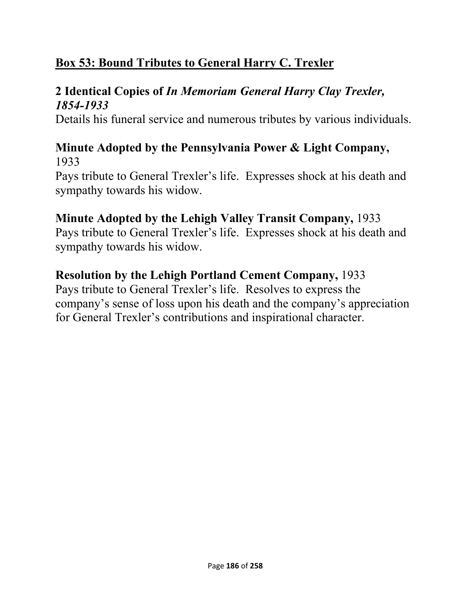# **Box 53: Bound Tributes to General Harry C. Trexler**

### **2 Identical Copies of** *In Memoriam General Harry Clay Trexler, 1854-1933*

Details his funeral service and numerous tributes by various individuals.

### **Minute Adopted by the Pennsylvania Power & Light Company,**  1933

Pays tribute to General Trexler's life. Expresses shock at his death and sympathy towards his widow.

### **Minute Adopted by the Lehigh Valley Transit Company,** 1933

Pays tribute to General Trexler's life. Expresses shock at his death and sympathy towards his widow.

### **Resolution by the Lehigh Portland Cement Company,** 1933

Pays tribute to General Trexler's life. Resolves to express the company's sense of loss upon his death and the company's appreciation for General Trexler's contributions and inspirational character.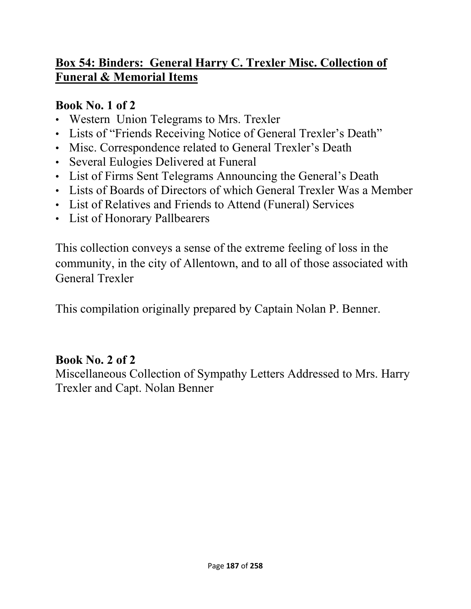# **Box 54: Binders: General Harry C. Trexler Misc. Collection of Funeral & Memorial Items**

### **Book No. 1 of 2**

- Western Union Telegrams to Mrs. Trexler
- Lists of "Friends Receiving Notice of General Trexler's Death"
- Misc. Correspondence related to General Trexler's Death
- Several Eulogies Delivered at Funeral
- List of Firms Sent Telegrams Announcing the General's Death
- Lists of Boards of Directors of which General Trexler Was a Member
- List of Relatives and Friends to Attend (Funeral) Services
- List of Honorary Pallbearers

This collection conveys a sense of the extreme feeling of loss in the community, in the city of Allentown, and to all of those associated with General Trexler

This compilation originally prepared by Captain Nolan P. Benner.

### **Book No. 2 of 2**

Miscellaneous Collection of Sympathy Letters Addressed to Mrs. Harry Trexler and Capt. Nolan Benner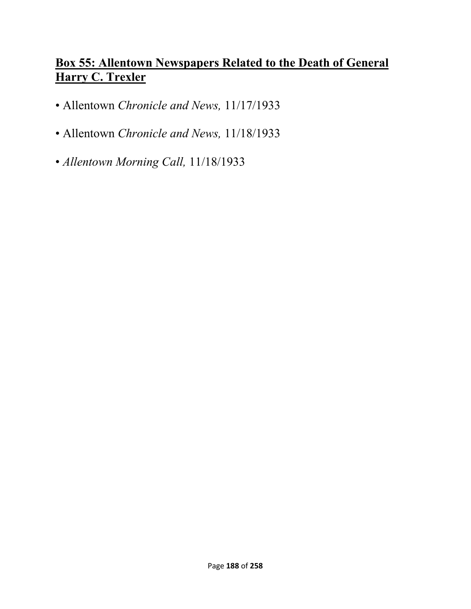### **Box 55: Allentown Newspapers Related to the Death of General Harry C. Trexler**

- Allentown *Chronicle and News,* 11/17/1933
- Allentown *Chronicle and News,* 11/18/1933
- *Allentown Morning Call,* 11/18/1933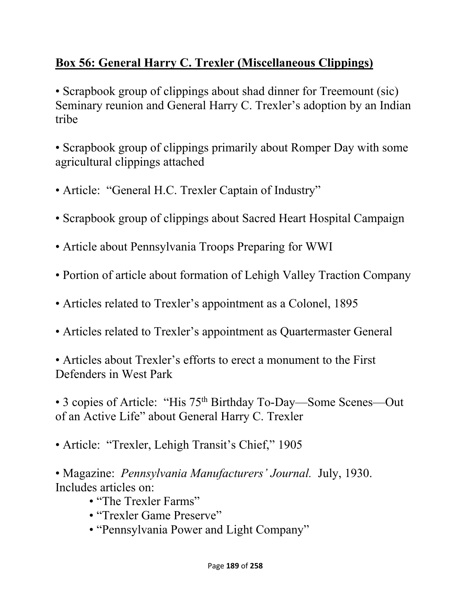# **Box 56: General Harry C. Trexler (Miscellaneous Clippings)**

• Scrapbook group of clippings about shad dinner for Treemount (sic) Seminary reunion and General Harry C. Trexler's adoption by an Indian tribe

• Scrapbook group of clippings primarily about Romper Day with some agricultural clippings attached

- Article: "General H.C. Trexler Captain of Industry"
- Scrapbook group of clippings about Sacred Heart Hospital Campaign
- Article about Pennsylvania Troops Preparing for WWI
- Portion of article about formation of Lehigh Valley Traction Company
- Articles related to Trexler's appointment as a Colonel, 1895
- Articles related to Trexler's appointment as Quartermaster General

• Articles about Trexler's efforts to erect a monument to the First Defenders in West Park

• 3 copies of Article: "His 75th Birthday To-Day—Some Scenes—Out of an Active Life" about General Harry C. Trexler

• Article: "Trexler, Lehigh Transit's Chief," 1905

• Magazine: *Pennsylvania Manufacturers' Journal.* July, 1930. Includes articles on:

- "The Trexler Farms"
- "Trexler Game Preserve"
- "Pennsylvania Power and Light Company"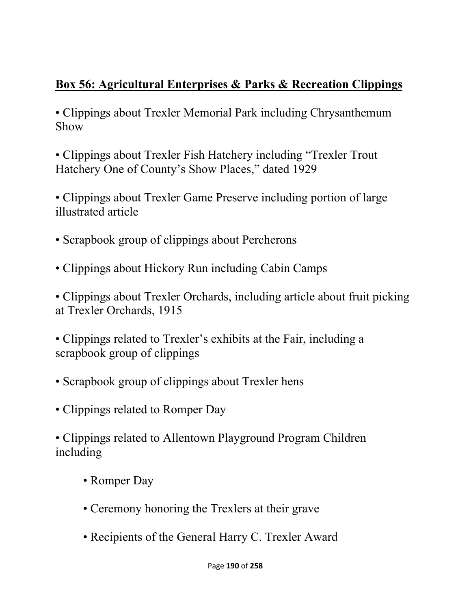# **Box 56: Agricultural Enterprises & Parks & Recreation Clippings**

• Clippings about Trexler Memorial Park including Chrysanthemum Show

• Clippings about Trexler Fish Hatchery including "Trexler Trout Hatchery One of County's Show Places," dated 1929

• Clippings about Trexler Game Preserve including portion of large illustrated article

- Scrapbook group of clippings about Percherons
- Clippings about Hickory Run including Cabin Camps

• Clippings about Trexler Orchards, including article about fruit picking at Trexler Orchards, 1915

• Clippings related to Trexler's exhibits at the Fair, including a scrapbook group of clippings

- Scrapbook group of clippings about Trexler hens
- Clippings related to Romper Day

• Clippings related to Allentown Playground Program Children including

- Romper Day
- Ceremony honoring the Trexlers at their grave
- Recipients of the General Harry C. Trexler Award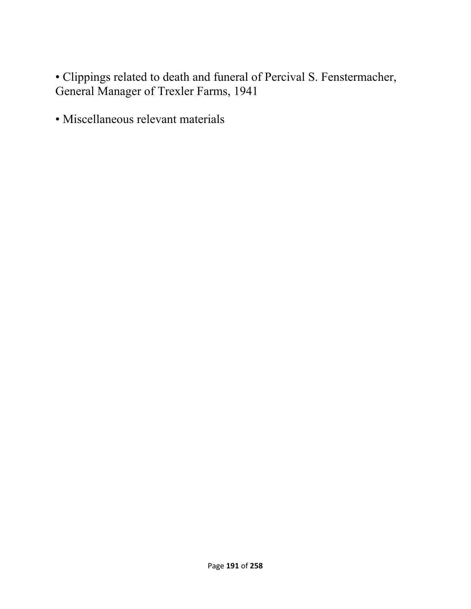• Clippings related to death and funeral of Percival S. Fenstermacher, General Manager of Trexler Farms, 1941

• Miscellaneous relevant materials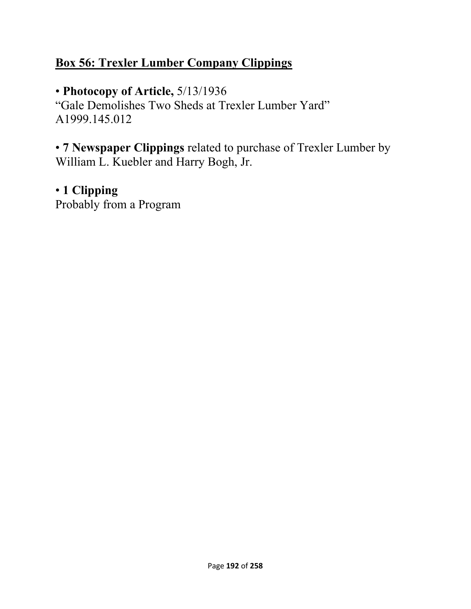### **Box 56: Trexler Lumber Company Clippings**

• **Photocopy of Article,** 5/13/1936

"Gale Demolishes Two Sheds at Trexler Lumber Yard" A1999.145.012

• **7 Newspaper Clippings** related to purchase of Trexler Lumber by William L. Kuebler and Harry Bogh, Jr.

# • **1 Clipping**

Probably from a Program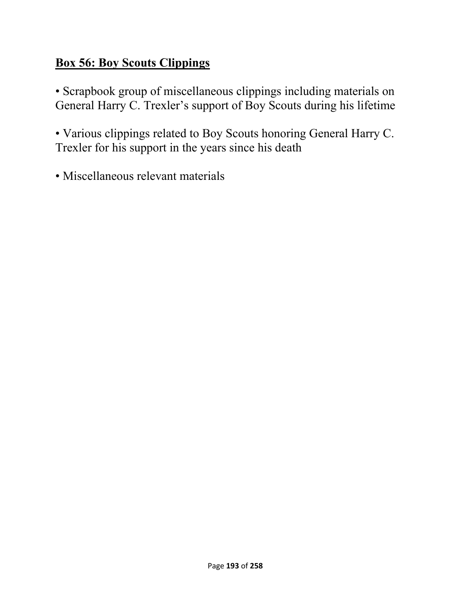# **Box 56: Boy Scouts Clippings**

• Scrapbook group of miscellaneous clippings including materials on General Harry C. Trexler's support of Boy Scouts during his lifetime

• Various clippings related to Boy Scouts honoring General Harry C. Trexler for his support in the years since his death

• Miscellaneous relevant materials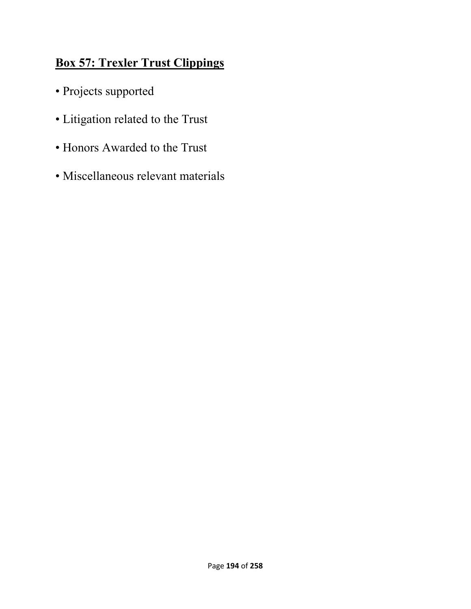# **Box 57: Trexler Trust Clippings**

- Projects supported
- Litigation related to the Trust
- Honors Awarded to the Trust
- Miscellaneous relevant materials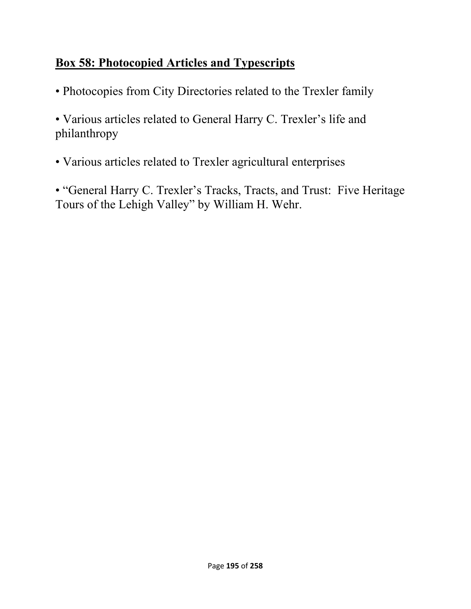# **Box 58: Photocopied Articles and Typescripts**

• Photocopies from City Directories related to the Trexler family

• Various articles related to General Harry C. Trexler's life and philanthropy

• Various articles related to Trexler agricultural enterprises

• "General Harry C. Trexler's Tracks, Tracts, and Trust: Five Heritage Tours of the Lehigh Valley" by William H. Wehr.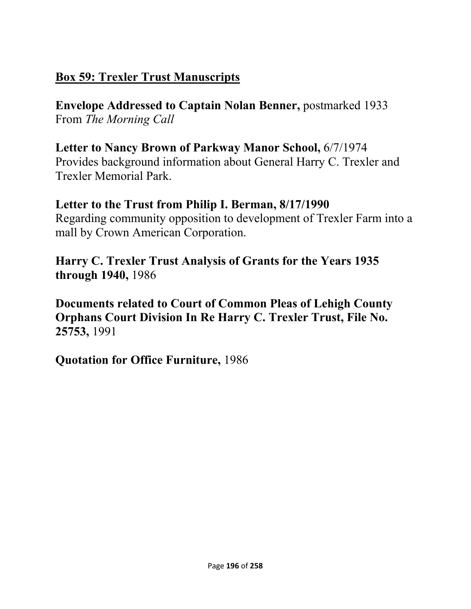# **Box 59: Trexler Trust Manuscripts**

**Envelope Addressed to Captain Nolan Benner,** postmarked 1933 From *The Morning Call* 

#### **Letter to Nancy Brown of Parkway Manor School,** 6/7/1974 Provides background information about General Harry C. Trexler and Trexler Memorial Park.

# **Letter to the Trust from Philip I. Berman, 8/17/1990**

Regarding community opposition to development of Trexler Farm into a mall by Crown American Corporation.

**Harry C. Trexler Trust Analysis of Grants for the Years 1935 through 1940,** 1986

**Documents related to Court of Common Pleas of Lehigh County Orphans Court Division In Re Harry C. Trexler Trust, File No. 25753,** 1991

**Quotation for Office Furniture,** 1986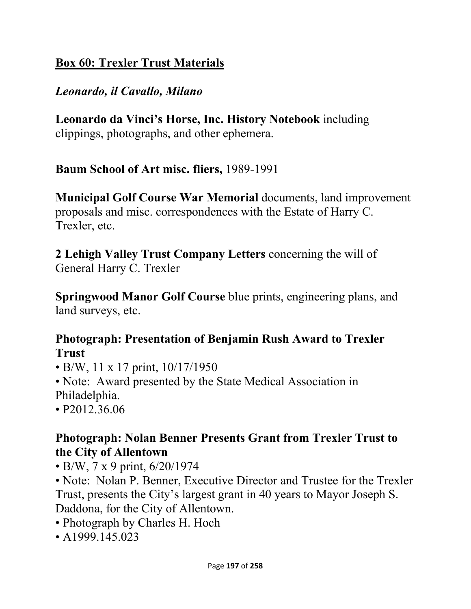# **Box 60: Trexler Trust Materials**

### *Leonardo, il Cavallo, Milano*

**Leonardo da Vinci's Horse, Inc. History Notebook** including clippings, photographs, and other ephemera.

**Baum School of Art misc. fliers,** 1989-1991

**Municipal Golf Course War Memorial** documents, land improvement proposals and misc. correspondences with the Estate of Harry C. Trexler, etc.

**2 Lehigh Valley Trust Company Letters** concerning the will of General Harry C. Trexler

**Springwood Manor Golf Course** blue prints, engineering plans, and land surveys, etc.

### **Photograph: Presentation of Benjamin Rush Award to Trexler Trust**

- B/W, 11 x 17 print,  $10/17/1950$
- Note: Award presented by the State Medical Association in Philadelphia.
- P2012.36.06

### **Photograph: Nolan Benner Presents Grant from Trexler Trust to the City of Allentown**

• B/W, 7 x 9 print, 6/20/1974

• Note: Nolan P. Benner, Executive Director and Trustee for the Trexler Trust, presents the City's largest grant in 40 years to Mayor Joseph S. Daddona, for the City of Allentown.

- Photograph by Charles H. Hoch
- A1999.145.023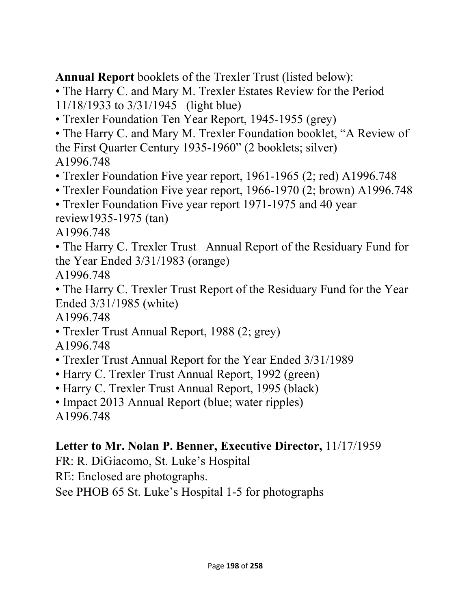**Annual Report** booklets of the Trexler Trust (listed below):

• The Harry C. and Mary M. Trexler Estates Review for the Period 11/18/1933 to 3/31/1945 (light blue)

- Trexler Foundation Ten Year Report, 1945-1955 (grey)
- The Harry C. and Mary M. Trexler Foundation booklet, "A Review of the First Quarter Century 1935-1960" (2 booklets; silver) A1996.748
- Trexler Foundation Five year report, 1961-1965 (2; red) A1996.748
- Trexler Foundation Five year report, 1966-1970 (2; brown) A1996.748
- Trexler Foundation Five year report 1971-1975 and 40 year review1935-1975 (tan)
- A1996.748

• The Harry C. Trexler Trust Annual Report of the Residuary Fund for the Year Ended 3/31/1983 (orange)

A1996.748

• The Harry C. Trexler Trust Report of the Residuary Fund for the Year Ended 3/31/1985 (white)

A1996.748

- Trexler Trust Annual Report, 1988 (2; grey)
- A1996.748
- Trexler Trust Annual Report for the Year Ended 3/31/1989
- Harry C. Trexler Trust Annual Report, 1992 (green)
- Harry C. Trexler Trust Annual Report, 1995 (black)

• Impact 2013 Annual Report (blue; water ripples) A1996.748

### **Letter to Mr. Nolan P. Benner, Executive Director,** 11/17/1959

FR: R. DiGiacomo, St. Luke's Hospital

RE: Enclosed are photographs.

See PHOB 65 St. Luke's Hospital 1-5 for photographs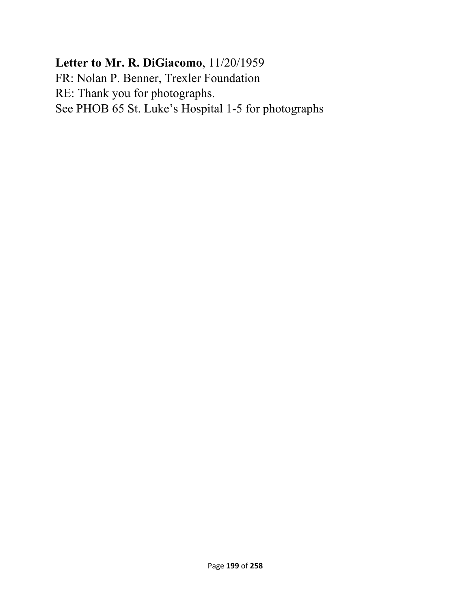# **Letter to Mr. R. DiGiacomo**, 11/20/1959 FR: Nolan P. Benner, Trexler Foundation RE: Thank you for photographs. See PHOB 65 St. Luke's Hospital 1-5 for photographs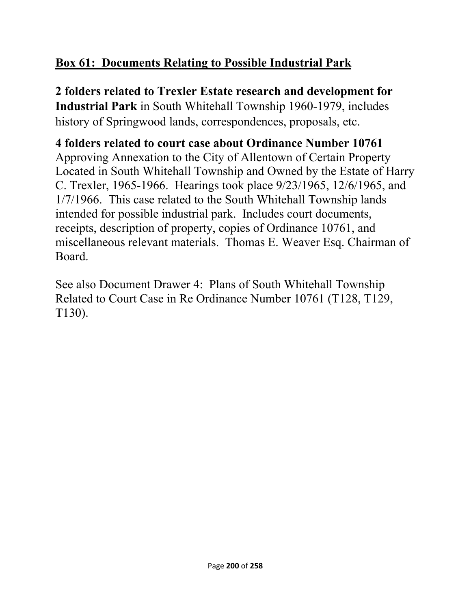# **Box 61: Documents Relating to Possible Industrial Park**

**2 folders related to Trexler Estate research and development for Industrial Park** in South Whitehall Township 1960-1979, includes history of Springwood lands, correspondences, proposals, etc.

### **4 folders related to court case about Ordinance Number 10761**  Approving Annexation to the City of Allentown of Certain Property Located in South Whitehall Township and Owned by the Estate of Harry C. Trexler, 1965-1966. Hearings took place 9/23/1965, 12/6/1965, and 1/7/1966. This case related to the South Whitehall Township lands intended for possible industrial park. Includes court documents, receipts, description of property, copies of Ordinance 10761, and miscellaneous relevant materials. Thomas E. Weaver Esq. Chairman of Board.

See also Document Drawer 4: Plans of South Whitehall Township Related to Court Case in Re Ordinance Number 10761 (T128, T129, T130).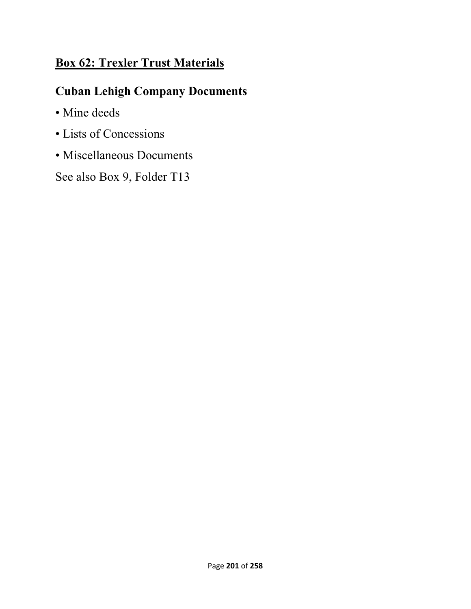# **Box 62: Trexler Trust Materials**

# **Cuban Lehigh Company Documents**

- Mine deeds
- Lists of Concessions
- Miscellaneous Documents

See also Box 9, Folder T13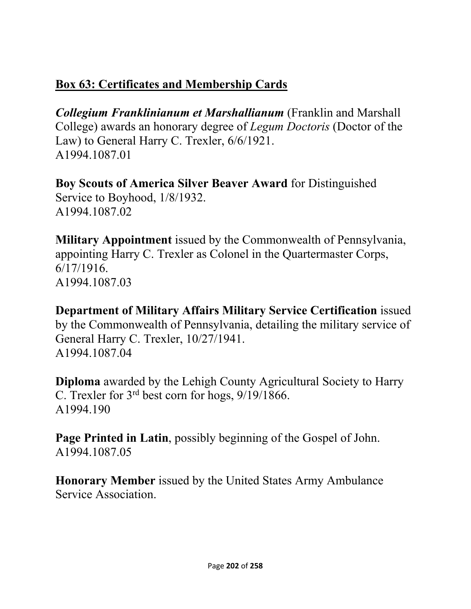# **Box 63: Certificates and Membership Cards**

*Collegium Franklinianum et Marshallianum* (Franklin and Marshall College) awards an honorary degree of *Legum Doctoris* (Doctor of the Law) to General Harry C. Trexler, 6/6/1921. A1994.1087.01

**Boy Scouts of America Silver Beaver Award** for Distinguished Service to Boyhood, 1/8/1932. A1994.1087.02

**Military Appointment** issued by the Commonwealth of Pennsylvania, appointing Harry C. Trexler as Colonel in the Quartermaster Corps, 6/17/1916. A1994.1087.03

**Department of Military Affairs Military Service Certification** issued by the Commonwealth of Pennsylvania, detailing the military service of General Harry C. Trexler, 10/27/1941. A1994.1087.04

**Diploma** awarded by the Lehigh County Agricultural Society to Harry C. Trexler for 3rd best corn for hogs, 9/19/1866. A1994.190

**Page Printed in Latin**, possibly beginning of the Gospel of John. A1994.1087.05

**Honorary Member** issued by the United States Army Ambulance Service Association.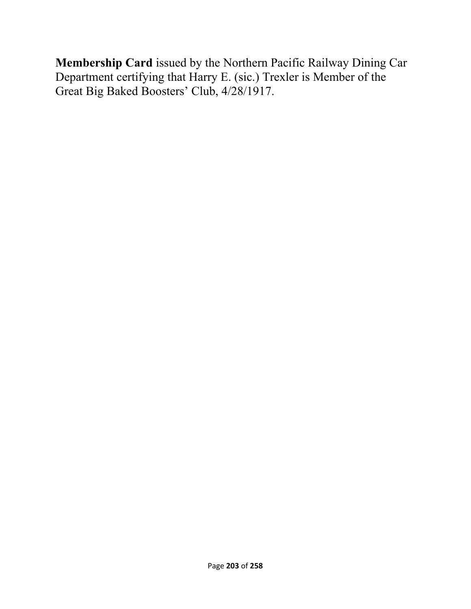**Membership Card** issued by the Northern Pacific Railway Dining Car Department certifying that Harry E. (sic.) Trexler is Member of the Great Big Baked Boosters' Club, 4/28/1917.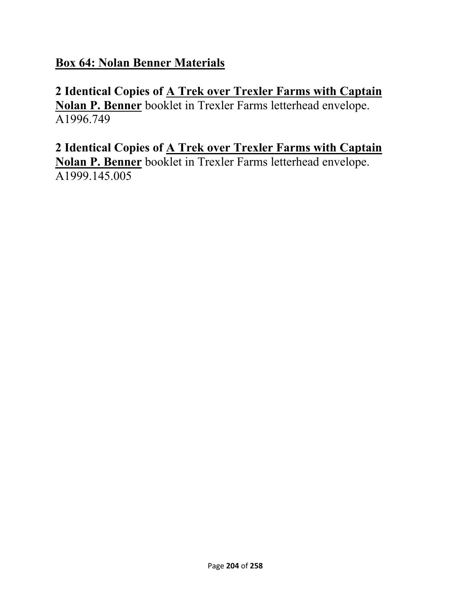**Box 64: Nolan Benner Materials** 

**2 Identical Copies of A Trek over Trexler Farms with Captain Nolan P. Benner** booklet in Trexler Farms letterhead envelope. A1996.749

**2 Identical Copies of A Trek over Trexler Farms with Captain Nolan P. Benner** booklet in Trexler Farms letterhead envelope. A1999.145.005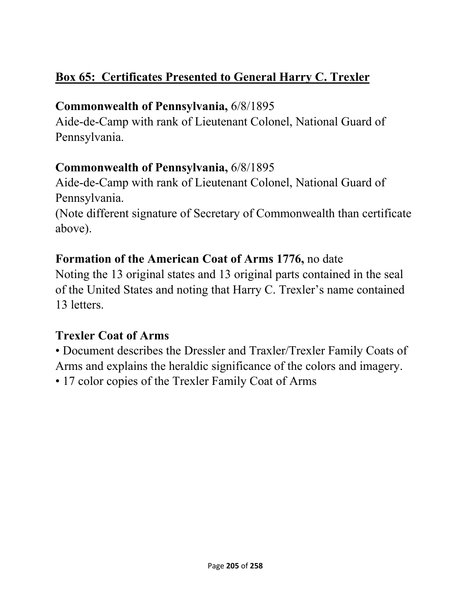# **Box 65: Certificates Presented to General Harry C. Trexler**

# **Commonwealth of Pennsylvania,** 6/8/1895

Aide-de-Camp with rank of Lieutenant Colonel, National Guard of Pennsylvania.

# **Commonwealth of Pennsylvania,** 6/8/1895

Aide-de-Camp with rank of Lieutenant Colonel, National Guard of Pennsylvania.

(Note different signature of Secretary of Commonwealth than certificate above).

# **Formation of the American Coat of Arms 1776,** no date

Noting the 13 original states and 13 original parts contained in the seal of the United States and noting that Harry C. Trexler's name contained 13 letters.

# **Trexler Coat of Arms**

• Document describes the Dressler and Traxler/Trexler Family Coats of Arms and explains the heraldic significance of the colors and imagery.

• 17 color copies of the Trexler Family Coat of Arms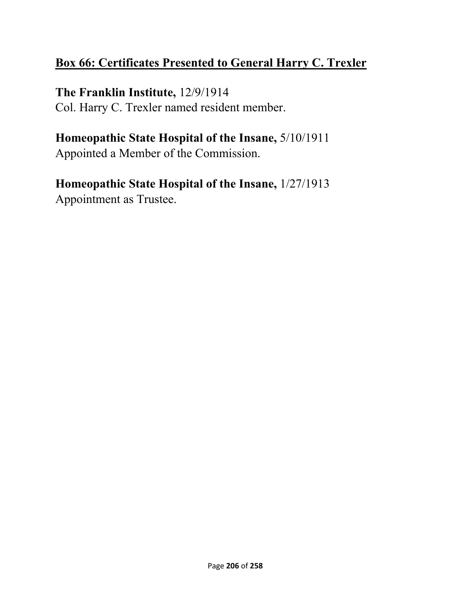# **Box 66: Certificates Presented to General Harry C. Trexler**

### **The Franklin Institute,** 12/9/1914

Col. Harry C. Trexler named resident member.

# **Homeopathic State Hospital of the Insane,** 5/10/1911

Appointed a Member of the Commission.

### **Homeopathic State Hospital of the Insane,** 1/27/1913 Appointment as Trustee.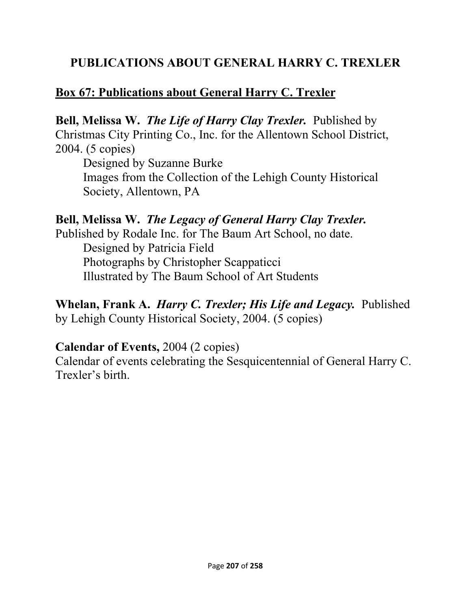### **PUBLICATIONS ABOUT GENERAL HARRY C. TREXLER**

### **Box 67: Publications about General Harry C. Trexler**

**Bell, Melissa W.** *The Life of Harry Clay Trexler.* Published by Christmas City Printing Co., Inc. for the Allentown School District, 2004. (5 copies)

Designed by Suzanne Burke Images from the Collection of the Lehigh County Historical Society, Allentown, PA

### **Bell, Melissa W.** *The Legacy of General Harry Clay Trexler.*

Published by Rodale Inc. for The Baum Art School, no date. Designed by Patricia Field Photographs by Christopher Scappaticci Illustrated by The Baum School of Art Students

**Whelan, Frank A.** *Harry C. Trexler; His Life and Legacy.*Published by Lehigh County Historical Society, 2004. (5 copies)

### **Calendar of Events,** 2004 (2 copies)

Calendar of events celebrating the Sesquicentennial of General Harry C. Trexler's birth.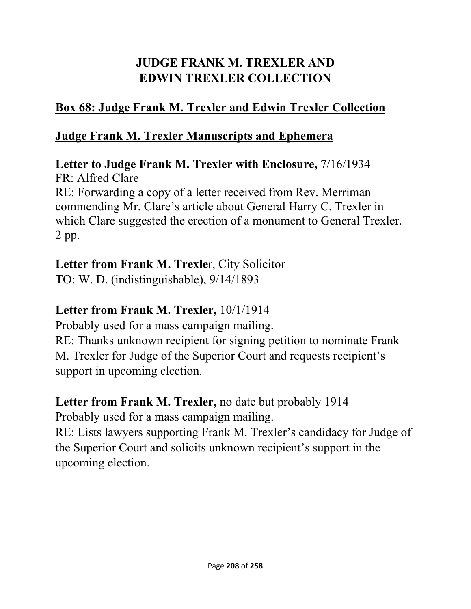# **JUDGE FRANK M. TREXLER AND EDWIN TREXLER COLLECTION**

# **Box 68: Judge Frank M. Trexler and Edwin Trexler Collection**

### **Judge Frank M. Trexler Manuscripts and Ephemera**

**Letter to Judge Frank M. Trexler with Enclosure,** 7/16/1934 FR: Alfred Clare RE: Forwarding a copy of a letter received from Rev. Merriman commending Mr. Clare's article about General Harry C. Trexler in which Clare suggested the erection of a monument to General Trexler. 2 pp.

# **Letter from Frank M. Trexle**r, City Solicitor

TO: W. D. (indistinguishable), 9/14/1893

# **Letter from Frank M. Trexler,** 10/1/1914

Probably used for a mass campaign mailing.

RE: Thanks unknown recipient for signing petition to nominate Frank M. Trexler for Judge of the Superior Court and requests recipient's support in upcoming election.

# **Letter from Frank M. Trexler,** no date but probably 1914

Probably used for a mass campaign mailing.

RE: Lists lawyers supporting Frank M. Trexler's candidacy for Judge of the Superior Court and solicits unknown recipient's support in the upcoming election.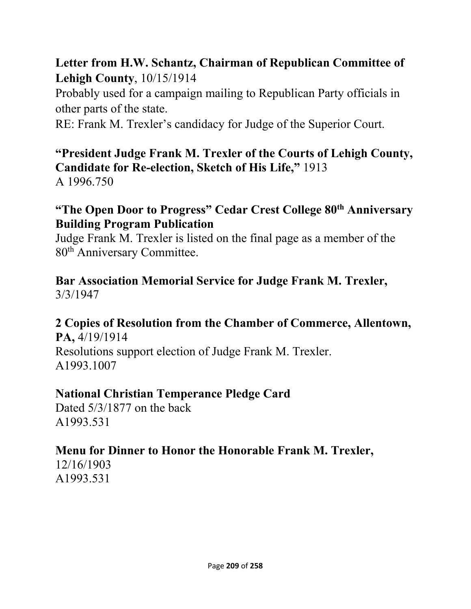# **Letter from H.W. Schantz, Chairman of Republican Committee of Lehigh County**, 10/15/1914

Probably used for a campaign mailing to Republican Party officials in other parts of the state.

RE: Frank M. Trexler's candidacy for Judge of the Superior Court.

# **"President Judge Frank M. Trexler of the Courts of Lehigh County, Candidate for Re-election, Sketch of His Life,"** 1913

A 1996.750

### **"The Open Door to Progress" Cedar Crest College 80th Anniversary Building Program Publication**

Judge Frank M. Trexler is listed on the final page as a member of the 80th Anniversary Committee.

#### **Bar Association Memorial Service for Judge Frank M. Trexler,**  3/3/1947

# **2 Copies of Resolution from the Chamber of Commerce, Allentown,**

**PA,** 4/19/1914 Resolutions support election of Judge Frank M. Trexler. A1993.1007

### **National Christian Temperance Pledge Card**

Dated 5/3/1877 on the back A1993.531

### **Menu for Dinner to Honor the Honorable Frank M. Trexler,**

12/16/1903 A1993.531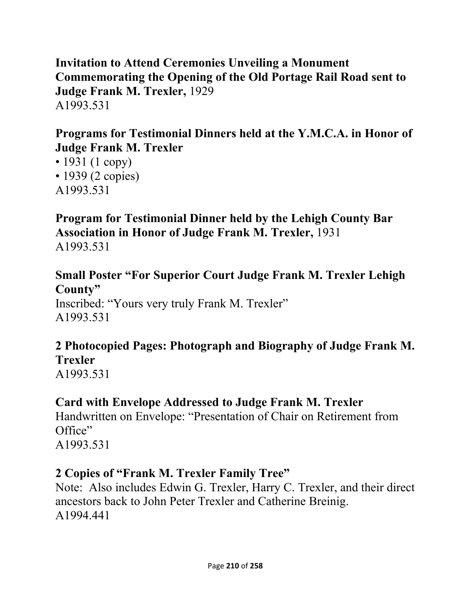**Invitation to Attend Ceremonies Unveiling a Monument Commemorating the Opening of the Old Portage Rail Road sent to Judge Frank M. Trexler,** 1929 A1993.531

### **Programs for Testimonial Dinners held at the Y.M.C.A. in Honor of Judge Frank M. Trexler**

• 1931 (1 copy) • 1939 (2 copies) A1993.531

# **Program for Testimonial Dinner held by the Lehigh County Bar Association in Honor of Judge Frank M. Trexler,** 1931

A1993.531

### **Small Poster "For Superior Court Judge Frank M. Trexler Lehigh County"**

Inscribed: "Yours very truly Frank M. Trexler" A1993.531

# **2 Photocopied Pages: Photograph and Biography of Judge Frank M. Trexler**

A1993.531

# **Card with Envelope Addressed to Judge Frank M. Trexler**

Handwritten on Envelope: "Presentation of Chair on Retirement from Office" A1993.531

# **2 Copies of "Frank M. Trexler Family Tree"**

Note: Also includes Edwin G. Trexler, Harry C. Trexler, and their direct ancestors back to John Peter Trexler and Catherine Breinig. A1994.441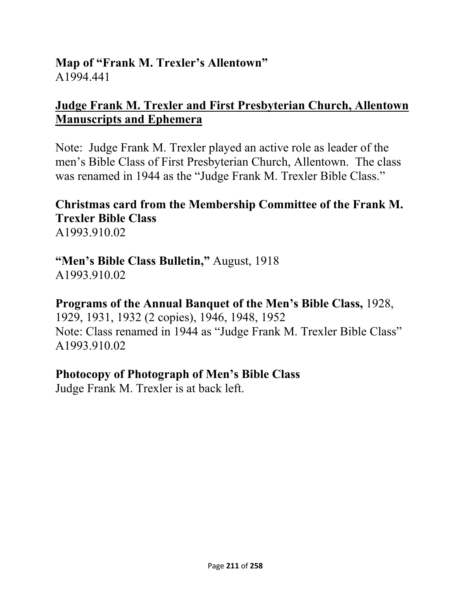### **Map of "Frank M. Trexler's Allentown"**  A1994.441

### **Judge Frank M. Trexler and First Presbyterian Church, Allentown Manuscripts and Ephemera**

Note: Judge Frank M. Trexler played an active role as leader of the men's Bible Class of First Presbyterian Church, Allentown. The class was renamed in 1944 as the "Judge Frank M. Trexler Bible Class."

#### **Christmas card from the Membership Committee of the Frank M. Trexler Bible Class**  A1993.910.02

# **"Men's Bible Class Bulletin,"** August, 1918

A1993.910.02

# **Programs of the Annual Banquet of the Men's Bible Class,** 1928,

1929, 1931, 1932 (2 copies), 1946, 1948, 1952 Note: Class renamed in 1944 as "Judge Frank M. Trexler Bible Class" A1993.910.02

### **Photocopy of Photograph of Men's Bible Class**

Judge Frank M. Trexler is at back left.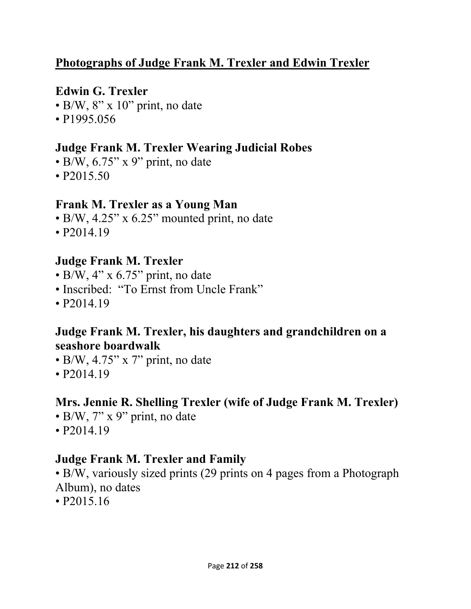### **Photographs of Judge Frank M. Trexler and Edwin Trexler**

### **Edwin G. Trexler**

- $\cdot$  B/W, 8" x 10" print, no date
- P1995.056

### **Judge Frank M. Trexler Wearing Judicial Robes**

- $\cdot$  B/W, 6.75" x 9" print, no date
- P2015.50

### **Frank M. Trexler as a Young Man**

- B/W, 4.25" x 6.25" mounted print, no date
- P2014.19

### **Judge Frank M. Trexler**

- $\bullet$  B/W, 4" x 6.75" print, no date
- Inscribed: "To Ernst from Uncle Frank"
- P2014.19

### **Judge Frank M. Trexler, his daughters and grandchildren on a seashore boardwalk**

- B/W,  $4.75$ " x 7" print, no date
- P2014.19

# **Mrs. Jennie R. Shelling Trexler (wife of Judge Frank M. Trexler)**

- $\bullet$  B/W, 7" x 9" print, no date
- P2014.19

# **Judge Frank M. Trexler and Family**

• B/W, variously sized prints (29 prints on 4 pages from a Photograph Album), no dates

• P2015.16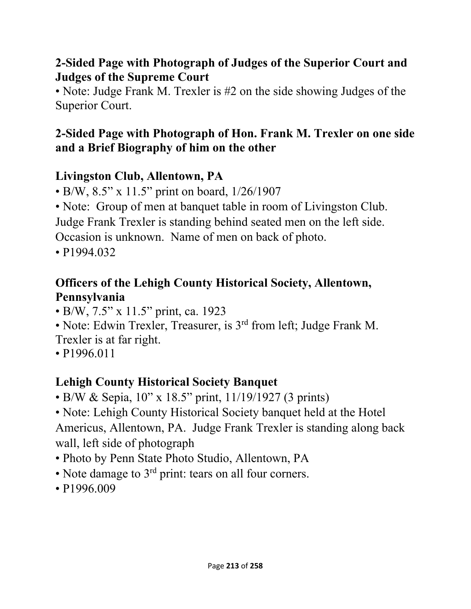### **2-Sided Page with Photograph of Judges of the Superior Court and Judges of the Supreme Court**

• Note: Judge Frank M. Trexler is #2 on the side showing Judges of the Superior Court.

# **2-Sided Page with Photograph of Hon. Frank M. Trexler on one side and a Brief Biography of him on the other**

# **Livingston Club, Allentown, PA**

- B/W, 8.5" x 11.5" print on board, 1/26/1907
- Note: Group of men at banquet table in room of Livingston Club. Judge Frank Trexler is standing behind seated men on the left side. Occasion is unknown. Name of men on back of photo.
- P1994.032

# **Officers of the Lehigh County Historical Society, Allentown, Pennsylvania**

- B/W, 7.5" x 11.5" print, ca. 1923
- Note: Edwin Trexler, Treasurer, is 3<sup>rd</sup> from left; Judge Frank M.
- Trexler is at far right.
- P1996.011

# **Lehigh County Historical Society Banquet**

- B/W & Sepia, 10" x 18.5" print, 11/19/1927 (3 prints)
- Note: Lehigh County Historical Society banquet held at the Hotel Americus, Allentown, PA. Judge Frank Trexler is standing along back wall, left side of photograph
- Photo by Penn State Photo Studio, Allentown, PA
- Note damage to  $3<sup>rd</sup>$  print: tears on all four corners.
- P1996.009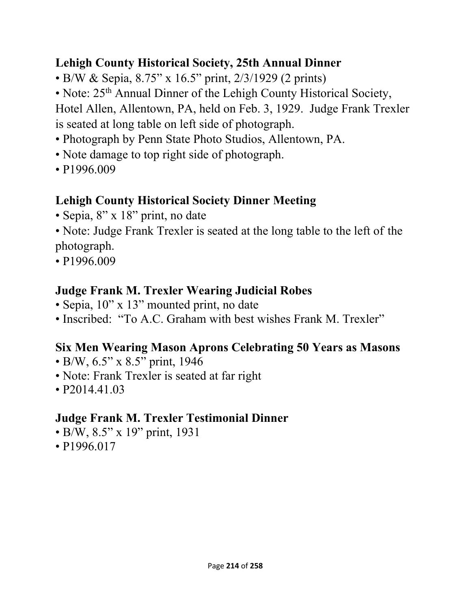# **Lehigh County Historical Society, 25th Annual Dinner**

• B/W & Sepia, 8.75" x 16.5" print, 2/3/1929 (2 prints)

• Note: 25<sup>th</sup> Annual Dinner of the Lehigh County Historical Society,

Hotel Allen, Allentown, PA, held on Feb. 3, 1929. Judge Frank Trexler is seated at long table on left side of photograph.

- Photograph by Penn State Photo Studios, Allentown, PA.
- Note damage to top right side of photograph.
- P1996.009

# **Lehigh County Historical Society Dinner Meeting**

- Sepia, 8" x 18" print, no date
- Note: Judge Frank Trexler is seated at the long table to the left of the photograph.
- P1996.009

### **Judge Frank M. Trexler Wearing Judicial Robes**

- Sepia, 10" x 13" mounted print, no date
- Inscribed: "To A.C. Graham with best wishes Frank M. Trexler"

### **Six Men Wearing Mason Aprons Celebrating 50 Years as Masons**

- B/W, 6.5" x 8.5" print, 1946
- Note: Frank Trexler is seated at far right
- P<sub>2014</sub>.41.03

### **Judge Frank M. Trexler Testimonial Dinner**

- B/W, 8.5" x 19" print, 1931
- P<sub>1996.017</sub>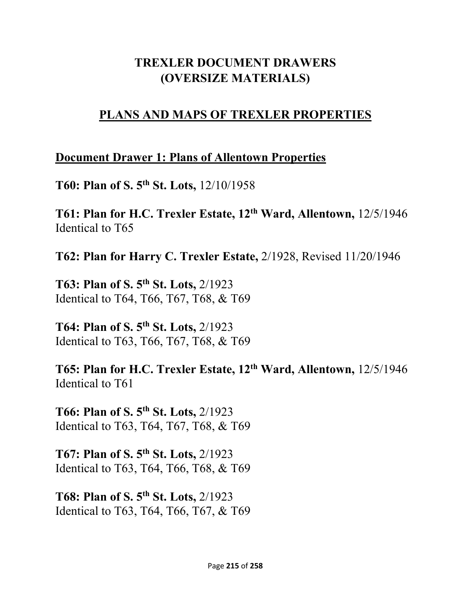### **TREXLER DOCUMENT DRAWERS (OVERSIZE MATERIALS)**

### **PLANS AND MAPS OF TREXLER PROPERTIES**

### **Document Drawer 1: Plans of Allentown Properties**

**T60: Plan of S. 5th St. Lots,** 12/10/1958

**T61: Plan for H.C. Trexler Estate, 12th Ward, Allentown,** 12/5/1946 Identical to T65

**T62: Plan for Harry C. Trexler Estate,** 2/1928, Revised 11/20/1946

**T63: Plan of S. 5th St. Lots,** 2/1923 Identical to T64, T66, T67, T68, & T69

**T64: Plan of S. 5th St. Lots,** 2/1923 Identical to T63, T66, T67, T68, & T69

**T65: Plan for H.C. Trexler Estate, 12th Ward, Allentown,** 12/5/1946 Identical to T61

**T66: Plan of S. 5th St. Lots,** 2/1923 Identical to T63, T64, T67, T68, & T69

**T67: Plan of S. 5th St. Lots,** 2/1923 Identical to T63, T64, T66, T68, & T69

**T68: Plan of S. 5th St. Lots,** 2/1923 Identical to T63, T64, T66, T67, & T69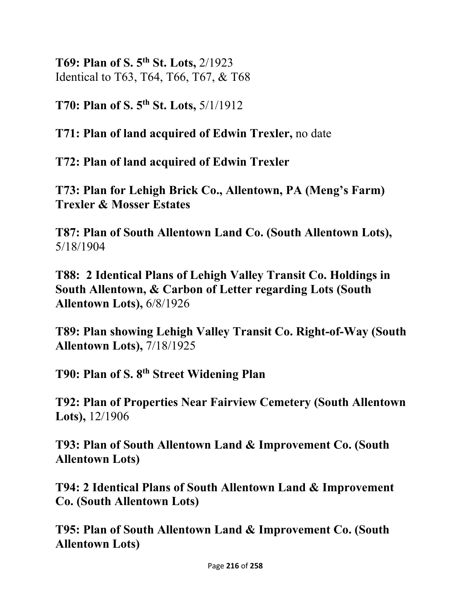**T69: Plan of S. 5th St. Lots,** 2/1923 Identical to T63, T64, T66, T67, & T68

**T70: Plan of S. 5th St. Lots,** 5/1/1912

**T71: Plan of land acquired of Edwin Trexler,** no date

**T72: Plan of land acquired of Edwin Trexler** 

**T73: Plan for Lehigh Brick Co., Allentown, PA (Meng's Farm) Trexler & Mosser Estates** 

**T87: Plan of South Allentown Land Co. (South Allentown Lots),**  5/18/1904

**T88: 2 Identical Plans of Lehigh Valley Transit Co. Holdings in South Allentown, & Carbon of Letter regarding Lots (South Allentown Lots),** 6/8/1926

**T89: Plan showing Lehigh Valley Transit Co. Right-of-Way (South Allentown Lots),** 7/18/1925

**T90: Plan of S. 8th Street Widening Plan** 

**T92: Plan of Properties Near Fairview Cemetery (South Allentown Lots),** 12/1906

**T93: Plan of South Allentown Land & Improvement Co. (South Allentown Lots)** 

**T94: 2 Identical Plans of South Allentown Land & Improvement Co. (South Allentown Lots)** 

**T95: Plan of South Allentown Land & Improvement Co. (South Allentown Lots)**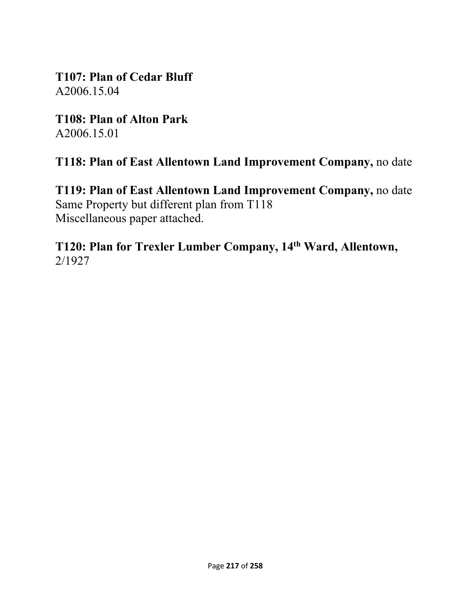**T107: Plan of Cedar Bluff**  A2006.15.04

**T108: Plan of Alton Park**  A2006.15.01

**T118: Plan of East Allentown Land Improvement Company,** no date

**T119: Plan of East Allentown Land Improvement Company,** no date Same Property but different plan from T118 Miscellaneous paper attached.

**T120: Plan for Trexler Lumber Company, 14th Ward, Allentown,**  2/1927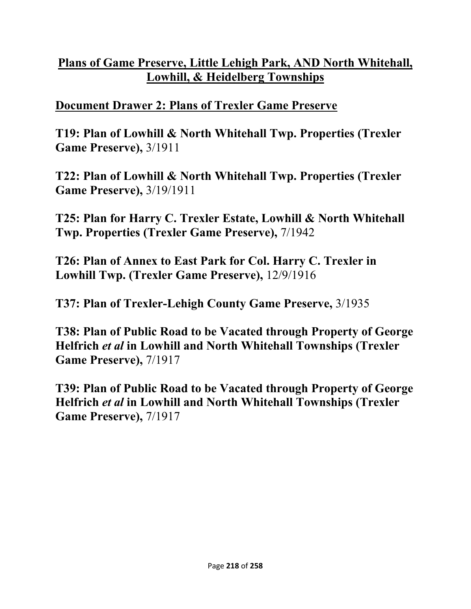# **Plans of Game Preserve, Little Lehigh Park, AND North Whitehall, Lowhill, & Heidelberg Townships**

## **Document Drawer 2: Plans of Trexler Game Preserve**

**T19: Plan of Lowhill & North Whitehall Twp. Properties (Trexler Game Preserve),** 3/1911

**T22: Plan of Lowhill & North Whitehall Twp. Properties (Trexler Game Preserve),** 3/19/1911

**T25: Plan for Harry C. Trexler Estate, Lowhill & North Whitehall Twp. Properties (Trexler Game Preserve),** 7/1942

**T26: Plan of Annex to East Park for Col. Harry C. Trexler in Lowhill Twp. (Trexler Game Preserve),** 12/9/1916

**T37: Plan of Trexler-Lehigh County Game Preserve,** 3/1935

**T38: Plan of Public Road to be Vacated through Property of George Helfrich** *et al* **in Lowhill and North Whitehall Townships (Trexler Game Preserve),** 7/1917

**T39: Plan of Public Road to be Vacated through Property of George Helfrich** *et al* **in Lowhill and North Whitehall Townships (Trexler Game Preserve),** 7/1917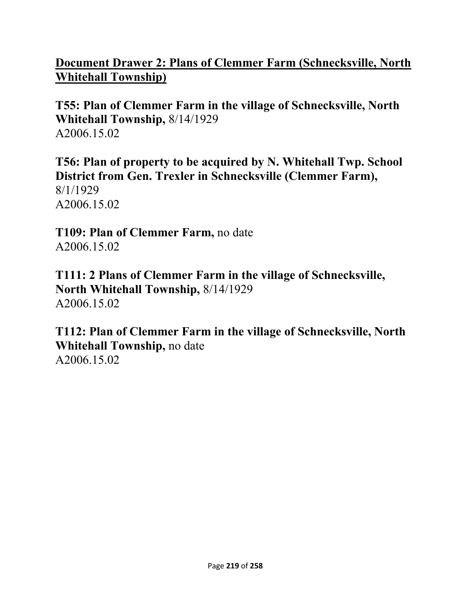## **Document Drawer 2: Plans of Clemmer Farm (Schnecksville, North Whitehall Township)**

**T55: Plan of Clemmer Farm in the village of Schnecksville, North Whitehall Township,** 8/14/1929 A2006.15.02

**T56: Plan of property to be acquired by N. Whitehall Twp. School District from Gen. Trexler in Schnecksville (Clemmer Farm),**  8/1/1929 A2006.15.02

**T109: Plan of Clemmer Farm,** no date A2006.15.02

**T111: 2 Plans of Clemmer Farm in the village of Schnecksville, North Whitehall Township,** 8/14/1929 A2006.15.02

**T112: Plan of Clemmer Farm in the village of Schnecksville, North Whitehall Township,** no date A2006.15.02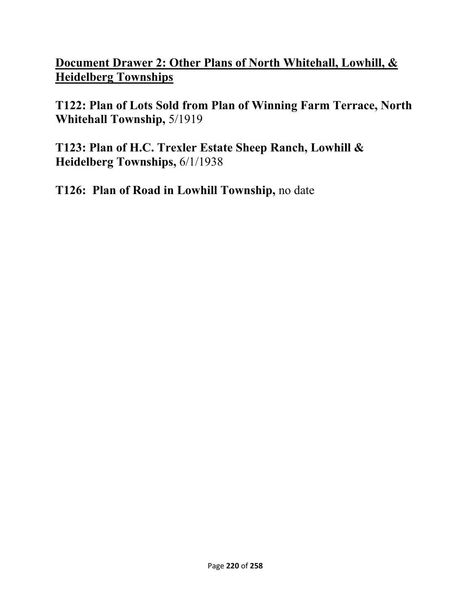**Document Drawer 2: Other Plans of North Whitehall, Lowhill, & Heidelberg Townships** 

**T122: Plan of Lots Sold from Plan of Winning Farm Terrace, North Whitehall Township,** 5/1919

**T123: Plan of H.C. Trexler Estate Sheep Ranch, Lowhill & Heidelberg Townships,** 6/1/1938

**T126: Plan of Road in Lowhill Township,** no date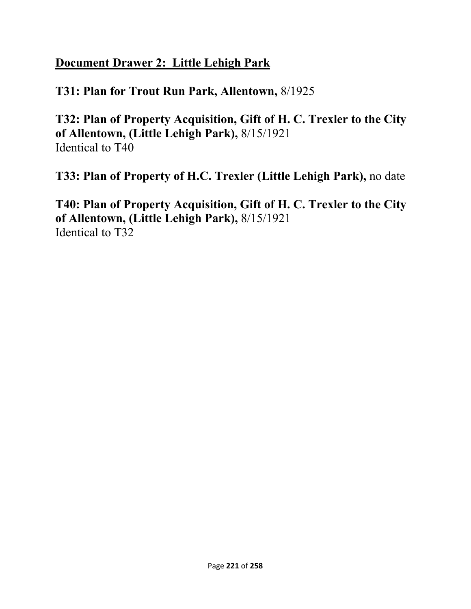## **Document Drawer 2: Little Lehigh Park**

### **T31: Plan for Trout Run Park, Allentown,** 8/1925

**T32: Plan of Property Acquisition, Gift of H. C. Trexler to the City of Allentown, (Little Lehigh Park),** 8/15/1921 Identical to T40

**T33: Plan of Property of H.C. Trexler (Little Lehigh Park),** no date

**T40: Plan of Property Acquisition, Gift of H. C. Trexler to the City of Allentown, (Little Lehigh Park),** 8/15/1921 Identical to T32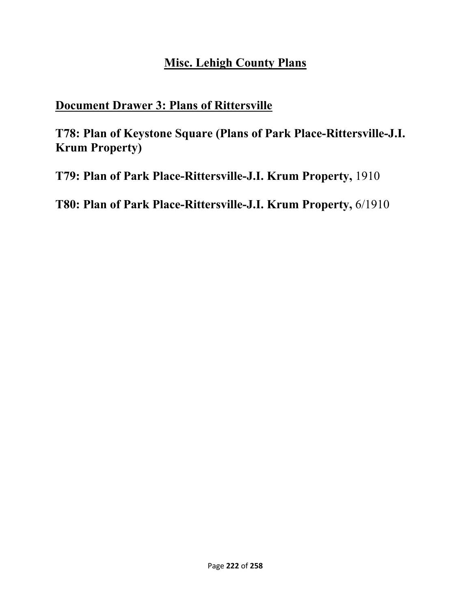### **Misc. Lehigh County Plans**

#### **Document Drawer 3: Plans of Rittersville**

**T78: Plan of Keystone Square (Plans of Park Place-Rittersville-J.I. Krum Property)** 

**T79: Plan of Park Place-Rittersville-J.I. Krum Property,** 1910

**T80: Plan of Park Place-Rittersville-J.I. Krum Property,** 6/1910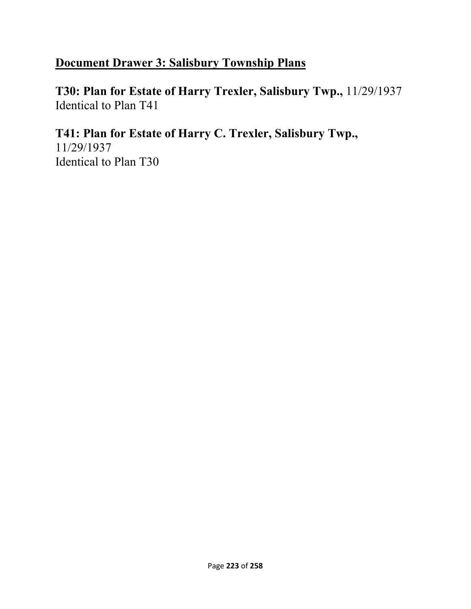# **Document Drawer 3: Salisbury Township Plans**

**T30: Plan for Estate of Harry Trexler, Salisbury Twp.,** 11/29/1937 Identical to Plan T41

**T41: Plan for Estate of Harry C. Trexler, Salisbury Twp.,**  11/29/1937 Identical to Plan T30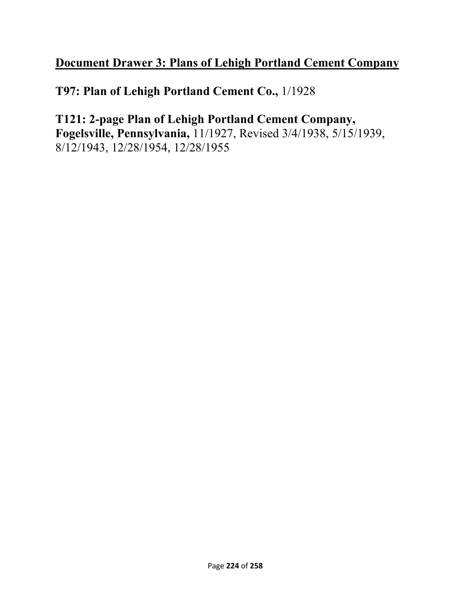# **Document Drawer 3: Plans of Lehigh Portland Cement Company**

**T97: Plan of Lehigh Portland Cement Co.,** 1/1928

**T121: 2-page Plan of Lehigh Portland Cement Company, Fogelsville, Pennsylvania,** 11/1927, Revised 3/4/1938, 5/15/1939, 8/12/1943, 12/28/1954, 12/28/1955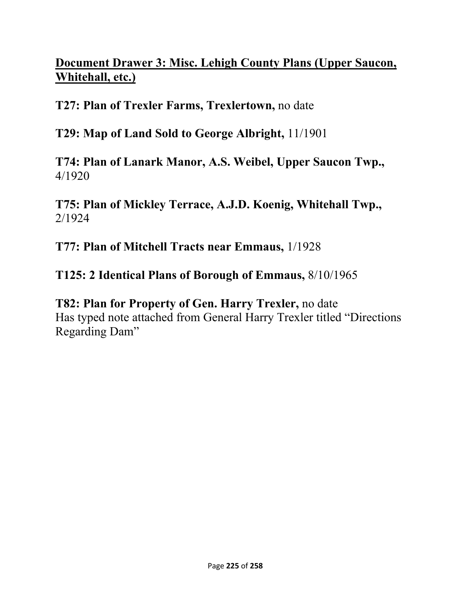# **Document Drawer 3: Misc. Lehigh County Plans (Upper Saucon, Whitehall, etc.)**

**T27: Plan of Trexler Farms, Trexlertown,** no date

**T29: Map of Land Sold to George Albright,** 11/1901

**T74: Plan of Lanark Manor, A.S. Weibel, Upper Saucon Twp.,**  4/1920

**T75: Plan of Mickley Terrace, A.J.D. Koenig, Whitehall Twp.,**  2/1924

**T77: Plan of Mitchell Tracts near Emmaus,** 1/1928

**T125: 2 Identical Plans of Borough of Emmaus,** 8/10/1965

**T82: Plan for Property of Gen. Harry Trexler,** no date Has typed note attached from General Harry Trexler titled "Directions Regarding Dam"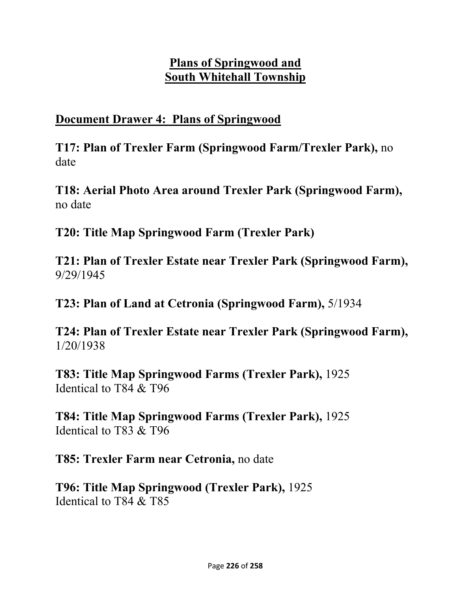## **Plans of Springwood and South Whitehall Township**

### **Document Drawer 4: Plans of Springwood**

**T17: Plan of Trexler Farm (Springwood Farm/Trexler Park),** no date

**T18: Aerial Photo Area around Trexler Park (Springwood Farm),**  no date

**T20: Title Map Springwood Farm (Trexler Park)** 

**T21: Plan of Trexler Estate near Trexler Park (Springwood Farm),**  9/29/1945

**T23: Plan of Land at Cetronia (Springwood Farm),** 5/1934

**T24: Plan of Trexler Estate near Trexler Park (Springwood Farm),**  1/20/1938

**T83: Title Map Springwood Farms (Trexler Park),** 1925 Identical to T84 & T96

**T84: Title Map Springwood Farms (Trexler Park),** 1925 Identical to T83 & T96

**T85: Trexler Farm near Cetronia,** no date

**T96: Title Map Springwood (Trexler Park),** 1925 Identical to T84 & T85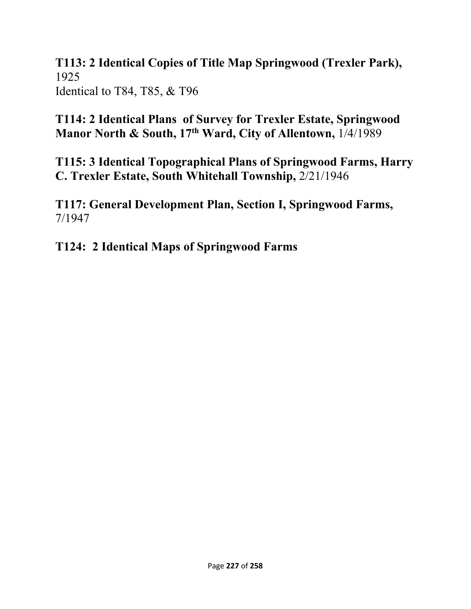**T113: 2 Identical Copies of Title Map Springwood (Trexler Park),**  1925 Identical to T84, T85, & T96

**T114: 2 Identical Plans of Survey for Trexler Estate, Springwood Manor North & South, 17th Ward, City of Allentown,** 1/4/1989

**T115: 3 Identical Topographical Plans of Springwood Farms, Harry C. Trexler Estate, South Whitehall Township,** 2/21/1946

**T117: General Development Plan, Section I, Springwood Farms,**  7/1947

**T124: 2 Identical Maps of Springwood Farms**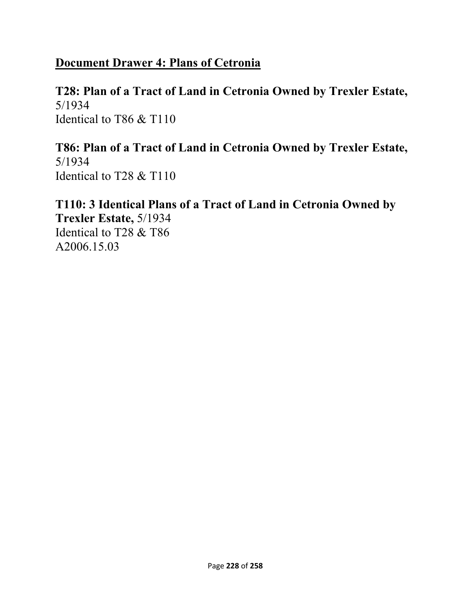# **Document Drawer 4: Plans of Cetronia**

#### **T28: Plan of a Tract of Land in Cetronia Owned by Trexler Estate,**  5/1934 Identical to T86 & T110

**T86: Plan of a Tract of Land in Cetronia Owned by Trexler Estate,**  5/1934 Identical to T28 & T110

**T110: 3 Identical Plans of a Tract of Land in Cetronia Owned by Trexler Estate,** 5/1934 Identical to T28 & T86 A2006.15.03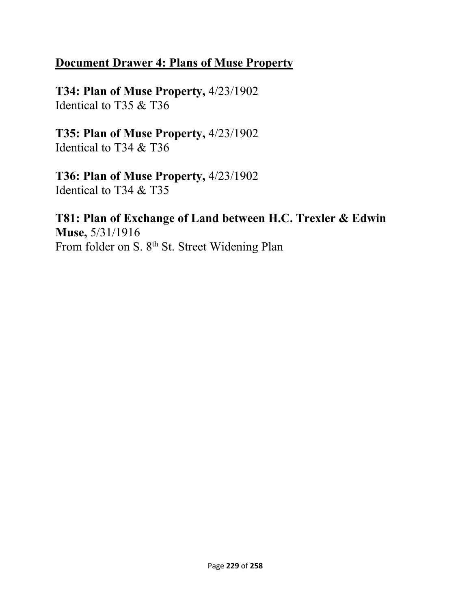### **Document Drawer 4: Plans of Muse Property**

**T34: Plan of Muse Property,** 4/23/1902 Identical to T35 & T36

**T35: Plan of Muse Property,** 4/23/1902 Identical to T34 & T36

**T36: Plan of Muse Property,** 4/23/1902 Identical to T34 & T35

**T81: Plan of Exchange of Land between H.C. Trexler & Edwin Muse,** 5/31/1916 From folder on S. 8<sup>th</sup> St. Street Widening Plan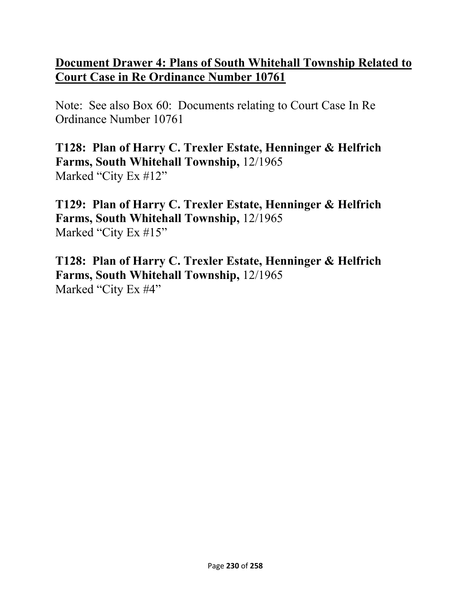### **Document Drawer 4: Plans of South Whitehall Township Related to Court Case in Re Ordinance Number 10761**

Note: See also Box 60: Documents relating to Court Case In Re Ordinance Number 10761

**T128: Plan of Harry C. Trexler Estate, Henninger & Helfrich Farms, South Whitehall Township,** 12/1965 Marked "City Ex #12"

**T129: Plan of Harry C. Trexler Estate, Henninger & Helfrich Farms, South Whitehall Township,** 12/1965 Marked "City Ex #15"

**T128: Plan of Harry C. Trexler Estate, Henninger & Helfrich Farms, South Whitehall Township,** 12/1965 Marked "City Ex #4"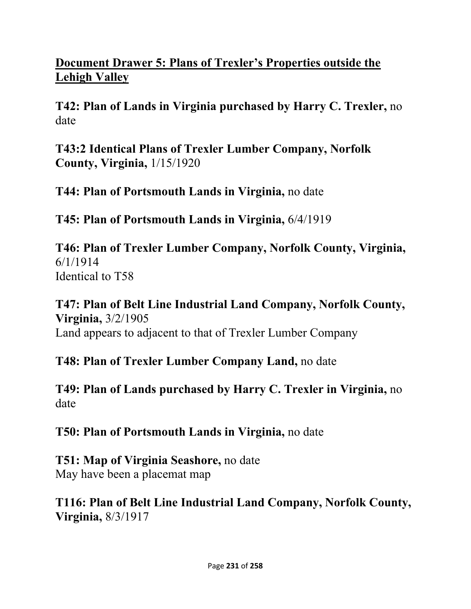# **Document Drawer 5: Plans of Trexler's Properties outside the Lehigh Valley**

**T42: Plan of Lands in Virginia purchased by Harry C. Trexler,** no date

**T43:2 Identical Plans of Trexler Lumber Company, Norfolk County, Virginia,** 1/15/1920

**T44: Plan of Portsmouth Lands in Virginia,** no date

**T45: Plan of Portsmouth Lands in Virginia,** 6/4/1919

**T46: Plan of Trexler Lumber Company, Norfolk County, Virginia,**  6/1/1914 Identical to T58

**T47: Plan of Belt Line Industrial Land Company, Norfolk County, Virginia,** 3/2/1905 Land appears to adjacent to that of Trexler Lumber Company

**T48: Plan of Trexler Lumber Company Land,** no date

**T49: Plan of Lands purchased by Harry C. Trexler in Virginia,** no date

**T50: Plan of Portsmouth Lands in Virginia,** no date

**T51: Map of Virginia Seashore,** no date May have been a placemat map

**T116: Plan of Belt Line Industrial Land Company, Norfolk County, Virginia,** 8/3/1917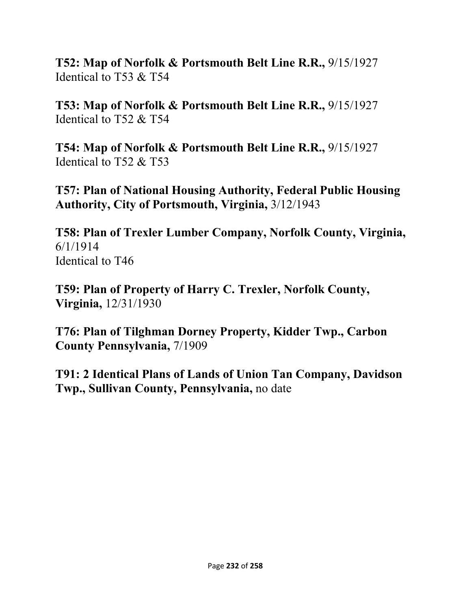**T52: Map of Norfolk & Portsmouth Belt Line R.R.,** 9/15/1927 Identical to T53 & T54

**T53: Map of Norfolk & Portsmouth Belt Line R.R.,** 9/15/1927 Identical to T52 & T54

**T54: Map of Norfolk & Portsmouth Belt Line R.R.,** 9/15/1927 Identical to T52 & T53

**T57: Plan of National Housing Authority, Federal Public Housing Authority, City of Portsmouth, Virginia,** 3/12/1943

**T58: Plan of Trexler Lumber Company, Norfolk County, Virginia,**  6/1/1914 Identical to T46

**T59: Plan of Property of Harry C. Trexler, Norfolk County, Virginia,** 12/31/1930

**T76: Plan of Tilghman Dorney Property, Kidder Twp., Carbon County Pennsylvania,** 7/1909

**T91: 2 Identical Plans of Lands of Union Tan Company, Davidson Twp., Sullivan County, Pennsylvania,** no date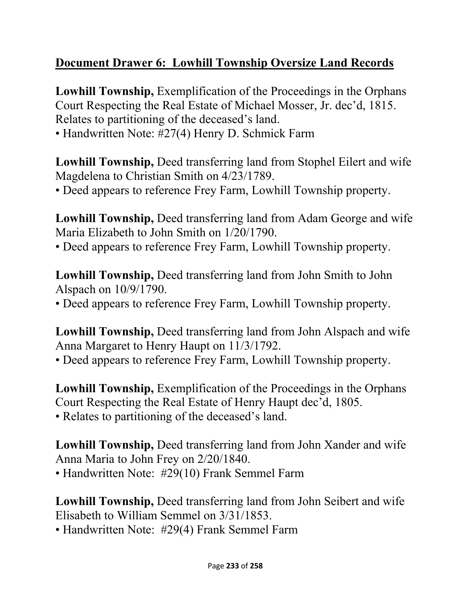# **Document Drawer 6: Lowhill Township Oversize Land Records**

**Lowhill Township,** Exemplification of the Proceedings in the Orphans Court Respecting the Real Estate of Michael Mosser, Jr. dec'd, 1815. Relates to partitioning of the deceased's land.

• Handwritten Note: #27(4) Henry D. Schmick Farm

**Lowhill Township,** Deed transferring land from Stophel Eilert and wife Magdelena to Christian Smith on 4/23/1789.

• Deed appears to reference Frey Farm, Lowhill Township property.

**Lowhill Township,** Deed transferring land from Adam George and wife Maria Elizabeth to John Smith on 1/20/1790.

• Deed appears to reference Frey Farm, Lowhill Township property.

**Lowhill Township,** Deed transferring land from John Smith to John Alspach on 10/9/1790.

• Deed appears to reference Frey Farm, Lowhill Township property.

**Lowhill Township,** Deed transferring land from John Alspach and wife Anna Margaret to Henry Haupt on 11/3/1792.

• Deed appears to reference Frey Farm, Lowhill Township property.

**Lowhill Township,** Exemplification of the Proceedings in the Orphans Court Respecting the Real Estate of Henry Haupt dec'd, 1805. • Relates to partitioning of the deceased's land.

**Lowhill Township,** Deed transferring land from John Xander and wife Anna Maria to John Frey on 2/20/1840.

• Handwritten Note: #29(10) Frank Semmel Farm

**Lowhill Township,** Deed transferring land from John Seibert and wife Elisabeth to William Semmel on 3/31/1853.

• Handwritten Note: #29(4) Frank Semmel Farm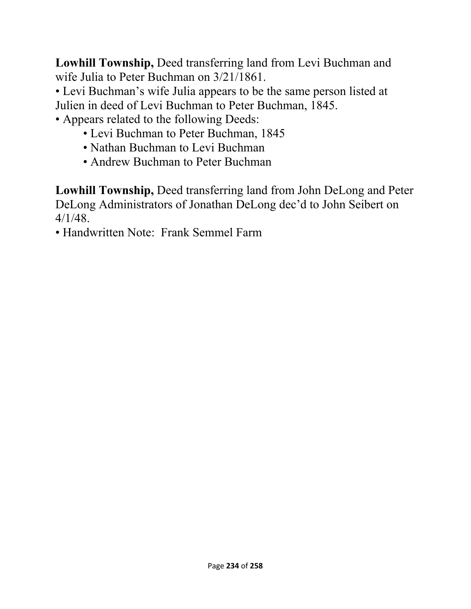**Lowhill Township,** Deed transferring land from Levi Buchman and wife Julia to Peter Buchman on 3/21/1861.

• Levi Buchman's wife Julia appears to be the same person listed at Julien in deed of Levi Buchman to Peter Buchman, 1845.

• Appears related to the following Deeds:

- Levi Buchman to Peter Buchman, 1845
- Nathan Buchman to Levi Buchman
- Andrew Buchman to Peter Buchman

**Lowhill Township,** Deed transferring land from John DeLong and Peter DeLong Administrators of Jonathan DeLong dec'd to John Seibert on 4/1/48.

• Handwritten Note: Frank Semmel Farm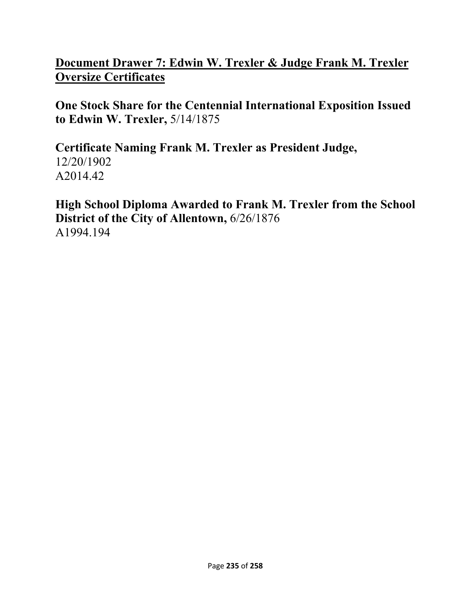### **Document Drawer 7: Edwin W. Trexler & Judge Frank M. Trexler Oversize Certificates**

**One Stock Share for the Centennial International Exposition Issued to Edwin W. Trexler,** 5/14/1875

**Certificate Naming Frank M. Trexler as President Judge,**  12/20/1902 A2014.42

**High School Diploma Awarded to Frank M. Trexler from the School District of the City of Allentown,** 6/26/1876 A1994.194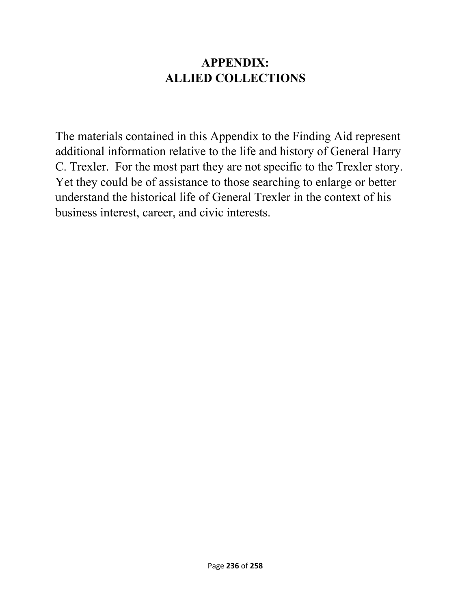## **APPENDIX: ALLIED COLLECTIONS**

The materials contained in this Appendix to the Finding Aid represent additional information relative to the life and history of General Harry C. Trexler. For the most part they are not specific to the Trexler story. Yet they could be of assistance to those searching to enlarge or better understand the historical life of General Trexler in the context of his business interest, career, and civic interests.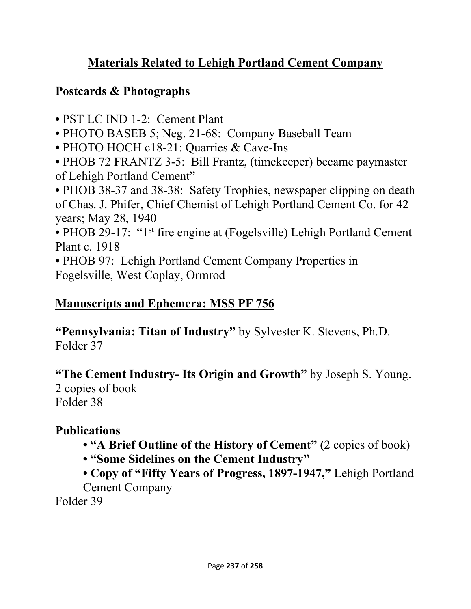# **Materials Related to Lehigh Portland Cement Company**

### **Postcards & Photographs**

- PST LC IND 1-2: Cement Plant
- PHOTO BASEB 5; Neg. 21-68: Company Baseball Team
- PHOTO HOCH c18-21: Quarries & Cave-Ins
- PHOB 72 FRANTZ 3-5: Bill Frantz, (timekeeper) became paymaster of Lehigh Portland Cement"
- PHOB 38-37 and 38-38: Safety Trophies, newspaper clipping on death of Chas. J. Phifer, Chief Chemist of Lehigh Portland Cement Co. for 42 years; May 28, 1940
- PHOB 29-17: "1<sup>st</sup> fire engine at (Fogelsville) Lehigh Portland Cement Plant c. 1918
- PHOB 97: Lehigh Portland Cement Company Properties in Fogelsville, West Coplay, Ormrod

## **Manuscripts and Ephemera: MSS PF 756**

**"Pennsylvania: Titan of Industry"** by Sylvester K. Stevens, Ph.D. Folder 37

**"The Cement Industry- Its Origin and Growth"** by Joseph S. Young. 2 copies of book

Folder 38

# **Publications**

- **"A Brief Outline of the History of Cement" (**2 copies of book)
- **"Some Sidelines on the Cement Industry"**

**• Copy of "Fifty Years of Progress, 1897-1947,"** Lehigh Portland Cement Company

Folder 39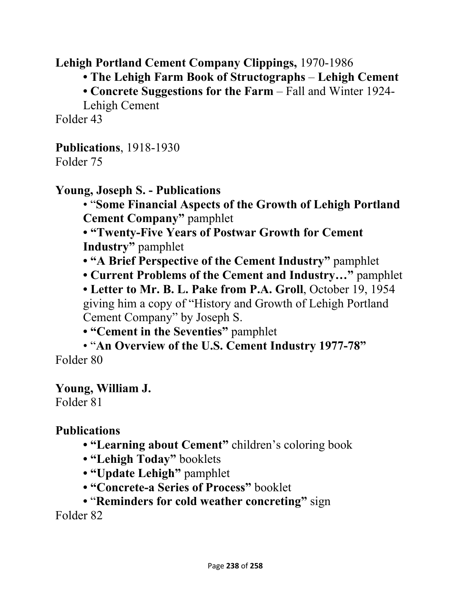**Lehigh Portland Cement Company Clippings,** 1970-1986

**• The Lehigh Farm Book of Structographs** – **Lehigh Cement** 

**• Concrete Suggestions for the Farm** – Fall and Winter 1924-

Lehigh Cement

Folder 43

**Publications**, 1918-1930 Folder 75

#### **Young, Joseph S. - Publications**

• "**Some Financial Aspects of the Growth of Lehigh Portland Cement Company"** pamphlet

**• "Twenty-Five Years of Postwar Growth for Cement Industry"** pamphlet

- **"A Brief Perspective of the Cement Industry"** pamphlet
- **Current Problems of the Cement and Industry…"** pamphlet

**• Letter to Mr. B. L. Pake from P.A. Groll**, October 19, 1954 giving him a copy of "History and Growth of Lehigh Portland Cement Company" by Joseph S.

**• "Cement in the Seventies"** pamphlet

• "**An Overview of the U.S. Cement Industry 1977-78"** Folder 80

### **Young, William J.**

Folder 81

**Publications** 

- **"Learning about Cement"** children's coloring book
- **"Lehigh Today"** booklets
- **"Update Lehigh"** pamphlet
- **"Concrete-a Series of Process"** booklet
- "**Reminders for cold weather concreting"** sign

Folder 82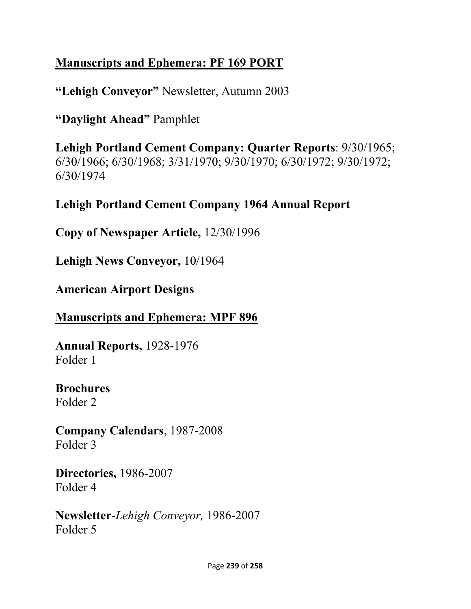# **Manuscripts and Ephemera: PF 169 PORT**

**"Lehigh Conveyor"** Newsletter, Autumn 2003

**"Daylight Ahead"** Pamphlet

**Lehigh Portland Cement Company: Quarter Reports**: 9/30/1965; 6/30/1966; 6/30/1968; 3/31/1970; 9/30/1970; 6/30/1972; 9/30/1972; 6/30/1974

## **Lehigh Portland Cement Company 1964 Annual Report**

**Copy of Newspaper Article,** 12/30/1996

**Lehigh News Conveyor,** 10/1964

**American Airport Designs** 

### **Manuscripts and Ephemera: MPF 896**

**Annual Reports,** 1928-1976 Folder 1

# **Brochures**

Folder 2

**Company Calendars**, 1987-2008 Folder 3

**Directories,** 1986-2007 Folder 4

**Newsletter**-*Lehigh Conveyor,* 1986-2007 Folder 5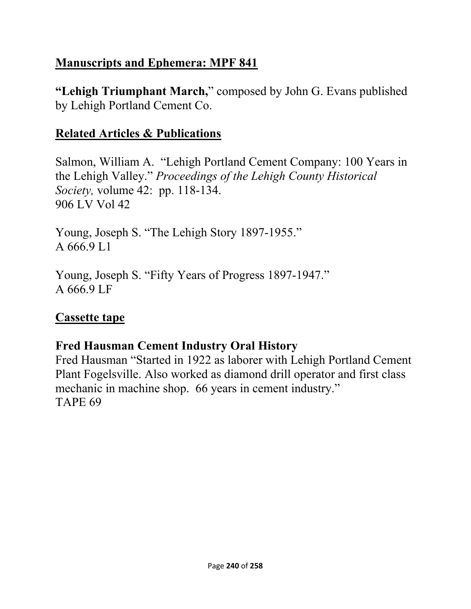# **Manuscripts and Ephemera: MPF 841**

**"Lehigh Triumphant March,**" composed by John G. Evans published by Lehigh Portland Cement Co.

# **Related Articles & Publications**

Salmon, William A. "Lehigh Portland Cement Company: 100 Years in the Lehigh Valley." *Proceedings of the Lehigh County Historical Society,* volume 42: pp. 118-134. 906 LV Vol 42

Young, Joseph S. "The Lehigh Story 1897-1955." A 666.9 L1

Young, Joseph S. "Fifty Years of Progress 1897-1947." A 666.9 LF

# **Cassette tape**

# **Fred Hausman Cement Industry Oral History**

Fred Hausman "Started in 1922 as laborer with Lehigh Portland Cement Plant Fogelsville. Also worked as diamond drill operator and first class mechanic in machine shop. 66 years in cement industry." TAPE 69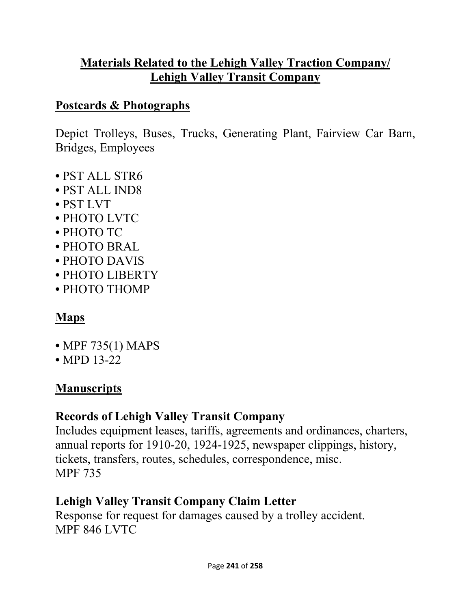# **Materials Related to the Lehigh Valley Traction Company/ Lehigh Valley Transit Company**

### **Postcards & Photographs**

Depict Trolleys, Buses, Trucks, Generating Plant, Fairview Car Barn, Bridges, Employees

- PST ALL STR6
- PST ALL IND8
- PST LVT
- PHOTO LVTC
- PHOTO TC
- PHOTO BRAL
- PHOTO DAVIS
- PHOTO LIBERTY
- PHOTO THOMP

# **Maps**

- MPF 735(1) MAPS
- MPD 13-22

# **Manuscripts**

# **Records of Lehigh Valley Transit Company**

Includes equipment leases, tariffs, agreements and ordinances, charters, annual reports for 1910-20, 1924-1925, newspaper clippings, history, tickets, transfers, routes, schedules, correspondence, misc. MPF 735

# **Lehigh Valley Transit Company Claim Letter**

Response for request for damages caused by a trolley accident. MPF 846 LVTC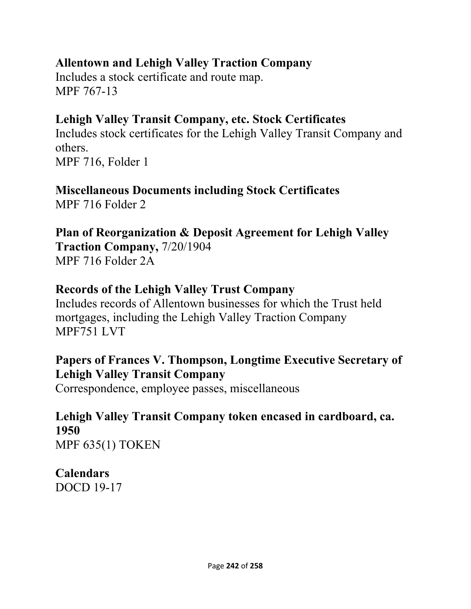### **Allentown and Lehigh Valley Traction Company**

Includes a stock certificate and route map. MPF 767-13

## **Lehigh Valley Transit Company, etc. Stock Certificates**

Includes stock certificates for the Lehigh Valley Transit Company and others. MPF 716, Folder 1

# **Miscellaneous Documents including Stock Certificates**

MPF 716 Folder 2

# **Plan of Reorganization & Deposit Agreement for Lehigh Valley**

**Traction Company,** 7/20/1904 MPF 716 Folder 2A

#### **Records of the Lehigh Valley Trust Company**

Includes records of Allentown businesses for which the Trust held mortgages, including the Lehigh Valley Traction Company MPF751 LVT

## **Papers of Frances V. Thompson, Longtime Executive Secretary of Lehigh Valley Transit Company**

Correspondence, employee passes, miscellaneous

#### **Lehigh Valley Transit Company token encased in cardboard, ca. 1950**  MPF 635(1) TOKEN

**Calendars**  DOCD 19-17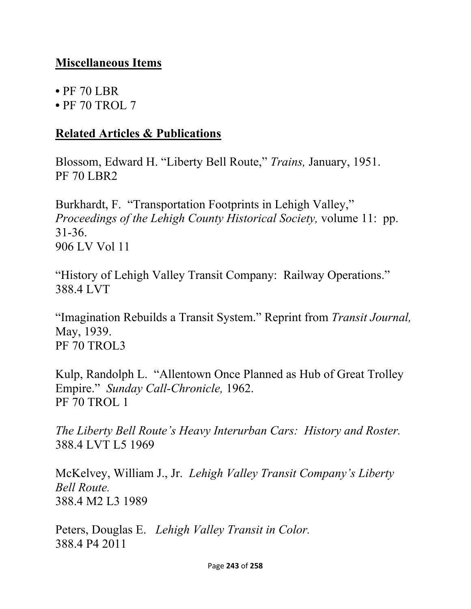### **Miscellaneous Items**

- PF 70 LBR
- PF 70 TROL 7

#### **Related Articles & Publications**

Blossom, Edward H. "Liberty Bell Route," *Trains,* January, 1951. PF 70 LBR2

Burkhardt, F. "Transportation Footprints in Lehigh Valley," *Proceedings of the Lehigh County Historical Society,* volume 11: pp. 31-36. 906 LV Vol 11

"History of Lehigh Valley Transit Company: Railway Operations." 388.4 LVT

"Imagination Rebuilds a Transit System." Reprint from *Transit Journal,* May, 1939. PF 70 TROL3

Kulp, Randolph L. "Allentown Once Planned as Hub of Great Trolley Empire." *Sunday Call-Chronicle,* 1962. PF 70 TROL 1

*The Liberty Bell Route's Heavy Interurban Cars: History and Roster.*  388.4 LVT L5 1969

McKelvey, William J., Jr. *Lehigh Valley Transit Company's Liberty Bell Route.* 388.4 M2 L3 1989

Peters, Douglas E. *Lehigh Valley Transit in Color.*  388.4 P4 2011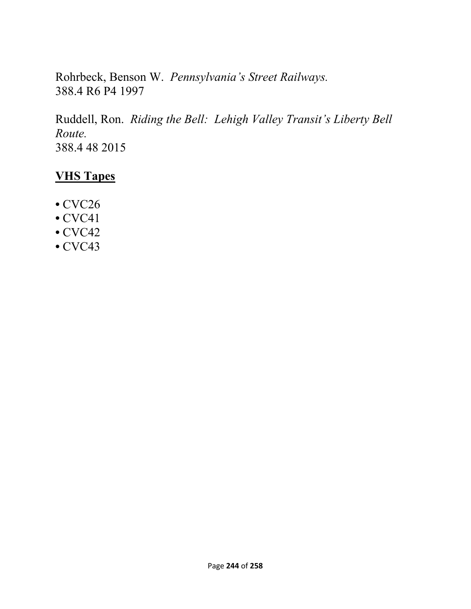Rohrbeck, Benson W. *Pennsylvania's Street Railways.*  388.4 R6 P4 1997

Ruddell, Ron. *Riding the Bell: Lehigh Valley Transit's Liberty Bell Route.*  388.4 48 2015

### **VHS Tapes**

- CVC26
- CVC41
- CVC42
- CVC43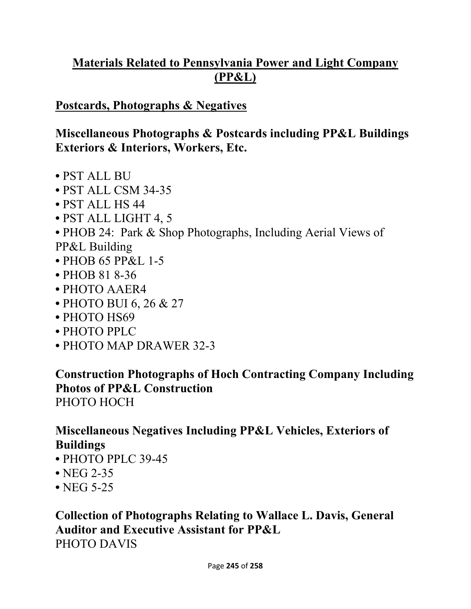# **Materials Related to Pennsylvania Power and Light Company (PP&L)**

### **Postcards, Photographs & Negatives**

### **Miscellaneous Photographs & Postcards including PP&L Buildings Exteriors & Interiors, Workers, Etc.**

- PST ALL BU
- PST ALL CSM 34-35
- PST ALL HS 44
- PST ALL LIGHT 4, 5
- PHOB 24: Park & Shop Photographs, Including Aerial Views of
- PP&L Building
- PHOB 65 PP&L 1-5
- PHOB 81 8-36
- PHOTO AAER4
- PHOTO BUI 6, 26 & 27
- PHOTO HS69
- PHOTO PPLC
- PHOTO MAP DRAWER 32-3

**Construction Photographs of Hoch Contracting Company Including Photos of PP&L Construction**  PHOTO HOCH

# **Miscellaneous Negatives Including PP&L Vehicles, Exteriors of Buildings**

- PHOTO PPLC 39-45
- NEG 2-35
- NEG 5-25

## **Collection of Photographs Relating to Wallace L. Davis, General Auditor and Executive Assistant for PP&L**  PHOTO DAVIS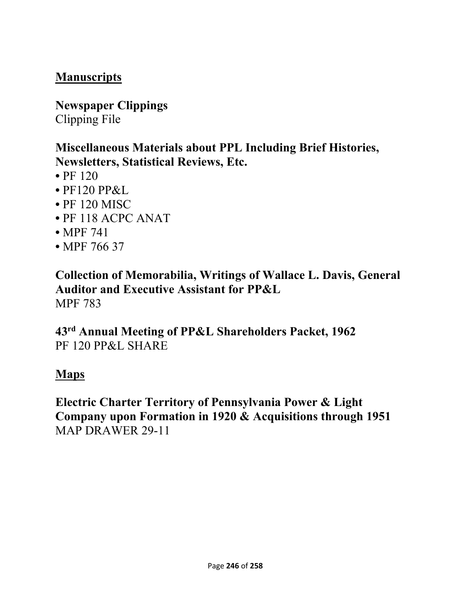# **Manuscripts**

**Newspaper Clippings**  Clipping File

### **Miscellaneous Materials about PPL Including Brief Histories, Newsletters, Statistical Reviews, Etc.**

- $\cdot$  PF 120
- PF120 PP&L
- PF 120 MISC
- PF 118 ACPC ANAT
- MPF 741
- MPF 766 37

**Collection of Memorabilia, Writings of Wallace L. Davis, General Auditor and Executive Assistant for PP&L**  MPF 783

**43rd Annual Meeting of PP&L Shareholders Packet, 1962**  PF 120 PP&L SHARE

#### **Maps**

**Electric Charter Territory of Pennsylvania Power & Light Company upon Formation in 1920 & Acquisitions through 1951**  MAP DRAWER 29-11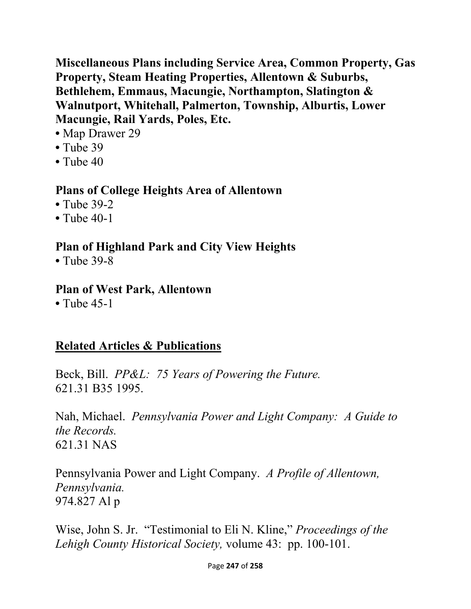**Miscellaneous Plans including Service Area, Common Property, Gas Property, Steam Heating Properties, Allentown & Suburbs, Bethlehem, Emmaus, Macungie, Northampton, Slatington & Walnutport, Whitehall, Palmerton, Township, Alburtis, Lower Macungie, Rail Yards, Poles, Etc.** 

- Map Drawer 29
- Tube 39
- Tube 40

### **Plans of College Heights Area of Allentown**

- Tube 39-2
- Tube 40-1

# **Plan of Highland Park and City View Heights**

**•** Tube 39-8

#### **Plan of West Park, Allentown**

**•** Tube 45-1

# **Related Articles & Publications**

Beck, Bill. *PP&L: 75 Years of Powering the Future.*  621.31 B35 1995.

Nah, Michael. *Pennsylvania Power and Light Company: A Guide to the Records.*  621.31 NAS

Pennsylvania Power and Light Company. *A Profile of Allentown, Pennsylvania.* 974.827 Al p

Wise, John S. Jr. "Testimonial to Eli N. Kline," *Proceedings of the Lehigh County Historical Society,* volume 43: pp. 100-101.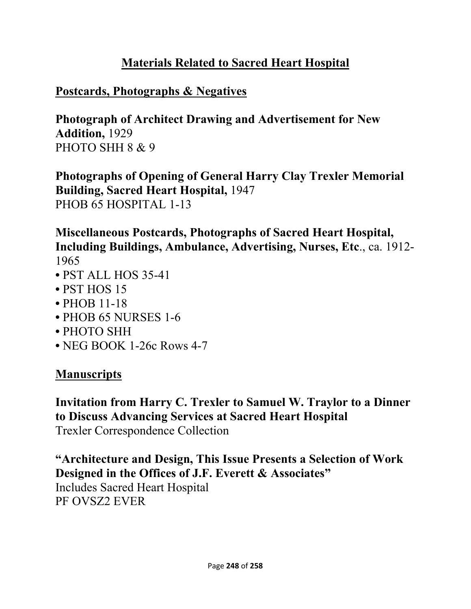# **Materials Related to Sacred Heart Hospital**

### **Postcards, Photographs & Negatives**

**Photograph of Architect Drawing and Advertisement for New Addition,** 1929 PHOTO SHH 8 & 9

**Photographs of Opening of General Harry Clay Trexler Memorial Building, Sacred Heart Hospital,** 1947 PHOB 65 HOSPITAL 1-13

**Miscellaneous Postcards, Photographs of Sacred Heart Hospital, Including Buildings, Ambulance, Advertising, Nurses, Etc**., ca. 1912- 1965

- PST ALL HOS 35-41
- PST HOS 15
- PHOB 11-18
- PHOB 65 NURSES 1-6
- PHOTO SHH
- NEG BOOK 1-26c Rows 4-7

# **Manuscripts**

**Invitation from Harry C. Trexler to Samuel W. Traylor to a Dinner to Discuss Advancing Services at Sacred Heart Hospital**  Trexler Correspondence Collection

**"Architecture and Design, This Issue Presents a Selection of Work Designed in the Offices of J.F. Everett & Associates"**  Includes Sacred Heart Hospital PF OVSZ2 EVER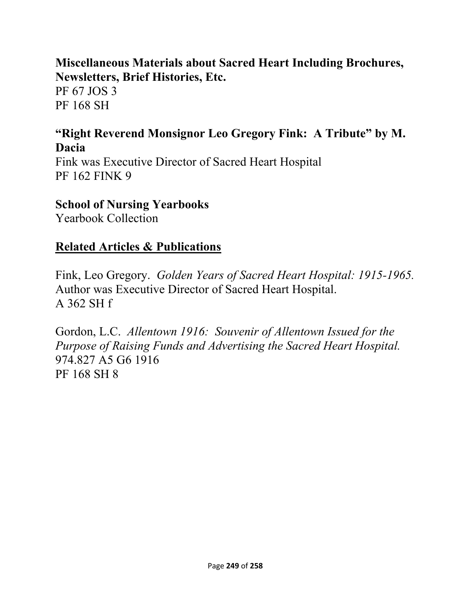### **Miscellaneous Materials about Sacred Heart Including Brochures, Newsletters, Brief Histories, Etc.**

PF 67 JOS 3 PF 168 SH

### **"Right Reverend Monsignor Leo Gregory Fink: A Tribute" by M. Dacia**

Fink was Executive Director of Sacred Heart Hospital PF 162 FINK 9

#### **School of Nursing Yearbooks**

Yearbook Collection

#### **Related Articles & Publications**

Fink, Leo Gregory. *Golden Years of Sacred Heart Hospital: 1915-1965.* Author was Executive Director of Sacred Heart Hospital. A 362 SH f

Gordon, L.C. *Allentown 1916: Souvenir of Allentown Issued for the Purpose of Raising Funds and Advertising the Sacred Heart Hospital.* 974.827 A5 G6 1916 PF 168 SH 8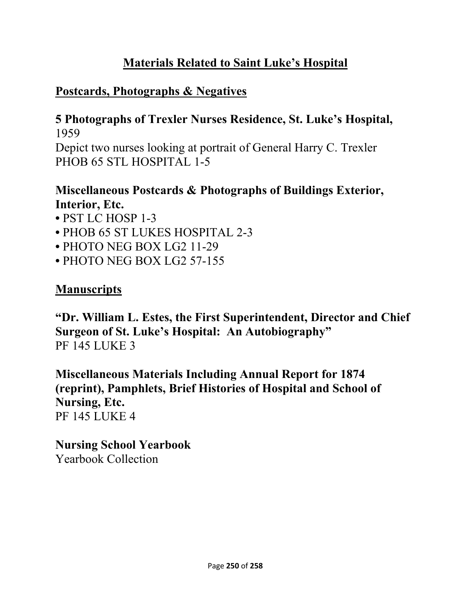# **Materials Related to Saint Luke's Hospital**

# **Postcards, Photographs & Negatives**

# **5 Photographs of Trexler Nurses Residence, St. Luke's Hospital,** 1959

Depict two nurses looking at portrait of General Harry C. Trexler PHOB 65 STL HOSPITAL 1-5

### **Miscellaneous Postcards & Photographs of Buildings Exterior, Interior, Etc.**

- PST LC HOSP 1-3
- PHOB 65 ST LUKES HOSPITAL 2-3
- PHOTO NEG BOX LG2 11-29
- PHOTO NEG BOX LG2 57-155

# **Manuscripts**

**"Dr. William L. Estes, the First Superintendent, Director and Chief Surgeon of St. Luke's Hospital: An Autobiography"**  PF 145 LUKE 3

**Miscellaneous Materials Including Annual Report for 1874 (reprint), Pamphlets, Brief Histories of Hospital and School of Nursing, Etc.**  PF 145 LUKE 4

**Nursing School Yearbook**  Yearbook Collection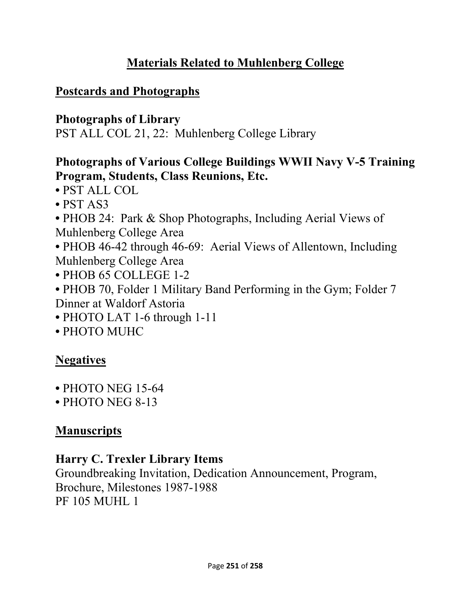# **Materials Related to Muhlenberg College**

### **Postcards and Photographs**

### **Photographs of Library**

PST ALL COL 21, 22: Muhlenberg College Library

## **Photographs of Various College Buildings WWII Navy V-5 Training Program, Students, Class Reunions, Etc.**

- PST ALL COL
- PST AS3
- PHOB 24: Park & Shop Photographs, Including Aerial Views of Muhlenberg College Area
- PHOB 46-42 through 46-69: Aerial Views of Allentown, Including Muhlenberg College Area
- PHOB 65 COLLEGE 1-2
- PHOB 70, Folder 1 Military Band Performing in the Gym; Folder 7 Dinner at Waldorf Astoria
- PHOTO LAT 1-6 through 1-11
- PHOTO MUHC

# **Negatives**

- PHOTO NEG 15-64
- PHOTO NEG 8-13

# **Manuscripts**

### **Harry C. Trexler Library Items**

Groundbreaking Invitation, Dedication Announcement, Program, Brochure, Milestones 1987-1988 PF 105 MUHL 1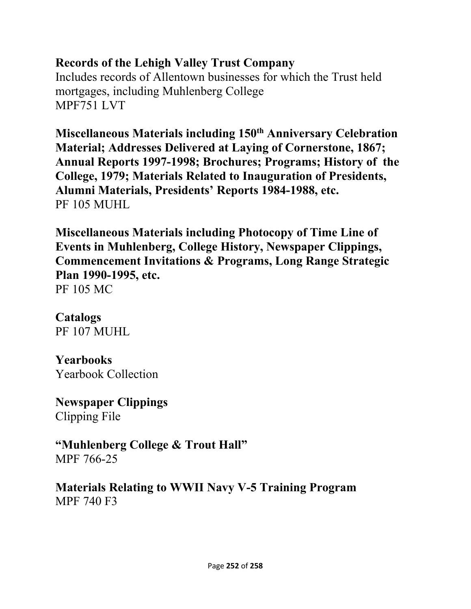#### **Records of the Lehigh Valley Trust Company**

Includes records of Allentown businesses for which the Trust held mortgages, including Muhlenberg College MPF751 LVT

**Miscellaneous Materials including 150th Anniversary Celebration Material; Addresses Delivered at Laying of Cornerstone, 1867; Annual Reports 1997-1998; Brochures; Programs; History of the College, 1979; Materials Related to Inauguration of Presidents, Alumni Materials, Presidents' Reports 1984-1988, etc.**  PF 105 MUHL

**Miscellaneous Materials including Photocopy of Time Line of Events in Muhlenberg, College History, Newspaper Clippings, Commencement Invitations & Programs, Long Range Strategic Plan 1990-1995, etc.**  PF 105 MC

# **Catalogs**

PF 107 MUHL

## **Yearbooks**

Yearbook Collection

**Newspaper Clippings**  Clipping File

**"Muhlenberg College & Trout Hall"**  MPF 766-25

**Materials Relating to WWII Navy V-5 Training Program**  MPF 740 F3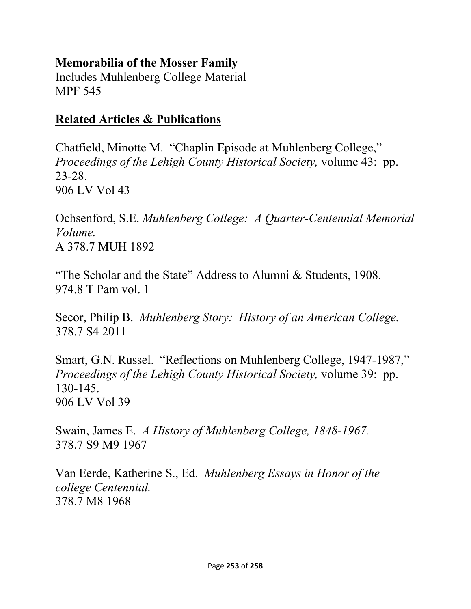#### **Memorabilia of the Mosser Family**

Includes Muhlenberg College Material MPF 545

#### **Related Articles & Publications**

Chatfield, Minotte M. "Chaplin Episode at Muhlenberg College," *Proceedings of the Lehigh County Historical Society,* volume 43: pp. 23-28. 906 LV Vol 43

Ochsenford, S.E. *Muhlenberg College: A Quarter-Centennial Memorial Volume.*  A 378.7 MUH 1892

"The Scholar and the State" Address to Alumni & Students, 1908. 974.8 T Pam vol. 1

Secor, Philip B. *Muhlenberg Story: History of an American College.* 378.7 S4 2011

Smart, G.N. Russel. "Reflections on Muhlenberg College, 1947-1987," *Proceedings of the Lehigh County Historical Society,* volume 39: pp. 130-145. 906 LV Vol 39

Swain, James E. *A History of Muhlenberg College, 1848-1967.*  378.7 S9 M9 1967

Van Eerde, Katherine S., Ed. *Muhlenberg Essays in Honor of the college Centennial.* 378.7 M8 1968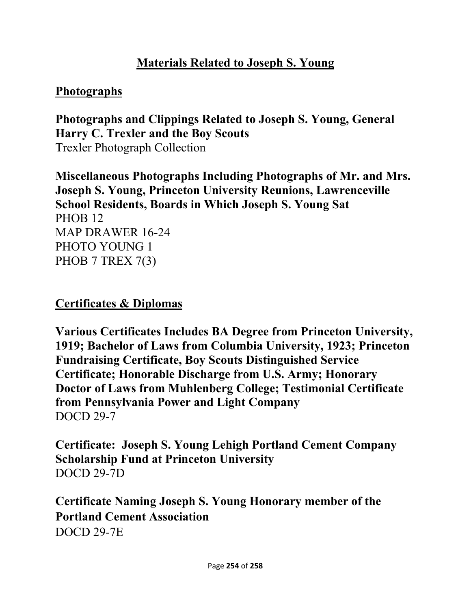### **Materials Related to Joseph S. Young**

#### **Photographs**

**Photographs and Clippings Related to Joseph S. Young, General Harry C. Trexler and the Boy Scouts**  Trexler Photograph Collection

**Miscellaneous Photographs Including Photographs of Mr. and Mrs. Joseph S. Young, Princeton University Reunions, Lawrenceville School Residents, Boards in Which Joseph S. Young Sat**  PHOB 12 MAP DRAWER 16-24 PHOTO YOUNG 1 PHOB 7 TREX 7(3)

#### **Certificates & Diplomas**

**Various Certificates Includes BA Degree from Princeton University, 1919; Bachelor of Laws from Columbia University, 1923; Princeton Fundraising Certificate, Boy Scouts Distinguished Service Certificate; Honorable Discharge from U.S. Army; Honorary Doctor of Laws from Muhlenberg College; Testimonial Certificate from Pennsylvania Power and Light Company**  DOCD 29-7

**Certificate: Joseph S. Young Lehigh Portland Cement Company Scholarship Fund at Princeton University**  DOCD 29-7D

**Certificate Naming Joseph S. Young Honorary member of the Portland Cement Association**  DOCD 29-7E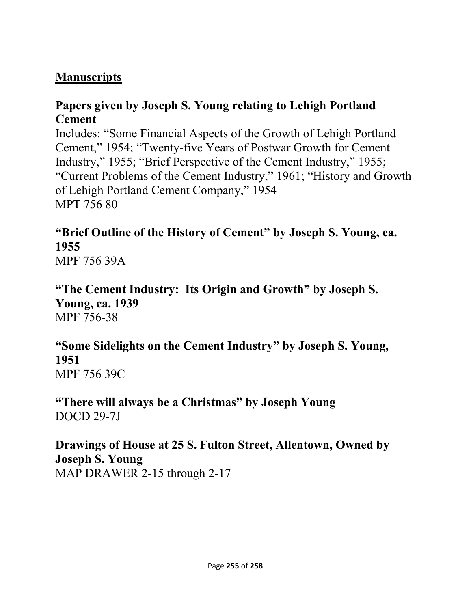### **Manuscripts**

#### **Papers given by Joseph S. Young relating to Lehigh Portland Cement**

Includes: "Some Financial Aspects of the Growth of Lehigh Portland Cement," 1954; "Twenty-five Years of Postwar Growth for Cement Industry," 1955; "Brief Perspective of the Cement Industry," 1955; "Current Problems of the Cement Industry," 1961; "History and Growth of Lehigh Portland Cement Company," 1954 MPT 756 80

## **"Brief Outline of the History of Cement" by Joseph S. Young, ca. 1955**

MPF 756 39A

**"The Cement Industry: Its Origin and Growth" by Joseph S. Young, ca. 1939**  MPF 756-38

#### **"Some Sidelights on the Cement Industry" by Joseph S. Young, 1951**  MPF 756 39C

**"There will always be a Christmas" by Joseph Young**  DOCD 29-7J

### **Drawings of House at 25 S. Fulton Street, Allentown, Owned by Joseph S. Young**  MAP DRAWER 2-15 through 2-17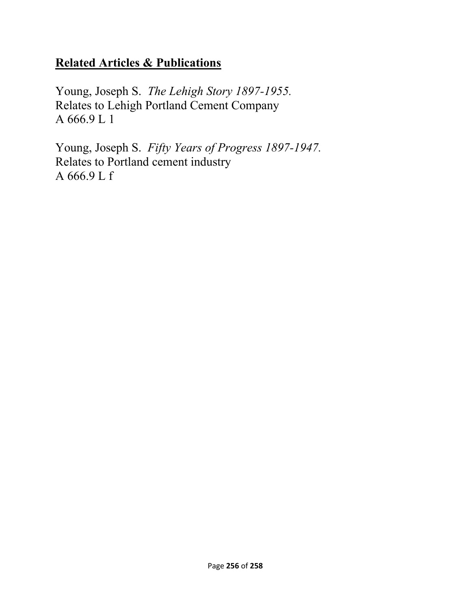### **Related Articles & Publications**

Young, Joseph S. *The Lehigh Story 1897-1955.*  Relates to Lehigh Portland Cement Company A 666.9 L 1

Young, Joseph S. *Fifty Years of Progress 1897-1947.*  Relates to Portland cement industry A 666.9 L f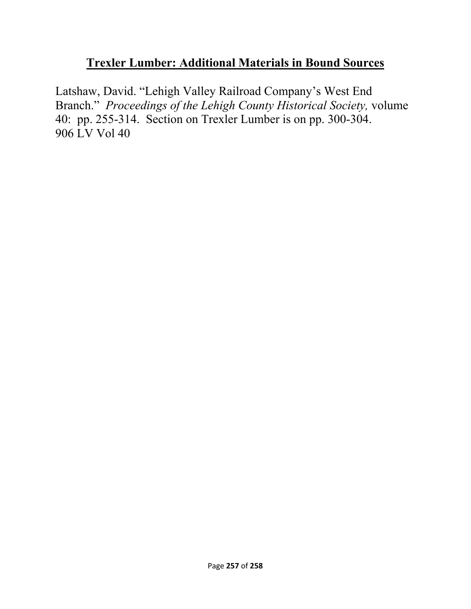### **Trexler Lumber: Additional Materials in Bound Sources**

Latshaw, David. "Lehigh Valley Railroad Company's West End Branch." *Proceedings of the Lehigh County Historical Society,* volume 40: pp. 255-314. Section on Trexler Lumber is on pp. 300-304. 906 LV Vol 40